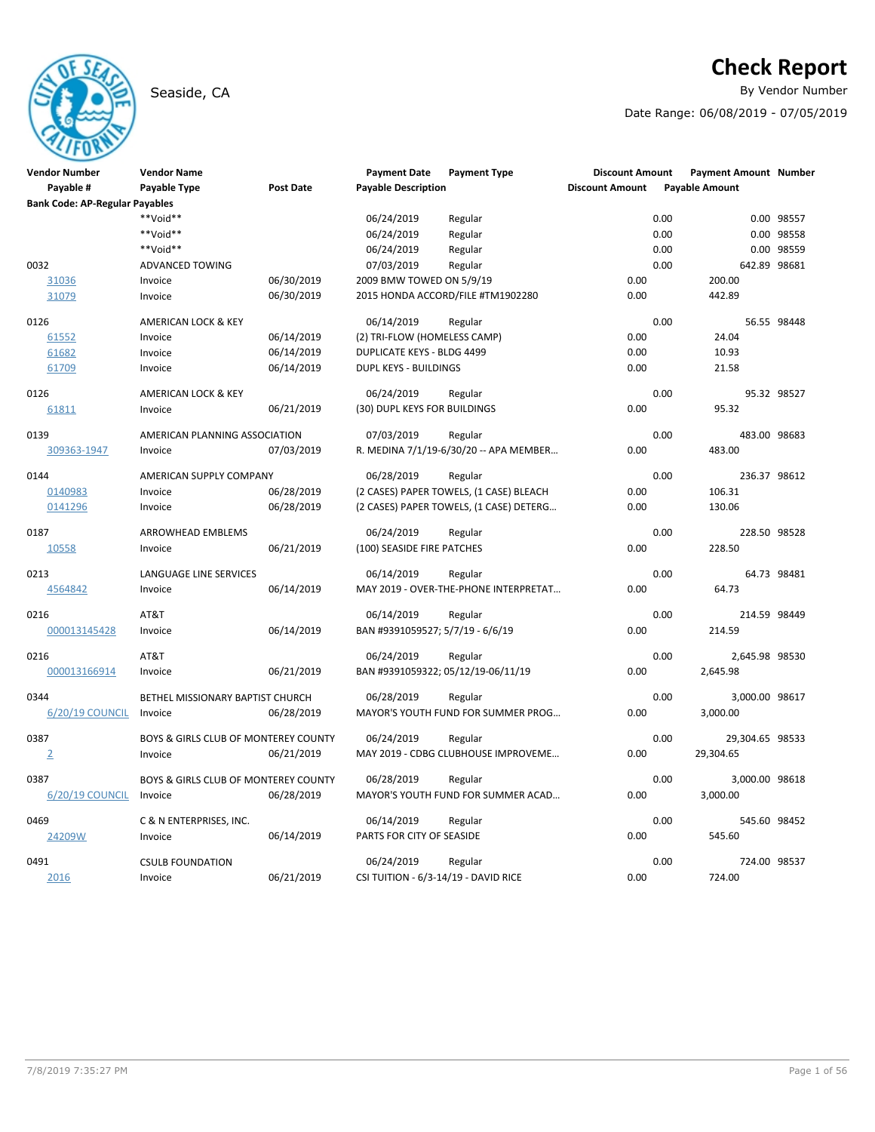# Seaside, CA **By Vendor Number**

# **Check Report**

Date Range: 06/08/2019 - 07/05/2019

| <b>Vendor Number</b>                  | <b>Vendor Name</b>                   |                  | <b>Payment Date</b>                  | <b>Payment Type</b>                     | <b>Discount Amount</b> | <b>Payment Amount Number</b> |              |
|---------------------------------------|--------------------------------------|------------------|--------------------------------------|-----------------------------------------|------------------------|------------------------------|--------------|
| Payable #                             | Payable Type                         | <b>Post Date</b> | <b>Payable Description</b>           |                                         | <b>Discount Amount</b> | <b>Payable Amount</b>        |              |
| <b>Bank Code: AP-Regular Payables</b> |                                      |                  |                                      |                                         |                        |                              |              |
|                                       | **Void**                             |                  | 06/24/2019                           | Regular                                 |                        | 0.00                         | 0.00 98557   |
|                                       | **Void**                             |                  | 06/24/2019                           | Regular                                 |                        | 0.00                         | 0.00 98558   |
|                                       | **Void**                             |                  | 06/24/2019                           | Regular                                 |                        | 0.00                         | 0.00 98559   |
| 0032                                  | ADVANCED TOWING                      |                  | 07/03/2019                           | Regular                                 |                        | 0.00<br>642.89 98681         |              |
| 31036                                 | Invoice                              | 06/30/2019       | 2009 BMW TOWED ON 5/9/19             |                                         | 0.00                   | 200.00                       |              |
| 31079                                 | Invoice                              | 06/30/2019       |                                      | 2015 HONDA ACCORD/FILE #TM1902280       | 0.00                   | 442.89                       |              |
| 0126                                  | AMERICAN LOCK & KEY                  |                  | 06/14/2019                           | Regular                                 |                        | 0.00                         | 56.55 98448  |
| 61552                                 | Invoice                              | 06/14/2019       | (2) TRI-FLOW (HOMELESS CAMP)         |                                         | 0.00                   | 24.04                        |              |
| 61682                                 | Invoice                              | 06/14/2019       | <b>DUPLICATE KEYS - BLDG 4499</b>    |                                         | 0.00                   | 10.93                        |              |
| 61709                                 | Invoice                              | 06/14/2019       | DUPL KEYS - BUILDINGS                |                                         | 0.00                   | 21.58                        |              |
| 0126                                  | AMERICAN LOCK & KEY                  |                  | 06/24/2019                           | Regular                                 |                        | 0.00                         | 95.32 98527  |
| 61811                                 | Invoice                              | 06/21/2019       | (30) DUPL KEYS FOR BUILDINGS         |                                         | 0.00                   | 95.32                        |              |
| 0139                                  | AMERICAN PLANNING ASSOCIATION        |                  | 07/03/2019                           | Regular                                 |                        | 0.00<br>483.00 98683         |              |
| 309363-1947                           | Invoice                              | 07/03/2019       |                                      | R. MEDINA 7/1/19-6/30/20 -- APA MEMBER  | 0.00                   | 483.00                       |              |
| 0144                                  | AMERICAN SUPPLY COMPANY              |                  | 06/28/2019                           | Regular                                 |                        | 0.00                         | 236.37 98612 |
| 0140983                               | Invoice                              | 06/28/2019       |                                      | (2 CASES) PAPER TOWELS, (1 CASE) BLEACH | 0.00                   | 106.31                       |              |
| 0141296                               | Invoice                              | 06/28/2019       |                                      | (2 CASES) PAPER TOWELS, (1 CASE) DETERG | 0.00                   | 130.06                       |              |
| 0187                                  | <b>ARROWHEAD EMBLEMS</b>             |                  | 06/24/2019                           | Regular                                 |                        | 0.00                         | 228.50 98528 |
| 10558                                 | Invoice                              | 06/21/2019       | (100) SEASIDE FIRE PATCHES           |                                         | 0.00                   | 228.50                       |              |
| 0213                                  | <b>LANGUAGE LINE SERVICES</b>        |                  | 06/14/2019                           | Regular                                 |                        | 0.00                         | 64.73 98481  |
| 4564842                               | Invoice                              | 06/14/2019       |                                      | MAY 2019 - OVER-THE-PHONE INTERPRETAT   | 0.00                   | 64.73                        |              |
| 0216                                  | AT&T                                 |                  | 06/14/2019                           | Regular                                 |                        | 0.00                         | 214.59 98449 |
| 000013145428                          | Invoice                              | 06/14/2019       | BAN #9391059527; 5/7/19 - 6/6/19     |                                         | 0.00                   | 214.59                       |              |
| 0216                                  | AT&T                                 |                  | 06/24/2019                           | Regular                                 |                        | 0.00<br>2,645.98 98530       |              |
| 000013166914                          | Invoice                              | 06/21/2019       | BAN #9391059322; 05/12/19-06/11/19   |                                         | 0.00                   | 2,645.98                     |              |
| 0344                                  | BETHEL MISSIONARY BAPTIST CHURCH     |                  | 06/28/2019                           | Regular                                 |                        | 0.00<br>3,000.00 98617       |              |
| 6/20/19 COUNCIL                       | Invoice                              | 06/28/2019       |                                      | MAYOR'S YOUTH FUND FOR SUMMER PROG      | 0.00                   | 3,000.00                     |              |
| 0387                                  | BOYS & GIRLS CLUB OF MONTEREY COUNTY |                  | 06/24/2019                           | Regular                                 |                        | 0.00<br>29,304.65 98533      |              |
| $\overline{2}$                        | Invoice                              | 06/21/2019       |                                      | MAY 2019 - CDBG CLUBHOUSE IMPROVEME     | 0.00                   | 29,304.65                    |              |
| 0387                                  | BOYS & GIRLS CLUB OF MONTEREY COUNTY |                  | 06/28/2019                           | Regular                                 |                        | 0.00<br>3,000.00 98618       |              |
| 6/20/19 COUNCIL                       | Invoice                              | 06/28/2019       |                                      | MAYOR'S YOUTH FUND FOR SUMMER ACAD      | 0.00                   | 3,000.00                     |              |
| 0469                                  | C & N ENTERPRISES, INC.              |                  | 06/14/2019                           | Regular                                 |                        | 0.00                         | 545.60 98452 |
| 24209W                                | Invoice                              | 06/14/2019       | PARTS FOR CITY OF SEASIDE            |                                         | 0.00                   | 545.60                       |              |
| 0491                                  | <b>CSULB FOUNDATION</b>              |                  | 06/24/2019                           | Regular                                 |                        | 0.00                         | 724.00 98537 |
| 2016                                  | Invoice                              | 06/21/2019       | CSI TUITION - 6/3-14/19 - DAVID RICE |                                         | 0.00                   | 724.00                       |              |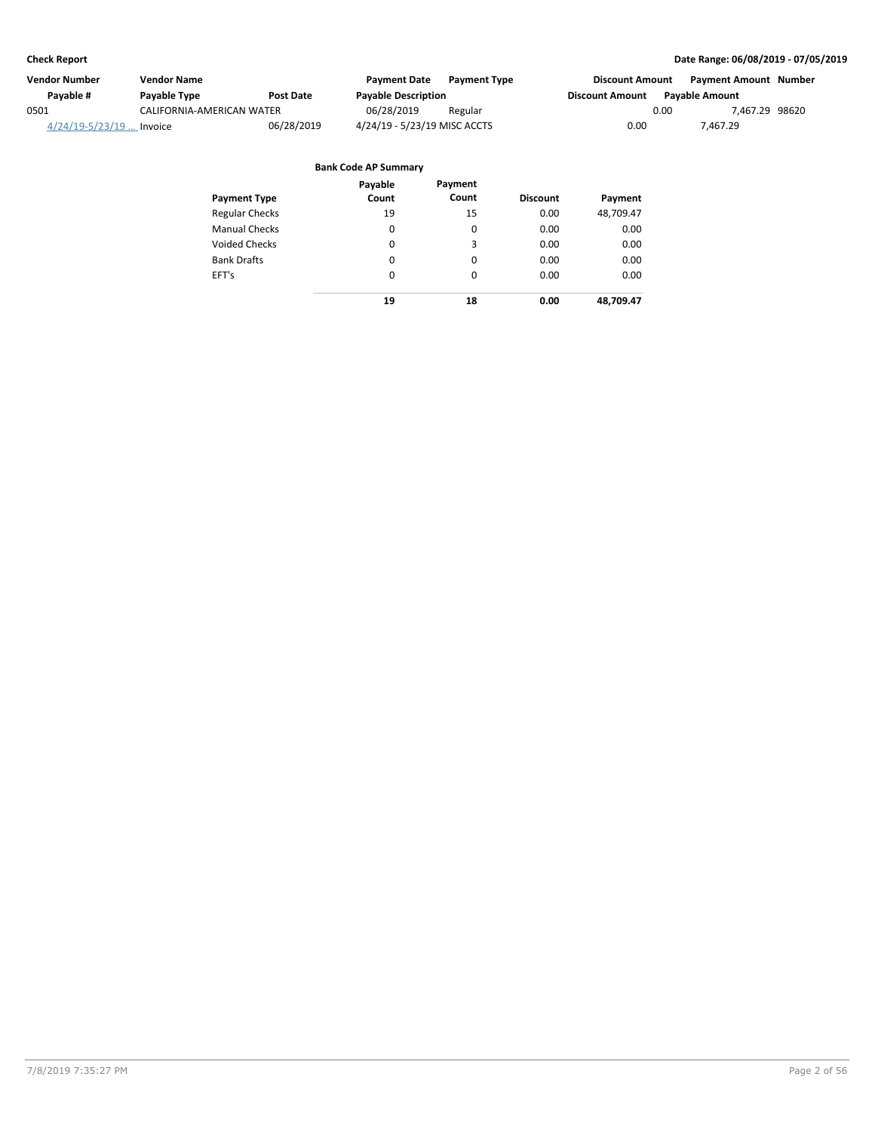| <b>Vendor Number</b>        | <b>Vendor Name</b>        |                  | Payment Date                 | <b>Payment Type</b> | <b>Discount Amount</b> |      | Payment Amount Number |  |
|-----------------------------|---------------------------|------------------|------------------------------|---------------------|------------------------|------|-----------------------|--|
| Pavable #                   | Payable Type              | <b>Post Date</b> | <b>Payable Description</b>   |                     | <b>Discount Amount</b> |      | <b>Pavable Amount</b> |  |
| 0501                        | CALIFORNIA-AMERICAN WATER |                  | 06/28/2019                   | Regular             |                        | 0.00 | 7.467.29 98620        |  |
| $4/24/19 - 5/23/19$ Invoice |                           | 06/28/2019       | 4/24/19 - 5/23/19 MISC ACCTS |                     | 0.00                   |      | 7,467.29              |  |

| <b>Payment Type</b>   | Payable<br>Count | Payment<br>Count | <b>Discount</b> | Payment   |
|-----------------------|------------------|------------------|-----------------|-----------|
| <b>Regular Checks</b> | 19               | 15               | 0.00            | 48,709.47 |
| <b>Manual Checks</b>  | 0                | 0                | 0.00            | 0.00      |
| <b>Voided Checks</b>  | 0                | 3                | 0.00            | 0.00      |
| <b>Bank Drafts</b>    | 0                | 0                | 0.00            | 0.00      |
| EFT's                 | $\Omega$         | $\Omega$         | 0.00            | 0.00      |
|                       | 19               | 18               | 0.00            | 48,709.47 |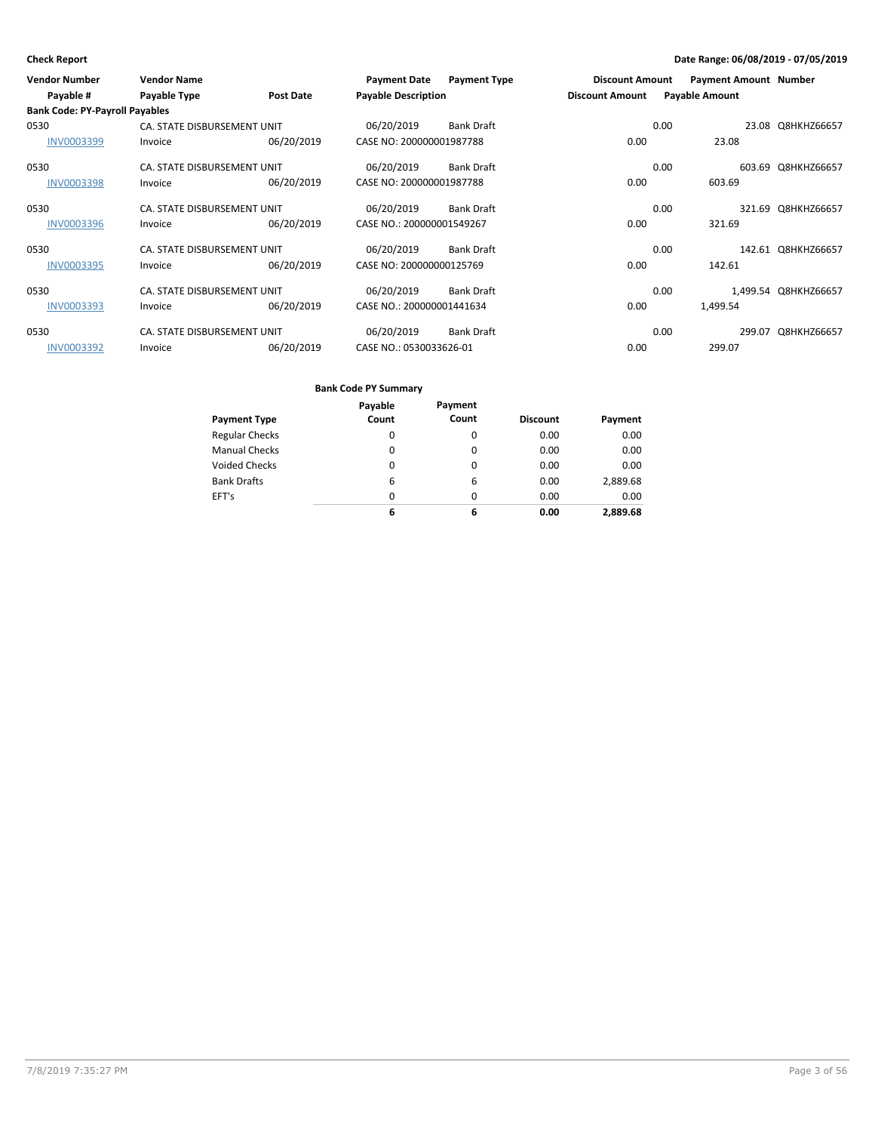| <b>Vendor Number</b>                  | <b>Vendor Name</b>          |                  | <b>Payment Date</b>        | <b>Payment Type</b> | <b>Discount Amount</b> |      | <b>Payment Amount Number</b> |                      |
|---------------------------------------|-----------------------------|------------------|----------------------------|---------------------|------------------------|------|------------------------------|----------------------|
| Payable #                             | Payable Type                | <b>Post Date</b> | <b>Payable Description</b> |                     | <b>Discount Amount</b> |      | <b>Payable Amount</b>        |                      |
| <b>Bank Code: PY-Payroll Payables</b> |                             |                  |                            |                     |                        |      |                              |                      |
| 0530                                  | CA. STATE DISBURSEMENT UNIT |                  | 06/20/2019                 | <b>Bank Draft</b>   |                        | 0.00 |                              | 23.08 Q8HKHZ66657    |
| INV0003399                            | Invoice                     | 06/20/2019       | CASE NO: 200000001987788   |                     | 0.00                   |      | 23.08                        |                      |
| 0530                                  | CA. STATE DISBURSEMENT UNIT |                  | 06/20/2019                 | <b>Bank Draft</b>   |                        | 0.00 |                              | 603.69 Q8HKHZ66657   |
| <b>INV0003398</b>                     | Invoice                     | 06/20/2019       | CASE NO: 200000001987788   |                     | 0.00                   |      | 603.69                       |                      |
| 0530                                  | CA. STATE DISBURSEMENT UNIT |                  | 06/20/2019                 | <b>Bank Draft</b>   |                        | 0.00 |                              | 321.69 Q8HKHZ66657   |
| <b>INV0003396</b>                     | Invoice                     | 06/20/2019       | CASE NO.: 200000001549267  |                     | 0.00                   |      | 321.69                       |                      |
| 0530                                  | CA. STATE DISBURSEMENT UNIT |                  | 06/20/2019                 | <b>Bank Draft</b>   |                        | 0.00 |                              | 142.61 Q8HKHZ66657   |
| <b>INV0003395</b>                     | Invoice                     | 06/20/2019       | CASE NO: 200000000125769   |                     | 0.00                   |      | 142.61                       |                      |
| 0530                                  | CA. STATE DISBURSEMENT UNIT |                  | 06/20/2019                 | <b>Bank Draft</b>   |                        | 0.00 |                              | 1,499.54 Q8HKHZ66657 |
| <b>INV0003393</b>                     | Invoice                     | 06/20/2019       | CASE NO.: 200000001441634  |                     | 0.00                   |      | 1,499.54                     |                      |
| 0530                                  | CA. STATE DISBURSEMENT UNIT |                  | 06/20/2019                 | <b>Bank Draft</b>   |                        | 0.00 | 299.07                       | Q8HKHZ66657          |
| INV0003392                            | Invoice                     | 06/20/2019       | CASE NO.: 0530033626-01    |                     | 0.00                   |      | 299.07                       |                      |

|                       | Payable | Payment |                 |          |
|-----------------------|---------|---------|-----------------|----------|
| <b>Payment Type</b>   | Count   | Count   | <b>Discount</b> | Payment  |
| <b>Regular Checks</b> | 0       | 0       | 0.00            | 0.00     |
| <b>Manual Checks</b>  | 0       | 0       | 0.00            | 0.00     |
| <b>Voided Checks</b>  | 0       | 0       | 0.00            | 0.00     |
| <b>Bank Drafts</b>    | 6       | 6       | 0.00            | 2,889.68 |
| EFT's                 | 0       | 0       | 0.00            | 0.00     |
|                       | 6       | 6       | 0.00            | 2.889.68 |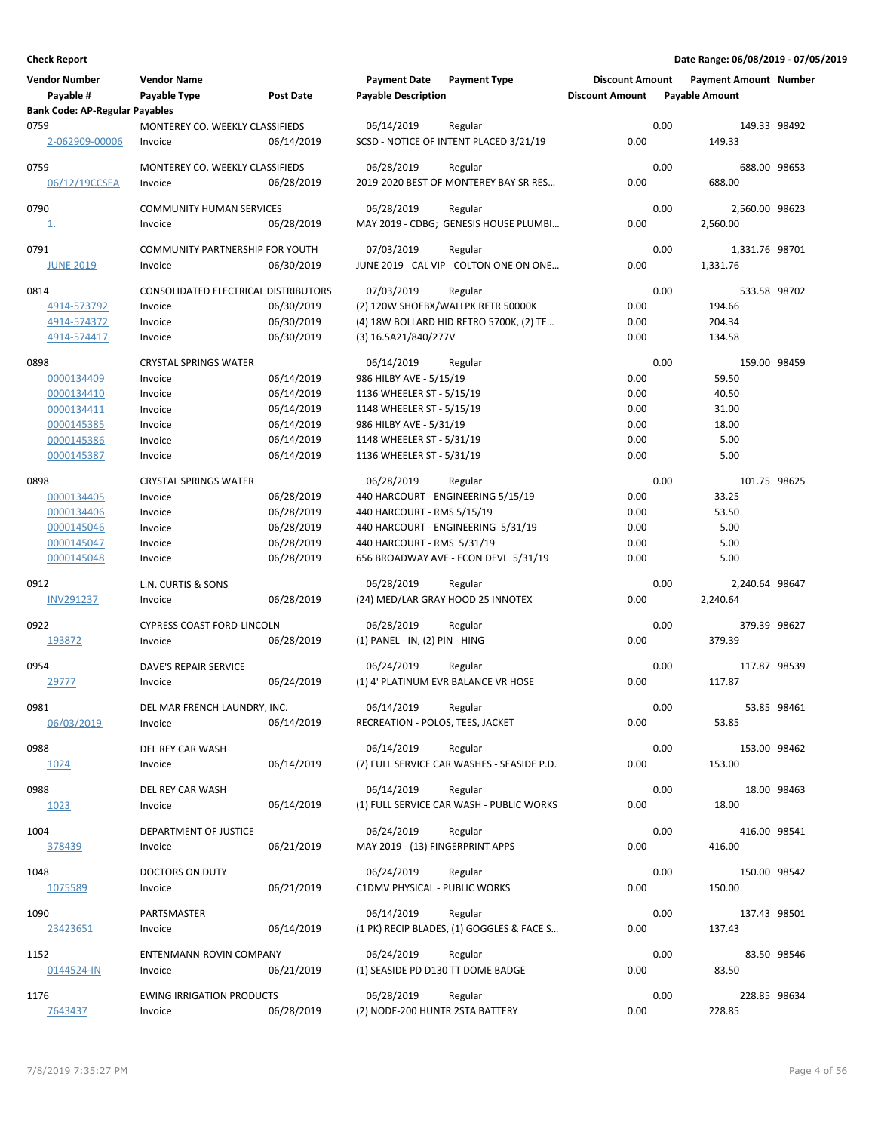| <b>Vendor Number</b><br>Payable #     | <b>Vendor Name</b><br>Payable Type         | <b>Post Date</b> | <b>Payment Date</b><br><b>Payable Description</b> | <b>Payment Type</b>                                 | <b>Discount Amount</b><br><b>Discount Amount</b> |      | <b>Payment Amount Number</b><br><b>Payable Amount</b> |             |
|---------------------------------------|--------------------------------------------|------------------|---------------------------------------------------|-----------------------------------------------------|--------------------------------------------------|------|-------------------------------------------------------|-------------|
| <b>Bank Code: AP-Regular Payables</b> |                                            |                  |                                                   |                                                     |                                                  |      |                                                       |             |
| 0759<br>2-062909-00006                | MONTEREY CO. WEEKLY CLASSIFIEDS<br>Invoice | 06/14/2019       | 06/14/2019                                        | Regular<br>SCSD - NOTICE OF INTENT PLACED 3/21/19   | 0.00                                             | 0.00 | 149.33 98492<br>149.33                                |             |
| 0759                                  | MONTEREY CO. WEEKLY CLASSIFIEDS            |                  | 06/28/2019                                        | Regular                                             |                                                  | 0.00 | 688.00 98653                                          |             |
| 06/12/19CCSEA                         | Invoice                                    | 06/28/2019       |                                                   | 2019-2020 BEST OF MONTEREY BAY SR RES               | 0.00                                             |      | 688.00                                                |             |
| 0790                                  | <b>COMMUNITY HUMAN SERVICES</b>            |                  | 06/28/2019                                        | Regular                                             |                                                  | 0.00 | 2,560.00 98623                                        |             |
| <u>1.</u>                             | Invoice                                    | 06/28/2019       |                                                   | MAY 2019 - CDBG; GENESIS HOUSE PLUMBI               | 0.00                                             |      | 2,560.00                                              |             |
| 0791                                  | COMMUNITY PARTNERSHIP FOR YOUTH            |                  | 07/03/2019                                        | Regular                                             |                                                  | 0.00 | 1,331.76 98701                                        |             |
| <b>JUNE 2019</b>                      | Invoice                                    | 06/30/2019       |                                                   | JUNE 2019 - CAL VIP- COLTON ONE ON ONE              | 0.00                                             |      | 1,331.76                                              |             |
| 0814                                  | CONSOLIDATED ELECTRICAL DISTRIBUTORS       |                  | 07/03/2019                                        | Regular                                             |                                                  | 0.00 | 533.58 98702                                          |             |
| 4914-573792                           | Invoice                                    | 06/30/2019       |                                                   | (2) 120W SHOEBX/WALLPK RETR 50000K                  | 0.00                                             |      | 194.66                                                |             |
| 4914-574372                           | Invoice                                    | 06/30/2019       |                                                   | (4) 18W BOLLARD HID RETRO 5700K, (2) TE             | 0.00                                             |      | 204.34                                                |             |
| 4914-574417                           | Invoice                                    | 06/30/2019       | (3) 16.5A21/840/277V                              |                                                     | 0.00                                             |      | 134.58                                                |             |
| 0898                                  | <b>CRYSTAL SPRINGS WATER</b>               |                  | 06/14/2019                                        | Regular                                             |                                                  | 0.00 | 159.00 98459                                          |             |
| 0000134409                            | Invoice                                    | 06/14/2019       | 986 HILBY AVE - 5/15/19                           |                                                     | 0.00                                             |      | 59.50                                                 |             |
| 0000134410                            | Invoice                                    | 06/14/2019       | 1136 WHEELER ST - 5/15/19                         |                                                     | 0.00                                             |      | 40.50                                                 |             |
| 0000134411                            | Invoice                                    | 06/14/2019       | 1148 WHEELER ST - 5/15/19                         |                                                     | 0.00                                             |      | 31.00                                                 |             |
| 0000145385                            | Invoice                                    | 06/14/2019       | 986 HILBY AVE - 5/31/19                           |                                                     | 0.00                                             |      | 18.00                                                 |             |
| 0000145386                            | Invoice                                    | 06/14/2019       | 1148 WHEELER ST - 5/31/19                         |                                                     | 0.00                                             |      | 5.00                                                  |             |
| 0000145387                            | Invoice                                    | 06/14/2019       | 1136 WHEELER ST - 5/31/19                         |                                                     | 0.00                                             |      | 5.00                                                  |             |
| 0898                                  | <b>CRYSTAL SPRINGS WATER</b>               |                  | 06/28/2019                                        | Regular                                             |                                                  | 0.00 | 101.75 98625                                          |             |
| 0000134405                            | Invoice                                    | 06/28/2019       |                                                   | 440 HARCOURT - ENGINEERING 5/15/19                  | 0.00                                             |      | 33.25                                                 |             |
| 0000134406                            | Invoice                                    | 06/28/2019       | 440 HARCOURT - RMS 5/15/19                        |                                                     | 0.00                                             |      | 53.50                                                 |             |
| 0000145046                            | Invoice                                    | 06/28/2019       |                                                   | 440 HARCOURT - ENGINEERING 5/31/19                  | 0.00                                             |      | 5.00                                                  |             |
| 0000145047                            | Invoice                                    | 06/28/2019       | 440 HARCOURT - RMS 5/31/19                        |                                                     | 0.00                                             |      | 5.00                                                  |             |
| 0000145048                            | Invoice                                    | 06/28/2019       |                                                   | 656 BROADWAY AVE - ECON DEVL 5/31/19                | 0.00                                             |      | 5.00                                                  |             |
| 0912                                  | L.N. CURTIS & SONS                         |                  | 06/28/2019                                        | Regular                                             |                                                  | 0.00 | 2,240.64 98647                                        |             |
| <b>INV291237</b>                      | Invoice                                    | 06/28/2019       |                                                   | (24) MED/LAR GRAY HOOD 25 INNOTEX                   | 0.00                                             |      | 2,240.64                                              |             |
| 0922                                  | <b>CYPRESS COAST FORD-LINCOLN</b>          |                  | 06/28/2019                                        | Regular                                             |                                                  | 0.00 | 379.39 98627                                          |             |
| 193872                                | Invoice                                    | 06/28/2019       | (1) PANEL - IN, (2) PIN - HING                    |                                                     | 0.00                                             |      | 379.39                                                |             |
|                                       |                                            |                  |                                                   |                                                     |                                                  |      | 117.87 98539                                          |             |
| 0954<br>29777                         | DAVE'S REPAIR SERVICE<br>Invoice           | 06/24/2019       | 06/24/2019                                        | Regular<br>(1) 4' PLATINUM EVR BALANCE VR HOSE      | 0.00                                             | 0.00 | 117.87                                                |             |
|                                       |                                            |                  |                                                   |                                                     |                                                  |      |                                                       |             |
| 0981                                  | DEL MAR FRENCH LAUNDRY, INC.               |                  | 06/14/2019                                        | Regular                                             |                                                  | 0.00 |                                                       | 53.85 98461 |
| 06/03/2019                            | Invoice                                    | 06/14/2019       | RECREATION - POLOS, TEES, JACKET                  |                                                     | 0.00                                             |      | 53.85                                                 |             |
| 0988                                  | DEL REY CAR WASH                           |                  | 06/14/2019                                        | Regular                                             |                                                  | 0.00 | 153.00 98462                                          |             |
| 1024                                  | Invoice                                    | 06/14/2019       |                                                   | (7) FULL SERVICE CAR WASHES - SEASIDE P.D.          | 0.00                                             |      | 153.00                                                |             |
|                                       |                                            |                  |                                                   |                                                     |                                                  |      |                                                       |             |
| 0988                                  | DEL REY CAR WASH                           | 06/14/2019       | 06/14/2019                                        | Regular<br>(1) FULL SERVICE CAR WASH - PUBLIC WORKS | 0.00                                             | 0.00 | 18.00                                                 | 18.00 98463 |
| 1023                                  | Invoice                                    |                  |                                                   |                                                     |                                                  |      |                                                       |             |
| 1004                                  | DEPARTMENT OF JUSTICE                      |                  | 06/24/2019                                        | Regular                                             |                                                  | 0.00 | 416.00 98541                                          |             |
| 378439                                | Invoice                                    | 06/21/2019       | MAY 2019 - (13) FINGERPRINT APPS                  |                                                     | 0.00                                             |      | 416.00                                                |             |
| 1048                                  | <b>DOCTORS ON DUTY</b>                     |                  | 06/24/2019                                        | Regular                                             |                                                  | 0.00 | 150.00 98542                                          |             |
| 1075589                               | Invoice                                    | 06/21/2019       | C1DMV PHYSICAL - PUBLIC WORKS                     |                                                     | 0.00                                             |      | 150.00                                                |             |
|                                       |                                            |                  |                                                   |                                                     |                                                  |      |                                                       |             |
| 1090                                  | PARTSMASTER                                |                  | 06/14/2019                                        | Regular                                             |                                                  | 0.00 | 137.43 98501                                          |             |
| 23423651                              | Invoice                                    | 06/14/2019       |                                                   | (1 PK) RECIP BLADES, (1) GOGGLES & FACE S           | 0.00                                             |      | 137.43                                                |             |
| 1152                                  | ENTENMANN-ROVIN COMPANY                    |                  | 06/24/2019                                        | Regular                                             |                                                  | 0.00 |                                                       | 83.50 98546 |
| 0144524-IN                            | Invoice                                    | 06/21/2019       | (1) SEASIDE PD D130 TT DOME BADGE                 |                                                     | 0.00                                             |      | 83.50                                                 |             |
|                                       |                                            |                  |                                                   |                                                     |                                                  |      |                                                       |             |
| 1176                                  | <b>EWING IRRIGATION PRODUCTS</b>           |                  | 06/28/2019                                        | Regular                                             |                                                  | 0.00 | 228.85 98634                                          |             |
| 7643437                               | Invoice                                    | 06/28/2019       | (2) NODE-200 HUNTR 2STA BATTERY                   |                                                     | 0.00                                             |      | 228.85                                                |             |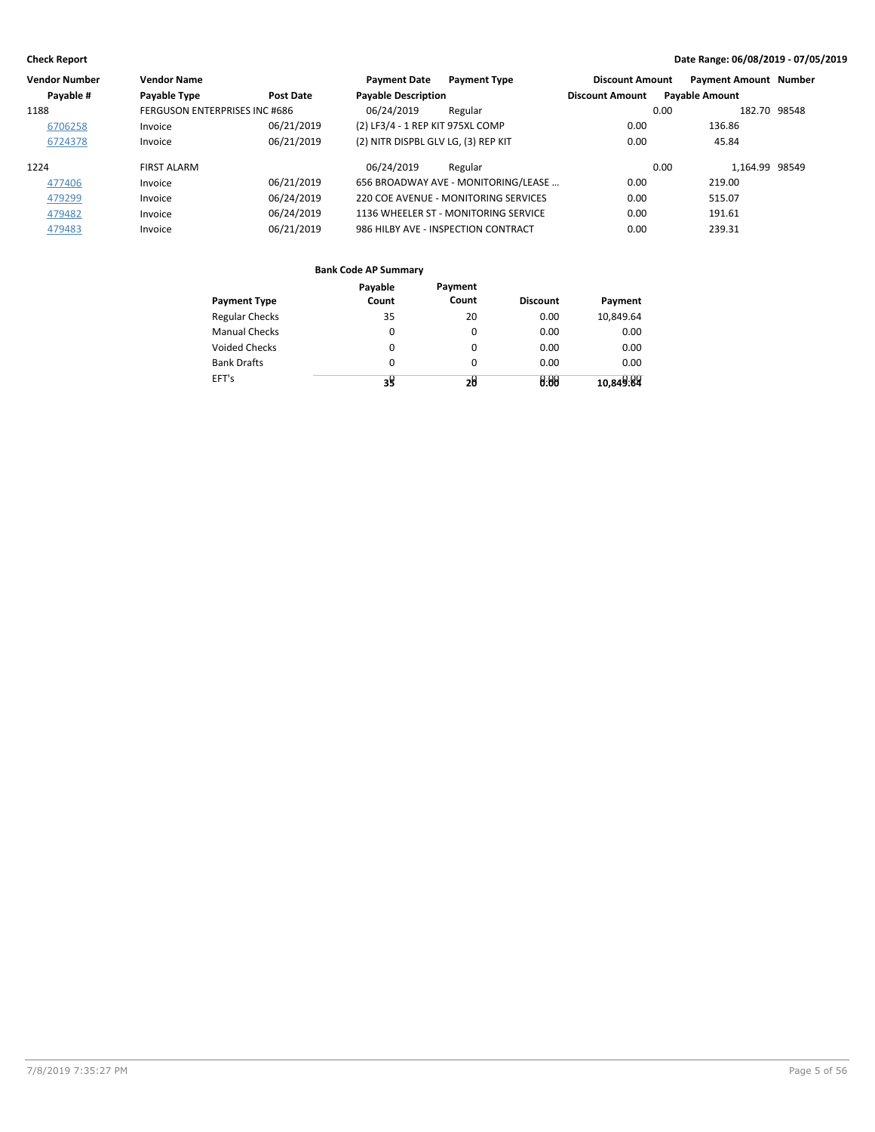| <b>Vendor Number</b> | <b>Vendor Name</b>            |            | <b>Payment Date</b>                 | <b>Payment Type</b>                  | <b>Discount Amount</b> |                       | <b>Payment Amount Number</b> |  |
|----------------------|-------------------------------|------------|-------------------------------------|--------------------------------------|------------------------|-----------------------|------------------------------|--|
| Payable #            | Payable Type                  | Post Date  | <b>Payable Description</b>          |                                      | <b>Discount Amount</b> | <b>Payable Amount</b> |                              |  |
| 1188                 | FERGUSON ENTERPRISES INC #686 |            | 06/24/2019                          | Regular                              |                        | 0.00                  | 182.70 98548                 |  |
| 6706258              | Invoice                       | 06/21/2019 | (2) LF3/4 - 1 REP KIT 975XL COMP    |                                      | 0.00                   |                       | 136.86                       |  |
| 6724378              | Invoice                       | 06/21/2019 | (2) NITR DISPBL GLV LG, (3) REP KIT |                                      | 0.00                   |                       | 45.84                        |  |
| 1224                 | <b>FIRST ALARM</b>            |            | 06/24/2019                          | Regular                              |                        | 0.00                  | 1.164.99 98549               |  |
| 477406               | Invoice                       | 06/21/2019 |                                     | 656 BROADWAY AVE - MONITORING/LEASE  | 0.00                   |                       | 219.00                       |  |
| 479299               | Invoice                       | 06/24/2019 |                                     | 220 COE AVENUE - MONITORING SERVICES | 0.00                   |                       | 515.07                       |  |
| 479482               | Invoice                       | 06/24/2019 |                                     | 1136 WHEELER ST - MONITORING SERVICE | 0.00                   |                       | 191.61                       |  |
| 479483               | Invoice                       | 06/21/2019 |                                     | 986 HILBY AVE - INSPECTION CONTRACT  | 0.00                   |                       | 239.31                       |  |

|                       | Payable  | Payment  |                 |           |
|-----------------------|----------|----------|-----------------|-----------|
| <b>Payment Type</b>   | Count    | Count    | <b>Discount</b> | Payment   |
| <b>Regular Checks</b> | 35       | 20       | 0.00            | 10,849.64 |
| <b>Manual Checks</b>  | 0        | 0        | 0.00            | 0.00      |
| <b>Voided Checks</b>  | 0        | $\Omega$ | 0.00            | 0.00      |
| <b>Bank Drafts</b>    | $\Omega$ | $\Omega$ | 0.00            | 0.00      |
| EFT's                 | 35       | 20       | 0:00            | 10,849.84 |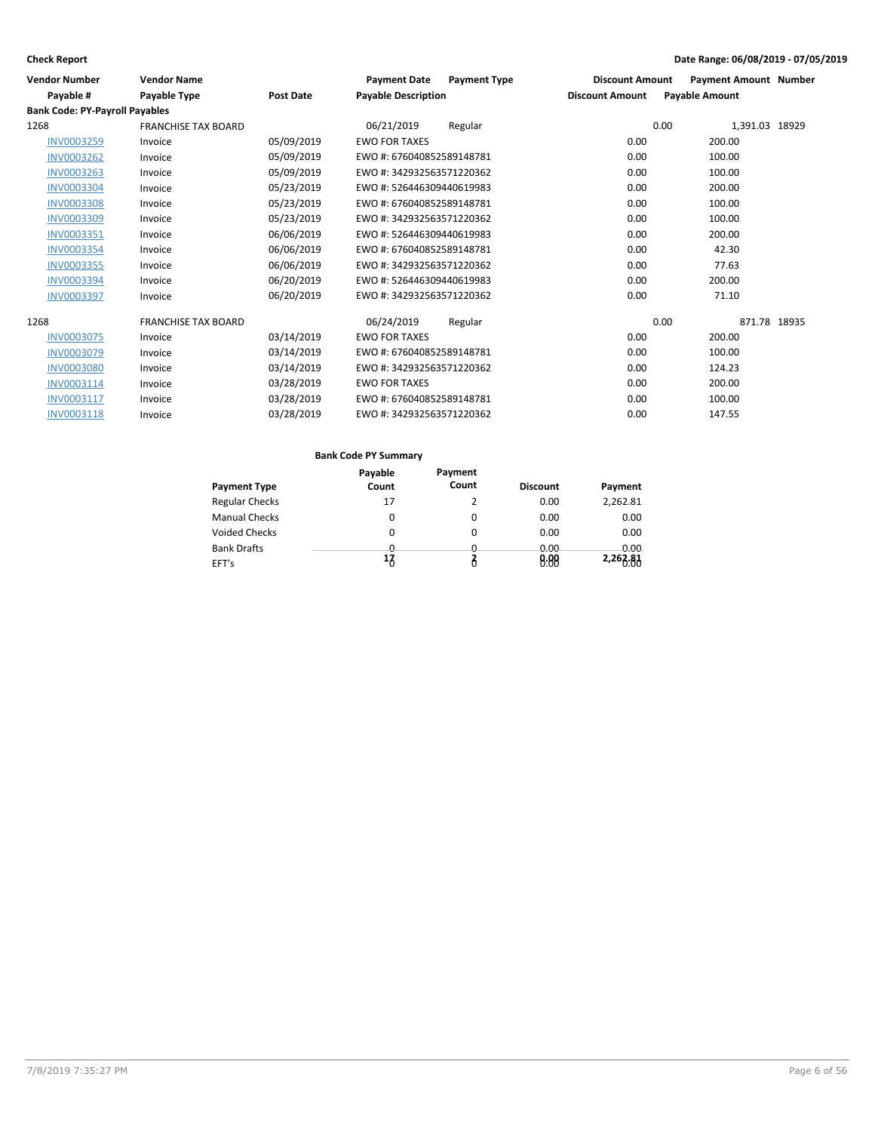| <b>Vendor Number</b>                  | <b>Vendor Name</b>         |                  | <b>Payment Date</b><br><b>Payment Type</b> | <b>Discount Amount</b> | <b>Payment Amount Number</b> |
|---------------------------------------|----------------------------|------------------|--------------------------------------------|------------------------|------------------------------|
| Payable #                             | Payable Type               | <b>Post Date</b> | <b>Payable Description</b>                 | <b>Discount Amount</b> | <b>Payable Amount</b>        |
| <b>Bank Code: PY-Payroll Payables</b> |                            |                  |                                            |                        |                              |
| 1268                                  | <b>FRANCHISE TAX BOARD</b> |                  | 06/21/2019<br>Regular                      | 0.00                   | 1,391.03 18929               |
| <b>INV0003259</b>                     | Invoice                    | 05/09/2019       | <b>EWO FOR TAXES</b>                       | 0.00                   | 200.00                       |
| <b>INV0003262</b>                     | Invoice                    | 05/09/2019       | EWO #: 676040852589148781                  | 0.00                   | 100.00                       |
| <b>INV0003263</b>                     | Invoice                    | 05/09/2019       | EWO #: 342932563571220362                  | 0.00                   | 100.00                       |
| <b>INV0003304</b>                     | Invoice                    | 05/23/2019       | EWO #: 526446309440619983                  | 0.00                   | 200.00                       |
| <b>INV0003308</b>                     | Invoice                    | 05/23/2019       | EWO #: 676040852589148781                  | 0.00                   | 100.00                       |
| <b>INV0003309</b>                     | Invoice                    | 05/23/2019       | EWO #: 342932563571220362                  | 0.00                   | 100.00                       |
| <b>INV0003351</b>                     | Invoice                    | 06/06/2019       | EWO #: 526446309440619983                  | 0.00                   | 200.00                       |
| <b>INV0003354</b>                     | Invoice                    | 06/06/2019       | EWO #: 676040852589148781                  | 0.00                   | 42.30                        |
| <b>INV0003355</b>                     | Invoice                    | 06/06/2019       | EWO #: 342932563571220362                  | 0.00                   | 77.63                        |
| <b>INV0003394</b>                     | Invoice                    | 06/20/2019       | EWO #: 526446309440619983                  | 0.00                   | 200.00                       |
| <b>INV0003397</b>                     | Invoice                    | 06/20/2019       | EWO #: 342932563571220362                  | 0.00                   | 71.10                        |
| 1268                                  | <b>FRANCHISE TAX BOARD</b> |                  | 06/24/2019<br>Regular                      | 0.00                   | 871.78 18935                 |
| <b>INV0003075</b>                     | Invoice                    | 03/14/2019       | <b>EWO FOR TAXES</b>                       | 0.00                   | 200.00                       |
| <b>INV0003079</b>                     | Invoice                    | 03/14/2019       | EWO #: 676040852589148781                  | 0.00                   | 100.00                       |
| <b>INV0003080</b>                     | Invoice                    | 03/14/2019       | EWO #: 342932563571220362                  | 0.00                   | 124.23                       |
| INV0003114                            | Invoice                    | 03/28/2019       | <b>EWO FOR TAXES</b>                       | 0.00                   | 200.00                       |
| INV0003117                            | Invoice                    | 03/28/2019       | EWO #: 676040852589148781                  | 0.00                   | 100.00                       |
| INV0003118                            | Invoice                    | 03/28/2019       | EWO #: 342932563571220362                  | 0.00                   | 147.55                       |

|                       | Payable  | Payment  |                 |             |
|-----------------------|----------|----------|-----------------|-------------|
| <b>Payment Type</b>   | Count    | Count    | <b>Discount</b> | Payment     |
| <b>Regular Checks</b> | 17       | 2        | 0.00            | 2,262.81    |
| <b>Manual Checks</b>  | 0        | 0        | 0.00            | 0.00        |
| <b>Voided Checks</b>  | 0        | 0        | 0.00            | 0.00        |
| <b>Bank Drafts</b>    | <u>n</u> | <u>n</u> | 0.00            | <u>ი იი</u> |
| EFT's                 | 17       | Ô        | 0.00            | 2,263.81    |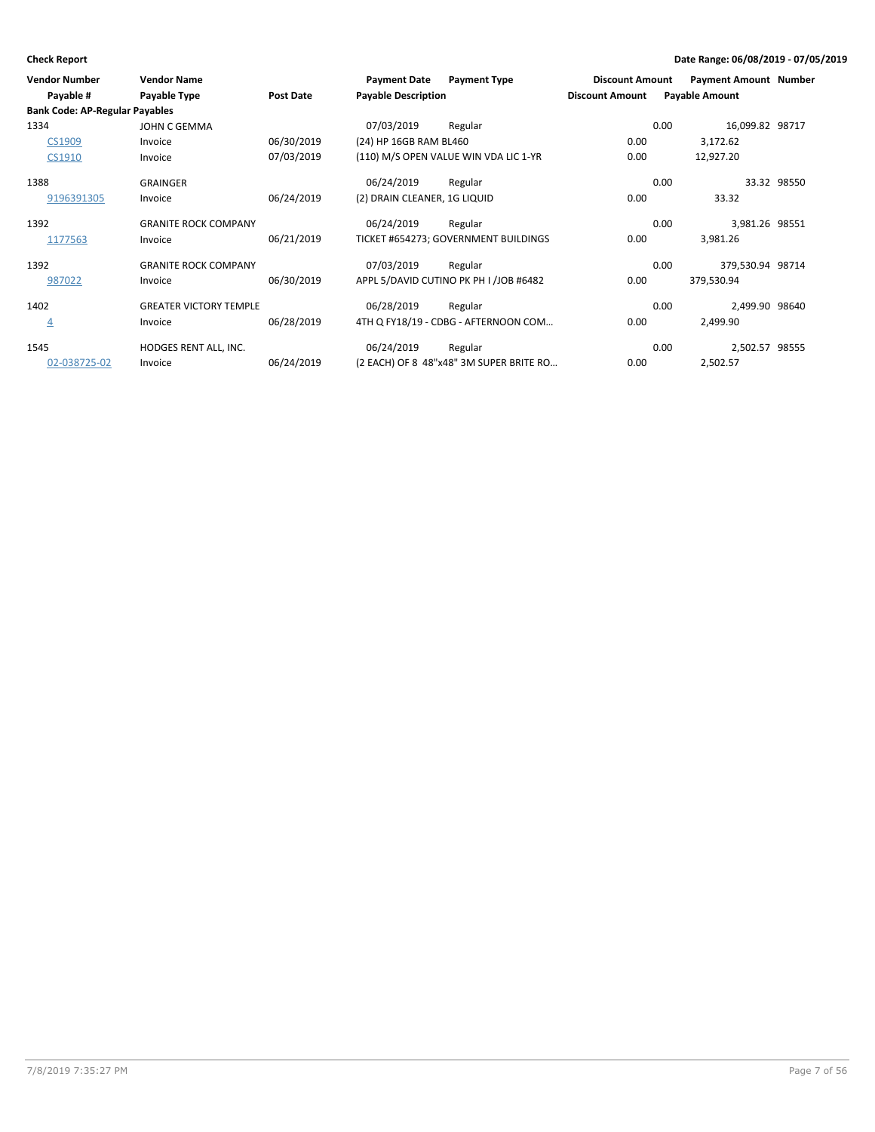| <b>Vendor Number</b><br>Payable #             | <b>Vendor Name</b><br>Payable Type | <b>Post Date</b> | <b>Payment Date</b><br><b>Payable Description</b> | <b>Payment Type</b>                     | <b>Discount Amount</b><br><b>Discount Amount</b> | <b>Payment Amount Number</b><br><b>Payable Amount</b> |             |
|-----------------------------------------------|------------------------------------|------------------|---------------------------------------------------|-----------------------------------------|--------------------------------------------------|-------------------------------------------------------|-------------|
| <b>Bank Code: AP-Regular Payables</b><br>1334 | JOHN C GEMMA                       |                  | 07/03/2019                                        | Regular                                 |                                                  | 16,099.82 98717<br>0.00                               |             |
| CS1909                                        | Invoice                            | 06/30/2019       | (24) HP 16GB RAM BL460                            |                                         | 0.00                                             | 3,172.62                                              |             |
| CS1910                                        | Invoice                            | 07/03/2019       |                                                   | (110) M/S OPEN VALUE WIN VDA LIC 1-YR   | 0.00                                             | 12,927.20                                             |             |
| 1388                                          | <b>GRAINGER</b>                    |                  | 06/24/2019                                        | Regular                                 |                                                  | 0.00                                                  | 33.32 98550 |
| 9196391305                                    | Invoice                            | 06/24/2019       | (2) DRAIN CLEANER, 1G LIQUID                      |                                         | 0.00                                             | 33.32                                                 |             |
| 1392                                          | <b>GRANITE ROCK COMPANY</b>        |                  | 06/24/2019                                        | Regular                                 |                                                  | 3,981.26 98551<br>0.00                                |             |
| 1177563                                       | Invoice                            | 06/21/2019       |                                                   | TICKET #654273; GOVERNMENT BUILDINGS    | 0.00                                             | 3,981.26                                              |             |
| 1392                                          | <b>GRANITE ROCK COMPANY</b>        |                  | 07/03/2019                                        | Regular                                 |                                                  | 379,530.94 98714<br>0.00                              |             |
| 987022                                        | Invoice                            | 06/30/2019       |                                                   | APPL 5/DAVID CUTINO PK PH I /JOB #6482  | 0.00                                             | 379,530.94                                            |             |
| 1402                                          | <b>GREATER VICTORY TEMPLE</b>      |                  | 06/28/2019                                        | Regular                                 |                                                  | 2,499.90 98640<br>0.00                                |             |
| $\overline{4}$                                | Invoice                            | 06/28/2019       |                                                   | 4TH Q FY18/19 - CDBG - AFTERNOON COM    | 0.00                                             | 2,499.90                                              |             |
| 1545                                          | HODGES RENT ALL, INC.              |                  | 06/24/2019                                        | Regular                                 |                                                  | 0.00<br>2,502.57 98555                                |             |
| 02-038725-02                                  | Invoice                            | 06/24/2019       |                                                   | (2 EACH) OF 8 48"x48" 3M SUPER BRITE RO | 0.00                                             | 2,502.57                                              |             |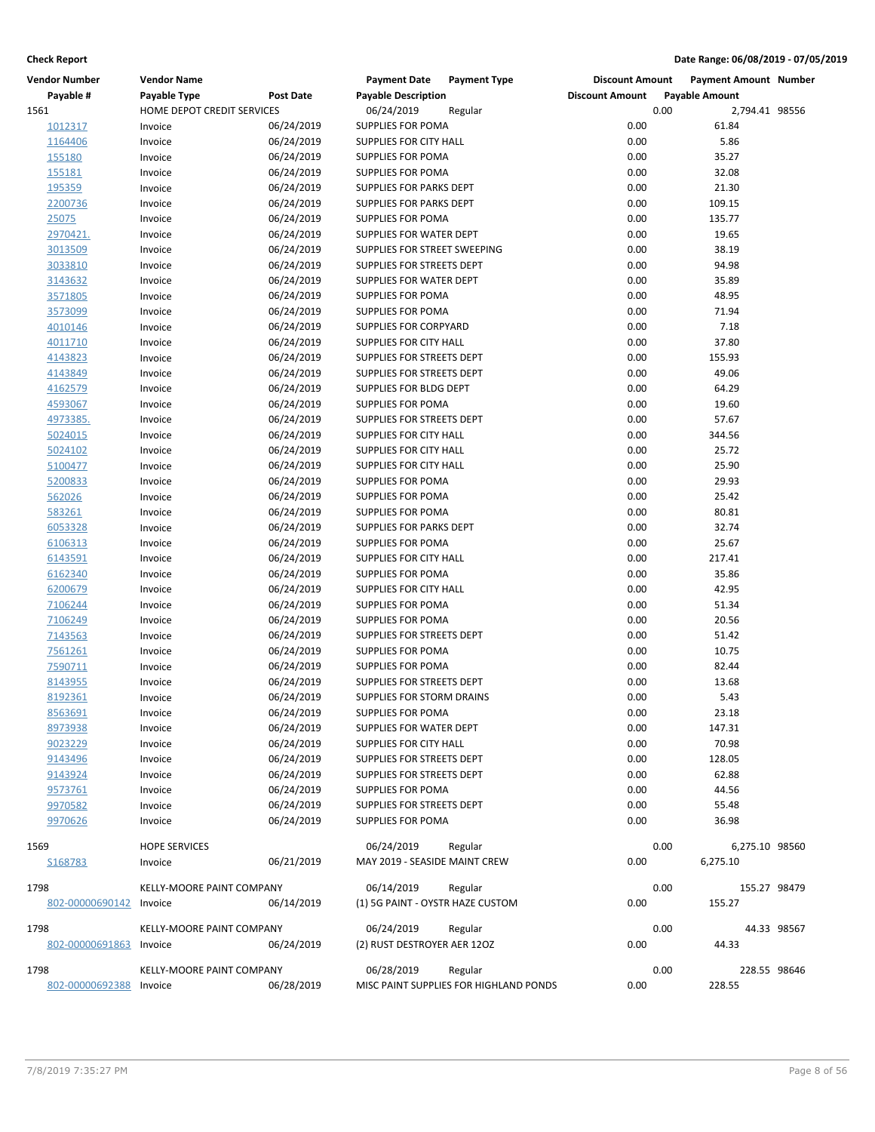| <b>Vendor Number</b>    | <b>Vendor Name</b>               |                  | <b>Payment Date</b>                         | <b>Payment Type</b>                    | <b>Discount Amount</b> | <b>Payment Amount Number</b> |              |
|-------------------------|----------------------------------|------------------|---------------------------------------------|----------------------------------------|------------------------|------------------------------|--------------|
| Payable #               | Payable Type                     | <b>Post Date</b> | <b>Payable Description</b>                  |                                        | <b>Discount Amount</b> | <b>Payable Amount</b>        |              |
| 1561                    | HOME DEPOT CREDIT SERVICES       |                  | 06/24/2019                                  | Regular                                |                        | 0.00<br>2,794.41 98556       |              |
| 1012317                 | Invoice                          | 06/24/2019       | SUPPLIES FOR POMA                           |                                        | 0.00                   | 61.84                        |              |
| 1164406                 | Invoice                          | 06/24/2019       | SUPPLIES FOR CITY HALL                      |                                        | 0.00                   | 5.86                         |              |
| 155180                  | Invoice                          | 06/24/2019       | <b>SUPPLIES FOR POMA</b>                    |                                        | 0.00                   | 35.27                        |              |
| 155181                  | Invoice                          | 06/24/2019       | <b>SUPPLIES FOR POMA</b>                    |                                        | 0.00                   | 32.08                        |              |
| 195359                  | Invoice                          | 06/24/2019       | SUPPLIES FOR PARKS DEPT                     |                                        | 0.00                   | 21.30                        |              |
| 2200736                 | Invoice                          | 06/24/2019       | SUPPLIES FOR PARKS DEPT                     |                                        | 0.00                   | 109.15                       |              |
| 25075                   | Invoice                          | 06/24/2019       | SUPPLIES FOR POMA                           |                                        | 0.00                   | 135.77                       |              |
| 2970421.                | Invoice                          | 06/24/2019       | <b>SUPPLIES FOR WATER DEPT</b>              |                                        | 0.00                   | 19.65                        |              |
| 3013509                 | Invoice                          | 06/24/2019       | SUPPLIES FOR STREET SWEEPING                |                                        | 0.00                   | 38.19                        |              |
| 3033810                 | Invoice                          | 06/24/2019       | SUPPLIES FOR STREETS DEPT                   |                                        | 0.00                   | 94.98                        |              |
| 3143632                 | Invoice                          | 06/24/2019       | SUPPLIES FOR WATER DEPT                     |                                        | 0.00                   | 35.89                        |              |
| 3571805                 | Invoice                          | 06/24/2019       | SUPPLIES FOR POMA                           |                                        | 0.00                   | 48.95                        |              |
| 3573099                 | Invoice                          | 06/24/2019       | SUPPLIES FOR POMA                           |                                        | 0.00                   | 71.94                        |              |
| 4010146                 | Invoice                          | 06/24/2019       | SUPPLIES FOR CORPYARD                       |                                        | 0.00                   | 7.18                         |              |
| 4011710                 | Invoice                          | 06/24/2019       | SUPPLIES FOR CITY HALL                      |                                        | 0.00                   | 37.80                        |              |
| 4143823                 | Invoice                          | 06/24/2019       | SUPPLIES FOR STREETS DEPT                   |                                        | 0.00                   | 155.93                       |              |
| 4143849                 | Invoice                          | 06/24/2019       | SUPPLIES FOR STREETS DEPT                   |                                        | 0.00                   | 49.06                        |              |
| 4162579                 | Invoice                          | 06/24/2019       | SUPPLIES FOR BLDG DEPT                      |                                        | 0.00                   | 64.29                        |              |
| 4593067                 | Invoice                          | 06/24/2019       | SUPPLIES FOR POMA                           |                                        | 0.00                   | 19.60                        |              |
| 4973385.                | Invoice                          | 06/24/2019       | SUPPLIES FOR STREETS DEPT                   |                                        | 0.00                   | 57.67                        |              |
| 5024015                 | Invoice                          | 06/24/2019       | SUPPLIES FOR CITY HALL                      |                                        | 0.00                   | 344.56                       |              |
| 5024102                 | Invoice                          | 06/24/2019       | SUPPLIES FOR CITY HALL                      |                                        | 0.00                   | 25.72                        |              |
| 5100477                 | Invoice                          | 06/24/2019       | SUPPLIES FOR CITY HALL                      |                                        | 0.00                   | 25.90                        |              |
| 5200833                 | Invoice                          | 06/24/2019       | SUPPLIES FOR POMA                           |                                        | 0.00                   | 29.93                        |              |
| 562026                  | Invoice                          | 06/24/2019       | SUPPLIES FOR POMA                           |                                        | 0.00                   | 25.42                        |              |
| 583261                  | Invoice                          | 06/24/2019       | SUPPLIES FOR POMA                           |                                        | 0.00                   | 80.81                        |              |
| 6053328                 | Invoice                          | 06/24/2019       | SUPPLIES FOR PARKS DEPT                     |                                        | 0.00                   | 32.74                        |              |
|                         | Invoice                          | 06/24/2019       | SUPPLIES FOR POMA                           |                                        | 0.00                   | 25.67                        |              |
| 6106313                 |                                  |                  |                                             |                                        |                        |                              |              |
| 6143591                 | Invoice                          | 06/24/2019       | SUPPLIES FOR CITY HALL<br>SUPPLIES FOR POMA |                                        | 0.00<br>0.00           | 217.41<br>35.86              |              |
| 6162340                 | Invoice                          | 06/24/2019       |                                             |                                        |                        |                              |              |
| 6200679                 | Invoice                          | 06/24/2019       | SUPPLIES FOR CITY HALL                      |                                        | 0.00                   | 42.95                        |              |
| 7106244                 | Invoice                          | 06/24/2019       | SUPPLIES FOR POMA                           |                                        | 0.00                   | 51.34                        |              |
| 7106249                 | Invoice                          | 06/24/2019       | <b>SUPPLIES FOR POMA</b>                    |                                        | 0.00                   | 20.56                        |              |
| 7143563                 | Invoice                          | 06/24/2019       | SUPPLIES FOR STREETS DEPT                   |                                        | 0.00                   | 51.42                        |              |
| 7561261                 | Invoice                          | 06/24/2019       | SUPPLIES FOR POMA                           |                                        | 0.00                   | 10.75                        |              |
| 7590711                 | Invoice                          | 06/24/2019       | SUPPLIES FOR POMA                           |                                        | 0.00                   | 82.44                        |              |
| 8143955                 | Invoice                          | 06/24/2019       | SUPPLIES FOR STREETS DEPT                   |                                        | 0.00                   | 13.68                        |              |
| 8192361                 | Invoice                          | 06/24/2019       | SUPPLIES FOR STORM DRAINS                   |                                        | 0.00                   | 5.43                         |              |
| <u>8563691</u>          | Invoice                          | 06/24/2019       | SUPPLIES FOR POMA                           |                                        | 0.00                   | 23.18                        |              |
| 8973938                 | Invoice                          | 06/24/2019       | SUPPLIES FOR WATER DEPT                     |                                        | 0.00                   | 147.31                       |              |
| 9023229                 | Invoice                          | 06/24/2019       | SUPPLIES FOR CITY HALL                      |                                        | 0.00                   | 70.98                        |              |
| 9143496                 | Invoice                          | 06/24/2019       | SUPPLIES FOR STREETS DEPT                   |                                        | 0.00                   | 128.05                       |              |
| 9143924                 | Invoice                          | 06/24/2019       | SUPPLIES FOR STREETS DEPT                   |                                        | 0.00                   | 62.88                        |              |
| 9573761                 | Invoice                          | 06/24/2019       | SUPPLIES FOR POMA                           |                                        | 0.00                   | 44.56                        |              |
| 9970582                 | Invoice                          | 06/24/2019       | SUPPLIES FOR STREETS DEPT                   |                                        | 0.00                   | 55.48                        |              |
| 9970626                 | Invoice                          | 06/24/2019       | <b>SUPPLIES FOR POMA</b>                    |                                        | 0.00                   | 36.98                        |              |
| 1569                    | <b>HOPE SERVICES</b>             |                  | 06/24/2019                                  | Regular                                |                        | 0.00<br>6,275.10 98560       |              |
| S168783                 | Invoice                          | 06/21/2019       | MAY 2019 - SEASIDE MAINT CREW               |                                        | 0.00                   | 6,275.10                     |              |
|                         |                                  |                  |                                             |                                        |                        |                              |              |
| 1798                    | <b>KELLY-MOORE PAINT COMPANY</b> |                  | 06/14/2019                                  | Regular                                |                        | 0.00                         | 155.27 98479 |
| 802-00000690142         | Invoice                          | 06/14/2019       | (1) 5G PAINT - OYSTR HAZE CUSTOM            |                                        | 0.00                   | 155.27                       |              |
|                         |                                  |                  |                                             |                                        |                        |                              |              |
| 1798                    | KELLY-MOORE PAINT COMPANY        |                  | 06/24/2019                                  | Regular                                |                        | 0.00                         | 44.33 98567  |
| 802-00000691863         | Invoice                          | 06/24/2019       | (2) RUST DESTROYER AER 120Z                 |                                        | 0.00                   | 44.33                        |              |
| 1798                    | KELLY-MOORE PAINT COMPANY        |                  | 06/28/2019                                  | Regular                                |                        | 0.00                         | 228.55 98646 |
| 802-00000692388 Invoice |                                  | 06/28/2019       |                                             | MISC PAINT SUPPLIES FOR HIGHLAND PONDS | 0.00                   | 228.55                       |              |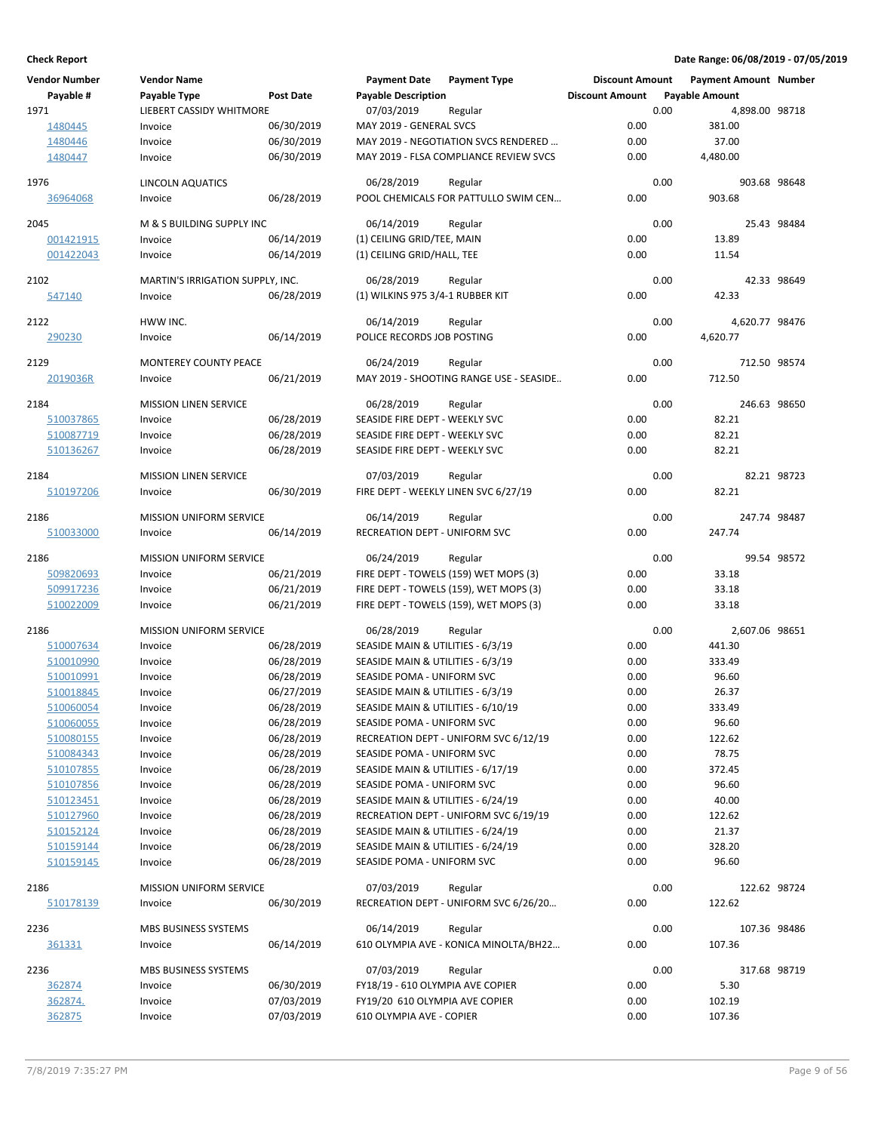| <b>Vendor Number</b> | <b>Vendor Name</b>               |            | <b>Payment Date</b>                  | <b>Payment Type</b>                     | <b>Discount Amount</b> |      | Payment Amount Number |             |
|----------------------|----------------------------------|------------|--------------------------------------|-----------------------------------------|------------------------|------|-----------------------|-------------|
| Payable #            | Payable Type                     | Post Date  | <b>Payable Description</b>           |                                         | <b>Discount Amount</b> |      | <b>Payable Amount</b> |             |
| 1971                 | <b>LIEBERT CASSIDY WHITMORE</b>  |            | 07/03/2019                           | Regular                                 |                        | 0.00 | 4,898.00 98718        |             |
| 1480445              | Invoice                          | 06/30/2019 | MAY 2019 - GENERAL SVCS              |                                         | 0.00                   |      | 381.00                |             |
| 1480446              | Invoice                          | 06/30/2019 |                                      | MAY 2019 - NEGOTIATION SVCS RENDERED    | 0.00                   |      | 37.00                 |             |
| 1480447              | Invoice                          | 06/30/2019 |                                      | MAY 2019 - FLSA COMPLIANCE REVIEW SVCS  | 0.00                   |      | 4,480.00              |             |
|                      |                                  |            |                                      |                                         |                        |      |                       |             |
| 1976                 | <b>LINCOLN AQUATICS</b>          |            | 06/28/2019                           | Regular                                 |                        | 0.00 | 903.68 98648          |             |
| 36964068             | Invoice                          | 06/28/2019 |                                      | POOL CHEMICALS FOR PATTULLO SWIM CEN    | 0.00                   |      | 903.68                |             |
|                      |                                  |            |                                      |                                         |                        |      |                       |             |
| 2045                 | M & S BUILDING SUPPLY INC        |            | 06/14/2019                           | Regular                                 |                        | 0.00 |                       | 25.43 98484 |
| 001421915            | Invoice                          | 06/14/2019 | (1) CEILING GRID/TEE, MAIN           |                                         | 0.00                   |      | 13.89                 |             |
| 001422043            | Invoice                          | 06/14/2019 | (1) CEILING GRID/HALL, TEE           |                                         | 0.00                   |      | 11.54                 |             |
|                      |                                  |            |                                      |                                         |                        | 0.00 |                       | 42.33 98649 |
| 2102                 | MARTIN'S IRRIGATION SUPPLY, INC. |            | 06/28/2019                           | Regular                                 | 0.00                   |      |                       |             |
| 547140               | Invoice                          | 06/28/2019 | (1) WILKINS 975 3/4-1 RUBBER KIT     |                                         |                        |      | 42.33                 |             |
| 2122                 | HWW INC.                         |            | 06/14/2019                           | Regular                                 |                        | 0.00 | 4,620.77 98476        |             |
| 290230               | Invoice                          | 06/14/2019 | POLICE RECORDS JOB POSTING           |                                         | 0.00                   |      | 4,620.77              |             |
|                      |                                  |            |                                      |                                         |                        |      |                       |             |
| 2129                 | <b>MONTEREY COUNTY PEACE</b>     |            | 06/24/2019                           | Regular                                 |                        | 0.00 | 712.50 98574          |             |
| 2019036R             | Invoice                          | 06/21/2019 |                                      | MAY 2019 - SHOOTING RANGE USE - SEASIDE | 0.00                   |      | 712.50                |             |
|                      |                                  |            |                                      |                                         |                        |      |                       |             |
| 2184                 | <b>MISSION LINEN SERVICE</b>     |            | 06/28/2019                           | Regular                                 |                        | 0.00 | 246.63 98650          |             |
| 510037865            | Invoice                          | 06/28/2019 | SEASIDE FIRE DEPT - WEEKLY SVC       |                                         | 0.00                   |      | 82.21                 |             |
| 510087719            | Invoice                          | 06/28/2019 | SEASIDE FIRE DEPT - WEEKLY SVC       |                                         | 0.00                   |      | 82.21                 |             |
| 510136267            | Invoice                          | 06/28/2019 | SEASIDE FIRE DEPT - WEEKLY SVC       |                                         | 0.00                   |      | 82.21                 |             |
|                      |                                  |            |                                      |                                         |                        |      |                       |             |
| 2184                 | <b>MISSION LINEN SERVICE</b>     |            | 07/03/2019                           | Regular                                 |                        | 0.00 |                       | 82.21 98723 |
| 510197206            | Invoice                          | 06/30/2019 |                                      | FIRE DEPT - WEEKLY LINEN SVC 6/27/19    | 0.00                   |      | 82.21                 |             |
| 2186                 | <b>MISSION UNIFORM SERVICE</b>   |            | 06/14/2019                           | Regular                                 |                        | 0.00 | 247.74 98487          |             |
| 510033000            | Invoice                          | 06/14/2019 | <b>RECREATION DEPT - UNIFORM SVC</b> |                                         | 0.00                   |      | 247.74                |             |
|                      |                                  |            |                                      |                                         |                        |      |                       |             |
| 2186                 | <b>MISSION UNIFORM SERVICE</b>   |            | 06/24/2019                           | Regular                                 |                        | 0.00 |                       | 99.54 98572 |
| 509820693            | Invoice                          | 06/21/2019 |                                      | FIRE DEPT - TOWELS (159) WET MOPS (3)   | 0.00                   |      | 33.18                 |             |
| 509917236            | Invoice                          | 06/21/2019 |                                      | FIRE DEPT - TOWELS (159), WET MOPS (3)  | 0.00                   |      | 33.18                 |             |
| 510022009            | Invoice                          | 06/21/2019 |                                      | FIRE DEPT - TOWELS (159), WET MOPS (3)  | 0.00                   |      | 33.18                 |             |
|                      |                                  |            |                                      |                                         |                        |      |                       |             |
| 2186                 | <b>MISSION UNIFORM SERVICE</b>   |            | 06/28/2019                           | Regular                                 |                        | 0.00 | 2,607.06 98651        |             |
| 510007634            | Invoice                          | 06/28/2019 | SEASIDE MAIN & UTILITIES - 6/3/19    |                                         | 0.00                   |      | 441.30                |             |
| 510010990            | Invoice                          | 06/28/2019 | SEASIDE MAIN & UTILITIES - 6/3/19    |                                         | 0.00                   |      | 333.49                |             |
| 510010991            | Invoice                          | 06/28/2019 | SEASIDE POMA - UNIFORM SVC           |                                         | 0.00                   |      | 96.60                 |             |
| 510018845            | Invoice                          | 06/27/2019 | SEASIDE MAIN & UTILITIES - 6/3/19    |                                         | 0.00                   |      | 26.37                 |             |
| 510060054            | Invoice                          | 06/28/2019 | SEASIDE MAIN & UTILITIES - 6/10/19   |                                         | 0.00                   |      | 333.49                |             |
| 510060055            | Invoice                          | 06/28/2019 | SEASIDE POMA - UNIFORM SVC           |                                         | 0.00                   |      | 96.60                 |             |
| 510080155            | Invoice                          | 06/28/2019 |                                      | RECREATION DEPT - UNIFORM SVC 6/12/19   | 0.00                   |      | 122.62                |             |
| 510084343            | Invoice                          | 06/28/2019 | SEASIDE POMA - UNIFORM SVC           |                                         | 0.00                   |      | 78.75                 |             |
| 510107855            | Invoice                          | 06/28/2019 | SEASIDE MAIN & UTILITIES - 6/17/19   |                                         | 0.00                   |      | 372.45                |             |
| 510107856            | Invoice                          | 06/28/2019 | SEASIDE POMA - UNIFORM SVC           |                                         | 0.00                   |      | 96.60                 |             |
| 510123451            | Invoice                          | 06/28/2019 | SEASIDE MAIN & UTILITIES - 6/24/19   |                                         | 0.00                   |      | 40.00                 |             |
| 510127960            | Invoice                          | 06/28/2019 |                                      | RECREATION DEPT - UNIFORM SVC 6/19/19   | 0.00                   |      | 122.62                |             |
| 510152124            | Invoice                          | 06/28/2019 | SEASIDE MAIN & UTILITIES - 6/24/19   |                                         | 0.00                   |      | 21.37                 |             |
| 510159144            | Invoice                          | 06/28/2019 | SEASIDE MAIN & UTILITIES - 6/24/19   |                                         | 0.00                   |      | 328.20                |             |
| 510159145            | Invoice                          | 06/28/2019 | SEASIDE POMA - UNIFORM SVC           |                                         | 0.00                   |      | 96.60                 |             |
|                      |                                  |            |                                      |                                         |                        |      |                       |             |
| 2186                 | MISSION UNIFORM SERVICE          |            | 07/03/2019                           | Regular                                 |                        | 0.00 | 122.62 98724          |             |
| 510178139            | Invoice                          | 06/30/2019 |                                      | RECREATION DEPT - UNIFORM SVC 6/26/20   | 0.00                   |      | 122.62                |             |
|                      |                                  |            |                                      |                                         |                        |      |                       |             |
| 2236                 | MBS BUSINESS SYSTEMS             |            | 06/14/2019                           | Regular                                 |                        | 0.00 | 107.36 98486          |             |
| 361331               | Invoice                          | 06/14/2019 |                                      | 610 OLYMPIA AVE - KONICA MINOLTA/BH22   | 0.00                   |      | 107.36                |             |
| 2236                 |                                  |            | 07/03/2019                           |                                         |                        | 0.00 |                       |             |
|                      | MBS BUSINESS SYSTEMS             |            | FY18/19 - 610 OLYMPIA AVE COPIER     | Regular                                 | 0.00                   |      | 317.68 98719          |             |
| 362874               | Invoice                          | 06/30/2019 |                                      |                                         |                        |      | 5.30                  |             |
| 362874.              | Invoice                          | 07/03/2019 | FY19/20 610 OLYMPIA AVE COPIER       |                                         | 0.00                   |      | 102.19                |             |
| 362875               | Invoice                          | 07/03/2019 | 610 OLYMPIA AVE - COPIER             |                                         | 0.00                   |      | 107.36                |             |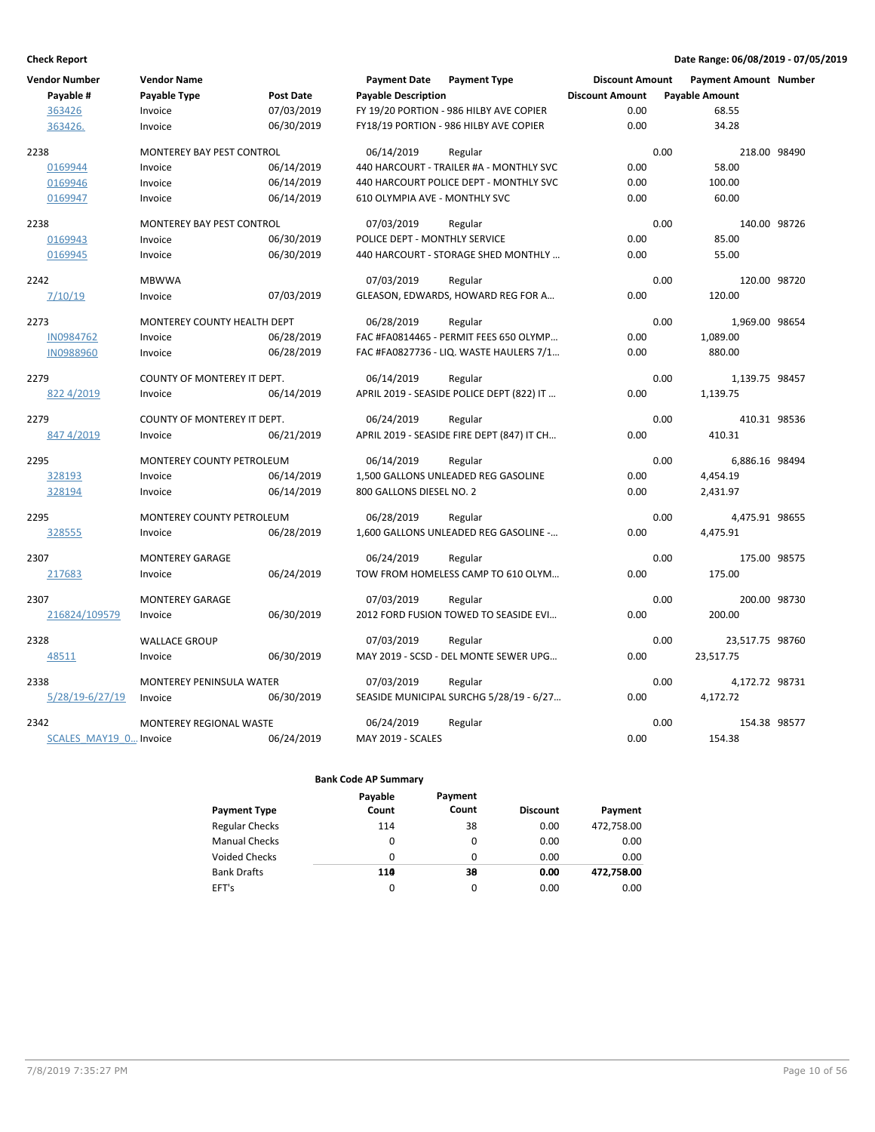| <b>Vendor Number</b>   | <b>Vendor Name</b>               |                  | <b>Payment Date</b>           | <b>Payment Type</b>                        | <b>Discount Amount</b> | <b>Payment Amount Number</b> |  |
|------------------------|----------------------------------|------------------|-------------------------------|--------------------------------------------|------------------------|------------------------------|--|
| Payable #              | Payable Type                     | <b>Post Date</b> | <b>Payable Description</b>    |                                            | <b>Discount Amount</b> | <b>Payable Amount</b>        |  |
| 363426                 | Invoice                          | 07/03/2019       |                               | FY 19/20 PORTION - 986 HILBY AVE COPIER    | 0.00                   | 68.55                        |  |
| 363426.                | Invoice                          | 06/30/2019       |                               | FY18/19 PORTION - 986 HILBY AVE COPIER     | 0.00                   | 34.28                        |  |
| 2238                   | MONTEREY BAY PEST CONTROL        |                  | 06/14/2019                    | Regular                                    |                        | 0.00<br>218.00 98490         |  |
| 0169944                | Invoice                          | 06/14/2019       |                               | 440 HARCOURT - TRAILER #A - MONTHLY SVC    | 0.00                   | 58.00                        |  |
| 0169946                | Invoice                          | 06/14/2019       |                               | 440 HARCOURT POLICE DEPT - MONTHLY SVC     | 0.00                   | 100.00                       |  |
| 0169947                | Invoice                          | 06/14/2019       | 610 OLYMPIA AVE - MONTHLY SVC |                                            | 0.00                   | 60.00                        |  |
| 2238                   | MONTEREY BAY PEST CONTROL        |                  | 07/03/2019                    | Regular                                    |                        | 0.00<br>140.00 98726         |  |
| 0169943                | Invoice                          | 06/30/2019       | POLICE DEPT - MONTHLY SERVICE |                                            | 0.00                   | 85.00                        |  |
| 0169945                | Invoice                          | 06/30/2019       |                               | 440 HARCOURT - STORAGE SHED MONTHLY        | 0.00                   | 55.00                        |  |
| 2242                   | <b>MBWWA</b>                     |                  | 07/03/2019                    | Regular                                    |                        | 0.00<br>120.00 98720         |  |
| 7/10/19                | Invoice                          | 07/03/2019       |                               | GLEASON, EDWARDS, HOWARD REG FOR A         | 0.00                   | 120.00                       |  |
| 2273                   | MONTEREY COUNTY HEALTH DEPT      |                  | 06/28/2019                    | Regular                                    |                        | 0.00<br>1,969.00 98654       |  |
| IN0984762              | Invoice                          | 06/28/2019       |                               | FAC #FA0814465 - PERMIT FEES 650 OLYMP     | 0.00                   | 1,089.00                     |  |
| IN0988960              | Invoice                          | 06/28/2019       |                               | FAC #FA0827736 - LIQ. WASTE HAULERS 7/1    | 0.00                   | 880.00                       |  |
| 2279                   | COUNTY OF MONTEREY IT DEPT.      |                  | 06/14/2019                    | Regular                                    |                        | 0.00<br>1,139.75 98457       |  |
| 822 4/2019             | Invoice                          | 06/14/2019       |                               | APRIL 2019 - SEASIDE POLICE DEPT (822) IT  | 0.00                   | 1,139.75                     |  |
| 2279                   | COUNTY OF MONTEREY IT DEPT.      |                  | 06/24/2019                    | Regular                                    |                        | 0.00<br>410.31 98536         |  |
| 847 4/2019             | Invoice                          | 06/21/2019       |                               | APRIL 2019 - SEASIDE FIRE DEPT (847) IT CH | 0.00                   | 410.31                       |  |
| 2295                   | <b>MONTEREY COUNTY PETROLEUM</b> |                  | 06/14/2019                    | Regular                                    |                        | 0.00<br>6,886.16 98494       |  |
| 328193                 | Invoice                          | 06/14/2019       |                               | 1,500 GALLONS UNLEADED REG GASOLINE        | 0.00                   | 4,454.19                     |  |
| 328194                 | Invoice                          | 06/14/2019       | 800 GALLONS DIESEL NO. 2      |                                            | 0.00                   | 2,431.97                     |  |
| 2295                   | MONTEREY COUNTY PETROLEUM        |                  | 06/28/2019                    | Regular                                    |                        | 0.00<br>4,475.91 98655       |  |
| 328555                 | Invoice                          | 06/28/2019       |                               | 1,600 GALLONS UNLEADED REG GASOLINE -      | 0.00                   | 4,475.91                     |  |
| 2307                   | <b>MONTEREY GARAGE</b>           |                  | 06/24/2019                    | Regular                                    |                        | 0.00<br>175.00 98575         |  |
| 217683                 | Invoice                          | 06/24/2019       |                               | TOW FROM HOMELESS CAMP TO 610 OLYM         | 0.00                   | 175.00                       |  |
| 2307                   | <b>MONTEREY GARAGE</b>           |                  | 07/03/2019                    | Regular                                    |                        | 0.00<br>200.00 98730         |  |
| 216824/109579          | Invoice                          | 06/30/2019       |                               | 2012 FORD FUSION TOWED TO SEASIDE EVI      | 0.00                   | 200.00                       |  |
| 2328                   | <b>WALLACE GROUP</b>             |                  | 07/03/2019                    | Regular                                    |                        | 0.00<br>23,517.75 98760      |  |
| 48511                  | Invoice                          | 06/30/2019       |                               | MAY 2019 - SCSD - DEL MONTE SEWER UPG      | 0.00                   | 23,517.75                    |  |
| 2338                   | MONTEREY PENINSULA WATER         |                  | 07/03/2019                    | Regular                                    |                        | 0.00<br>4,172.72 98731       |  |
| $5/28/19 - 6/27/19$    | Invoice                          | 06/30/2019       |                               | SEASIDE MUNICIPAL SURCHG 5/28/19 - 6/27    | 0.00                   | 4,172.72                     |  |
| 2342                   | MONTEREY REGIONAL WASTE          |                  | 06/24/2019                    | Regular                                    |                        | 0.00<br>154.38 98577         |  |
| SCALES MAY19 0 Invoice |                                  | 06/24/2019       | MAY 2019 - SCALES             |                                            | 0.00                   | 154.38                       |  |

|                       | Payable  | Payment |                 |            |
|-----------------------|----------|---------|-----------------|------------|
| <b>Payment Type</b>   | Count    | Count   | <b>Discount</b> | Payment    |
| <b>Regular Checks</b> | 114      | 38      | 0.00            | 472,758.00 |
| <b>Manual Checks</b>  | 0        | 0       | 0.00            | 0.00       |
| <b>Voided Checks</b>  | 0        | 0       | 0.00            | 0.00       |
| <b>Bank Drafts</b>    | 110      | 38      | 0.00            | 472,758.00 |
| EFT's                 | $\Omega$ | 0       | 0.00            | 0.00       |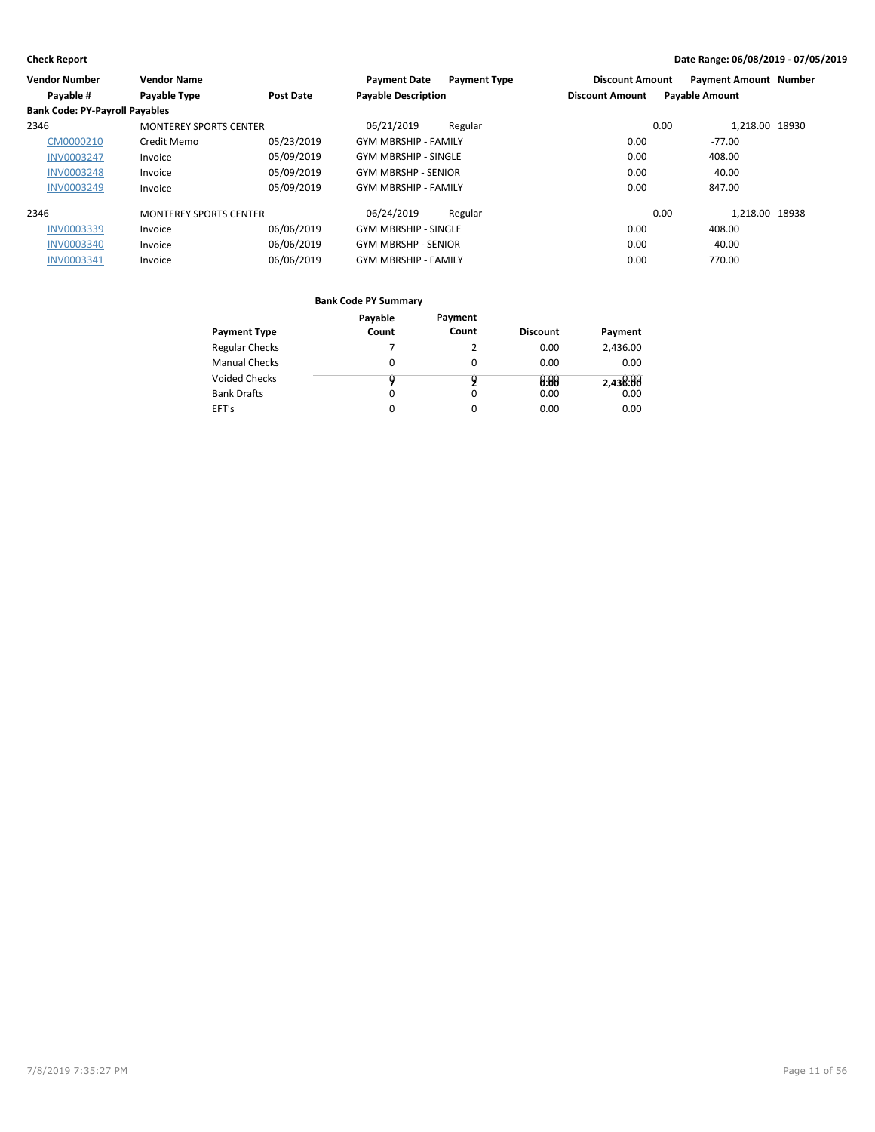| <b>Vendor Number</b>                  | <b>Vendor Name</b>            |                  | <b>Payment Date</b>         | <b>Payment Type</b> | <b>Discount Amount</b> | <b>Payment Amount Number</b> |  |
|---------------------------------------|-------------------------------|------------------|-----------------------------|---------------------|------------------------|------------------------------|--|
| Payable #                             | Payable Type                  | <b>Post Date</b> | <b>Payable Description</b>  |                     | <b>Discount Amount</b> | <b>Payable Amount</b>        |  |
| <b>Bank Code: PY-Payroll Payables</b> |                               |                  |                             |                     |                        |                              |  |
| 2346                                  | <b>MONTEREY SPORTS CENTER</b> |                  | 06/21/2019                  | Regular             |                        | 1,218.00 18930<br>0.00       |  |
| CM0000210                             | Credit Memo                   | 05/23/2019       | <b>GYM MBRSHIP - FAMILY</b> |                     | 0.00                   | $-77.00$                     |  |
| <b>INV0003247</b>                     | Invoice                       | 05/09/2019       | <b>GYM MBRSHIP - SINGLE</b> |                     | 0.00                   | 408.00                       |  |
| <b>INV0003248</b>                     | Invoice                       | 05/09/2019       | <b>GYM MBRSHP - SENIOR</b>  |                     | 0.00                   | 40.00                        |  |
| <b>INV0003249</b>                     | Invoice                       | 05/09/2019       | <b>GYM MBRSHIP - FAMILY</b> |                     | 0.00                   | 847.00                       |  |
| 2346                                  | <b>MONTEREY SPORTS CENTER</b> |                  | 06/24/2019                  | Regular             |                        | 1.218.00 18938<br>0.00       |  |
| INV0003339                            | Invoice                       | 06/06/2019       | <b>GYM MBRSHIP - SINGLE</b> |                     | 0.00                   | 408.00                       |  |
| <b>INV0003340</b>                     | Invoice                       | 06/06/2019       | <b>GYM MBRSHP - SENIOR</b>  |                     | 0.00                   | 40.00                        |  |
| <b>INV0003341</b>                     | Invoice                       | 06/06/2019       | <b>GYM MBRSHIP - FAMILY</b> |                     | 0.00                   | 770.00                       |  |

|                       | Payable | Payment |                 |          |
|-----------------------|---------|---------|-----------------|----------|
| <b>Payment Type</b>   | Count   | Count   | <b>Discount</b> | Payment  |
| <b>Regular Checks</b> |         |         | 0.00            | 2,436.00 |
| <b>Manual Checks</b>  | 0       |         | 0.00            | 0.00     |
| Voided Checks         | y       |         | 0.00            | 2,438:00 |
| <b>Bank Drafts</b>    | 0       | 0       | 0.00            | 0.00     |
| EFT's                 | 0       | 0       | 0.00            | 0.00     |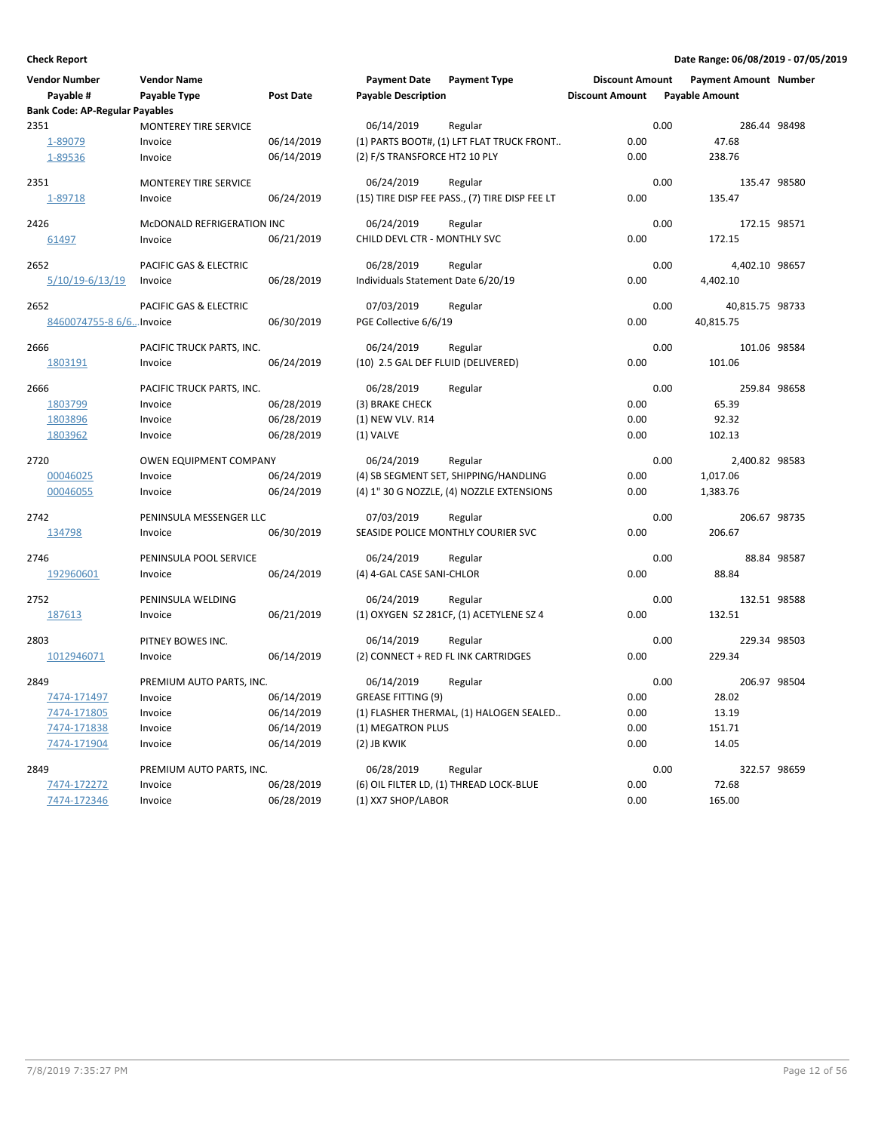| <b>Vendor Number</b><br>Payable #             | <b>Vendor Name</b><br>Payable Type   | <b>Post Date</b> | <b>Payment Date</b><br><b>Payable Description</b> | <b>Payment Type</b>                            | <b>Discount Amount</b><br><b>Discount Amount</b> |      | <b>Payment Amount Number</b><br><b>Payable Amount</b> |             |
|-----------------------------------------------|--------------------------------------|------------------|---------------------------------------------------|------------------------------------------------|--------------------------------------------------|------|-------------------------------------------------------|-------------|
| <b>Bank Code: AP-Regular Payables</b><br>2351 | MONTEREY TIRE SERVICE                |                  | 06/14/2019                                        | Regular                                        |                                                  | 0.00 | 286.44 98498                                          |             |
| 1-89079                                       | Invoice                              | 06/14/2019       |                                                   | (1) PARTS BOOT#, (1) LFT FLAT TRUCK FRONT      | 0.00                                             |      | 47.68                                                 |             |
| 1-89536                                       | Invoice                              | 06/14/2019       | (2) F/S TRANSFORCE HT2 10 PLY                     |                                                | 0.00                                             |      | 238.76                                                |             |
|                                               |                                      |                  |                                                   |                                                |                                                  |      |                                                       |             |
| 2351                                          | <b>MONTEREY TIRE SERVICE</b>         |                  | 06/24/2019                                        | Regular                                        |                                                  | 0.00 | 135.47 98580                                          |             |
| 1-89718                                       | Invoice                              | 06/24/2019       |                                                   | (15) TIRE DISP FEE PASS., (7) TIRE DISP FEE LT | 0.00                                             |      | 135.47                                                |             |
| 2426                                          | McDONALD REFRIGERATION INC           |                  | 06/24/2019                                        | Regular                                        |                                                  | 0.00 | 172.15 98571                                          |             |
| 61497                                         | Invoice                              | 06/21/2019       | CHILD DEVL CTR - MONTHLY SVC                      |                                                | 0.00                                             |      | 172.15                                                |             |
| 2652                                          | PACIFIC GAS & ELECTRIC               |                  | 06/28/2019                                        | Regular                                        |                                                  | 0.00 | 4,402.10 98657                                        |             |
| 5/10/19-6/13/19                               | Invoice                              | 06/28/2019       | Individuals Statement Date 6/20/19                |                                                | 0.00                                             |      | 4,402.10                                              |             |
|                                               |                                      |                  |                                                   |                                                |                                                  |      |                                                       |             |
| 2652                                          | PACIFIC GAS & ELECTRIC               |                  | 07/03/2019                                        | Regular                                        |                                                  | 0.00 | 40,815.75 98733                                       |             |
| 8460074755-8 6/6 Invoice                      |                                      | 06/30/2019       | PGE Collective 6/6/19                             |                                                | 0.00                                             |      | 40,815.75                                             |             |
| 2666                                          | PACIFIC TRUCK PARTS, INC.            |                  | 06/24/2019                                        | Regular                                        |                                                  | 0.00 | 101.06 98584                                          |             |
| 1803191                                       | Invoice                              | 06/24/2019       | (10) 2.5 GAL DEF FLUID (DELIVERED)                |                                                | 0.00                                             |      | 101.06                                                |             |
|                                               |                                      |                  |                                                   |                                                |                                                  | 0.00 |                                                       |             |
| 2666<br>1803799                               | PACIFIC TRUCK PARTS, INC.<br>Invoice | 06/28/2019       | 06/28/2019<br>(3) BRAKE CHECK                     | Regular                                        | 0.00                                             |      | 259.84 98658<br>65.39                                 |             |
| 1803896                                       | Invoice                              | 06/28/2019       | (1) NEW VLV. R14                                  |                                                | 0.00                                             |      | 92.32                                                 |             |
| 1803962                                       | Invoice                              | 06/28/2019       | (1) VALVE                                         |                                                | 0.00                                             |      | 102.13                                                |             |
|                                               |                                      |                  |                                                   |                                                |                                                  |      |                                                       |             |
| 2720                                          | <b>OWEN EQUIPMENT COMPANY</b>        |                  | 06/24/2019                                        | Regular                                        |                                                  | 0.00 | 2,400.82 98583                                        |             |
| 00046025                                      | Invoice                              | 06/24/2019       |                                                   | (4) SB SEGMENT SET, SHIPPING/HANDLING          | 0.00                                             |      | 1,017.06                                              |             |
| 00046055                                      | Invoice                              | 06/24/2019       |                                                   | (4) 1" 30 G NOZZLE, (4) NOZZLE EXTENSIONS      | 0.00                                             |      | 1,383.76                                              |             |
| 2742                                          | PENINSULA MESSENGER LLC              |                  | 07/03/2019                                        | Regular                                        |                                                  | 0.00 | 206.67 98735                                          |             |
| 134798                                        | Invoice                              | 06/30/2019       |                                                   | SEASIDE POLICE MONTHLY COURIER SVC             | 0.00                                             |      | 206.67                                                |             |
| 2746                                          | PENINSULA POOL SERVICE               |                  | 06/24/2019                                        | Regular                                        |                                                  | 0.00 |                                                       | 88.84 98587 |
| 192960601                                     | Invoice                              | 06/24/2019       | (4) 4-GAL CASE SANI-CHLOR                         |                                                | 0.00                                             |      | 88.84                                                 |             |
|                                               |                                      |                  |                                                   |                                                |                                                  |      |                                                       |             |
| 2752                                          | PENINSULA WELDING                    |                  | 06/24/2019                                        | Regular                                        |                                                  | 0.00 | 132.51 98588                                          |             |
| 187613                                        | Invoice                              | 06/21/2019       |                                                   | (1) OXYGEN SZ 281CF, (1) ACETYLENE SZ 4        | 0.00                                             |      | 132.51                                                |             |
| 2803                                          | PITNEY BOWES INC.                    |                  | 06/14/2019                                        | Regular                                        |                                                  | 0.00 | 229.34 98503                                          |             |
| 1012946071                                    | Invoice                              | 06/14/2019       |                                                   | (2) CONNECT + RED FL INK CARTRIDGES            | 0.00                                             |      | 229.34                                                |             |
| 2849                                          | PREMIUM AUTO PARTS, INC.             |                  | 06/14/2019                                        | Regular                                        |                                                  | 0.00 | 206.97 98504                                          |             |
| 7474-171497                                   | Invoice                              | 06/14/2019       | <b>GREASE FITTING (9)</b>                         |                                                | 0.00                                             |      | 28.02                                                 |             |
| 7474-171805                                   | Invoice                              | 06/14/2019       |                                                   | (1) FLASHER THERMAL, (1) HALOGEN SEALED        | 0.00                                             |      | 13.19                                                 |             |
| 7474-171838                                   | Invoice                              | 06/14/2019       | (1) MEGATRON PLUS                                 |                                                | 0.00                                             |      | 151.71                                                |             |
| 7474-171904                                   | Invoice                              | 06/14/2019       | (2) JB KWIK                                       |                                                | 0.00                                             |      | 14.05                                                 |             |
| 2849                                          | PREMIUM AUTO PARTS, INC.             |                  | 06/28/2019                                        | Regular                                        |                                                  | 0.00 | 322.57 98659                                          |             |
| 7474-172272                                   | Invoice                              | 06/28/2019       |                                                   | (6) OIL FILTER LD, (1) THREAD LOCK-BLUE        | 0.00                                             |      | 72.68                                                 |             |
| 7474-172346                                   | Invoice                              | 06/28/2019       | (1) XX7 SHOP/LABOR                                |                                                | 0.00                                             |      | 165.00                                                |             |
|                                               |                                      |                  |                                                   |                                                |                                                  |      |                                                       |             |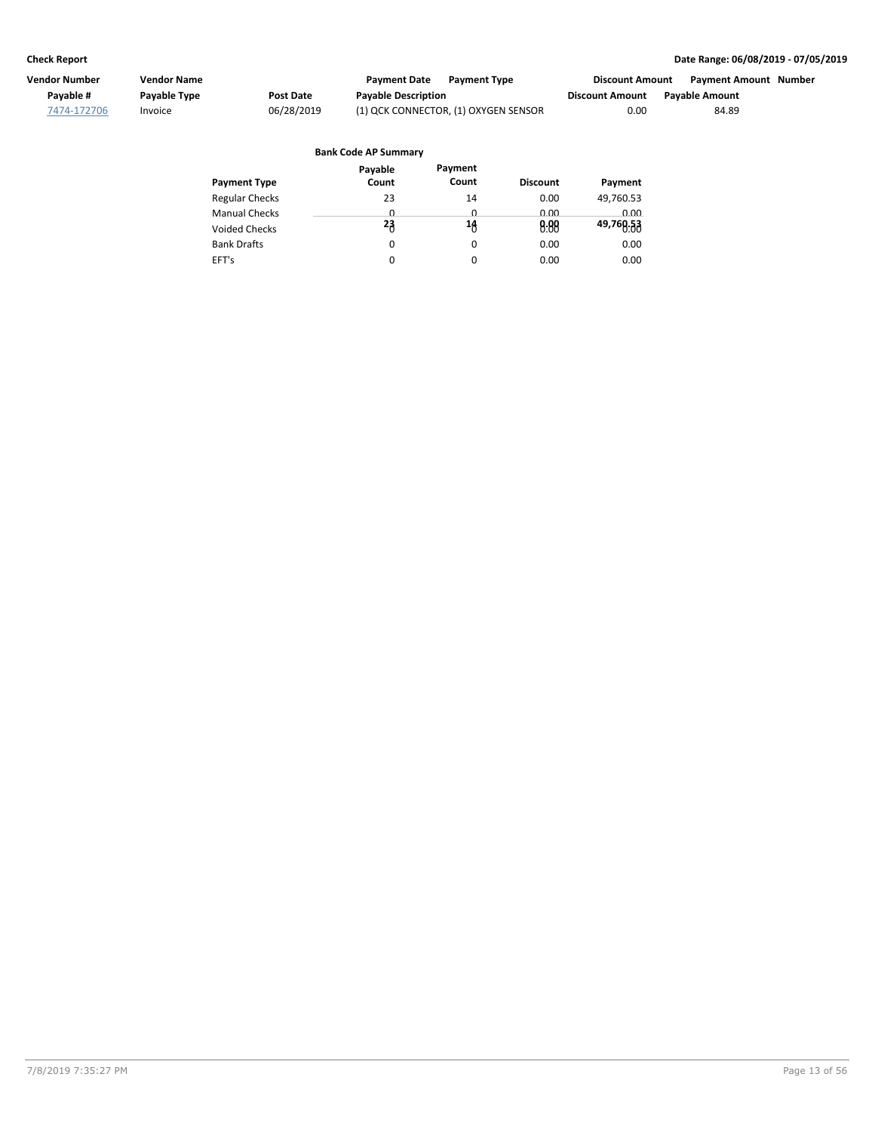| Vendor Number | Vendor Name  |            | <b>Payment Date</b><br><b>Payment Type</b> | <b>Discount Amount</b> | <b>Payment Amount Number</b> |  |
|---------------|--------------|------------|--------------------------------------------|------------------------|------------------------------|--|
| Pavable #     | Payable Type | Post Date  | <b>Payable Description</b>                 | <b>Discount Amount</b> | <b>Pavable Amount</b>        |  |
| 7474-172706   | Invoice      | 06/28/2019 | (1) QCK CONNECTOR, (1) OXYGEN SENSOR       | 0.00                   | 84.89                        |  |

#### Regular Checks Manual Checks Voided Checks **Discount Payment Payment Type Bank Code AP Summary** Bank Drafts EFT's 14  $\overline{0}$  $\sigma$ 0 0 0.00 0.00 0.00 **14 0.00** 0.00 0.00 **Payment** 49,760.53 0.00 0.00 **49,760.53** 0.00 0.00 **Payable Count** 23  $\overline{0}$ 0 **23**0 0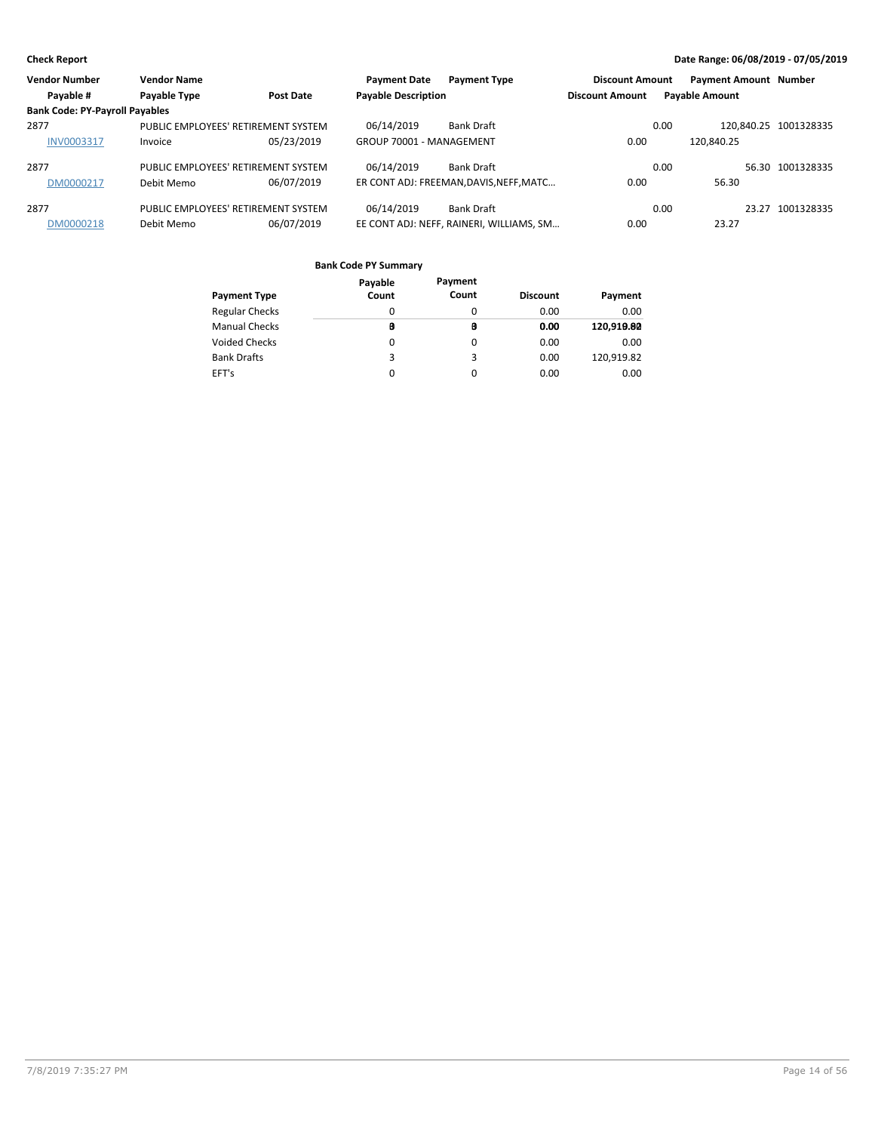| <b>Vendor Number</b>                  | <b>Vendor Name</b>                  |                  | <b>Payment Date</b>        | <b>Payment Type</b>                      | <b>Discount Amount</b> |      | <b>Payment Amount Number</b> |                  |
|---------------------------------------|-------------------------------------|------------------|----------------------------|------------------------------------------|------------------------|------|------------------------------|------------------|
| Payable #                             | Payable Type                        | <b>Post Date</b> | <b>Payable Description</b> |                                          | <b>Discount Amount</b> |      | <b>Payable Amount</b>        |                  |
| <b>Bank Code: PY-Payroll Payables</b> |                                     |                  |                            |                                          |                        |      |                              |                  |
| 2877                                  | PUBLIC EMPLOYEES' RETIREMENT SYSTEM |                  | 06/14/2019                 | Bank Draft                               |                        | 0.00 | 120.840.25 1001328335        |                  |
| <b>INV0003317</b>                     | Invoice                             | 05/23/2019       | GROUP 70001 - MANAGEMENT   |                                          | 0.00                   |      | 120.840.25                   |                  |
| 2877                                  | PUBLIC EMPLOYEES' RETIREMENT SYSTEM |                  | 06/14/2019                 | <b>Bank Draft</b>                        |                        | 0.00 |                              | 56.30 1001328335 |
| DM0000217                             | Debit Memo                          | 06/07/2019       |                            | ER CONT ADJ: FREEMAN, DAVIS, NEFF, MATC  | 0.00                   |      | 56.30                        |                  |
| 2877                                  | PUBLIC EMPLOYEES' RETIREMENT SYSTEM |                  | 06/14/2019                 | <b>Bank Draft</b>                        |                        | 0.00 | 23.27                        | 1001328335       |
| DM0000218                             | Debit Memo                          | 06/07/2019       |                            | EE CONT ADJ: NEFF, RAINERI, WILLIAMS, SM | 0.00                   |      | 23.27                        |                  |

|                       | Payable | Payment |                 |            |
|-----------------------|---------|---------|-----------------|------------|
| <b>Payment Type</b>   | Count   | Count   | <b>Discount</b> | Payment    |
| <b>Regular Checks</b> | 0       | 0       | 0.00            | 0.00       |
| <b>Manual Checks</b>  | B       | в       | 0.00            | 120,919.80 |
| <b>Voided Checks</b>  | 0       | 0       | 0.00            | 0.00       |
| <b>Bank Drafts</b>    | 3       | 3       | 0.00            | 120.919.82 |
| EFT's                 | 0       | 0       | 0.00            | 0.00       |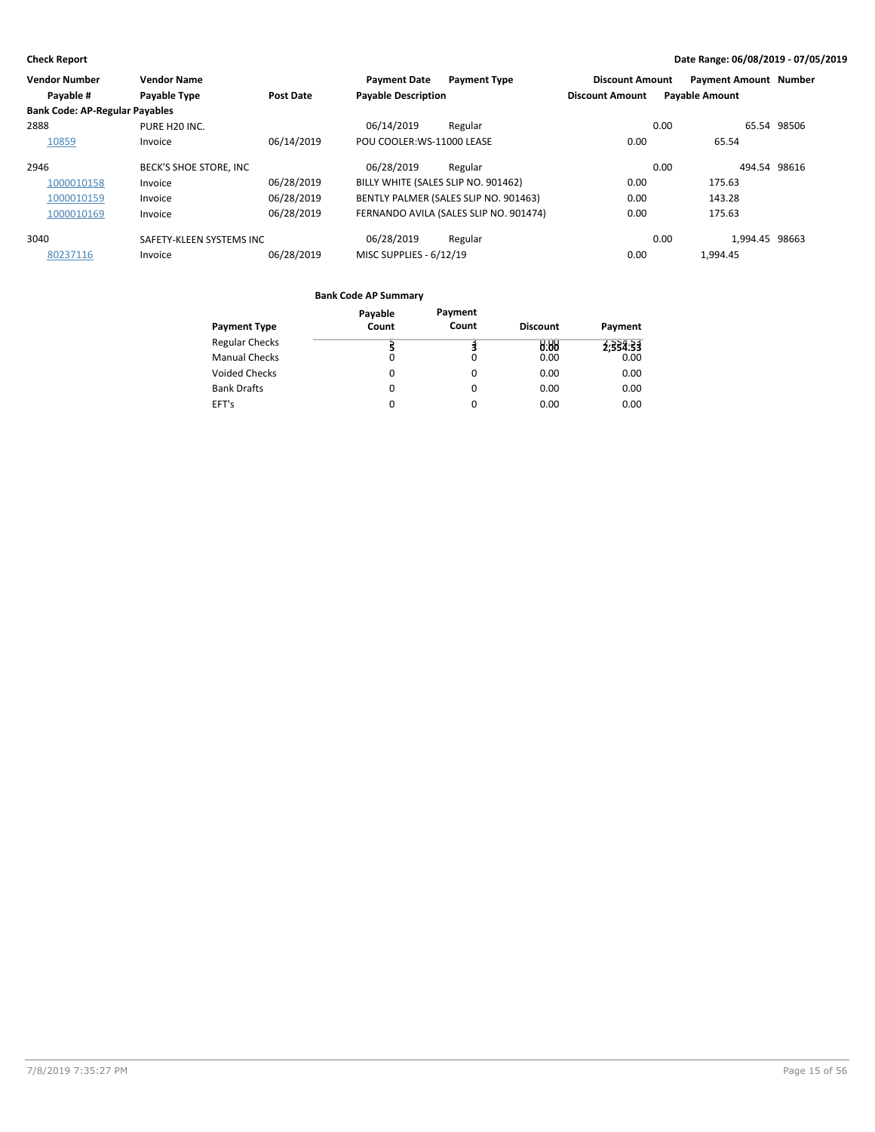| <b>Vendor Number</b>                  | <b>Vendor Name</b>       |                  | <b>Payment Date</b>                 | <b>Payment Type</b>                    | <b>Discount Amount</b> |      | <b>Payment Amount Number</b> |             |
|---------------------------------------|--------------------------|------------------|-------------------------------------|----------------------------------------|------------------------|------|------------------------------|-------------|
| Payable #                             | <b>Payable Type</b>      | <b>Post Date</b> | <b>Payable Description</b>          |                                        | <b>Discount Amount</b> |      | <b>Payable Amount</b>        |             |
| <b>Bank Code: AP-Regular Payables</b> |                          |                  |                                     |                                        |                        |      |                              |             |
| 2888                                  | PURE H20 INC.            |                  | 06/14/2019                          | Regular                                |                        | 0.00 |                              | 65.54 98506 |
| 10859                                 | Invoice                  | 06/14/2019       | POU COOLER:WS-11000 LEASE           |                                        | 0.00                   |      | 65.54                        |             |
| 2946                                  | BECK'S SHOE STORE, INC   |                  | 06/28/2019                          | Regular                                |                        | 0.00 | 494.54 98616                 |             |
| 1000010158                            | Invoice                  | 06/28/2019       | BILLY WHITE (SALES SLIP NO. 901462) |                                        | 0.00                   |      | 175.63                       |             |
| 1000010159                            | Invoice                  | 06/28/2019       |                                     | BENTLY PALMER (SALES SLIP NO. 901463)  | 0.00                   |      | 143.28                       |             |
| 1000010169                            | Invoice                  | 06/28/2019       |                                     | FERNANDO AVILA (SALES SLIP NO. 901474) | 0.00                   |      | 175.63                       |             |
| 3040                                  | SAFETY-KLEEN SYSTEMS INC |                  | 06/28/2019                          | Regular                                |                        | 0.00 | 1.994.45 98663               |             |
| 80237116                              | Invoice                  | 06/28/2019       | MISC SUPPLIES - 6/12/19             |                                        | 0.00                   |      | 1.994.45                     |             |

|                       | Payable  | Payment |                 |          |
|-----------------------|----------|---------|-----------------|----------|
| <b>Payment Type</b>   | Count    | Count   | <b>Discount</b> | Payment  |
| <b>Regular Checks</b> |          |         | 0.88            | 2:334:33 |
| <b>Manual Checks</b>  | $\Omega$ | 0       | 0.00            | 0.00     |
| <b>Voided Checks</b>  | 0        | 0       | 0.00            | 0.00     |
| <b>Bank Drafts</b>    | 0        | 0       | 0.00            | 0.00     |
| EFT's                 | $\Omega$ | 0       | 0.00            | 0.00     |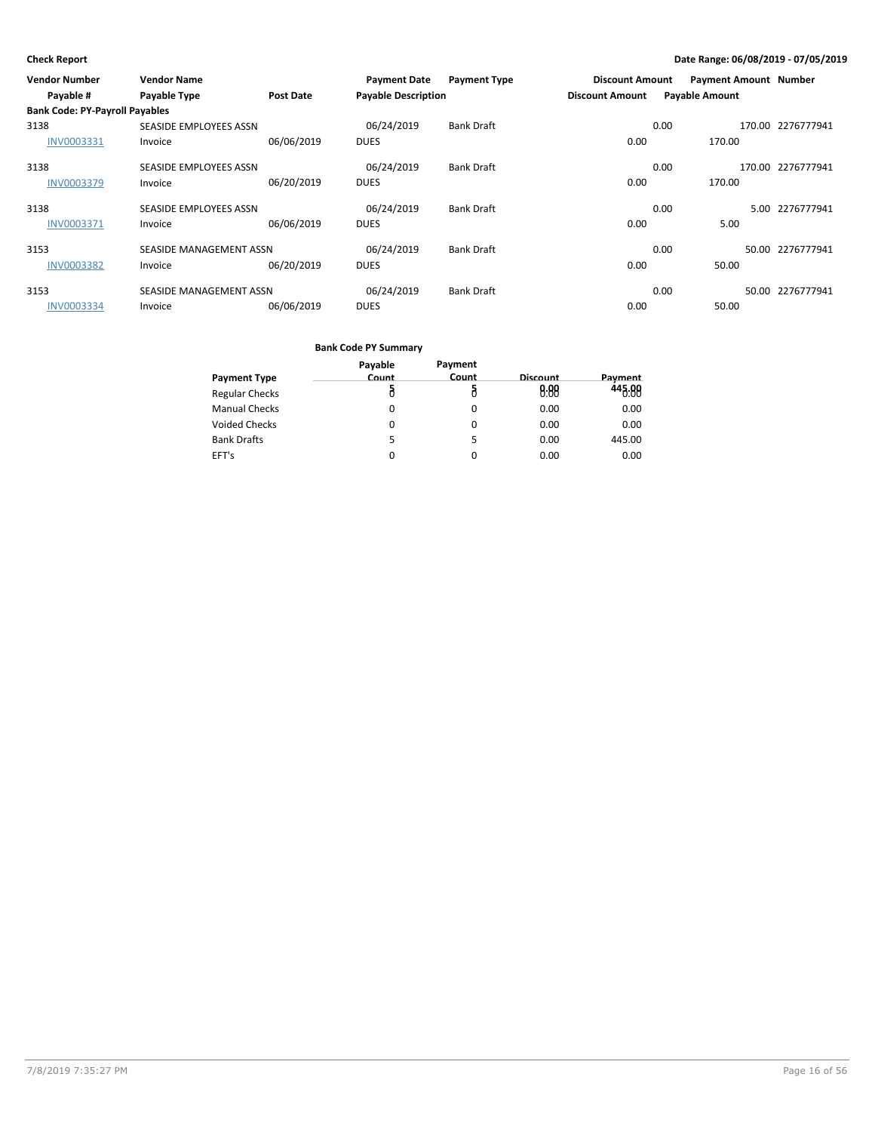| <b>Vendor Number</b>                  | <b>Vendor Name</b>      |                  | <b>Payment Date</b>        | <b>Payment Type</b> | <b>Discount Amount</b> | <b>Payment Amount Number</b> |        |                   |
|---------------------------------------|-------------------------|------------------|----------------------------|---------------------|------------------------|------------------------------|--------|-------------------|
| Payable #                             | <b>Payable Type</b>     | <b>Post Date</b> | <b>Payable Description</b> |                     | <b>Discount Amount</b> | <b>Payable Amount</b>        |        |                   |
| <b>Bank Code: PY-Payroll Payables</b> |                         |                  |                            |                     |                        |                              |        |                   |
| 3138                                  | SEASIDE EMPLOYEES ASSN  |                  | 06/24/2019                 | <b>Bank Draft</b>   |                        | 0.00                         | 170.00 | 2276777941        |
| <b>INV0003331</b>                     | Invoice                 | 06/06/2019       | <b>DUES</b>                |                     | 0.00                   | 170.00                       |        |                   |
| 3138                                  | SEASIDE EMPLOYEES ASSN  |                  | 06/24/2019                 | <b>Bank Draft</b>   |                        | 0.00                         |        | 170.00 2276777941 |
| <b>INV0003379</b>                     | Invoice                 | 06/20/2019       | <b>DUES</b>                |                     | 0.00                   | 170.00                       |        |                   |
| 3138                                  | SEASIDE EMPLOYEES ASSN  |                  | 06/24/2019                 | <b>Bank Draft</b>   |                        | 0.00                         | 5.00   | 2276777941        |
| <b>INV0003371</b>                     | Invoice                 | 06/06/2019       | <b>DUES</b>                |                     | 0.00                   | 5.00                         |        |                   |
| 3153                                  | SEASIDE MANAGEMENT ASSN |                  | 06/24/2019                 | <b>Bank Draft</b>   |                        | 0.00                         |        | 50.00 2276777941  |
| <b>INV0003382</b>                     | Invoice                 | 06/20/2019       | <b>DUES</b>                |                     | 0.00                   | 50.00                        |        |                   |
| 3153                                  | SEASIDE MANAGEMENT ASSN |                  | 06/24/2019                 | <b>Bank Draft</b>   |                        | 0.00                         |        | 50.00 2276777941  |
| INV0003334                            | Invoice                 | 06/06/2019       | <b>DUES</b>                |                     | 0.00                   | 50.00                        |        |                   |

|                       | Payable | Payment  |          |         |
|-----------------------|---------|----------|----------|---------|
| <b>Payment Type</b>   | Count   | Count    | Discount | Payment |
| <b>Regular Checks</b> | ā       |          | 0.00     | 445.88  |
| <b>Manual Checks</b>  | 0       | $\Omega$ | 0.00     | 0.00    |
| <b>Voided Checks</b>  | 0       | 0        | 0.00     | 0.00    |
| <b>Bank Drafts</b>    | 5       | 5        | 0.00     | 445.00  |
| EFT's                 | 0       | 0        | 0.00     | 0.00    |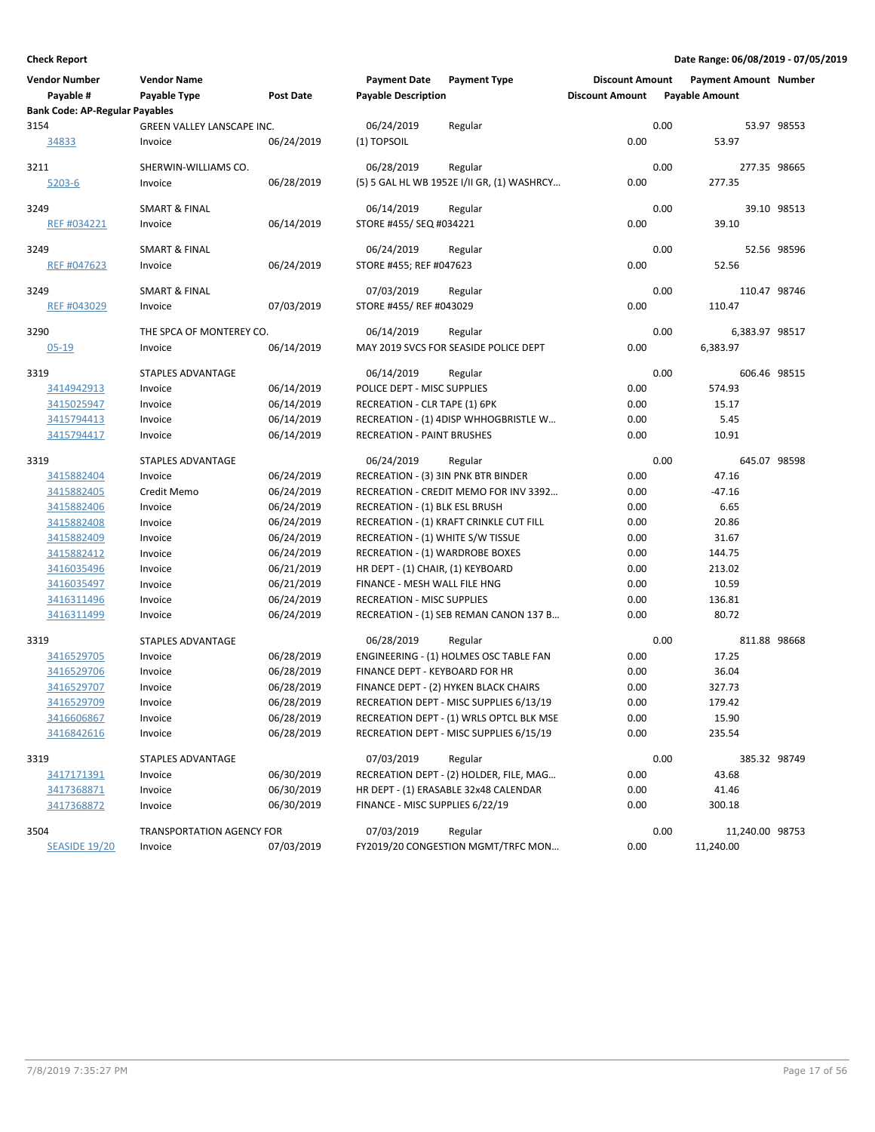| <b>Bank Code: AP-Regular Payables</b><br>3154<br>GREEN VALLEY LANSCAPE INC.<br>06/24/2019<br>0.00<br>53.97 98553<br>Regular<br>0.00<br>34833<br>06/24/2019<br>(1) TOPSOIL<br>53.97<br>Invoice<br>0.00<br>3211<br>SHERWIN-WILLIAMS CO.<br>06/28/2019<br>277.35 98665<br>Regular<br>0.00<br>$5203 - 6$<br>06/28/2019<br>(5) 5 GAL HL WB 1952E I/II GR, (1) WASHRCY<br>277.35<br>Invoice<br><b>SMART &amp; FINAL</b><br>06/14/2019<br>0.00<br>39.10 98513<br>3249<br>Regular<br>0.00<br>06/14/2019<br>STORE #455/ SEQ #034221<br>39.10<br>REF #034221<br>Invoice<br><b>SMART &amp; FINAL</b><br>0.00<br>52.56 98596<br>3249<br>06/24/2019<br>Regular<br>0.00<br>52.56<br>REF #047623<br>06/24/2019<br>STORE #455; REF #047623<br>Invoice<br>07/03/2019<br>0.00<br>110.47 98746<br>3249<br>SMART & FINAL<br>Regular<br>0.00<br>07/03/2019<br>STORE #455/ REF #043029<br>110.47<br>REF #043029<br>Invoice<br>3290<br>THE SPCA OF MONTEREY CO.<br>06/14/2019<br>0.00<br>6,383.97 98517<br>Regular<br>0.00<br>06/14/2019<br>MAY 2019 SVCS FOR SEASIDE POLICE DEPT<br>6,383.97<br>$05 - 19$<br>Invoice<br>0.00<br>3319<br><b>STAPLES ADVANTAGE</b><br>06/14/2019<br>606.46 98515<br>Regular<br>0.00<br>06/14/2019<br>POLICE DEPT - MISC SUPPLIES<br>574.93<br>3414942913<br>Invoice<br>06/14/2019<br>0.00<br>15.17<br>3415025947<br>Invoice<br>RECREATION - CLR TAPE (1) 6PK<br>06/14/2019<br>0.00<br>5.45<br>3415794413<br>RECREATION - (1) 4DISP WHHOGBRISTLE W<br>Invoice<br>3415794417<br>06/14/2019<br><b>RECREATION - PAINT BRUSHES</b><br>0.00<br>10.91<br>Invoice<br>3319<br>STAPLES ADVANTAGE<br>06/24/2019<br>0.00<br>645.07 98598<br>Regular<br>0.00<br>3415882404<br>06/24/2019<br>RECREATION - (3) 3IN PNK BTR BINDER<br>47.16<br>Invoice<br>0.00<br>$-47.16$<br>3415882405<br>Credit Memo<br>06/24/2019<br>RECREATION - CREDIT MEMO FOR INV 3392<br>06/24/2019<br>0.00<br>6.65<br>3415882406<br>Invoice<br>RECREATION - (1) BLK ESL BRUSH<br>06/24/2019<br>0.00<br>20.86<br>3415882408<br>RECREATION - (1) KRAFT CRINKLE CUT FILL<br>Invoice<br>3415882409<br>06/24/2019<br>RECREATION - (1) WHITE S/W TISSUE<br>0.00<br>31.67<br>Invoice<br>3415882412<br>Invoice<br>06/24/2019<br><b>RECREATION - (1) WARDROBE BOXES</b><br>0.00<br>144.75<br>0.00<br>213.02<br>3416035496<br>Invoice<br>06/21/2019<br>HR DEPT - (1) CHAIR, (1) KEYBOARD<br>06/21/2019<br>0.00<br>10.59<br>3416035497<br>Invoice<br>FINANCE - MESH WALL FILE HNG<br>06/24/2019<br>0.00<br>136.81<br>3416311496<br><b>RECREATION - MISC SUPPLIES</b><br>Invoice<br>3416311499<br>06/24/2019<br>RECREATION - (1) SEB REMAN CANON 137 B<br>0.00<br>80.72<br>Invoice<br>3319<br>STAPLES ADVANTAGE<br>06/28/2019<br>0.00<br>811.88 98668<br>Regular<br>3416529705<br>Invoice<br>06/28/2019<br>ENGINEERING - (1) HOLMES OSC TABLE FAN<br>0.00<br>17.25<br>0.00<br>36.04<br>06/28/2019<br>FINANCE DEPT - KEYBOARD FOR HR<br>3416529706<br>Invoice<br>06/28/2019<br>FINANCE DEPT - (2) HYKEN BLACK CHAIRS<br>0.00<br>327.73<br>3416529707<br>Invoice<br>06/28/2019<br>0.00<br>179.42<br>3416529709<br>RECREATION DEPT - MISC SUPPLIES 6/13/19<br>Invoice<br>06/28/2019<br>3416606867<br>RECREATION DEPT - (1) WRLS OPTCL BLK MSE<br>0.00<br>15.90<br>Invoice<br>06/28/2019<br>0.00<br>235.54<br>3416842616<br>RECREATION DEPT - MISC SUPPLIES 6/15/19<br>Invoice<br>0.00<br>3319<br>STAPLES ADVANTAGE<br>07/03/2019<br>385.32 98749<br>Regular<br>0.00<br>06/30/2019<br>RECREATION DEPT - (2) HOLDER, FILE, MAG<br>43.68<br><u>3417171391</u><br>Invoice<br>06/30/2019<br>HR DEPT - (1) ERASABLE 32x48 CALENDAR<br>0.00<br>41.46<br><u>3417368871</u><br>Invoice<br>06/30/2019<br>FINANCE - MISC SUPPLIES 6/22/19<br>0.00<br>300.18<br>3417368872<br>Invoice<br>07/03/2019<br>0.00<br>3504<br>Regular<br>11,240.00 98753<br><b>TRANSPORTATION AGENCY FOR</b><br><b>SEASIDE 19/20</b><br>07/03/2019<br>FY2019/20 CONGESTION MGMT/TRFC MON<br>0.00<br>11,240.00<br>Invoice | <b>Vendor Number</b><br>Payable # | <b>Vendor Name</b><br>Payable Type | Post Date | <b>Payment Date</b><br><b>Payable Description</b> | <b>Payment Type</b> | <b>Discount Amount</b><br><b>Discount Amount</b> | <b>Payment Amount Number</b><br><b>Payable Amount</b> |  |
|------------------------------------------------------------------------------------------------------------------------------------------------------------------------------------------------------------------------------------------------------------------------------------------------------------------------------------------------------------------------------------------------------------------------------------------------------------------------------------------------------------------------------------------------------------------------------------------------------------------------------------------------------------------------------------------------------------------------------------------------------------------------------------------------------------------------------------------------------------------------------------------------------------------------------------------------------------------------------------------------------------------------------------------------------------------------------------------------------------------------------------------------------------------------------------------------------------------------------------------------------------------------------------------------------------------------------------------------------------------------------------------------------------------------------------------------------------------------------------------------------------------------------------------------------------------------------------------------------------------------------------------------------------------------------------------------------------------------------------------------------------------------------------------------------------------------------------------------------------------------------------------------------------------------------------------------------------------------------------------------------------------------------------------------------------------------------------------------------------------------------------------------------------------------------------------------------------------------------------------------------------------------------------------------------------------------------------------------------------------------------------------------------------------------------------------------------------------------------------------------------------------------------------------------------------------------------------------------------------------------------------------------------------------------------------------------------------------------------------------------------------------------------------------------------------------------------------------------------------------------------------------------------------------------------------------------------------------------------------------------------------------------------------------------------------------------------------------------------------------------------------------------------------------------------------------------------------------------------------------------------------------------------------------------------------------------------------------------------------------------------------------------------------------------------------------------------------------------------------------------------------------------------------------------------------------------------------------------------------------------------------------------------------------------------------------------------------------------------------------------------------------------------------------------------------------------------------------------------------------------------------------------------------------------------------------|-----------------------------------|------------------------------------|-----------|---------------------------------------------------|---------------------|--------------------------------------------------|-------------------------------------------------------|--|
|                                                                                                                                                                                                                                                                                                                                                                                                                                                                                                                                                                                                                                                                                                                                                                                                                                                                                                                                                                                                                                                                                                                                                                                                                                                                                                                                                                                                                                                                                                                                                                                                                                                                                                                                                                                                                                                                                                                                                                                                                                                                                                                                                                                                                                                                                                                                                                                                                                                                                                                                                                                                                                                                                                                                                                                                                                                                                                                                                                                                                                                                                                                                                                                                                                                                                                                                                                                                                                                                                                                                                                                                                                                                                                                                                                                                                                                                                                                                          |                                   |                                    |           |                                                   |                     |                                                  |                                                       |  |
|                                                                                                                                                                                                                                                                                                                                                                                                                                                                                                                                                                                                                                                                                                                                                                                                                                                                                                                                                                                                                                                                                                                                                                                                                                                                                                                                                                                                                                                                                                                                                                                                                                                                                                                                                                                                                                                                                                                                                                                                                                                                                                                                                                                                                                                                                                                                                                                                                                                                                                                                                                                                                                                                                                                                                                                                                                                                                                                                                                                                                                                                                                                                                                                                                                                                                                                                                                                                                                                                                                                                                                                                                                                                                                                                                                                                                                                                                                                                          |                                   |                                    |           |                                                   |                     |                                                  |                                                       |  |
|                                                                                                                                                                                                                                                                                                                                                                                                                                                                                                                                                                                                                                                                                                                                                                                                                                                                                                                                                                                                                                                                                                                                                                                                                                                                                                                                                                                                                                                                                                                                                                                                                                                                                                                                                                                                                                                                                                                                                                                                                                                                                                                                                                                                                                                                                                                                                                                                                                                                                                                                                                                                                                                                                                                                                                                                                                                                                                                                                                                                                                                                                                                                                                                                                                                                                                                                                                                                                                                                                                                                                                                                                                                                                                                                                                                                                                                                                                                                          |                                   |                                    |           |                                                   |                     |                                                  |                                                       |  |
|                                                                                                                                                                                                                                                                                                                                                                                                                                                                                                                                                                                                                                                                                                                                                                                                                                                                                                                                                                                                                                                                                                                                                                                                                                                                                                                                                                                                                                                                                                                                                                                                                                                                                                                                                                                                                                                                                                                                                                                                                                                                                                                                                                                                                                                                                                                                                                                                                                                                                                                                                                                                                                                                                                                                                                                                                                                                                                                                                                                                                                                                                                                                                                                                                                                                                                                                                                                                                                                                                                                                                                                                                                                                                                                                                                                                                                                                                                                                          |                                   |                                    |           |                                                   |                     |                                                  |                                                       |  |
|                                                                                                                                                                                                                                                                                                                                                                                                                                                                                                                                                                                                                                                                                                                                                                                                                                                                                                                                                                                                                                                                                                                                                                                                                                                                                                                                                                                                                                                                                                                                                                                                                                                                                                                                                                                                                                                                                                                                                                                                                                                                                                                                                                                                                                                                                                                                                                                                                                                                                                                                                                                                                                                                                                                                                                                                                                                                                                                                                                                                                                                                                                                                                                                                                                                                                                                                                                                                                                                                                                                                                                                                                                                                                                                                                                                                                                                                                                                                          |                                   |                                    |           |                                                   |                     |                                                  |                                                       |  |
|                                                                                                                                                                                                                                                                                                                                                                                                                                                                                                                                                                                                                                                                                                                                                                                                                                                                                                                                                                                                                                                                                                                                                                                                                                                                                                                                                                                                                                                                                                                                                                                                                                                                                                                                                                                                                                                                                                                                                                                                                                                                                                                                                                                                                                                                                                                                                                                                                                                                                                                                                                                                                                                                                                                                                                                                                                                                                                                                                                                                                                                                                                                                                                                                                                                                                                                                                                                                                                                                                                                                                                                                                                                                                                                                                                                                                                                                                                                                          |                                   |                                    |           |                                                   |                     |                                                  |                                                       |  |
|                                                                                                                                                                                                                                                                                                                                                                                                                                                                                                                                                                                                                                                                                                                                                                                                                                                                                                                                                                                                                                                                                                                                                                                                                                                                                                                                                                                                                                                                                                                                                                                                                                                                                                                                                                                                                                                                                                                                                                                                                                                                                                                                                                                                                                                                                                                                                                                                                                                                                                                                                                                                                                                                                                                                                                                                                                                                                                                                                                                                                                                                                                                                                                                                                                                                                                                                                                                                                                                                                                                                                                                                                                                                                                                                                                                                                                                                                                                                          |                                   |                                    |           |                                                   |                     |                                                  |                                                       |  |
|                                                                                                                                                                                                                                                                                                                                                                                                                                                                                                                                                                                                                                                                                                                                                                                                                                                                                                                                                                                                                                                                                                                                                                                                                                                                                                                                                                                                                                                                                                                                                                                                                                                                                                                                                                                                                                                                                                                                                                                                                                                                                                                                                                                                                                                                                                                                                                                                                                                                                                                                                                                                                                                                                                                                                                                                                                                                                                                                                                                                                                                                                                                                                                                                                                                                                                                                                                                                                                                                                                                                                                                                                                                                                                                                                                                                                                                                                                                                          |                                   |                                    |           |                                                   |                     |                                                  |                                                       |  |
|                                                                                                                                                                                                                                                                                                                                                                                                                                                                                                                                                                                                                                                                                                                                                                                                                                                                                                                                                                                                                                                                                                                                                                                                                                                                                                                                                                                                                                                                                                                                                                                                                                                                                                                                                                                                                                                                                                                                                                                                                                                                                                                                                                                                                                                                                                                                                                                                                                                                                                                                                                                                                                                                                                                                                                                                                                                                                                                                                                                                                                                                                                                                                                                                                                                                                                                                                                                                                                                                                                                                                                                                                                                                                                                                                                                                                                                                                                                                          |                                   |                                    |           |                                                   |                     |                                                  |                                                       |  |
|                                                                                                                                                                                                                                                                                                                                                                                                                                                                                                                                                                                                                                                                                                                                                                                                                                                                                                                                                                                                                                                                                                                                                                                                                                                                                                                                                                                                                                                                                                                                                                                                                                                                                                                                                                                                                                                                                                                                                                                                                                                                                                                                                                                                                                                                                                                                                                                                                                                                                                                                                                                                                                                                                                                                                                                                                                                                                                                                                                                                                                                                                                                                                                                                                                                                                                                                                                                                                                                                                                                                                                                                                                                                                                                                                                                                                                                                                                                                          |                                   |                                    |           |                                                   |                     |                                                  |                                                       |  |
|                                                                                                                                                                                                                                                                                                                                                                                                                                                                                                                                                                                                                                                                                                                                                                                                                                                                                                                                                                                                                                                                                                                                                                                                                                                                                                                                                                                                                                                                                                                                                                                                                                                                                                                                                                                                                                                                                                                                                                                                                                                                                                                                                                                                                                                                                                                                                                                                                                                                                                                                                                                                                                                                                                                                                                                                                                                                                                                                                                                                                                                                                                                                                                                                                                                                                                                                                                                                                                                                                                                                                                                                                                                                                                                                                                                                                                                                                                                                          |                                   |                                    |           |                                                   |                     |                                                  |                                                       |  |
|                                                                                                                                                                                                                                                                                                                                                                                                                                                                                                                                                                                                                                                                                                                                                                                                                                                                                                                                                                                                                                                                                                                                                                                                                                                                                                                                                                                                                                                                                                                                                                                                                                                                                                                                                                                                                                                                                                                                                                                                                                                                                                                                                                                                                                                                                                                                                                                                                                                                                                                                                                                                                                                                                                                                                                                                                                                                                                                                                                                                                                                                                                                                                                                                                                                                                                                                                                                                                                                                                                                                                                                                                                                                                                                                                                                                                                                                                                                                          |                                   |                                    |           |                                                   |                     |                                                  |                                                       |  |
|                                                                                                                                                                                                                                                                                                                                                                                                                                                                                                                                                                                                                                                                                                                                                                                                                                                                                                                                                                                                                                                                                                                                                                                                                                                                                                                                                                                                                                                                                                                                                                                                                                                                                                                                                                                                                                                                                                                                                                                                                                                                                                                                                                                                                                                                                                                                                                                                                                                                                                                                                                                                                                                                                                                                                                                                                                                                                                                                                                                                                                                                                                                                                                                                                                                                                                                                                                                                                                                                                                                                                                                                                                                                                                                                                                                                                                                                                                                                          |                                   |                                    |           |                                                   |                     |                                                  |                                                       |  |
|                                                                                                                                                                                                                                                                                                                                                                                                                                                                                                                                                                                                                                                                                                                                                                                                                                                                                                                                                                                                                                                                                                                                                                                                                                                                                                                                                                                                                                                                                                                                                                                                                                                                                                                                                                                                                                                                                                                                                                                                                                                                                                                                                                                                                                                                                                                                                                                                                                                                                                                                                                                                                                                                                                                                                                                                                                                                                                                                                                                                                                                                                                                                                                                                                                                                                                                                                                                                                                                                                                                                                                                                                                                                                                                                                                                                                                                                                                                                          |                                   |                                    |           |                                                   |                     |                                                  |                                                       |  |
|                                                                                                                                                                                                                                                                                                                                                                                                                                                                                                                                                                                                                                                                                                                                                                                                                                                                                                                                                                                                                                                                                                                                                                                                                                                                                                                                                                                                                                                                                                                                                                                                                                                                                                                                                                                                                                                                                                                                                                                                                                                                                                                                                                                                                                                                                                                                                                                                                                                                                                                                                                                                                                                                                                                                                                                                                                                                                                                                                                                                                                                                                                                                                                                                                                                                                                                                                                                                                                                                                                                                                                                                                                                                                                                                                                                                                                                                                                                                          |                                   |                                    |           |                                                   |                     |                                                  |                                                       |  |
|                                                                                                                                                                                                                                                                                                                                                                                                                                                                                                                                                                                                                                                                                                                                                                                                                                                                                                                                                                                                                                                                                                                                                                                                                                                                                                                                                                                                                                                                                                                                                                                                                                                                                                                                                                                                                                                                                                                                                                                                                                                                                                                                                                                                                                                                                                                                                                                                                                                                                                                                                                                                                                                                                                                                                                                                                                                                                                                                                                                                                                                                                                                                                                                                                                                                                                                                                                                                                                                                                                                                                                                                                                                                                                                                                                                                                                                                                                                                          |                                   |                                    |           |                                                   |                     |                                                  |                                                       |  |
|                                                                                                                                                                                                                                                                                                                                                                                                                                                                                                                                                                                                                                                                                                                                                                                                                                                                                                                                                                                                                                                                                                                                                                                                                                                                                                                                                                                                                                                                                                                                                                                                                                                                                                                                                                                                                                                                                                                                                                                                                                                                                                                                                                                                                                                                                                                                                                                                                                                                                                                                                                                                                                                                                                                                                                                                                                                                                                                                                                                                                                                                                                                                                                                                                                                                                                                                                                                                                                                                                                                                                                                                                                                                                                                                                                                                                                                                                                                                          |                                   |                                    |           |                                                   |                     |                                                  |                                                       |  |
|                                                                                                                                                                                                                                                                                                                                                                                                                                                                                                                                                                                                                                                                                                                                                                                                                                                                                                                                                                                                                                                                                                                                                                                                                                                                                                                                                                                                                                                                                                                                                                                                                                                                                                                                                                                                                                                                                                                                                                                                                                                                                                                                                                                                                                                                                                                                                                                                                                                                                                                                                                                                                                                                                                                                                                                                                                                                                                                                                                                                                                                                                                                                                                                                                                                                                                                                                                                                                                                                                                                                                                                                                                                                                                                                                                                                                                                                                                                                          |                                   |                                    |           |                                                   |                     |                                                  |                                                       |  |
|                                                                                                                                                                                                                                                                                                                                                                                                                                                                                                                                                                                                                                                                                                                                                                                                                                                                                                                                                                                                                                                                                                                                                                                                                                                                                                                                                                                                                                                                                                                                                                                                                                                                                                                                                                                                                                                                                                                                                                                                                                                                                                                                                                                                                                                                                                                                                                                                                                                                                                                                                                                                                                                                                                                                                                                                                                                                                                                                                                                                                                                                                                                                                                                                                                                                                                                                                                                                                                                                                                                                                                                                                                                                                                                                                                                                                                                                                                                                          |                                   |                                    |           |                                                   |                     |                                                  |                                                       |  |
|                                                                                                                                                                                                                                                                                                                                                                                                                                                                                                                                                                                                                                                                                                                                                                                                                                                                                                                                                                                                                                                                                                                                                                                                                                                                                                                                                                                                                                                                                                                                                                                                                                                                                                                                                                                                                                                                                                                                                                                                                                                                                                                                                                                                                                                                                                                                                                                                                                                                                                                                                                                                                                                                                                                                                                                                                                                                                                                                                                                                                                                                                                                                                                                                                                                                                                                                                                                                                                                                                                                                                                                                                                                                                                                                                                                                                                                                                                                                          |                                   |                                    |           |                                                   |                     |                                                  |                                                       |  |
|                                                                                                                                                                                                                                                                                                                                                                                                                                                                                                                                                                                                                                                                                                                                                                                                                                                                                                                                                                                                                                                                                                                                                                                                                                                                                                                                                                                                                                                                                                                                                                                                                                                                                                                                                                                                                                                                                                                                                                                                                                                                                                                                                                                                                                                                                                                                                                                                                                                                                                                                                                                                                                                                                                                                                                                                                                                                                                                                                                                                                                                                                                                                                                                                                                                                                                                                                                                                                                                                                                                                                                                                                                                                                                                                                                                                                                                                                                                                          |                                   |                                    |           |                                                   |                     |                                                  |                                                       |  |
|                                                                                                                                                                                                                                                                                                                                                                                                                                                                                                                                                                                                                                                                                                                                                                                                                                                                                                                                                                                                                                                                                                                                                                                                                                                                                                                                                                                                                                                                                                                                                                                                                                                                                                                                                                                                                                                                                                                                                                                                                                                                                                                                                                                                                                                                                                                                                                                                                                                                                                                                                                                                                                                                                                                                                                                                                                                                                                                                                                                                                                                                                                                                                                                                                                                                                                                                                                                                                                                                                                                                                                                                                                                                                                                                                                                                                                                                                                                                          |                                   |                                    |           |                                                   |                     |                                                  |                                                       |  |
|                                                                                                                                                                                                                                                                                                                                                                                                                                                                                                                                                                                                                                                                                                                                                                                                                                                                                                                                                                                                                                                                                                                                                                                                                                                                                                                                                                                                                                                                                                                                                                                                                                                                                                                                                                                                                                                                                                                                                                                                                                                                                                                                                                                                                                                                                                                                                                                                                                                                                                                                                                                                                                                                                                                                                                                                                                                                                                                                                                                                                                                                                                                                                                                                                                                                                                                                                                                                                                                                                                                                                                                                                                                                                                                                                                                                                                                                                                                                          |                                   |                                    |           |                                                   |                     |                                                  |                                                       |  |
|                                                                                                                                                                                                                                                                                                                                                                                                                                                                                                                                                                                                                                                                                                                                                                                                                                                                                                                                                                                                                                                                                                                                                                                                                                                                                                                                                                                                                                                                                                                                                                                                                                                                                                                                                                                                                                                                                                                                                                                                                                                                                                                                                                                                                                                                                                                                                                                                                                                                                                                                                                                                                                                                                                                                                                                                                                                                                                                                                                                                                                                                                                                                                                                                                                                                                                                                                                                                                                                                                                                                                                                                                                                                                                                                                                                                                                                                                                                                          |                                   |                                    |           |                                                   |                     |                                                  |                                                       |  |
|                                                                                                                                                                                                                                                                                                                                                                                                                                                                                                                                                                                                                                                                                                                                                                                                                                                                                                                                                                                                                                                                                                                                                                                                                                                                                                                                                                                                                                                                                                                                                                                                                                                                                                                                                                                                                                                                                                                                                                                                                                                                                                                                                                                                                                                                                                                                                                                                                                                                                                                                                                                                                                                                                                                                                                                                                                                                                                                                                                                                                                                                                                                                                                                                                                                                                                                                                                                                                                                                                                                                                                                                                                                                                                                                                                                                                                                                                                                                          |                                   |                                    |           |                                                   |                     |                                                  |                                                       |  |
|                                                                                                                                                                                                                                                                                                                                                                                                                                                                                                                                                                                                                                                                                                                                                                                                                                                                                                                                                                                                                                                                                                                                                                                                                                                                                                                                                                                                                                                                                                                                                                                                                                                                                                                                                                                                                                                                                                                                                                                                                                                                                                                                                                                                                                                                                                                                                                                                                                                                                                                                                                                                                                                                                                                                                                                                                                                                                                                                                                                                                                                                                                                                                                                                                                                                                                                                                                                                                                                                                                                                                                                                                                                                                                                                                                                                                                                                                                                                          |                                   |                                    |           |                                                   |                     |                                                  |                                                       |  |
|                                                                                                                                                                                                                                                                                                                                                                                                                                                                                                                                                                                                                                                                                                                                                                                                                                                                                                                                                                                                                                                                                                                                                                                                                                                                                                                                                                                                                                                                                                                                                                                                                                                                                                                                                                                                                                                                                                                                                                                                                                                                                                                                                                                                                                                                                                                                                                                                                                                                                                                                                                                                                                                                                                                                                                                                                                                                                                                                                                                                                                                                                                                                                                                                                                                                                                                                                                                                                                                                                                                                                                                                                                                                                                                                                                                                                                                                                                                                          |                                   |                                    |           |                                                   |                     |                                                  |                                                       |  |
|                                                                                                                                                                                                                                                                                                                                                                                                                                                                                                                                                                                                                                                                                                                                                                                                                                                                                                                                                                                                                                                                                                                                                                                                                                                                                                                                                                                                                                                                                                                                                                                                                                                                                                                                                                                                                                                                                                                                                                                                                                                                                                                                                                                                                                                                                                                                                                                                                                                                                                                                                                                                                                                                                                                                                                                                                                                                                                                                                                                                                                                                                                                                                                                                                                                                                                                                                                                                                                                                                                                                                                                                                                                                                                                                                                                                                                                                                                                                          |                                   |                                    |           |                                                   |                     |                                                  |                                                       |  |
|                                                                                                                                                                                                                                                                                                                                                                                                                                                                                                                                                                                                                                                                                                                                                                                                                                                                                                                                                                                                                                                                                                                                                                                                                                                                                                                                                                                                                                                                                                                                                                                                                                                                                                                                                                                                                                                                                                                                                                                                                                                                                                                                                                                                                                                                                                                                                                                                                                                                                                                                                                                                                                                                                                                                                                                                                                                                                                                                                                                                                                                                                                                                                                                                                                                                                                                                                                                                                                                                                                                                                                                                                                                                                                                                                                                                                                                                                                                                          |                                   |                                    |           |                                                   |                     |                                                  |                                                       |  |
|                                                                                                                                                                                                                                                                                                                                                                                                                                                                                                                                                                                                                                                                                                                                                                                                                                                                                                                                                                                                                                                                                                                                                                                                                                                                                                                                                                                                                                                                                                                                                                                                                                                                                                                                                                                                                                                                                                                                                                                                                                                                                                                                                                                                                                                                                                                                                                                                                                                                                                                                                                                                                                                                                                                                                                                                                                                                                                                                                                                                                                                                                                                                                                                                                                                                                                                                                                                                                                                                                                                                                                                                                                                                                                                                                                                                                                                                                                                                          |                                   |                                    |           |                                                   |                     |                                                  |                                                       |  |
|                                                                                                                                                                                                                                                                                                                                                                                                                                                                                                                                                                                                                                                                                                                                                                                                                                                                                                                                                                                                                                                                                                                                                                                                                                                                                                                                                                                                                                                                                                                                                                                                                                                                                                                                                                                                                                                                                                                                                                                                                                                                                                                                                                                                                                                                                                                                                                                                                                                                                                                                                                                                                                                                                                                                                                                                                                                                                                                                                                                                                                                                                                                                                                                                                                                                                                                                                                                                                                                                                                                                                                                                                                                                                                                                                                                                                                                                                                                                          |                                   |                                    |           |                                                   |                     |                                                  |                                                       |  |
|                                                                                                                                                                                                                                                                                                                                                                                                                                                                                                                                                                                                                                                                                                                                                                                                                                                                                                                                                                                                                                                                                                                                                                                                                                                                                                                                                                                                                                                                                                                                                                                                                                                                                                                                                                                                                                                                                                                                                                                                                                                                                                                                                                                                                                                                                                                                                                                                                                                                                                                                                                                                                                                                                                                                                                                                                                                                                                                                                                                                                                                                                                                                                                                                                                                                                                                                                                                                                                                                                                                                                                                                                                                                                                                                                                                                                                                                                                                                          |                                   |                                    |           |                                                   |                     |                                                  |                                                       |  |
|                                                                                                                                                                                                                                                                                                                                                                                                                                                                                                                                                                                                                                                                                                                                                                                                                                                                                                                                                                                                                                                                                                                                                                                                                                                                                                                                                                                                                                                                                                                                                                                                                                                                                                                                                                                                                                                                                                                                                                                                                                                                                                                                                                                                                                                                                                                                                                                                                                                                                                                                                                                                                                                                                                                                                                                                                                                                                                                                                                                                                                                                                                                                                                                                                                                                                                                                                                                                                                                                                                                                                                                                                                                                                                                                                                                                                                                                                                                                          |                                   |                                    |           |                                                   |                     |                                                  |                                                       |  |
|                                                                                                                                                                                                                                                                                                                                                                                                                                                                                                                                                                                                                                                                                                                                                                                                                                                                                                                                                                                                                                                                                                                                                                                                                                                                                                                                                                                                                                                                                                                                                                                                                                                                                                                                                                                                                                                                                                                                                                                                                                                                                                                                                                                                                                                                                                                                                                                                                                                                                                                                                                                                                                                                                                                                                                                                                                                                                                                                                                                                                                                                                                                                                                                                                                                                                                                                                                                                                                                                                                                                                                                                                                                                                                                                                                                                                                                                                                                                          |                                   |                                    |           |                                                   |                     |                                                  |                                                       |  |
|                                                                                                                                                                                                                                                                                                                                                                                                                                                                                                                                                                                                                                                                                                                                                                                                                                                                                                                                                                                                                                                                                                                                                                                                                                                                                                                                                                                                                                                                                                                                                                                                                                                                                                                                                                                                                                                                                                                                                                                                                                                                                                                                                                                                                                                                                                                                                                                                                                                                                                                                                                                                                                                                                                                                                                                                                                                                                                                                                                                                                                                                                                                                                                                                                                                                                                                                                                                                                                                                                                                                                                                                                                                                                                                                                                                                                                                                                                                                          |                                   |                                    |           |                                                   |                     |                                                  |                                                       |  |
|                                                                                                                                                                                                                                                                                                                                                                                                                                                                                                                                                                                                                                                                                                                                                                                                                                                                                                                                                                                                                                                                                                                                                                                                                                                                                                                                                                                                                                                                                                                                                                                                                                                                                                                                                                                                                                                                                                                                                                                                                                                                                                                                                                                                                                                                                                                                                                                                                                                                                                                                                                                                                                                                                                                                                                                                                                                                                                                                                                                                                                                                                                                                                                                                                                                                                                                                                                                                                                                                                                                                                                                                                                                                                                                                                                                                                                                                                                                                          |                                   |                                    |           |                                                   |                     |                                                  |                                                       |  |
|                                                                                                                                                                                                                                                                                                                                                                                                                                                                                                                                                                                                                                                                                                                                                                                                                                                                                                                                                                                                                                                                                                                                                                                                                                                                                                                                                                                                                                                                                                                                                                                                                                                                                                                                                                                                                                                                                                                                                                                                                                                                                                                                                                                                                                                                                                                                                                                                                                                                                                                                                                                                                                                                                                                                                                                                                                                                                                                                                                                                                                                                                                                                                                                                                                                                                                                                                                                                                                                                                                                                                                                                                                                                                                                                                                                                                                                                                                                                          |                                   |                                    |           |                                                   |                     |                                                  |                                                       |  |
|                                                                                                                                                                                                                                                                                                                                                                                                                                                                                                                                                                                                                                                                                                                                                                                                                                                                                                                                                                                                                                                                                                                                                                                                                                                                                                                                                                                                                                                                                                                                                                                                                                                                                                                                                                                                                                                                                                                                                                                                                                                                                                                                                                                                                                                                                                                                                                                                                                                                                                                                                                                                                                                                                                                                                                                                                                                                                                                                                                                                                                                                                                                                                                                                                                                                                                                                                                                                                                                                                                                                                                                                                                                                                                                                                                                                                                                                                                                                          |                                   |                                    |           |                                                   |                     |                                                  |                                                       |  |
|                                                                                                                                                                                                                                                                                                                                                                                                                                                                                                                                                                                                                                                                                                                                                                                                                                                                                                                                                                                                                                                                                                                                                                                                                                                                                                                                                                                                                                                                                                                                                                                                                                                                                                                                                                                                                                                                                                                                                                                                                                                                                                                                                                                                                                                                                                                                                                                                                                                                                                                                                                                                                                                                                                                                                                                                                                                                                                                                                                                                                                                                                                                                                                                                                                                                                                                                                                                                                                                                                                                                                                                                                                                                                                                                                                                                                                                                                                                                          |                                   |                                    |           |                                                   |                     |                                                  |                                                       |  |
|                                                                                                                                                                                                                                                                                                                                                                                                                                                                                                                                                                                                                                                                                                                                                                                                                                                                                                                                                                                                                                                                                                                                                                                                                                                                                                                                                                                                                                                                                                                                                                                                                                                                                                                                                                                                                                                                                                                                                                                                                                                                                                                                                                                                                                                                                                                                                                                                                                                                                                                                                                                                                                                                                                                                                                                                                                                                                                                                                                                                                                                                                                                                                                                                                                                                                                                                                                                                                                                                                                                                                                                                                                                                                                                                                                                                                                                                                                                                          |                                   |                                    |           |                                                   |                     |                                                  |                                                       |  |
|                                                                                                                                                                                                                                                                                                                                                                                                                                                                                                                                                                                                                                                                                                                                                                                                                                                                                                                                                                                                                                                                                                                                                                                                                                                                                                                                                                                                                                                                                                                                                                                                                                                                                                                                                                                                                                                                                                                                                                                                                                                                                                                                                                                                                                                                                                                                                                                                                                                                                                                                                                                                                                                                                                                                                                                                                                                                                                                                                                                                                                                                                                                                                                                                                                                                                                                                                                                                                                                                                                                                                                                                                                                                                                                                                                                                                                                                                                                                          |                                   |                                    |           |                                                   |                     |                                                  |                                                       |  |
|                                                                                                                                                                                                                                                                                                                                                                                                                                                                                                                                                                                                                                                                                                                                                                                                                                                                                                                                                                                                                                                                                                                                                                                                                                                                                                                                                                                                                                                                                                                                                                                                                                                                                                                                                                                                                                                                                                                                                                                                                                                                                                                                                                                                                                                                                                                                                                                                                                                                                                                                                                                                                                                                                                                                                                                                                                                                                                                                                                                                                                                                                                                                                                                                                                                                                                                                                                                                                                                                                                                                                                                                                                                                                                                                                                                                                                                                                                                                          |                                   |                                    |           |                                                   |                     |                                                  |                                                       |  |
|                                                                                                                                                                                                                                                                                                                                                                                                                                                                                                                                                                                                                                                                                                                                                                                                                                                                                                                                                                                                                                                                                                                                                                                                                                                                                                                                                                                                                                                                                                                                                                                                                                                                                                                                                                                                                                                                                                                                                                                                                                                                                                                                                                                                                                                                                                                                                                                                                                                                                                                                                                                                                                                                                                                                                                                                                                                                                                                                                                                                                                                                                                                                                                                                                                                                                                                                                                                                                                                                                                                                                                                                                                                                                                                                                                                                                                                                                                                                          |                                   |                                    |           |                                                   |                     |                                                  |                                                       |  |
|                                                                                                                                                                                                                                                                                                                                                                                                                                                                                                                                                                                                                                                                                                                                                                                                                                                                                                                                                                                                                                                                                                                                                                                                                                                                                                                                                                                                                                                                                                                                                                                                                                                                                                                                                                                                                                                                                                                                                                                                                                                                                                                                                                                                                                                                                                                                                                                                                                                                                                                                                                                                                                                                                                                                                                                                                                                                                                                                                                                                                                                                                                                                                                                                                                                                                                                                                                                                                                                                                                                                                                                                                                                                                                                                                                                                                                                                                                                                          |                                   |                                    |           |                                                   |                     |                                                  |                                                       |  |
|                                                                                                                                                                                                                                                                                                                                                                                                                                                                                                                                                                                                                                                                                                                                                                                                                                                                                                                                                                                                                                                                                                                                                                                                                                                                                                                                                                                                                                                                                                                                                                                                                                                                                                                                                                                                                                                                                                                                                                                                                                                                                                                                                                                                                                                                                                                                                                                                                                                                                                                                                                                                                                                                                                                                                                                                                                                                                                                                                                                                                                                                                                                                                                                                                                                                                                                                                                                                                                                                                                                                                                                                                                                                                                                                                                                                                                                                                                                                          |                                   |                                    |           |                                                   |                     |                                                  |                                                       |  |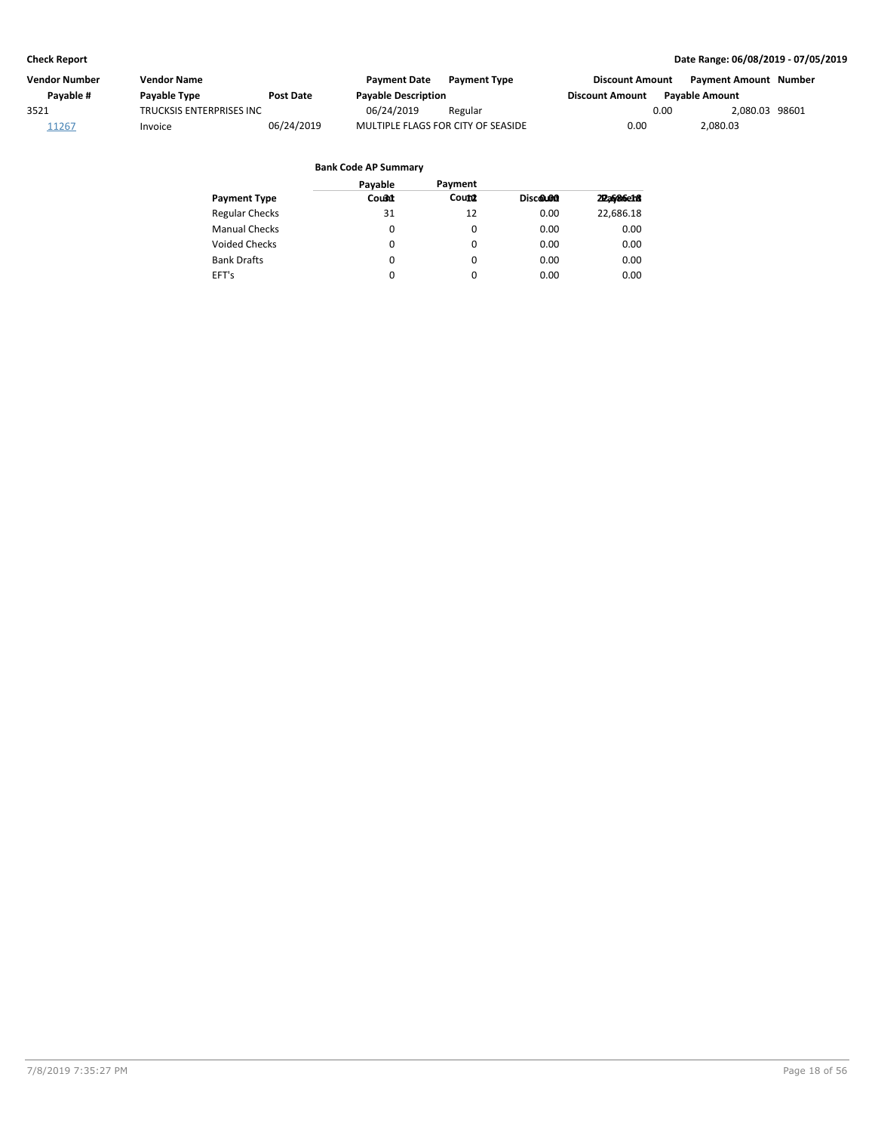| Vendor Number | <b>Vendor Name</b>        |                  | <b>Payment Date</b>                | <b>Payment Type</b> | <b>Discount Amount</b> | <b>Payment Amount Number</b> |  |
|---------------|---------------------------|------------------|------------------------------------|---------------------|------------------------|------------------------------|--|
| Pavable #     | Payable Type              | <b>Post Date</b> | <b>Payable Description</b>         |                     | <b>Discount Amount</b> | <b>Pavable Amount</b>        |  |
| 3521          | TRUCKSIS ENTERPRISES INC. |                  | 06/24/2019                         | Regular             |                        | 2.080.03 98601<br>0.00       |  |
| 11267         | Invoice                   | 06/24/2019       | MULTIPLE FLAGS FOR CITY OF SEASIDE |                     | 0.00                   | 2,080.03                     |  |

|                       | Payable | Payment  |          |           |
|-----------------------|---------|----------|----------|-----------|
| <b>Payment Type</b>   | Count   | Count    | Discolon | 22a686e18 |
| <b>Regular Checks</b> | 31      | 12       | 0.00     | 22.686.18 |
| <b>Manual Checks</b>  | 0       | 0        | 0.00     | 0.00      |
| <b>Voided Checks</b>  | 0       | 0        | 0.00     | 0.00      |
| <b>Bank Drafts</b>    | 0       | 0        | 0.00     | 0.00      |
| EFT's                 | 0       | $\Omega$ | 0.00     | 0.00      |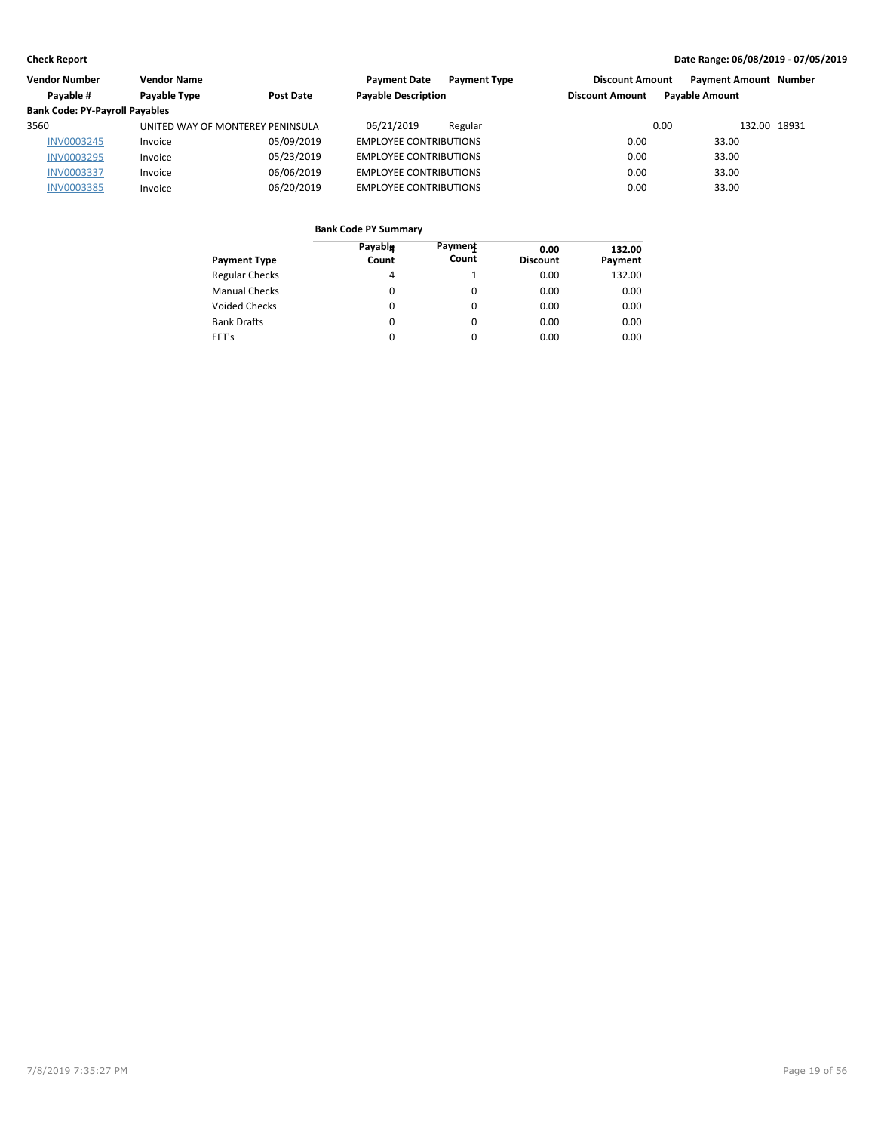| Vendor Number                         | <b>Vendor Name</b>               |            | <b>Payment Date</b><br><b>Payment Type</b> | <b>Discount Amount</b> | <b>Payment Amount Number</b> |  |
|---------------------------------------|----------------------------------|------------|--------------------------------------------|------------------------|------------------------------|--|
| Pavable #                             | Payable Type                     | Post Date  | <b>Payable Description</b>                 | <b>Discount Amount</b> | <b>Pavable Amount</b>        |  |
| <b>Bank Code: PY-Payroll Payables</b> |                                  |            |                                            |                        |                              |  |
| 3560                                  | UNITED WAY OF MONTEREY PENINSULA |            | 06/21/2019<br>Regular                      | 0.00                   | 132.00 18931                 |  |
| <b>INV0003245</b>                     | Invoice                          | 05/09/2019 | <b>EMPLOYEE CONTRIBUTIONS</b>              | 0.00                   | 33.00                        |  |
| <b>INV0003295</b>                     | Invoice                          | 05/23/2019 | <b>EMPLOYEE CONTRIBUTIONS</b>              | 0.00                   | 33.00                        |  |
| <b>INV0003337</b>                     | Invoice                          | 06/06/2019 | <b>EMPLOYEE CONTRIBUTIONS</b>              | 0.00                   | 33.00                        |  |
| <b>INV0003385</b>                     | Invoice                          | 06/20/2019 | <b>EMPLOYEE CONTRIBUTIONS</b>              | 0.00                   | 33.00                        |  |

| Payment Type          | Payablg<br>Count | Payment<br>Count | 0.00<br><b>Discount</b> | 132.00<br>Payment |
|-----------------------|------------------|------------------|-------------------------|-------------------|
| <b>Regular Checks</b> | 4                |                  | 0.00                    | 132.00            |
| Manual Checks         | 0                | 0                | 0.00                    | 0.00              |
| Voided Checks         | 0                | 0                | 0.00                    | 0.00              |
| <b>Bank Drafts</b>    | 0                | 0                | 0.00                    | 0.00              |
| EFT's                 | 0                | 0                | 0.00                    | 0.00              |
|                       |                  |                  |                         |                   |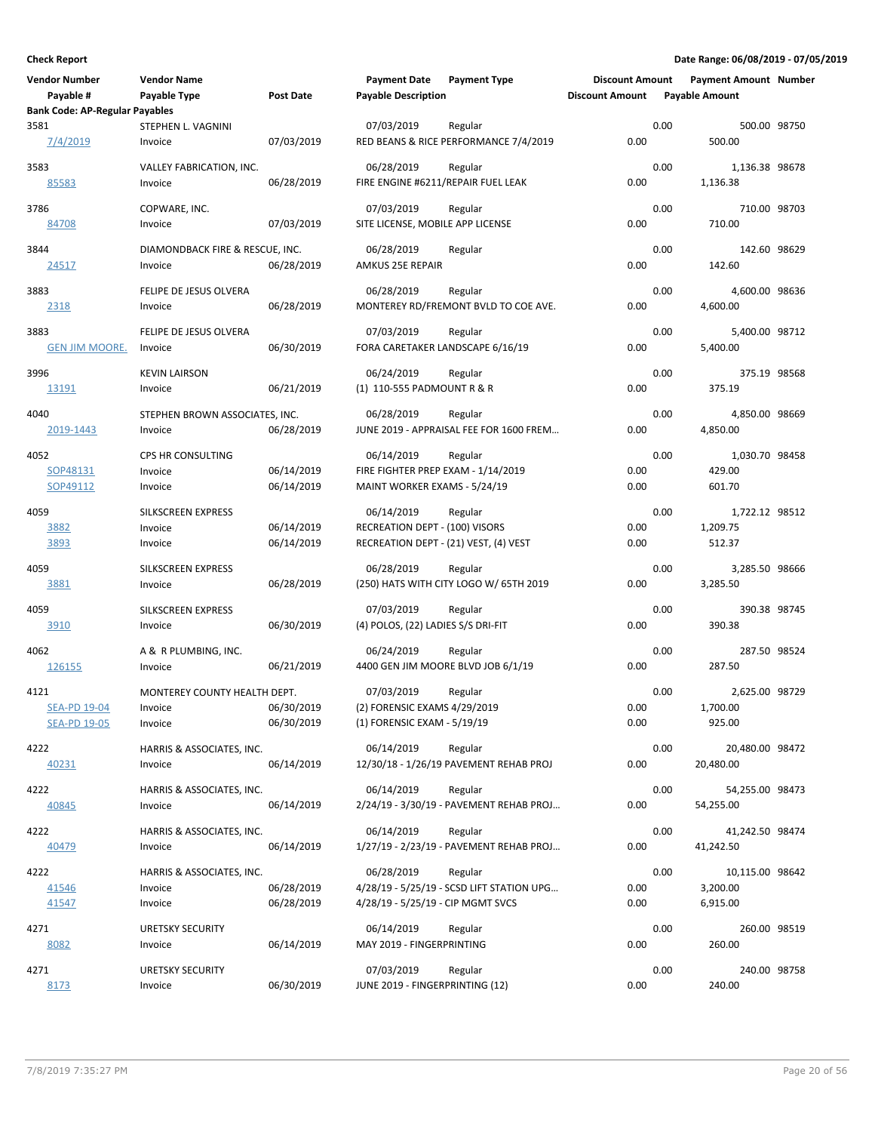| <b>Vendor Number</b>                       | <b>Vendor Name</b>              |                          | <b>Payment Date</b>                                         | <b>Payment Type</b>                                | <b>Discount Amount</b> |      | <b>Payment Amount Number</b> |  |
|--------------------------------------------|---------------------------------|--------------------------|-------------------------------------------------------------|----------------------------------------------------|------------------------|------|------------------------------|--|
| Payable #                                  | Payable Type                    | Post Date                | <b>Payable Description</b>                                  |                                                    | <b>Discount Amount</b> |      | <b>Payable Amount</b>        |  |
| <b>Bank Code: AP-Regular Payables</b>      |                                 |                          |                                                             |                                                    |                        |      |                              |  |
| 3581                                       | STEPHEN L. VAGNINI              |                          | 07/03/2019                                                  | Regular                                            |                        | 0.00 | 500.00 98750                 |  |
| 7/4/2019                                   | Invoice                         | 07/03/2019               |                                                             | RED BEANS & RICE PERFORMANCE 7/4/2019              | 0.00                   |      | 500.00                       |  |
| 3583                                       | VALLEY FABRICATION, INC.        |                          | 06/28/2019                                                  | Regular                                            |                        | 0.00 | 1,136.38 98678               |  |
| 85583                                      | Invoice                         | 06/28/2019               | FIRE ENGINE #6211/REPAIR FUEL LEAK                          |                                                    | 0.00                   |      | 1,136.38                     |  |
|                                            |                                 |                          |                                                             |                                                    |                        |      |                              |  |
| 3786                                       | COPWARE, INC.                   |                          | 07/03/2019                                                  | Regular                                            |                        | 0.00 | 710.00 98703                 |  |
| 84708                                      | Invoice                         | 07/03/2019               | SITE LICENSE, MOBILE APP LICENSE                            |                                                    | 0.00                   |      | 710.00                       |  |
| 3844                                       | DIAMONDBACK FIRE & RESCUE, INC. |                          | 06/28/2019                                                  | Regular                                            |                        | 0.00 | 142.60 98629                 |  |
| 24517                                      | Invoice                         | 06/28/2019               | AMKUS 25E REPAIR                                            |                                                    | 0.00                   |      | 142.60                       |  |
|                                            |                                 |                          |                                                             |                                                    |                        |      |                              |  |
| 3883                                       | FELIPE DE JESUS OLVERA          |                          | 06/28/2019                                                  | Regular                                            |                        | 0.00 | 4,600.00 98636               |  |
| <u> 2318 </u>                              | Invoice                         | 06/28/2019               |                                                             | MONTEREY RD/FREMONT BVLD TO COE AVE.               | 0.00                   |      | 4,600.00                     |  |
| 3883                                       | FELIPE DE JESUS OLVERA          |                          | 07/03/2019                                                  | Regular                                            |                        | 0.00 | 5,400.00 98712               |  |
| <u>GEN JIM MOORE.</u>                      | Invoice                         | 06/30/2019               | FORA CARETAKER LANDSCAPE 6/16/19                            |                                                    | 0.00                   |      | 5,400.00                     |  |
|                                            |                                 |                          |                                                             |                                                    |                        |      |                              |  |
| 3996                                       | <b>KEVIN LAIRSON</b>            |                          | 06/24/2019<br>(1) 110-555 PADMOUNT R & R                    | Regular                                            | 0.00                   | 0.00 | 375.19 98568<br>375.19       |  |
| 13191                                      | Invoice                         | 06/21/2019               |                                                             |                                                    |                        |      |                              |  |
| 4040                                       | STEPHEN BROWN ASSOCIATES, INC.  |                          | 06/28/2019                                                  | Regular                                            |                        | 0.00 | 4,850.00 98669               |  |
| 2019-1443                                  | Invoice                         | 06/28/2019               |                                                             | JUNE 2019 - APPRAISAL FEE FOR 1600 FREM            | 0.00                   |      | 4,850.00                     |  |
|                                            | CPS HR CONSULTING               |                          |                                                             |                                                    |                        |      |                              |  |
| 4052<br>SOP48131                           | Invoice                         | 06/14/2019               | 06/14/2019<br>FIRE FIGHTER PREP EXAM - 1/14/2019            | Regular                                            | 0.00                   | 0.00 | 1,030.70 98458<br>429.00     |  |
| SOP49112                                   | Invoice                         | 06/14/2019               | MAINT WORKER EXAMS - 5/24/19                                |                                                    | 0.00                   |      | 601.70                       |  |
|                                            |                                 |                          |                                                             |                                                    |                        |      |                              |  |
| 4059                                       | <b>SILKSCREEN EXPRESS</b>       |                          | 06/14/2019                                                  | Regular                                            |                        | 0.00 | 1,722.12 98512               |  |
| <u>3882</u>                                | Invoice                         | 06/14/2019               | RECREATION DEPT - (100) VISORS                              |                                                    | 0.00                   |      | 1,209.75                     |  |
| 3893                                       | Invoice                         | 06/14/2019               |                                                             | RECREATION DEPT - (21) VEST, (4) VEST              | 0.00                   |      | 512.37                       |  |
| 4059                                       | SILKSCREEN EXPRESS              |                          | 06/28/2019                                                  | Regular                                            |                        | 0.00 | 3,285.50 98666               |  |
| 3881                                       | Invoice                         | 06/28/2019               |                                                             | (250) HATS WITH CITY LOGO W/ 65TH 2019             | 0.00                   |      | 3,285.50                     |  |
|                                            |                                 |                          |                                                             |                                                    |                        |      |                              |  |
| 4059                                       | SILKSCREEN EXPRESS              |                          | 07/03/2019                                                  | Regular                                            |                        | 0.00 | 390.38 98745                 |  |
| 3910                                       | Invoice                         | 06/30/2019               | (4) POLOS, (22) LADIES S/S DRI-FIT                          |                                                    | 0.00                   |      | 390.38                       |  |
| 4062                                       | A & R PLUMBING, INC.            |                          | 06/24/2019                                                  | Regular                                            |                        | 0.00 | 287.50 98524                 |  |
| <u> 126155</u>                             | Invoice                         | 06/21/2019               |                                                             | 4400 GEN JIM MOORE BLVD JOB 6/1/19                 | 0.00                   |      | 287.50                       |  |
|                                            |                                 |                          |                                                             |                                                    |                        |      |                              |  |
| 4121                                       | MONTEREY COUNTY HEALTH DEPT.    |                          | 07/03/2019                                                  | Regular                                            |                        | 0.00 | 2,625.00 98729               |  |
| <b>SEA-PD 19-04</b><br><b>SEA-PD 19-05</b> | Invoice<br>Invoice              | 06/30/2019<br>06/30/2019 | (2) FORENSIC EXAMS 4/29/2019<br>(1) FORENSIC EXAM - 5/19/19 |                                                    | 0.00<br>0.00           |      | 1,700.00<br>925.00           |  |
|                                            |                                 |                          |                                                             |                                                    |                        |      |                              |  |
| 4222                                       | HARRIS & ASSOCIATES, INC.       |                          | 06/14/2019                                                  | Regular                                            |                        | 0.00 | 20,480.00 98472              |  |
| 40231                                      | Invoice                         | 06/14/2019               |                                                             | 12/30/18 - 1/26/19 PAVEMENT REHAB PROJ             | 0.00                   |      | 20,480.00                    |  |
| 4222                                       | HARRIS & ASSOCIATES, INC.       |                          | 06/14/2019                                                  |                                                    |                        | 0.00 |                              |  |
| 40845                                      | Invoice                         | 06/14/2019               |                                                             | Regular<br>2/24/19 - 3/30/19 - PAVEMENT REHAB PROJ | 0.00                   |      | 54,255.00 98473<br>54,255.00 |  |
|                                            |                                 |                          |                                                             |                                                    |                        |      |                              |  |
| 4222                                       | HARRIS & ASSOCIATES, INC.       |                          | 06/14/2019                                                  | Regular                                            |                        | 0.00 | 41,242.50 98474              |  |
| 40479                                      | Invoice                         | 06/14/2019               |                                                             | 1/27/19 - 2/23/19 - PAVEMENT REHAB PROJ            | 0.00                   |      | 41,242.50                    |  |
| 4222                                       | HARRIS & ASSOCIATES, INC.       |                          | 06/28/2019                                                  | Regular                                            |                        | 0.00 | 10,115.00 98642              |  |
| 41546                                      | Invoice                         | 06/28/2019               |                                                             | 4/28/19 - 5/25/19 - SCSD LIFT STATION UPG          | 0.00                   |      | 3,200.00                     |  |
| 41547                                      | Invoice                         | 06/28/2019               | 4/28/19 - 5/25/19 - CIP MGMT SVCS                           |                                                    | 0.00                   |      | 6,915.00                     |  |
|                                            |                                 |                          |                                                             |                                                    |                        |      |                              |  |
| 4271                                       | <b>URETSKY SECURITY</b>         |                          | 06/14/2019                                                  | Regular                                            |                        | 0.00 | 260.00 98519                 |  |
| 8082                                       | Invoice                         | 06/14/2019               | MAY 2019 - FINGERPRINTING                                   |                                                    | 0.00                   |      | 260.00                       |  |
| 4271                                       | <b>URETSKY SECURITY</b>         |                          | 07/03/2019                                                  | Regular                                            |                        | 0.00 | 240.00 98758                 |  |
| 8173                                       | Invoice                         | 06/30/2019               | JUNE 2019 - FINGERPRINTING (12)                             |                                                    | 0.00                   |      | 240.00                       |  |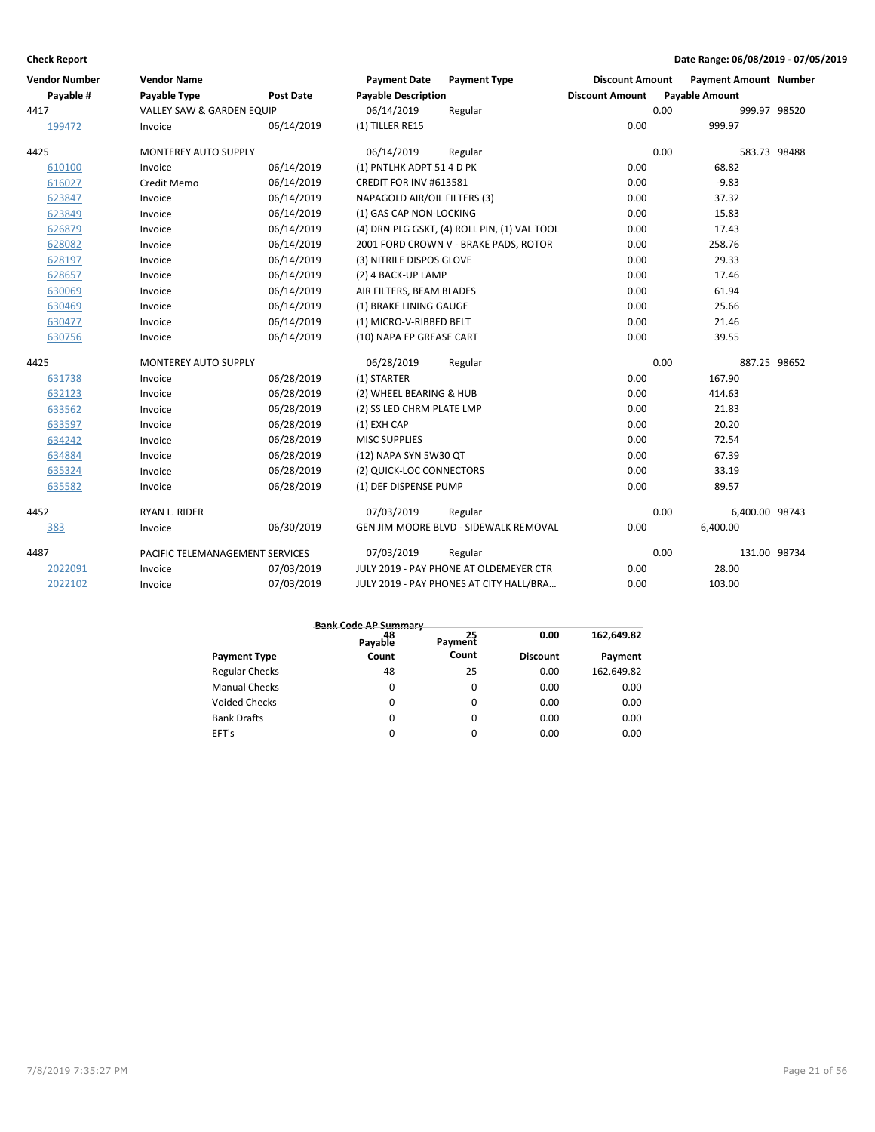| <b>Vendor Number</b> | <b>Vendor Name</b>              |                  | <b>Payment Date</b>          | <b>Payment Type</b>                          | <b>Discount Amount</b> |      | <b>Payment Amount Number</b> |  |
|----------------------|---------------------------------|------------------|------------------------------|----------------------------------------------|------------------------|------|------------------------------|--|
| Payable #            | <b>Payable Type</b>             | <b>Post Date</b> | <b>Payable Description</b>   |                                              | <b>Discount Amount</b> |      | <b>Payable Amount</b>        |  |
| 4417                 | VALLEY SAW & GARDEN EQUIP       |                  | 06/14/2019                   | Regular                                      |                        | 0.00 | 999.97 98520                 |  |
| 199472               | Invoice                         | 06/14/2019       | (1) TILLER RE15              |                                              | 0.00                   |      | 999.97                       |  |
| 4425                 | <b>MONTEREY AUTO SUPPLY</b>     |                  | 06/14/2019                   | Regular                                      |                        | 0.00 | 583.73 98488                 |  |
| 610100               | Invoice                         | 06/14/2019       | (1) PNTLHK ADPT 51 4 D PK    |                                              | 0.00                   |      | 68.82                        |  |
| 616027               | Credit Memo                     | 06/14/2019       | CREDIT FOR INV #613581       |                                              | 0.00                   |      | $-9.83$                      |  |
| 623847               | Invoice                         | 06/14/2019       | NAPAGOLD AIR/OIL FILTERS (3) |                                              | 0.00                   |      | 37.32                        |  |
| 623849               | Invoice                         | 06/14/2019       | (1) GAS CAP NON-LOCKING      |                                              | 0.00                   |      | 15.83                        |  |
| 626879               | Invoice                         | 06/14/2019       |                              | (4) DRN PLG GSKT, (4) ROLL PIN, (1) VAL TOOL | 0.00                   |      | 17.43                        |  |
| 628082               | Invoice                         | 06/14/2019       |                              | 2001 FORD CROWN V - BRAKE PADS, ROTOR        | 0.00                   |      | 258.76                       |  |
| 628197               | Invoice                         | 06/14/2019       | (3) NITRILE DISPOS GLOVE     |                                              | 0.00                   |      | 29.33                        |  |
| 628657               | Invoice                         | 06/14/2019       | (2) 4 BACK-UP LAMP           |                                              | 0.00                   |      | 17.46                        |  |
| 630069               | Invoice                         | 06/14/2019       | AIR FILTERS, BEAM BLADES     |                                              | 0.00                   |      | 61.94                        |  |
| 630469               | Invoice                         | 06/14/2019       | (1) BRAKE LINING GAUGE       |                                              | 0.00                   |      | 25.66                        |  |
| 630477               | Invoice                         | 06/14/2019       | (1) MICRO-V-RIBBED BELT      |                                              | 0.00                   |      | 21.46                        |  |
| 630756               | Invoice                         | 06/14/2019       | (10) NAPA EP GREASE CART     |                                              | 0.00                   |      | 39.55                        |  |
| 4425                 | <b>MONTEREY AUTO SUPPLY</b>     |                  | 06/28/2019                   | Regular                                      |                        | 0.00 | 887.25 98652                 |  |
| 631738               | Invoice                         | 06/28/2019       | (1) STARTER                  |                                              | 0.00                   |      | 167.90                       |  |
| 632123               | Invoice                         | 06/28/2019       | (2) WHEEL BEARING & HUB      |                                              | 0.00                   |      | 414.63                       |  |
| 633562               | Invoice                         | 06/28/2019       | (2) SS LED CHRM PLATE LMP    |                                              | 0.00                   |      | 21.83                        |  |
| 633597               | Invoice                         | 06/28/2019       | (1) EXH CAP                  |                                              | 0.00                   |      | 20.20                        |  |
| 634242               | Invoice                         | 06/28/2019       | <b>MISC SUPPLIES</b>         |                                              | 0.00                   |      | 72.54                        |  |
| 634884               | Invoice                         | 06/28/2019       | (12) NAPA SYN 5W30 QT        |                                              | 0.00                   |      | 67.39                        |  |
| 635324               | Invoice                         | 06/28/2019       | (2) QUICK-LOC CONNECTORS     |                                              | 0.00                   |      | 33.19                        |  |
| 635582               | Invoice                         | 06/28/2019       | (1) DEF DISPENSE PUMP        |                                              | 0.00                   |      | 89.57                        |  |
| 4452                 | RYAN L. RIDER                   |                  | 07/03/2019                   | Regular                                      |                        | 0.00 | 6,400.00 98743               |  |
| 383                  | Invoice                         | 06/30/2019       |                              | GEN JIM MOORE BLVD - SIDEWALK REMOVAL        | 0.00                   |      | 6,400.00                     |  |
| 4487                 | PACIFIC TELEMANAGEMENT SERVICES |                  | 07/03/2019                   | Regular                                      |                        | 0.00 | 131.00 98734                 |  |
| 2022091              | Invoice                         | 07/03/2019       |                              | JULY 2019 - PAY PHONE AT OLDEMEYER CTR       | 0.00                   |      | 28.00                        |  |
| 2022102              | Invoice                         | 07/03/2019       |                              | JULY 2019 - PAY PHONES AT CITY HALL/BRA      | 0.00                   |      | 103.00                       |  |

|                       | <b>Bank Code AP Summary</b> |          |                 |            |
|-----------------------|-----------------------------|----------|-----------------|------------|
|                       | 48<br>Payable               | Payment  | 0.00            | 162,649.82 |
| <b>Payment Type</b>   | Count                       | Count    | <b>Discount</b> | Payment    |
| <b>Regular Checks</b> | 48                          | 25       | 0.00            | 162,649.82 |
| <b>Manual Checks</b>  | 0                           | $\Omega$ | 0.00            | 0.00       |
| <b>Voided Checks</b>  | 0                           | $\Omega$ | 0.00            | 0.00       |
| <b>Bank Drafts</b>    | 0                           | $\Omega$ | 0.00            | 0.00       |
| EFT's                 | $\Omega$                    | $\Omega$ | 0.00            | 0.00       |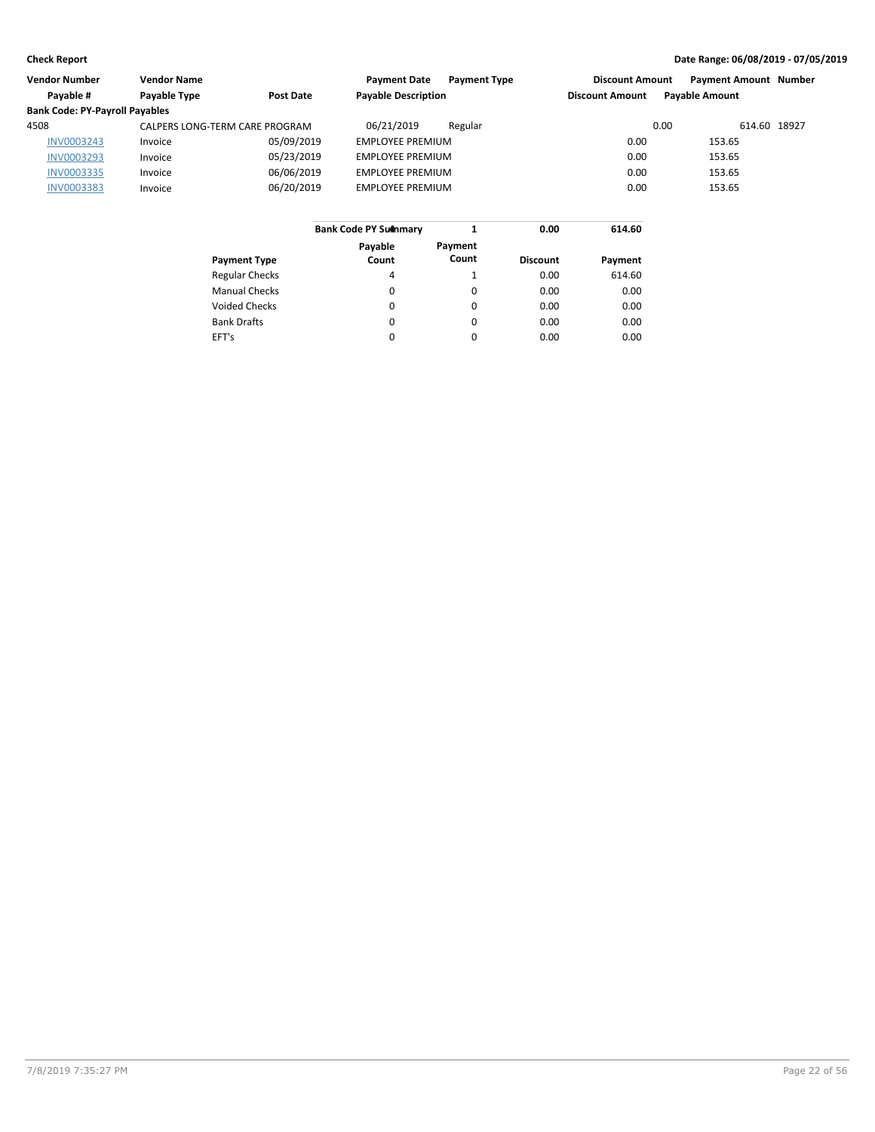| Vendor Number                         | <b>Vendor Name</b>             |            | <b>Payment Date</b><br><b>Payment Type</b> | <b>Discount Amount</b> | <b>Payment Amount Number</b> |              |
|---------------------------------------|--------------------------------|------------|--------------------------------------------|------------------------|------------------------------|--------------|
| Payable #                             | Payable Type                   | Post Date  | <b>Payable Description</b>                 | <b>Discount Amount</b> | <b>Payable Amount</b>        |              |
| <b>Bank Code: PY-Payroll Payables</b> |                                |            |                                            |                        |                              |              |
| 4508                                  | CALPERS LONG-TERM CARE PROGRAM |            | 06/21/2019<br>Regular                      |                        | 0.00                         | 614.60 18927 |
| <b>INV0003243</b>                     | Invoice                        | 05/09/2019 | <b>EMPLOYEE PREMIUM</b>                    | 0.00                   | 153.65                       |              |
| <b>INV0003293</b>                     | Invoice                        | 05/23/2019 | <b>EMPLOYEE PREMIUM</b>                    | 0.00                   | 153.65                       |              |
| <b>INV0003335</b>                     | Invoice                        | 06/06/2019 | <b>EMPLOYEE PREMIUM</b>                    | 0.00                   | 153.65                       |              |
| <b>INV0003383</b>                     | Invoice                        | 06/20/2019 | <b>EMPLOYEE PREMIUM</b>                    | 0.00                   | 153.65                       |              |
|                                       |                                |            |                                            |                        |                              |              |
|                                       |                                |            | <b>Bank Code PY Summary</b>                | 0.00<br>614.60         |                              |              |

|                       | <b>Bank Code PY Summary</b> |                  | 0.00            | 614.60  |
|-----------------------|-----------------------------|------------------|-----------------|---------|
| <b>Payment Type</b>   | Payable<br>Count            | Payment<br>Count | <b>Discount</b> | Payment |
| <b>Regular Checks</b> | 4                           |                  | 0.00            | 614.60  |
| <b>Manual Checks</b>  | $\Omega$                    | 0                | 0.00            | 0.00    |
| <b>Voided Checks</b>  | 0                           | 0                | 0.00            | 0.00    |
| <b>Bank Drafts</b>    | $\Omega$                    | $\Omega$         | 0.00            | 0.00    |
| EFT's                 | $\Omega$                    | $\Omega$         | 0.00            | 0.00    |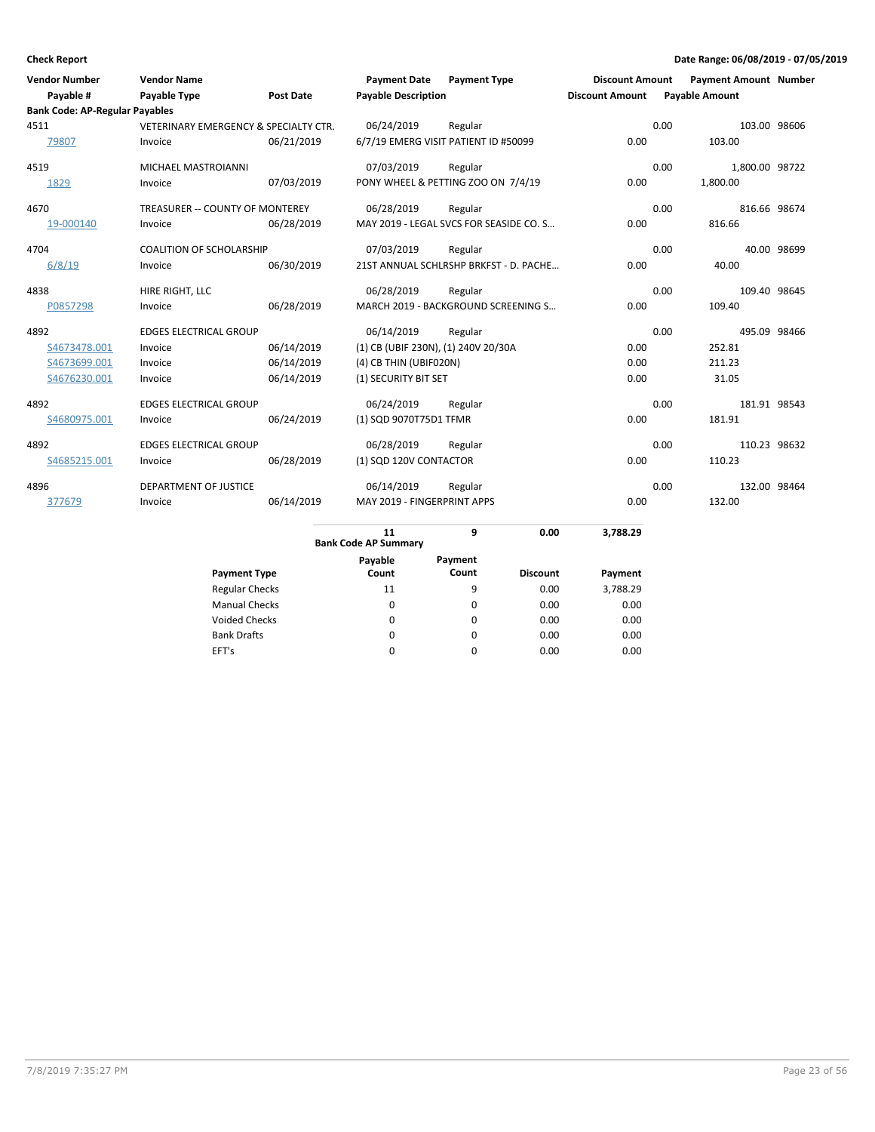| <b>Vendor Number</b>                  | <b>Vendor Name</b>                    |                  | <b>Payment Date</b>                 | <b>Payment Type</b>                     | <b>Discount Amount</b> | <b>Payment Amount Number</b> |              |
|---------------------------------------|---------------------------------------|------------------|-------------------------------------|-----------------------------------------|------------------------|------------------------------|--------------|
| Payable #                             | Payable Type                          | <b>Post Date</b> | <b>Payable Description</b>          |                                         | <b>Discount Amount</b> | <b>Payable Amount</b>        |              |
| <b>Bank Code: AP-Regular Payables</b> |                                       |                  |                                     |                                         |                        |                              |              |
| 4511                                  | VETERINARY EMERGENCY & SPECIALTY CTR. |                  | 06/24/2019                          | Regular                                 |                        | 0.00                         | 103.00 98606 |
| 79807                                 | Invoice                               | 06/21/2019       |                                     | 6/7/19 EMERG VISIT PATIENT ID #50099    | 0.00                   | 103.00                       |              |
| 4519                                  | MICHAEL MASTROIANNI                   |                  | 07/03/2019                          | Regular                                 |                        | 0.00<br>1,800.00 98722       |              |
| 1829                                  | Invoice                               | 07/03/2019       |                                     | PONY WHEEL & PETTING ZOO ON 7/4/19      | 0.00                   | 1,800.00                     |              |
| 4670                                  | TREASURER -- COUNTY OF MONTEREY       |                  | 06/28/2019                          | Regular                                 |                        | 0.00<br>816.66 98674         |              |
| 19-000140                             | Invoice                               | 06/28/2019       |                                     | MAY 2019 - LEGAL SVCS FOR SEASIDE CO. S | 0.00                   | 816.66                       |              |
| 4704                                  | <b>COALITION OF SCHOLARSHIP</b>       |                  | 07/03/2019                          | Regular                                 |                        | 0.00                         | 40.00 98699  |
| 6/8/19                                | Invoice                               | 06/30/2019       |                                     | 21ST ANNUAL SCHLRSHP BRKFST - D. PACHE  | 0.00                   | 40.00                        |              |
| 4838                                  | HIRE RIGHT, LLC                       |                  | 06/28/2019                          | Regular                                 |                        | 0.00<br>109.40 98645         |              |
| P0857298                              | Invoice                               | 06/28/2019       |                                     | MARCH 2019 - BACKGROUND SCREENING S     | 0.00                   | 109.40                       |              |
| 4892                                  | <b>EDGES ELECTRICAL GROUP</b>         |                  | 06/14/2019                          | Regular                                 |                        | 0.00<br>495.09 98466         |              |
| S4673478.001                          | Invoice                               | 06/14/2019       | (1) CB (UBIF 230N), (1) 240V 20/30A |                                         | 0.00                   | 252.81                       |              |
| S4673699.001                          | Invoice                               | 06/14/2019       | (4) CB THIN (UBIF020N)              |                                         | 0.00                   | 211.23                       |              |
| S4676230.001                          | Invoice                               | 06/14/2019       | (1) SECURITY BIT SET                |                                         | 0.00                   | 31.05                        |              |
| 4892                                  | <b>EDGES ELECTRICAL GROUP</b>         |                  | 06/24/2019                          | Regular                                 |                        | 0.00<br>181.91 98543         |              |
| S4680975.001                          | Invoice                               | 06/24/2019       | (1) SQD 9070T75D1 TFMR              |                                         | 0.00                   | 181.91                       |              |
| 4892                                  | <b>EDGES ELECTRICAL GROUP</b>         |                  | 06/28/2019                          | Regular                                 |                        | 0.00<br>110.23 98632         |              |
| S4685215.001                          | Invoice                               | 06/28/2019       | (1) SQD 120V CONTACTOR              |                                         | 0.00                   | 110.23                       |              |
| 4896                                  | <b>DEPARTMENT OF JUSTICE</b>          |                  | 06/14/2019                          | Regular                                 |                        | 0.00<br>132.00 98464         |              |
| 377679                                | Invoice                               | 06/14/2019       | MAY 2019 - FINGERPRINT APPS         |                                         | 0.00                   | 132.00                       |              |
|                                       |                                       |                  | 11<br><b>Bank Code AP Summary</b>   | 0.00<br>9                               | 3,788.29               |                              |              |
|                                       |                                       |                  | Payable                             | Payment                                 |                        |                              |              |
|                                       |                                       |                  |                                     |                                         |                        |                              |              |

|                       | Payable | Payment |                 |          |
|-----------------------|---------|---------|-----------------|----------|
| <b>Payment Type</b>   | Count   | Count   | <b>Discount</b> | Payment  |
| <b>Regular Checks</b> | 11      | 9       | 0.00            | 3,788.29 |
| <b>Manual Checks</b>  | 0       | 0       | 0.00            | 0.00     |
| <b>Voided Checks</b>  | 0       | 0       | 0.00            | 0.00     |
| <b>Bank Drafts</b>    | 0       | 0       | 0.00            | 0.00     |
| EFT's                 | 0       | 0       | 0.00            | 0.00     |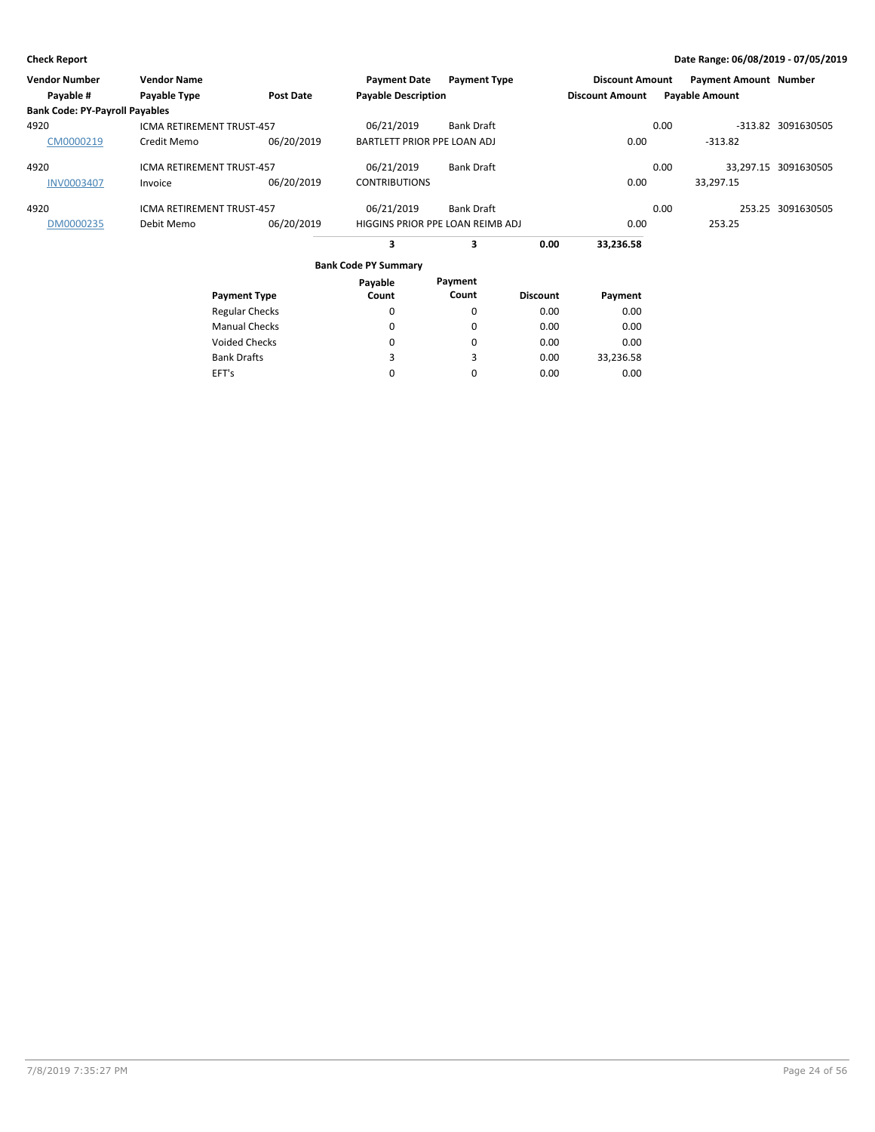| <b>Vendor Number</b>                  | <b>Vendor Name</b>               |                       | <b>Payment Date</b>              | <b>Payment Type</b> |                 | <b>Discount Amount</b> |      | <b>Payment Amount Number</b> |                      |
|---------------------------------------|----------------------------------|-----------------------|----------------------------------|---------------------|-----------------|------------------------|------|------------------------------|----------------------|
| Payable #                             | Payable Type                     | Post Date             | <b>Payable Description</b>       |                     |                 | <b>Discount Amount</b> |      | <b>Payable Amount</b>        |                      |
| <b>Bank Code: PY-Payroll Payables</b> |                                  |                       |                                  |                     |                 |                        |      |                              |                      |
| 4920                                  | <b>ICMA RETIREMENT TRUST-457</b> |                       | 06/21/2019                       | Bank Draft          |                 |                        | 0.00 |                              | -313.82 3091630505   |
| CM0000219                             | Credit Memo                      | 06/20/2019            | BARTLETT PRIOR PPE LOAN ADJ      |                     |                 | 0.00                   |      | $-313.82$                    |                      |
| 4920                                  | <b>ICMA RETIREMENT TRUST-457</b> |                       | 06/21/2019                       | Bank Draft          |                 |                        | 0.00 |                              | 33,297.15 3091630505 |
| <b>INV0003407</b>                     | Invoice                          | 06/20/2019            | <b>CONTRIBUTIONS</b>             |                     |                 | 0.00                   |      | 33,297.15                    |                      |
| 4920                                  | <b>ICMA RETIREMENT TRUST-457</b> |                       | 06/21/2019                       | Bank Draft          |                 |                        | 0.00 |                              | 253.25 3091630505    |
| DM0000235                             | Debit Memo                       | 06/20/2019            | HIGGINS PRIOR PPE LOAN REIMB ADJ |                     |                 | 0.00                   |      | 253.25                       |                      |
|                                       |                                  |                       | 3                                | з                   | 0.00            | 33,236.58              |      |                              |                      |
|                                       |                                  |                       | <b>Bank Code PY Summary</b>      |                     |                 |                        |      |                              |                      |
|                                       |                                  |                       | Payable                          | Payment             |                 |                        |      |                              |                      |
|                                       |                                  | <b>Payment Type</b>   | Count                            | Count               | <b>Discount</b> | Payment                |      |                              |                      |
|                                       |                                  | <b>Regular Checks</b> | 0                                | 0                   | 0.00            | 0.00                   |      |                              |                      |

0.00 0.00 0.00 0.00

0.00 0.00 33,236.58 0.00

Manual Checks Voided Checks

Bank Drafts EFT's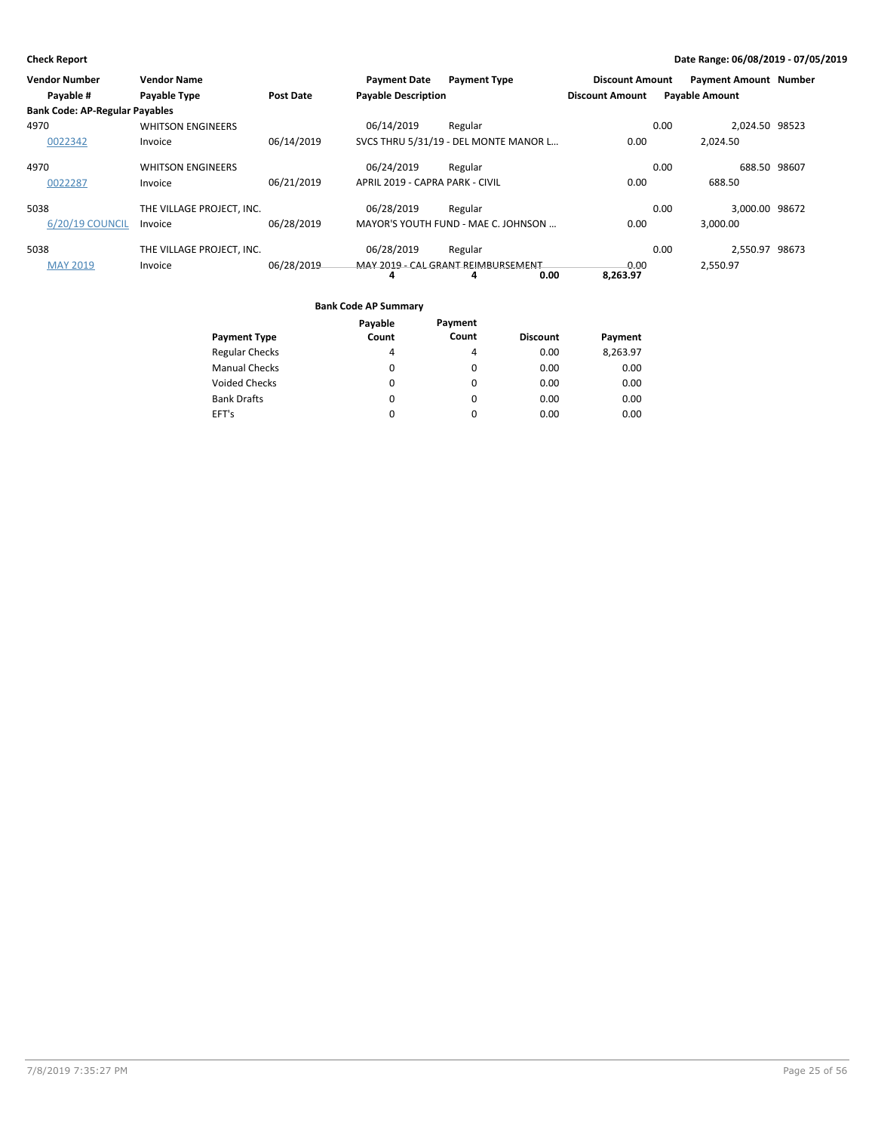| Vendor Number                         | <b>Vendor Name</b>        |                  | <b>Payment Date</b>             | <b>Payment Type</b>                   | <b>Discount Amount</b> | <b>Payment Amount Number</b> |  |
|---------------------------------------|---------------------------|------------------|---------------------------------|---------------------------------------|------------------------|------------------------------|--|
| Payable #                             | Payable Type              | <b>Post Date</b> | <b>Payable Description</b>      |                                       | <b>Discount Amount</b> | <b>Payable Amount</b>        |  |
| <b>Bank Code: AP-Regular Payables</b> |                           |                  |                                 |                                       |                        |                              |  |
| 4970                                  | <b>WHITSON ENGINEERS</b>  |                  | 06/14/2019                      | Regular                               |                        | 2.024.50 98523<br>0.00       |  |
| 0022342                               | Invoice                   | 06/14/2019       |                                 | SVCS THRU 5/31/19 - DEL MONTE MANOR L | 0.00                   | 2.024.50                     |  |
| 4970                                  | <b>WHITSON ENGINEERS</b>  |                  | 06/24/2019                      | Regular                               |                        | 688.50 98607<br>0.00         |  |
| 0022287                               | Invoice                   | 06/21/2019       | APRIL 2019 - CAPRA PARK - CIVIL |                                       | 0.00                   | 688.50                       |  |
| 5038                                  | THE VILLAGE PROJECT. INC. |                  | 06/28/2019                      | Regular                               |                        | 3.000.00 98672<br>0.00       |  |
| 6/20/19 COUNCIL                       | Invoice                   | 06/28/2019       |                                 | MAYOR'S YOUTH FUND - MAE C. JOHNSON   | 0.00                   | 3.000.00                     |  |
| 5038                                  | THE VILLAGE PROJECT, INC. |                  | 06/28/2019                      | Regular                               |                        | 2,550.97 98673<br>0.00       |  |
| <b>MAY 2019</b>                       | Invoice                   | 06/28/2019       |                                 | MAY 2019 - CAL GRANT REIMBURSEMENT    | 0.00                   | 2,550.97                     |  |
|                                       |                           |                  | 4                               | 0.00<br>4                             | 8,263.97               |                              |  |

|                       | Payable | Payment |                 |          |
|-----------------------|---------|---------|-----------------|----------|
| <b>Payment Type</b>   | Count   | Count   | <b>Discount</b> | Payment  |
| <b>Regular Checks</b> | 4       | 4       | 0.00            | 8,263.97 |
| <b>Manual Checks</b>  | 0       | 0       | 0.00            | 0.00     |
| <b>Voided Checks</b>  | 0       | 0       | 0.00            | 0.00     |
| <b>Bank Drafts</b>    | 0       | 0       | 0.00            | 0.00     |
| EFT's                 | 0       | 0       | 0.00            | 0.00     |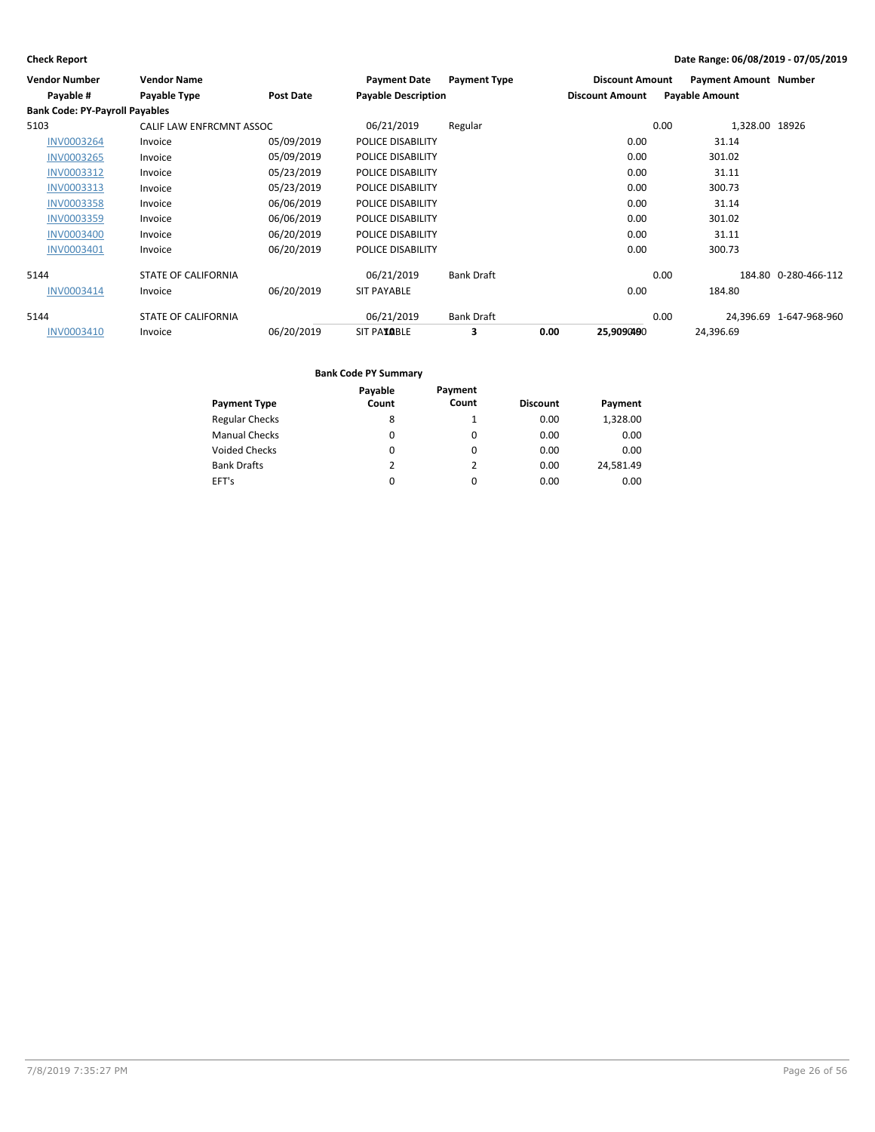| <b>Vendor Number</b>                  | <b>Vendor Name</b>         |            | <b>Payment Date</b>        | <b>Payment Type</b> |      | <b>Discount Amount</b> |      | <b>Payment Amount Number</b> |                         |
|---------------------------------------|----------------------------|------------|----------------------------|---------------------|------|------------------------|------|------------------------------|-------------------------|
| Payable #                             | Payable Type               | Post Date  | <b>Payable Description</b> |                     |      | <b>Discount Amount</b> |      | <b>Payable Amount</b>        |                         |
| <b>Bank Code: PY-Payroll Payables</b> |                            |            |                            |                     |      |                        |      |                              |                         |
| 5103                                  | CALIF LAW ENFRCMNT ASSOC   |            | 06/21/2019                 | Regular             |      |                        | 0.00 | 1,328.00 18926               |                         |
| <b>INV0003264</b>                     | Invoice                    | 05/09/2019 | POLICE DISABILITY          |                     |      | 0.00                   |      | 31.14                        |                         |
| <b>INV0003265</b>                     | Invoice                    | 05/09/2019 | POLICE DISABILITY          |                     |      | 0.00                   |      | 301.02                       |                         |
| INV0003312                            | Invoice                    | 05/23/2019 | POLICE DISABILITY          |                     |      | 0.00                   |      | 31.11                        |                         |
| INV0003313                            | Invoice                    | 05/23/2019 | POLICE DISABILITY          |                     |      | 0.00                   |      | 300.73                       |                         |
| <b>INV0003358</b>                     | Invoice                    | 06/06/2019 | POLICE DISABILITY          |                     |      | 0.00                   |      | 31.14                        |                         |
| INV0003359                            | Invoice                    | 06/06/2019 | POLICE DISABILITY          |                     |      | 0.00                   |      | 301.02                       |                         |
| <b>INV0003400</b>                     | Invoice                    | 06/20/2019 | POLICE DISABILITY          |                     |      | 0.00                   |      | 31.11                        |                         |
| INV0003401                            | Invoice                    | 06/20/2019 | POLICE DISABILITY          |                     |      | 0.00                   |      | 300.73                       |                         |
| 5144                                  | <b>STATE OF CALIFORNIA</b> |            | 06/21/2019                 | <b>Bank Draft</b>   |      |                        | 0.00 |                              | 184.80 0-280-466-112    |
| INV0003414                            | Invoice                    | 06/20/2019 | <b>SIT PAYABLE</b>         |                     |      | 0.00                   |      | 184.80                       |                         |
| 5144                                  | <b>STATE OF CALIFORNIA</b> |            | 06/21/2019                 | <b>Bank Draft</b>   |      |                        | 0.00 |                              | 24,396.69 1-647-968-960 |
| INV0003410                            | Invoice                    | 06/20/2019 | <b>SIT PAYABLE</b>         | 3                   | 0.00 | 25,9090490             |      | 24,396.69                    |                         |

|                       | Payable       | Payment  |                 |           |
|-----------------------|---------------|----------|-----------------|-----------|
| <b>Payment Type</b>   | Count         | Count    | <b>Discount</b> | Payment   |
| <b>Regular Checks</b> | 8             |          | 0.00            | 1,328.00  |
| <b>Manual Checks</b>  | 0             | 0        | 0.00            | 0.00      |
| <b>Voided Checks</b>  | 0             | $\Omega$ | 0.00            | 0.00      |
| <b>Bank Drafts</b>    | $\mathcal{P}$ | 2        | 0.00            | 24.581.49 |
| EFT's                 | 0             | $\Omega$ | 0.00            | 0.00      |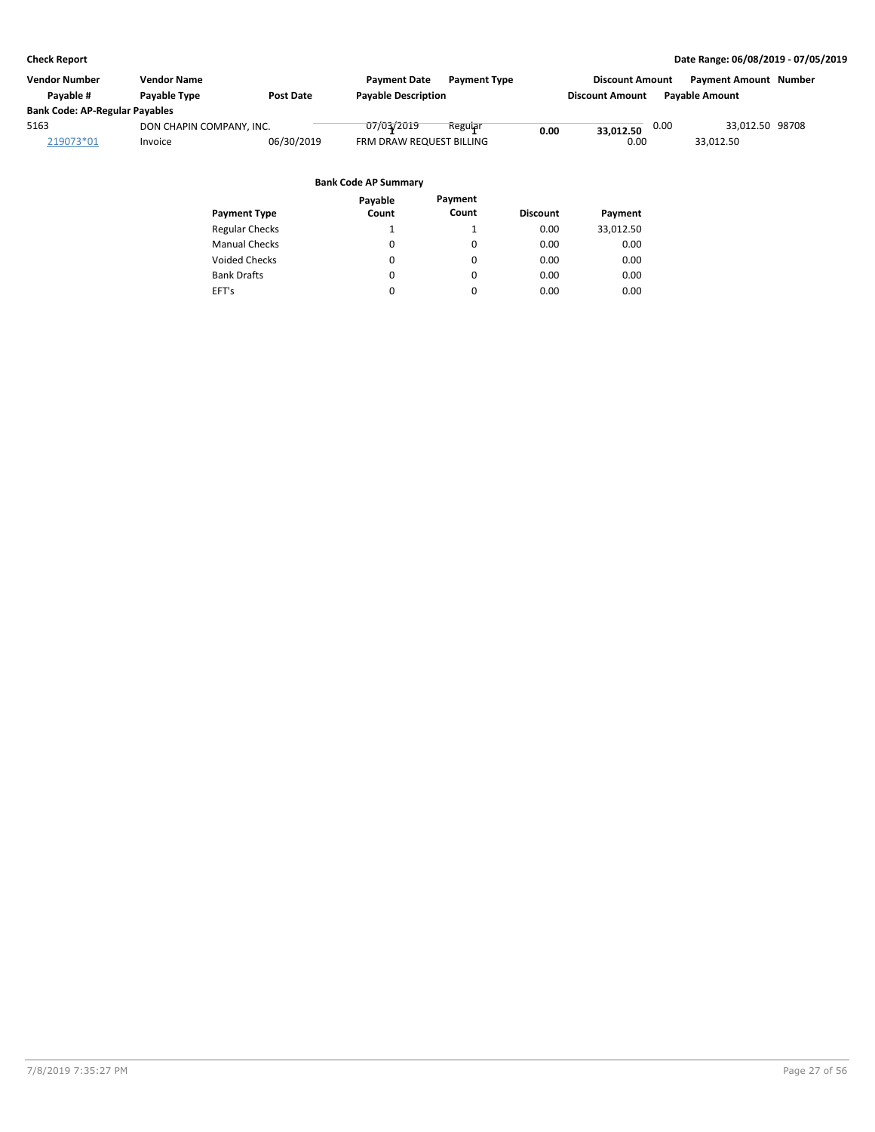| Vendor Number                         | <b>Vendor Name</b>       |            | <b>Payment Date</b><br><b>Payment Type</b> |      | <b>Discount Amount</b> |      | <b>Payment Amount Number</b> |  |
|---------------------------------------|--------------------------|------------|--------------------------------------------|------|------------------------|------|------------------------------|--|
| Payable #                             | <b>Pavable Type</b>      | Post Date  | <b>Payable Description</b>                 |      | <b>Discount Amount</b> |      | <b>Payable Amount</b>        |  |
| <b>Bank Code: AP-Regular Payables</b> |                          |            |                                            |      |                        |      |                              |  |
| 5163                                  | DON CHAPIN COMPANY, INC. |            | 07/03/2019<br>Regular                      | 0.00 | 33.012.50              | 0.00 | 33,012.50 98708              |  |
| 219073*01                             | Invoice                  | 06/30/2019 | FRM DRAW REQUEST BILLING                   |      | 0.00                   |      | 33.012.50                    |  |
|                                       |                          |            |                                            |      |                        |      |                              |  |
|                                       |                          |            | <b>Bank Code AP Summary</b>                |      |                        |      |                              |  |

|                       | Payable  | Payment  |                 |           |
|-----------------------|----------|----------|-----------------|-----------|
| <b>Payment Type</b>   | Count    | Count    | <b>Discount</b> | Payment   |
| <b>Regular Checks</b> |          |          | 0.00            | 33,012.50 |
| <b>Manual Checks</b>  | $\Omega$ | $\Omega$ | 0.00            | 0.00      |
| <b>Voided Checks</b>  | $\Omega$ | 0        | 0.00            | 0.00      |
| <b>Bank Drafts</b>    | $\Omega$ | 0        | 0.00            | 0.00      |
| EFT's                 | 0        | 0        | 0.00            | 0.00      |
|                       |          |          |                 |           |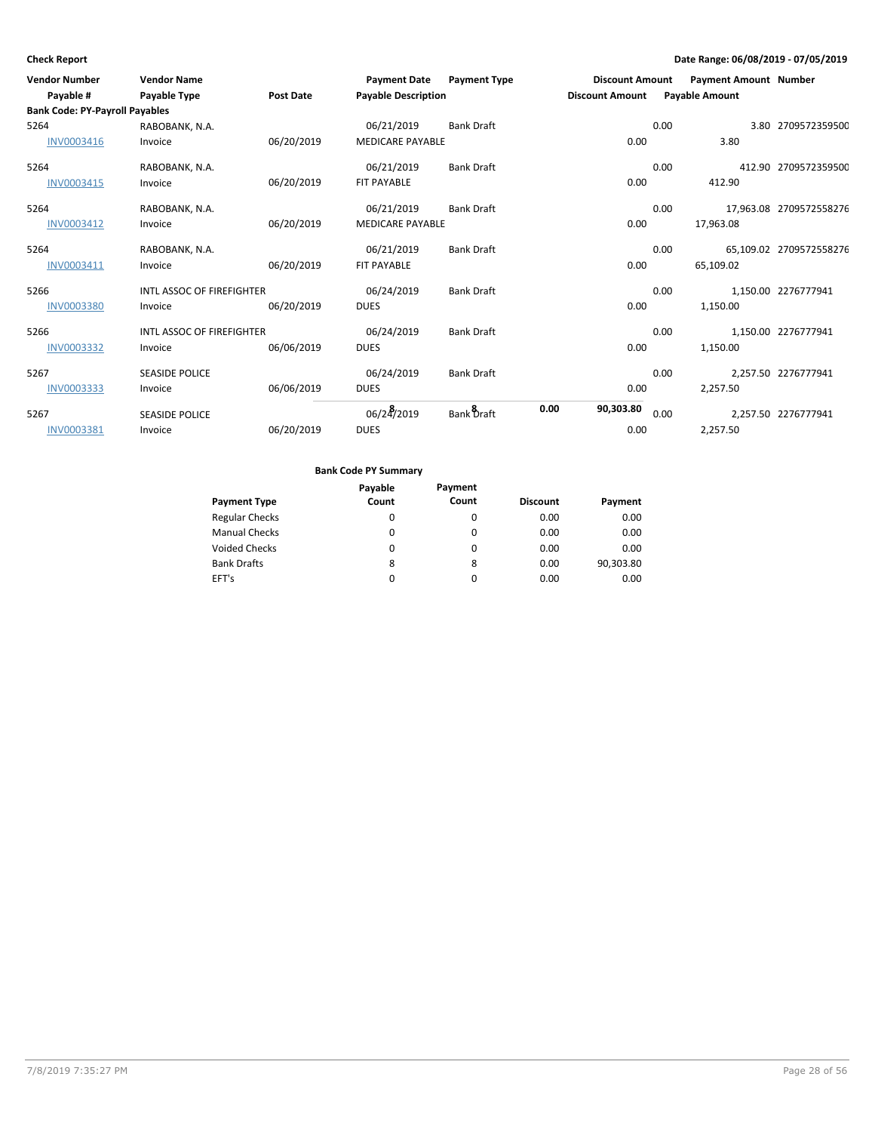| <b>Vendor Number</b>                  | <b>Vendor Name</b>               |                  | <b>Payment Date</b>        | <b>Payment Type</b> | <b>Discount Amount</b> |      | <b>Payment Amount Number</b> |                         |
|---------------------------------------|----------------------------------|------------------|----------------------------|---------------------|------------------------|------|------------------------------|-------------------------|
| Payable #                             | Payable Type                     | <b>Post Date</b> | <b>Payable Description</b> |                     | <b>Discount Amount</b> |      | <b>Payable Amount</b>        |                         |
| <b>Bank Code: PY-Payroll Payables</b> |                                  |                  |                            |                     |                        |      |                              |                         |
| 5264                                  | RABOBANK, N.A.                   |                  | 06/21/2019                 | <b>Bank Draft</b>   |                        | 0.00 |                              | 3.80 2709572359500      |
| INV0003416                            | Invoice                          | 06/20/2019       | <b>MEDICARE PAYABLE</b>    |                     | 0.00                   |      | 3.80                         |                         |
| 5264                                  | RABOBANK, N.A.                   |                  | 06/21/2019                 | <b>Bank Draft</b>   |                        | 0.00 |                              | 412.90 2709572359500    |
| INV0003415                            | Invoice                          | 06/20/2019       | <b>FIT PAYABLE</b>         |                     | 0.00                   |      | 412.90                       |                         |
| 5264                                  | RABOBANK, N.A.                   |                  | 06/21/2019                 | <b>Bank Draft</b>   |                        | 0.00 |                              | 17,963.08 2709572558276 |
| INV0003412                            | Invoice                          | 06/20/2019       | <b>MEDICARE PAYABLE</b>    |                     | 0.00                   |      | 17,963.08                    |                         |
| 5264                                  | RABOBANK, N.A.                   |                  | 06/21/2019                 | <b>Bank Draft</b>   |                        | 0.00 |                              | 65,109.02 2709572558276 |
| INV0003411                            | Invoice                          | 06/20/2019       | <b>FIT PAYABLE</b>         |                     | 0.00                   |      | 65,109.02                    |                         |
| 5266                                  | <b>INTL ASSOC OF FIREFIGHTER</b> |                  | 06/24/2019                 | <b>Bank Draft</b>   |                        | 0.00 |                              | 1,150.00 2276777941     |
| <b>INV0003380</b>                     | Invoice                          | 06/20/2019       | <b>DUES</b>                |                     | 0.00                   |      | 1,150.00                     |                         |
| 5266                                  | <b>INTL ASSOC OF FIREFIGHTER</b> |                  | 06/24/2019                 | <b>Bank Draft</b>   |                        | 0.00 |                              | 1,150.00 2276777941     |
| INV0003332                            | Invoice                          | 06/06/2019       | <b>DUES</b>                |                     | 0.00                   |      | 1,150.00                     |                         |
| 5267                                  | <b>SEASIDE POLICE</b>            |                  | 06/24/2019                 | <b>Bank Draft</b>   |                        | 0.00 |                              | 2,257.50 2276777941     |
| INV0003333                            | Invoice                          | 06/06/2019       | <b>DUES</b>                |                     | 0.00                   |      | 2,257.50                     |                         |
| 5267                                  | <b>SEASIDE POLICE</b>            |                  | 06/24/2019                 | Bank Draft          | 0.00<br>90,303.80      | 0.00 |                              | 2,257.50 2276777941     |
| INV0003381                            | Invoice                          | 06/20/2019       | <b>DUES</b>                |                     | 0.00                   |      | 2,257.50                     |                         |

|                       | Payable  | Payment |                 |           |
|-----------------------|----------|---------|-----------------|-----------|
| <b>Payment Type</b>   | Count    | Count   | <b>Discount</b> | Payment   |
| <b>Regular Checks</b> | 0        | 0       | 0.00            | 0.00      |
| <b>Manual Checks</b>  | $\Omega$ | 0       | 0.00            | 0.00      |
| <b>Voided Checks</b>  | 0        | 0       | 0.00            | 0.00      |
| <b>Bank Drafts</b>    | 8        | 8       | 0.00            | 90,303.80 |
| EFT's                 | 0        | 0       | 0.00            | 0.00      |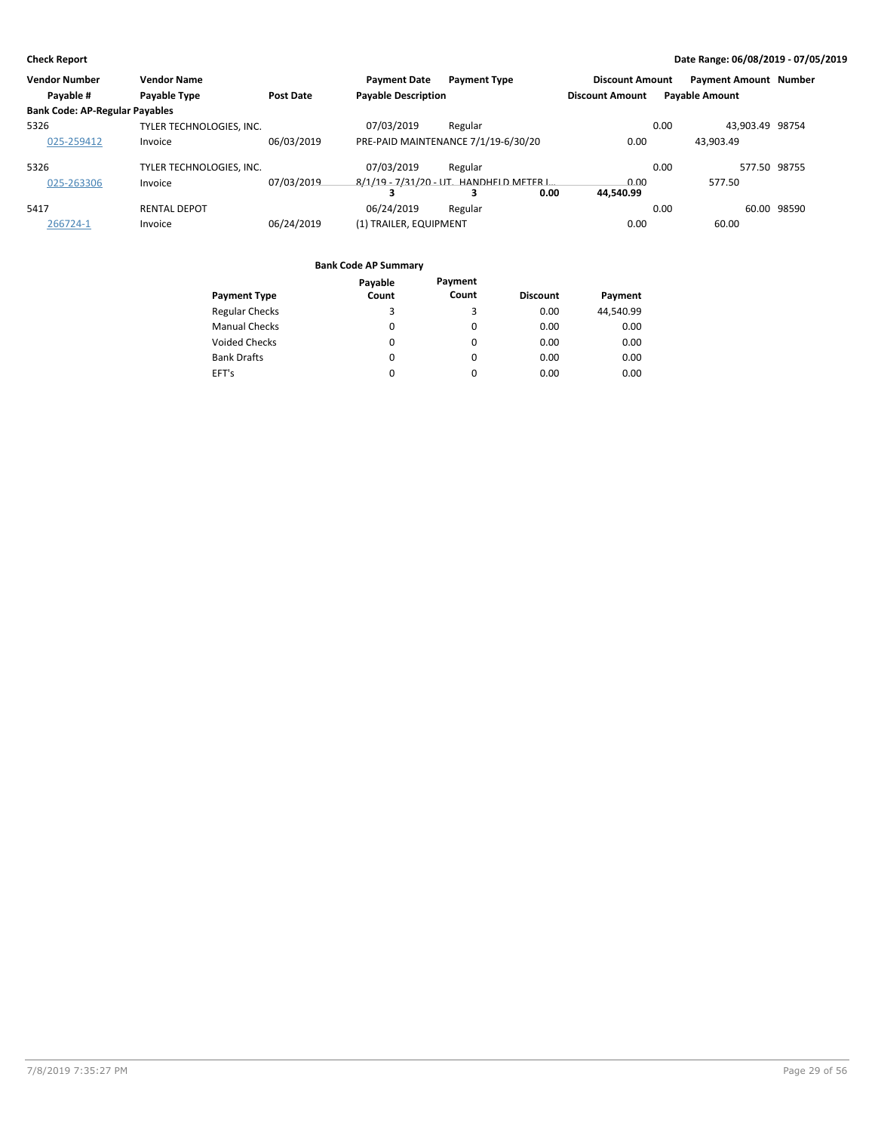| <b>Vendor Number</b>                  | <b>Vendor Name</b>       |                  | <b>Payment Date</b>        | <b>Payment Type</b>                              | <b>Discount Amount</b> |      | <b>Payment Amount Number</b> |             |
|---------------------------------------|--------------------------|------------------|----------------------------|--------------------------------------------------|------------------------|------|------------------------------|-------------|
| Payable #                             | Payable Type             | <b>Post Date</b> | <b>Payable Description</b> |                                                  | <b>Discount Amount</b> |      | <b>Payable Amount</b>        |             |
| <b>Bank Code: AP-Regular Payables</b> |                          |                  |                            |                                                  |                        |      |                              |             |
| 5326                                  | TYLER TECHNOLOGIES, INC. |                  | 07/03/2019                 | Regular                                          |                        | 0.00 | 43.903.49 98754              |             |
| 025-259412                            | Invoice                  | 06/03/2019       |                            | PRE-PAID MAINTENANCE 7/1/19-6/30/20              | 0.00                   |      | 43.903.49                    |             |
| 5326                                  | TYLER TECHNOLOGIES. INC. |                  | 07/03/2019                 | Regular                                          |                        | 0.00 | 577.50 98755                 |             |
| 025-263306                            | Invoice                  | 07/03/2019       |                            | 8/1/19 - 7/31/20 - UT. HANDHELD METER L.<br>0.00 | 0.00<br>44.540.99      |      | 577.50                       |             |
| 5417                                  | <b>RENTAL DEPOT</b>      |                  | 06/24/2019                 | Regular                                          |                        | 0.00 |                              | 60.00 98590 |
| 266724-1                              | Invoice                  | 06/24/2019       | (1) TRAILER, EQUIPMENT     |                                                  | 0.00                   |      | 60.00                        |             |

|                       | Payable  | Payment |                 |           |
|-----------------------|----------|---------|-----------------|-----------|
| <b>Payment Type</b>   | Count    | Count   | <b>Discount</b> | Payment   |
| <b>Regular Checks</b> | 3        | 3       | 0.00            | 44,540.99 |
| <b>Manual Checks</b>  | 0        | 0       | 0.00            | 0.00      |
| <b>Voided Checks</b>  | $\Omega$ | 0       | 0.00            | 0.00      |
| <b>Bank Drafts</b>    | 0        | 0       | 0.00            | 0.00      |
| EFT's                 | 0        | 0       | 0.00            | 0.00      |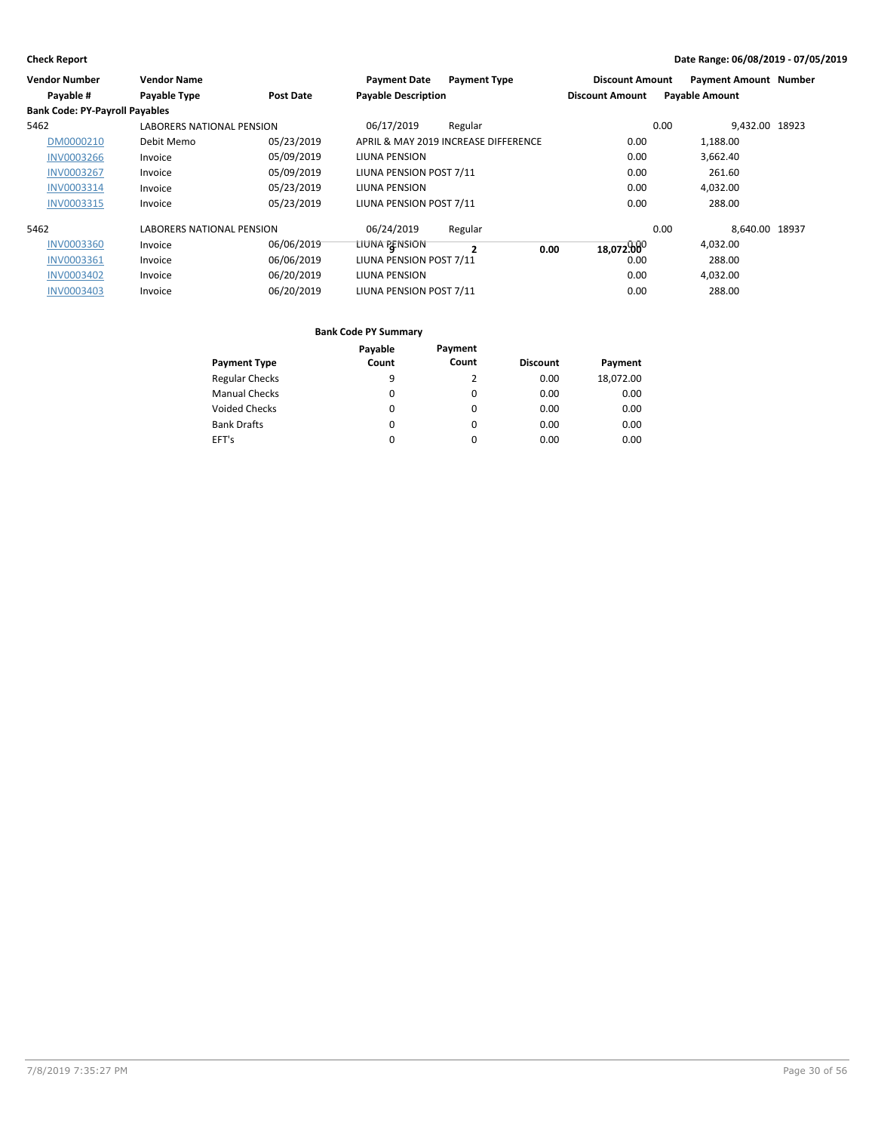| <b>Vendor Number</b>                  | <b>Vendor Name</b>               |                  | <b>Payment Date</b>        | <b>Payment Type</b>                  | <b>Discount Amount</b> | <b>Payment Amount Number</b> |  |
|---------------------------------------|----------------------------------|------------------|----------------------------|--------------------------------------|------------------------|------------------------------|--|
| Payable #                             | Payable Type                     | <b>Post Date</b> | <b>Payable Description</b> |                                      | <b>Discount Amount</b> | <b>Payable Amount</b>        |  |
| <b>Bank Code: PY-Payroll Payables</b> |                                  |                  |                            |                                      |                        |                              |  |
| 5462                                  | <b>LABORERS NATIONAL PENSION</b> |                  | 06/17/2019                 | Regular                              |                        | 9.432.00 18923<br>0.00       |  |
| DM0000210                             | Debit Memo                       | 05/23/2019       |                            | APRIL & MAY 2019 INCREASE DIFFERENCE | 0.00                   | 1,188.00                     |  |
| <b>INV0003266</b>                     | Invoice                          | 05/09/2019       | <b>LIUNA PENSION</b>       |                                      | 0.00                   | 3,662.40                     |  |
| <b>INV0003267</b>                     | Invoice                          | 05/09/2019       | LIUNA PENSION POST 7/11    |                                      | 0.00                   | 261.60                       |  |
| <b>INV0003314</b>                     | Invoice                          | 05/23/2019       | LIUNA PENSION              |                                      | 0.00                   | 4,032.00                     |  |
| <b>INV0003315</b>                     | Invoice                          | 05/23/2019       | LIUNA PENSION POST 7/11    |                                      | 0.00                   | 288.00                       |  |
| 5462                                  | <b>LABORERS NATIONAL PENSION</b> |                  | 06/24/2019                 | Regular                              |                        | 0.00<br>8.640.00 18937       |  |
| <b>INV0003360</b>                     | Invoice                          | 06/06/2019       | LIUNA PENSION              | 0.00<br>$\overline{\mathbf{z}}$      | 18,072,00              | 4,032.00                     |  |
| <b>INV0003361</b>                     | Invoice                          | 06/06/2019       | LIUNA PENSION POST 7/11    |                                      | 0.00                   | 288.00                       |  |
| <b>INV0003402</b>                     | Invoice                          | 06/20/2019       | <b>LIUNA PENSION</b>       |                                      | 0.00                   | 4,032.00                     |  |
| <b>INV0003403</b>                     | Invoice                          | 06/20/2019       | LIUNA PENSION POST 7/11    |                                      | 0.00                   | 288.00                       |  |

|                       | Payable | Payment  |                 |           |
|-----------------------|---------|----------|-----------------|-----------|
| <b>Payment Type</b>   | Count   | Count    | <b>Discount</b> | Payment   |
| <b>Regular Checks</b> | 9       | 2        | 0.00            | 18,072.00 |
| <b>Manual Checks</b>  | 0       | 0        | 0.00            | 0.00      |
| <b>Voided Checks</b>  | 0       | $\Omega$ | 0.00            | 0.00      |
| <b>Bank Drafts</b>    | 0       | $\Omega$ | 0.00            | 0.00      |
| EFT's                 | 0       | 0        | 0.00            | 0.00      |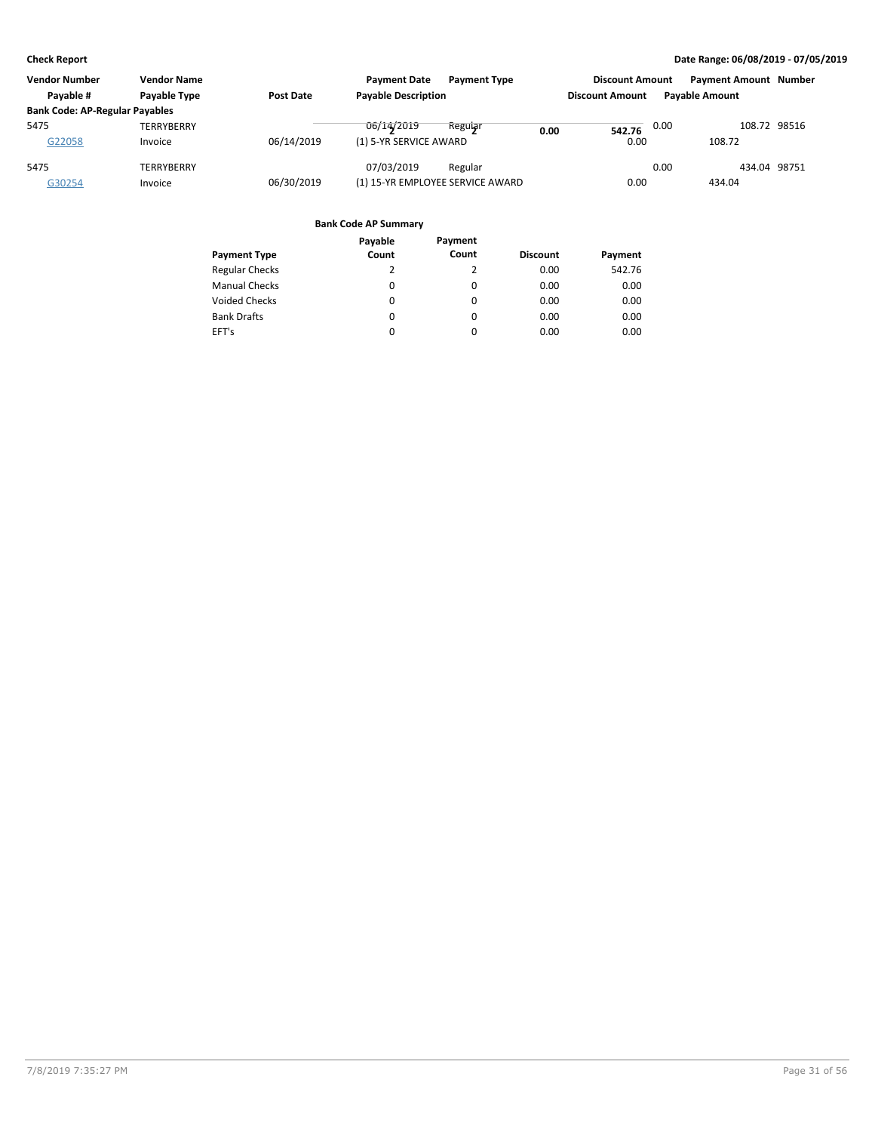| <b>Vendor Number</b>                  | <b>Vendor Name</b><br><b>Payment Date</b><br><b>Payment Type</b> |            |                                  | <b>Discount Amount</b> |                        | <b>Payment Amount Number</b> |                       |  |
|---------------------------------------|------------------------------------------------------------------|------------|----------------------------------|------------------------|------------------------|------------------------------|-----------------------|--|
| Pavable #                             | Payable Type                                                     | Post Date  | <b>Payable Description</b>       |                        | <b>Discount Amount</b> |                              | <b>Pavable Amount</b> |  |
| <b>Bank Code: AP-Regular Payables</b> |                                                                  |            |                                  |                        |                        |                              |                       |  |
| 5475                                  | <b>TERRYBERRY</b>                                                |            | 06/14/2019<br>Regular            | 0.00                   | 542.76                 | 0.00                         | 108.72 98516          |  |
| G22058                                | Invoice                                                          | 06/14/2019 | (1) 5-YR SERVICE AWARD           |                        | 0.00                   |                              | 108.72                |  |
| 5475                                  | TERRYBERRY                                                       |            | 07/03/2019<br>Regular            |                        |                        | 0.00                         | 434.04 98751          |  |
| G30254                                | Invoice                                                          | 06/30/2019 | (1) 15-YR EMPLOYEE SERVICE AWARD |                        | 0.00                   |                              | 434.04                |  |

|                       | Payable | Payment |                 |         |
|-----------------------|---------|---------|-----------------|---------|
| <b>Payment Type</b>   | Count   | Count   | <b>Discount</b> | Payment |
| <b>Regular Checks</b> | 2       | 2       | 0.00            | 542.76  |
| <b>Manual Checks</b>  | 0       | 0       | 0.00            | 0.00    |
| <b>Voided Checks</b>  | 0       | 0       | 0.00            | 0.00    |
| <b>Bank Drafts</b>    | 0       | 0       | 0.00            | 0.00    |
| EFT's                 | 0       | 0       | 0.00            | 0.00    |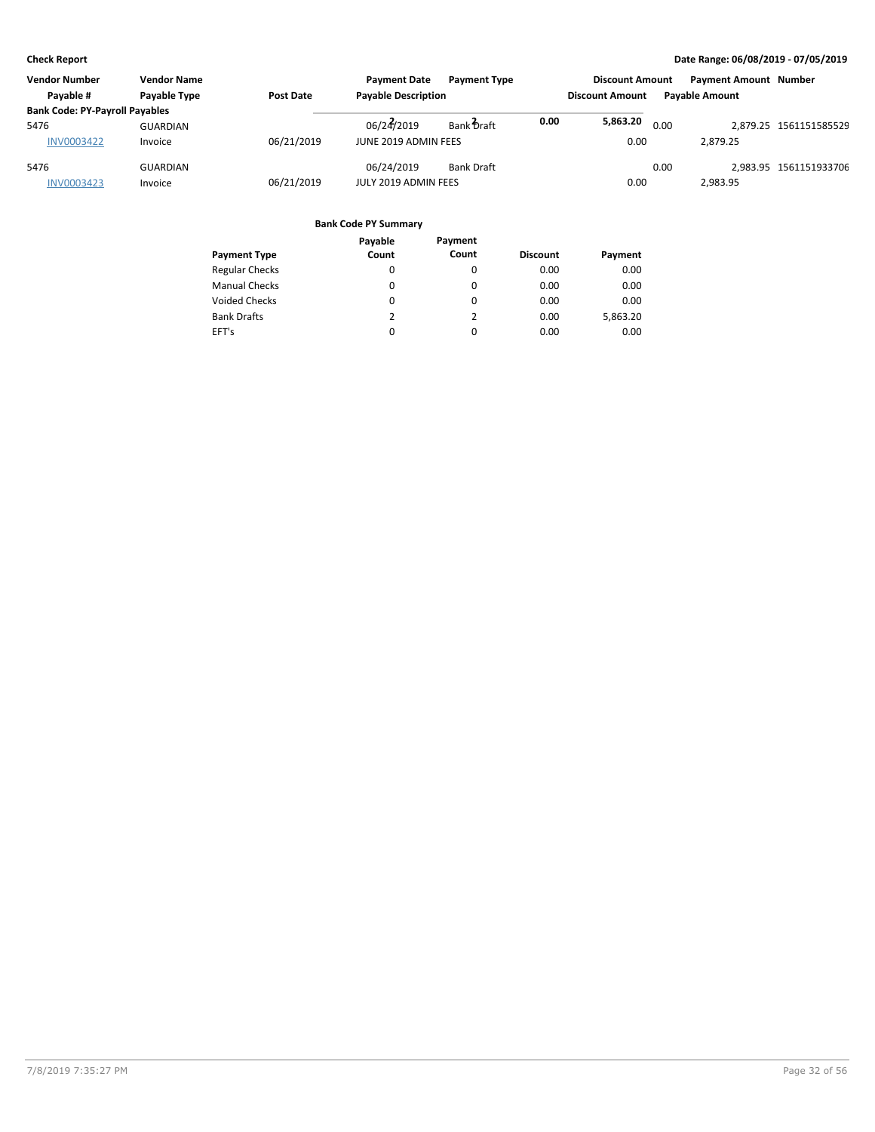| <b>Vendor Number</b>                  | <b>Vendor Name</b> |                  | <b>Payment Date</b>        | <b>Payment Type</b> |      | <b>Discount Amount</b> |      | <b>Payment Amount Number</b> |                        |
|---------------------------------------|--------------------|------------------|----------------------------|---------------------|------|------------------------|------|------------------------------|------------------------|
| Pavable #                             | Payable Type       | <b>Post Date</b> | <b>Payable Description</b> |                     |      | <b>Discount Amount</b> |      | <b>Pavable Amount</b>        |                        |
| <b>Bank Code: PY-Payroll Payables</b> |                    |                  |                            |                     |      |                        |      |                              |                        |
| 5476                                  | <b>GUARDIAN</b>    |                  | 06/24/2019                 | Bank Draft          | 0.00 | 5,863.20               | 0.00 |                              | 2.879.25 1561151585529 |
| <b>INV0003422</b>                     | Invoice            | 06/21/2019       | JUNE 2019 ADMIN FEES       |                     |      | 0.00                   |      | 2.879.25                     |                        |
| 5476                                  | <b>GUARDIAN</b>    |                  | 06/24/2019                 | <b>Bank Draft</b>   |      |                        | 0.00 |                              | 2.983.95 1561151933706 |
| <b>INV0003423</b>                     | Invoice            | 06/21/2019       | JULY 2019 ADMIN FEES       |                     |      | 0.00                   |      | 2.983.95                     |                        |

| Payable  | Payment  |       |                 |
|----------|----------|-------|-----------------|
|          |          |       | Payment         |
| 0        | 0        | 0.00  | 0.00            |
| 0        | 0        | 0.00  | 0.00            |
| 0        | 0        | 0.00  | 0.00            |
| 2        | 2        | 0.00  | 5,863.20        |
| $\Omega$ | $\Omega$ | 0.00  | 0.00            |
|          | Count    | Count | <b>Discount</b> |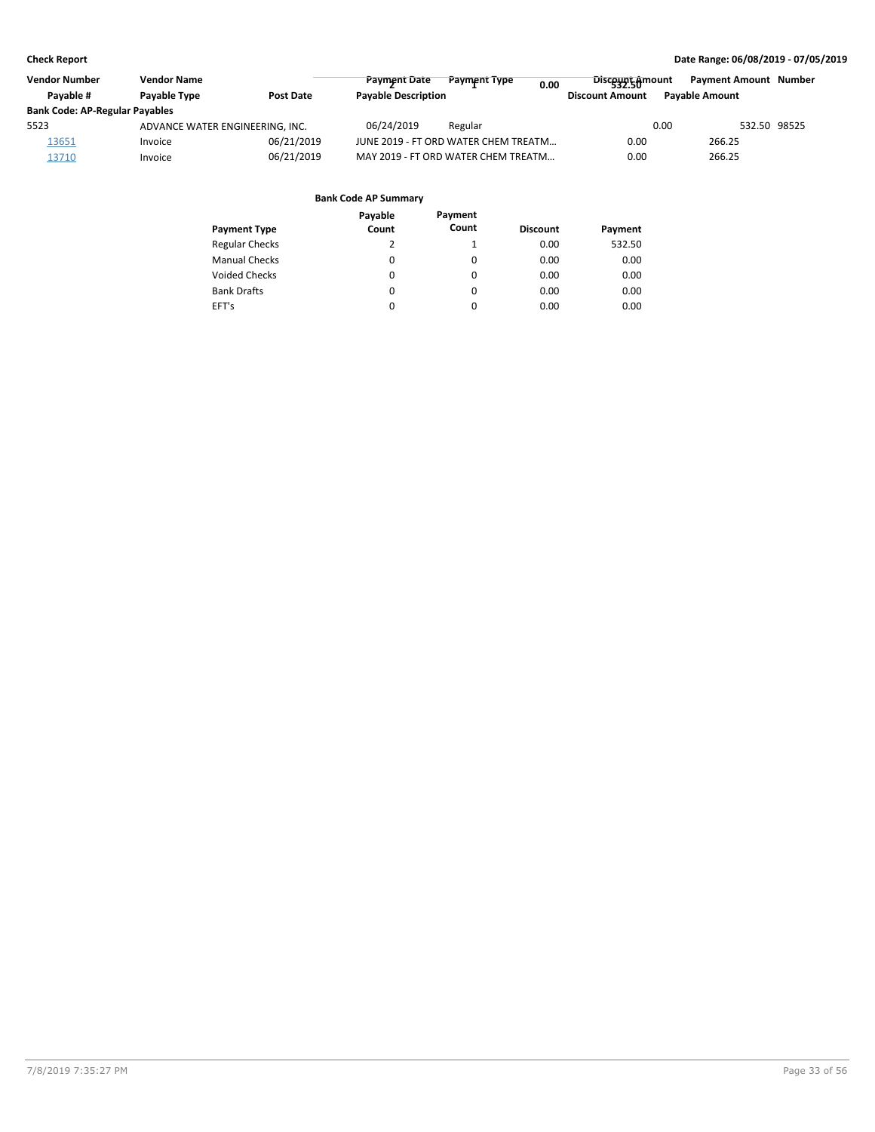| <b>Vendor Number</b>                  | <b>Vendor Name</b>              |                  | <b>Payment Date</b>        | Payment Type                         | 0.00 | <b>Discount</b> <sub>Amount</sub> |      | <b>Payment Amount Number</b> |  |
|---------------------------------------|---------------------------------|------------------|----------------------------|--------------------------------------|------|-----------------------------------|------|------------------------------|--|
| Pavable #                             | Payable Type                    | <b>Post Date</b> | <b>Payable Description</b> |                                      |      | <b>Discount Amount</b>            |      | <b>Pavable Amount</b>        |  |
| <b>Bank Code: AP-Regular Payables</b> |                                 |                  |                            |                                      |      |                                   |      |                              |  |
| 5523                                  | ADVANCE WATER ENGINEERING, INC. |                  | 06/24/2019                 | Regular                              |      |                                   | 0.00 | 532.50 98525                 |  |
| 13651                                 | Invoice                         | 06/21/2019       |                            | JUNE 2019 - FT ORD WATER CHEM TREATM |      | 0.00                              |      | 266.25                       |  |
| 13710                                 | Invoice                         | 06/21/2019       |                            | MAY 2019 - FT ORD WATER CHEM TREATM  |      | 0.00                              |      | 266.25                       |  |

|                       | Payable | Payment  |                 |         |
|-----------------------|---------|----------|-----------------|---------|
| <b>Payment Type</b>   | Count   | Count    | <b>Discount</b> | Payment |
| <b>Regular Checks</b> | 2       | 1        | 0.00            | 532.50  |
| <b>Manual Checks</b>  | 0       | 0        | 0.00            | 0.00    |
| <b>Voided Checks</b>  | 0       | $\Omega$ | 0.00            | 0.00    |
| <b>Bank Drafts</b>    | 0       | $\Omega$ | 0.00            | 0.00    |
| EFT's                 | 0       | $\Omega$ | 0.00            | 0.00    |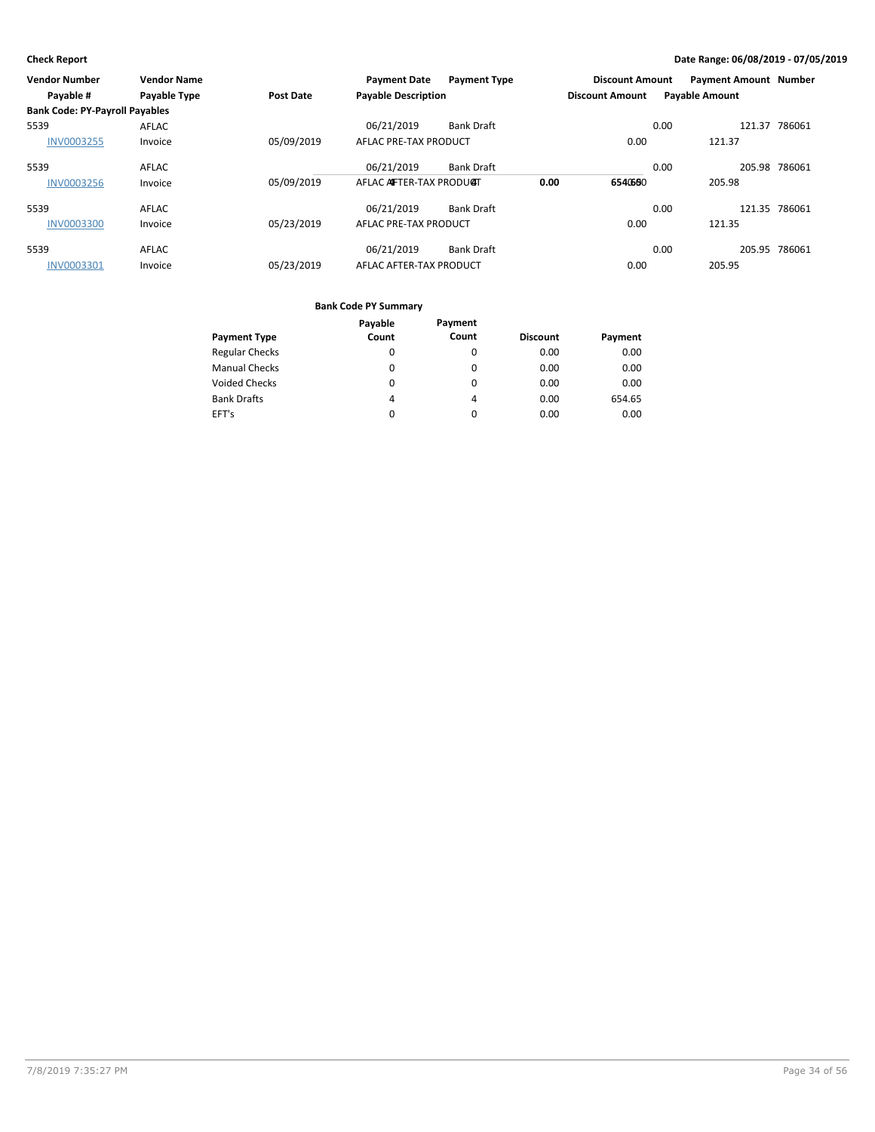| Vendor Number                         | <b>Vendor Name</b> |            | <b>Payment Date</b>        | <b>Payment Type</b> |      | <b>Discount Amount</b> |      | <b>Payment Amount Number</b> |               |
|---------------------------------------|--------------------|------------|----------------------------|---------------------|------|------------------------|------|------------------------------|---------------|
| Payable #                             | Payable Type       | Post Date  | <b>Payable Description</b> |                     |      | <b>Discount Amount</b> |      | <b>Payable Amount</b>        |               |
| <b>Bank Code: PY-Payroll Payables</b> |                    |            |                            |                     |      |                        |      |                              |               |
| 5539                                  | <b>AFLAC</b>       |            | 06/21/2019                 | <b>Bank Draft</b>   |      |                        | 0.00 |                              | 121.37 786061 |
| <b>INV0003255</b>                     | Invoice            | 05/09/2019 | AFLAC PRE-TAX PRODUCT      |                     |      | 0.00                   |      | 121.37                       |               |
| 5539                                  | AFLAC              |            | 06/21/2019                 | <b>Bank Draft</b>   |      |                        | 0.00 |                              | 205.98 786061 |
| <b>INV0003256</b>                     | Invoice            | 05/09/2019 | AFLAC AFTER-TAX PRODUCT    |                     | 0.00 | 6540660                |      | 205.98                       |               |
| 5539                                  | AFLAC              |            | 06/21/2019                 | <b>Bank Draft</b>   |      |                        | 0.00 |                              | 121.35 786061 |
| <b>INV0003300</b>                     | Invoice            | 05/23/2019 | AFLAC PRE-TAX PRODUCT      |                     |      | 0.00                   |      | 121.35                       |               |
| 5539                                  | <b>AFLAC</b>       |            | 06/21/2019                 | <b>Bank Draft</b>   |      |                        | 0.00 |                              | 205.95 786061 |
| <b>INV0003301</b>                     | Invoice            | 05/23/2019 | AFLAC AFTER-TAX PRODUCT    |                     |      | 0.00                   |      | 205.95                       |               |

|                       | Payable | Payment |                 |         |
|-----------------------|---------|---------|-----------------|---------|
| <b>Payment Type</b>   | Count   | Count   | <b>Discount</b> | Payment |
| <b>Regular Checks</b> | 0       | 0       | 0.00            | 0.00    |
| <b>Manual Checks</b>  | 0       | 0       | 0.00            | 0.00    |
| <b>Voided Checks</b>  | 0       | 0       | 0.00            | 0.00    |
| <b>Bank Drafts</b>    | 4       | 4       | 0.00            | 654.65  |
| EFT's                 | 0       | 0       | 0.00            | 0.00    |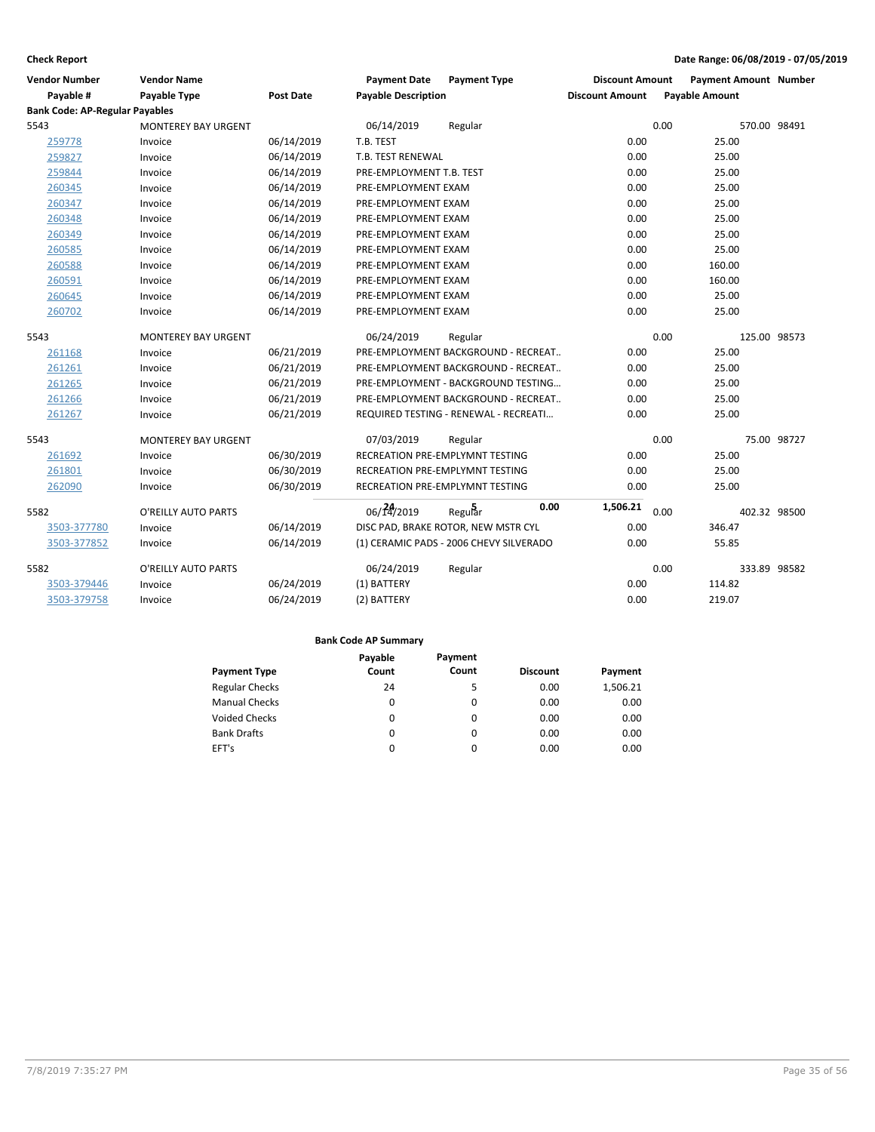| <b>Vendor Number</b>                  | <b>Vendor Name</b>         |            | <b>Payment Date</b>                    | <b>Payment Type</b>                     | <b>Discount Amount</b> |                       | <b>Payment Amount Number</b> |             |
|---------------------------------------|----------------------------|------------|----------------------------------------|-----------------------------------------|------------------------|-----------------------|------------------------------|-------------|
| Payable #                             | <b>Payable Type</b>        | Post Date  | <b>Payable Description</b>             |                                         | <b>Discount Amount</b> | <b>Payable Amount</b> |                              |             |
| <b>Bank Code: AP-Regular Payables</b> |                            |            |                                        |                                         |                        |                       |                              |             |
| 5543                                  | <b>MONTEREY BAY URGENT</b> |            | 06/14/2019                             | Regular                                 |                        | 0.00                  | 570.00 98491                 |             |
| 259778                                | Invoice                    | 06/14/2019 | T.B. TEST                              |                                         | 0.00                   |                       | 25.00                        |             |
| 259827                                | Invoice                    | 06/14/2019 | T.B. TEST RENEWAL                      |                                         | 0.00                   |                       | 25.00                        |             |
| 259844                                | Invoice                    | 06/14/2019 | PRE-EMPLOYMENT T.B. TEST               |                                         | 0.00                   |                       | 25.00                        |             |
| 260345                                | Invoice                    | 06/14/2019 | PRE-EMPLOYMENT EXAM                    |                                         | 0.00                   |                       | 25.00                        |             |
| 260347                                | Invoice                    | 06/14/2019 | PRE-EMPLOYMENT EXAM                    |                                         | 0.00                   |                       | 25.00                        |             |
| 260348                                | Invoice                    | 06/14/2019 | PRE-EMPLOYMENT EXAM                    |                                         | 0.00                   |                       | 25.00                        |             |
| 260349                                | Invoice                    | 06/14/2019 | PRE-EMPLOYMENT EXAM                    |                                         | 0.00                   |                       | 25.00                        |             |
| 260585                                | Invoice                    | 06/14/2019 | PRE-EMPLOYMENT EXAM                    |                                         | 0.00                   |                       | 25.00                        |             |
| 260588                                | Invoice                    | 06/14/2019 | PRE-EMPLOYMENT EXAM                    |                                         | 0.00                   |                       | 160.00                       |             |
| 260591                                | Invoice                    | 06/14/2019 | PRE-EMPLOYMENT EXAM                    |                                         | 0.00                   |                       | 160.00                       |             |
| 260645                                | Invoice                    | 06/14/2019 | PRE-EMPLOYMENT EXAM                    |                                         | 0.00                   |                       | 25.00                        |             |
| 260702                                | Invoice                    | 06/14/2019 | PRE-EMPLOYMENT EXAM                    |                                         | 0.00                   |                       | 25.00                        |             |
| 5543                                  | <b>MONTEREY BAY URGENT</b> |            | 06/24/2019                             | Regular                                 |                        | 0.00                  | 125.00 98573                 |             |
| 261168                                | Invoice                    | 06/21/2019 |                                        | PRE-EMPLOYMENT BACKGROUND - RECREAT     | 0.00                   |                       | 25.00                        |             |
| 261261                                | Invoice                    | 06/21/2019 |                                        | PRE-EMPLOYMENT BACKGROUND - RECREAT     | 0.00                   |                       | 25.00                        |             |
| 261265                                | Invoice                    | 06/21/2019 |                                        | PRE-EMPLOYMENT - BACKGROUND TESTING     | 0.00                   |                       | 25.00                        |             |
| 261266                                | Invoice                    | 06/21/2019 |                                        | PRE-EMPLOYMENT BACKGROUND - RECREAT     | 0.00                   |                       | 25.00                        |             |
| 261267                                | Invoice                    | 06/21/2019 |                                        | REQUIRED TESTING - RENEWAL - RECREATI   | 0.00                   |                       | 25.00                        |             |
| 5543                                  | <b>MONTEREY BAY URGENT</b> |            | 07/03/2019                             | Regular                                 |                        | 0.00                  |                              | 75.00 98727 |
| 261692                                | Invoice                    | 06/30/2019 | <b>RECREATION PRE-EMPLYMNT TESTING</b> |                                         | 0.00                   |                       | 25.00                        |             |
| 261801                                | Invoice                    | 06/30/2019 | RECREATION PRE-EMPLYMNT TESTING        |                                         | 0.00                   |                       | 25.00                        |             |
| 262090                                | Invoice                    | 06/30/2019 | RECREATION PRE-EMPLYMNT TESTING        |                                         | 0.00                   |                       | 25.00                        |             |
| 5582                                  | O'REILLY AUTO PARTS        |            | 06/24/2019                             | 0.00<br>Regular                         | 1,506.21               | 0.00                  | 402.32 98500                 |             |
| 3503-377780                           | Invoice                    | 06/14/2019 |                                        | DISC PAD, BRAKE ROTOR, NEW MSTR CYL     | 0.00                   |                       | 346.47                       |             |
| 3503-377852                           | Invoice                    | 06/14/2019 |                                        | (1) CERAMIC PADS - 2006 CHEVY SILVERADO | 0.00                   |                       | 55.85                        |             |
| 5582                                  | O'REILLY AUTO PARTS        |            | 06/24/2019                             | Regular                                 |                        | 0.00                  | 333.89 98582                 |             |
| 3503-379446                           | Invoice                    | 06/24/2019 | (1) BATTERY                            |                                         | 0.00                   |                       | 114.82                       |             |
| 3503-379758                           | Invoice                    | 06/24/2019 | (2) BATTERY                            |                                         | 0.00                   |                       | 219.07                       |             |

|                       | Payable  | Payment  |                 |          |
|-----------------------|----------|----------|-----------------|----------|
| <b>Payment Type</b>   | Count    | Count    | <b>Discount</b> | Payment  |
| <b>Regular Checks</b> | 24       | 5        | 0.00            | 1.506.21 |
| <b>Manual Checks</b>  | 0        | $\Omega$ | 0.00            | 0.00     |
| <b>Voided Checks</b>  | 0        | $\Omega$ | 0.00            | 0.00     |
| <b>Bank Drafts</b>    | $\Omega$ | $\Omega$ | 0.00            | 0.00     |
| EFT's                 | $\Omega$ | $\Omega$ | 0.00            | 0.00     |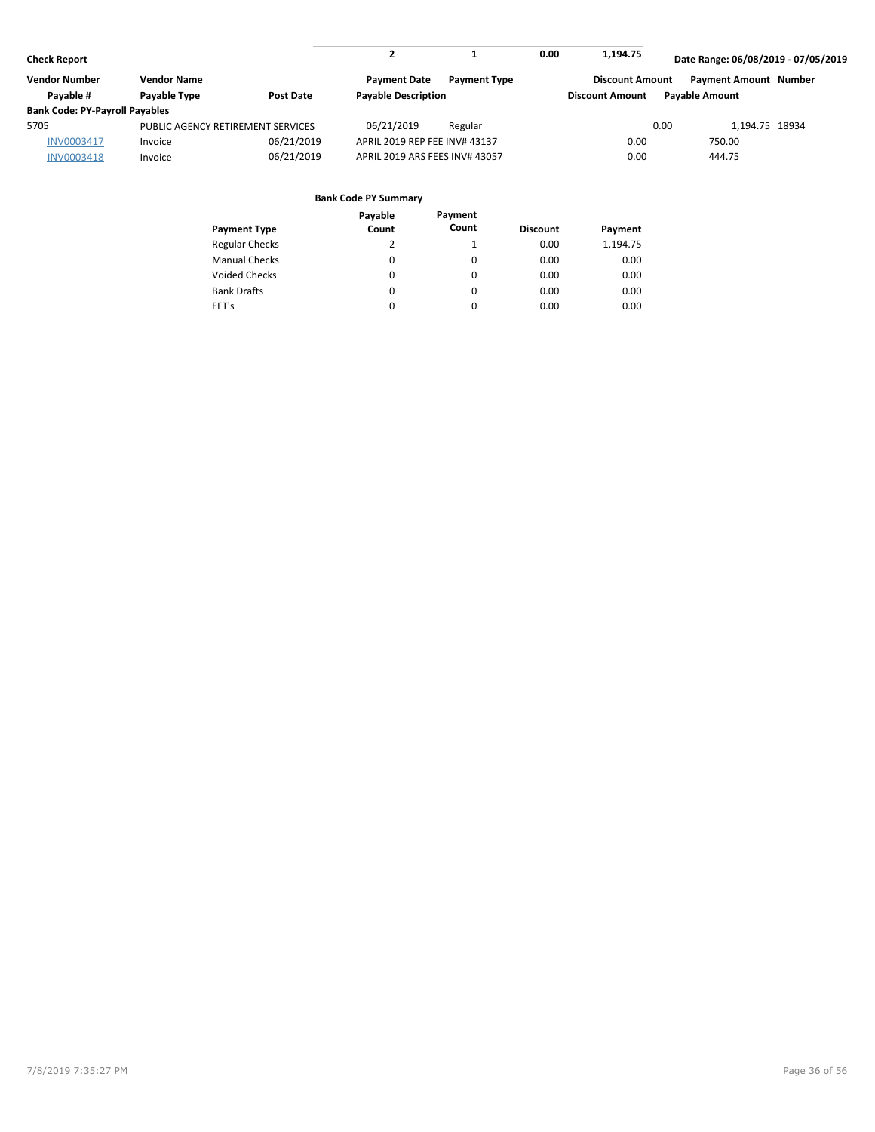|                                       |            |                                   |                     | 0.00                                                                                          | 1,194.75 |                        |                                                                                                                                                  |
|---------------------------------------|------------|-----------------------------------|---------------------|-----------------------------------------------------------------------------------------------|----------|------------------------|--------------------------------------------------------------------------------------------------------------------------------------------------|
| <b>Vendor Name</b>                    |            | <b>Payment Date</b>               | <b>Payment Type</b> |                                                                                               |          |                        |                                                                                                                                                  |
| Payable Type                          | Post Date  |                                   |                     |                                                                                               |          |                        |                                                                                                                                                  |
| <b>Bank Code: PY-Payroll Payables</b> |            |                                   |                     |                                                                                               |          |                        |                                                                                                                                                  |
|                                       |            | 06/21/2019                        | Regular             |                                                                                               |          |                        |                                                                                                                                                  |
| Invoice                               | 06/21/2019 |                                   |                     |                                                                                               | 0.00     | 750.00                 |                                                                                                                                                  |
| Invoice                               | 06/21/2019 |                                   |                     |                                                                                               | 0.00     | 444.75                 |                                                                                                                                                  |
|                                       |            | PUBLIC AGENCY RETIREMENT SERVICES |                     | <b>Payable Description</b><br>APRIL 2019 REP FEE INV# 43137<br>APRIL 2019 ARS FEES INV# 43057 |          | <b>Discount Amount</b> | Date Range: 06/08/2019 - 07/05/2019<br><b>Payment Amount Number</b><br><b>Discount Amount</b><br><b>Pavable Amount</b><br>0.00<br>1.194.75 18934 |

|                       | Payable | Payment |                 |          |
|-----------------------|---------|---------|-----------------|----------|
| <b>Payment Type</b>   | Count   | Count   | <b>Discount</b> | Payment  |
| <b>Regular Checks</b> | 2       |         | 0.00            | 1,194.75 |
| <b>Manual Checks</b>  | 0       | 0       | 0.00            | 0.00     |
| <b>Voided Checks</b>  | 0       | 0       | 0.00            | 0.00     |
| <b>Bank Drafts</b>    | 0       | 0       | 0.00            | 0.00     |
| EFT's                 | 0       | 0       | 0.00            | 0.00     |
|                       |         |         |                 |          |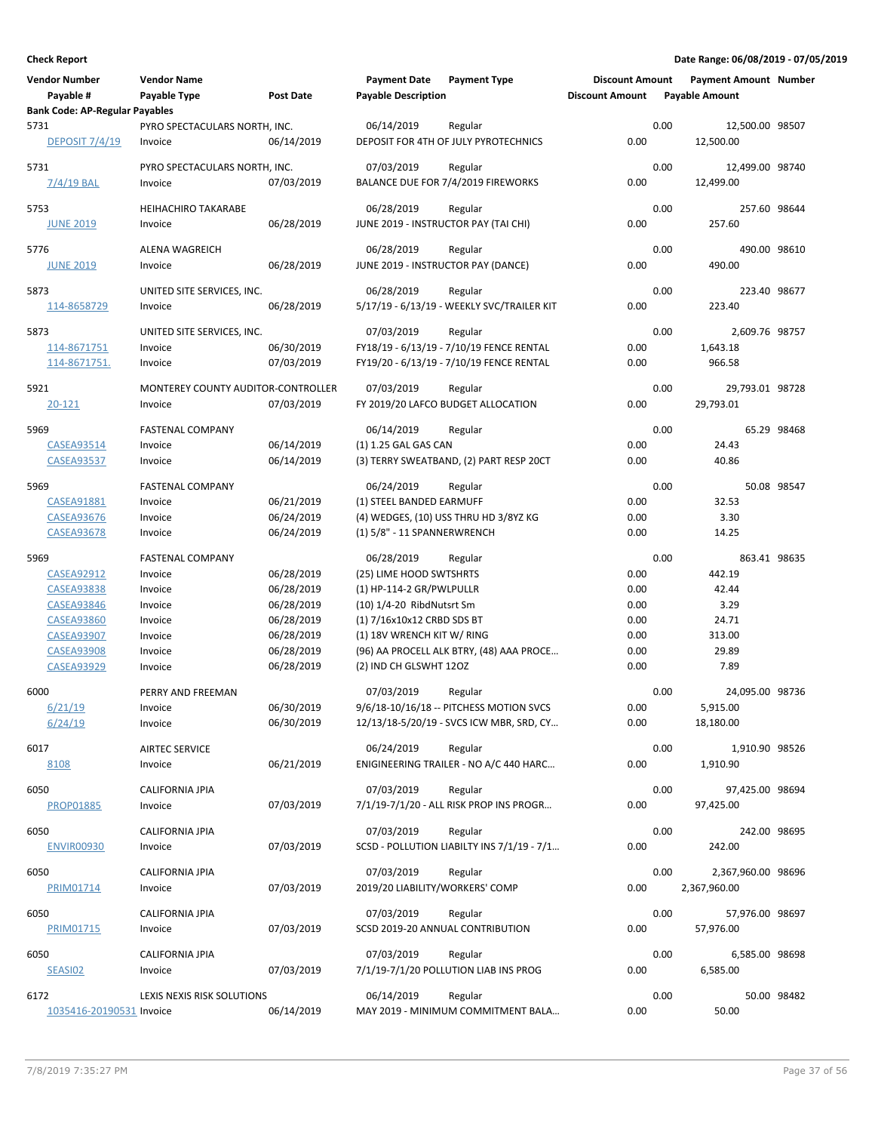| <b>Vendor Number</b><br>Payable #     | <b>Vendor Name</b><br>Payable Type       | <b>Post Date</b> | <b>Payment Date</b><br><b>Payable Description</b> | <b>Payment Type</b>                                   | <b>Discount Amount</b><br><b>Discount Amount</b> |      | <b>Payment Amount Number</b><br><b>Payable Amount</b> |             |
|---------------------------------------|------------------------------------------|------------------|---------------------------------------------------|-------------------------------------------------------|--------------------------------------------------|------|-------------------------------------------------------|-------------|
| <b>Bank Code: AP-Regular Payables</b> |                                          |                  |                                                   |                                                       |                                                  |      |                                                       |             |
| 5731<br><b>DEPOSIT 7/4/19</b>         | PYRO SPECTACULARS NORTH, INC.<br>Invoice | 06/14/2019       | 06/14/2019                                        | Regular<br>DEPOSIT FOR 4TH OF JULY PYROTECHNICS       | 0.00                                             | 0.00 | 12,500.00 98507<br>12,500.00                          |             |
| 5731                                  | PYRO SPECTACULARS NORTH, INC.            |                  | 07/03/2019                                        | Regular                                               |                                                  | 0.00 | 12,499.00 98740                                       |             |
| $7/4/19$ BAL                          | Invoice                                  | 07/03/2019       |                                                   | BALANCE DUE FOR 7/4/2019 FIREWORKS                    | 0.00                                             |      | 12,499.00                                             |             |
| 5753                                  | <b>HEIHACHIRO TAKARABE</b>               |                  | 06/28/2019                                        | Regular                                               |                                                  | 0.00 | 257.60 98644                                          |             |
| <b>JUNE 2019</b>                      | Invoice                                  | 06/28/2019       |                                                   | JUNE 2019 - INSTRUCTOR PAY (TAI CHI)                  | 0.00                                             |      | 257.60                                                |             |
| 5776                                  | <b>ALENA WAGREICH</b>                    |                  | 06/28/2019                                        | Regular                                               |                                                  | 0.00 | 490.00 98610                                          |             |
| <b>JUNE 2019</b>                      | Invoice                                  | 06/28/2019       | JUNE 2019 - INSTRUCTOR PAY (DANCE)                |                                                       | 0.00                                             |      | 490.00                                                |             |
| 5873                                  | UNITED SITE SERVICES, INC.               |                  | 06/28/2019                                        | Regular                                               |                                                  | 0.00 | 223.40 98677                                          |             |
| 114-8658729                           | Invoice                                  | 06/28/2019       |                                                   | 5/17/19 - 6/13/19 - WEEKLY SVC/TRAILER KIT            | 0.00                                             |      | 223.40                                                |             |
| 5873                                  | UNITED SITE SERVICES, INC.               |                  | 07/03/2019                                        | Regular                                               |                                                  | 0.00 | 2,609.76 98757                                        |             |
| 114-8671751                           | Invoice                                  | 06/30/2019       |                                                   | FY18/19 - 6/13/19 - 7/10/19 FENCE RENTAL              | 0.00                                             |      | 1,643.18                                              |             |
| 114-8671751.                          | Invoice                                  | 07/03/2019       |                                                   | FY19/20 - 6/13/19 - 7/10/19 FENCE RENTAL              | 0.00                                             |      | 966.58                                                |             |
|                                       |                                          |                  |                                                   |                                                       |                                                  |      |                                                       |             |
| 5921                                  | MONTEREY COUNTY AUDITOR-CONTROLLER       |                  | 07/03/2019                                        | Regular                                               |                                                  | 0.00 | 29,793.01 98728                                       |             |
| 20-121                                | Invoice                                  | 07/03/2019       |                                                   | FY 2019/20 LAFCO BUDGET ALLOCATION                    | 0.00                                             |      | 29,793.01                                             |             |
| 5969                                  | <b>FASTENAL COMPANY</b>                  |                  | 06/14/2019                                        | Regular                                               |                                                  | 0.00 |                                                       | 65.29 98468 |
| <b>CASEA93514</b>                     | Invoice                                  | 06/14/2019       | (1) 1.25 GAL GAS CAN                              |                                                       | 0.00                                             |      | 24.43                                                 |             |
| <b>CASEA93537</b>                     | Invoice                                  | 06/14/2019       |                                                   | (3) TERRY SWEATBAND, (2) PART RESP 20CT               | 0.00                                             |      | 40.86                                                 |             |
| 5969                                  | <b>FASTENAL COMPANY</b>                  |                  | 06/24/2019                                        | Regular                                               |                                                  | 0.00 |                                                       | 50.08 98547 |
| <b>CASEA91881</b>                     | Invoice                                  | 06/21/2019       | (1) STEEL BANDED EARMUFF                          |                                                       | 0.00                                             |      | 32.53                                                 |             |
| <b>CASEA93676</b>                     | Invoice                                  | 06/24/2019       |                                                   | (4) WEDGES, (10) USS THRU HD 3/8YZ KG                 | 0.00                                             |      | 3.30                                                  |             |
| <b>CASEA93678</b>                     | Invoice                                  | 06/24/2019       | (1) 5/8" - 11 SPANNERWRENCH                       |                                                       | 0.00                                             |      | 14.25                                                 |             |
| 5969                                  | <b>FASTENAL COMPANY</b>                  |                  | 06/28/2019                                        | Regular                                               |                                                  | 0.00 | 863.41 98635                                          |             |
| <b>CASEA92912</b>                     | Invoice                                  | 06/28/2019       | (25) LIME HOOD SWTSHRTS                           |                                                       | 0.00                                             |      | 442.19                                                |             |
| <b>CASEA93838</b>                     | Invoice                                  | 06/28/2019       | (1) HP-114-2 GR/PWLPULLR                          |                                                       | 0.00                                             |      | 42.44                                                 |             |
| <b>CASEA93846</b>                     | Invoice                                  | 06/28/2019       | (10) 1/4-20 RibdNutsrt Sm                         |                                                       | 0.00                                             |      | 3.29                                                  |             |
| <b>CASEA93860</b>                     | Invoice                                  | 06/28/2019       | (1) 7/16x10x12 CRBD SDS BT                        |                                                       | 0.00                                             |      | 24.71                                                 |             |
| <b>CASEA93907</b>                     | Invoice                                  | 06/28/2019       | (1) 18V WRENCH KIT W/ RING                        |                                                       | 0.00                                             |      | 313.00                                                |             |
| <b>CASEA93908</b>                     | Invoice                                  | 06/28/2019       |                                                   | (96) AA PROCELL ALK BTRY, (48) AAA PROCE              | 0.00                                             |      | 29.89                                                 |             |
| <b>CASEA93929</b>                     | Invoice                                  | 06/28/2019       | (2) IND CH GLSWHT 12OZ                            |                                                       | 0.00                                             |      | 7.89                                                  |             |
| 6000                                  | PERRY AND FREEMAN                        |                  | 07/03/2019                                        | Regular                                               |                                                  | 0.00 | 24,095.00 98736                                       |             |
| 6/21/19                               | Invoice                                  | 06/30/2019       |                                                   | 9/6/18-10/16/18 -- PITCHESS MOTION SVCS               | 0.00                                             |      | 5,915.00                                              |             |
| 6/24/19                               | Invoice                                  | 06/30/2019       |                                                   | 12/13/18-5/20/19 - SVCS ICW MBR, SRD, CY              | 0.00                                             |      | 18,180.00                                             |             |
| 6017                                  | <b>AIRTEC SERVICE</b>                    |                  | 06/24/2019                                        | Regular                                               |                                                  | 0.00 | 1,910.90 98526                                        |             |
| 8108                                  | Invoice                                  | 06/21/2019       |                                                   | ENIGINEERING TRAILER - NO A/C 440 HARC                | 0.00                                             |      | 1,910.90                                              |             |
| 6050                                  | <b>CALIFORNIA JPIA</b>                   |                  | 07/03/2019                                        | Regular                                               |                                                  | 0.00 | 97,425.00 98694                                       |             |
| <b>PROP01885</b>                      | Invoice                                  | 07/03/2019       |                                                   | 7/1/19-7/1/20 - ALL RISK PROP INS PROGR               | 0.00                                             |      | 97,425.00                                             |             |
| 6050                                  | CALIFORNIA JPIA                          |                  | 07/03/2019                                        |                                                       |                                                  | 0.00 | 242.00 98695                                          |             |
| <b>ENVIR00930</b>                     | Invoice                                  | 07/03/2019       |                                                   | Regular<br>SCSD - POLLUTION LIABILTY INS 7/1/19 - 7/1 | 0.00                                             |      | 242.00                                                |             |
|                                       |                                          |                  |                                                   |                                                       |                                                  |      |                                                       |             |
| 6050                                  | CALIFORNIA JPIA                          |                  | 07/03/2019                                        | Regular                                               |                                                  | 0.00 | 2,367,960.00 98696                                    |             |
| PRIM01714                             | Invoice                                  | 07/03/2019       | 2019/20 LIABILITY/WORKERS' COMP                   |                                                       | 0.00                                             |      | 2,367,960.00                                          |             |
| 6050                                  | CALIFORNIA JPIA                          |                  | 07/03/2019                                        | Regular                                               |                                                  | 0.00 | 57,976.00 98697                                       |             |
| PRIM01715                             | Invoice                                  | 07/03/2019       |                                                   | SCSD 2019-20 ANNUAL CONTRIBUTION                      | 0.00                                             |      | 57,976.00                                             |             |
| 6050                                  | CALIFORNIA JPIA                          |                  | 07/03/2019                                        | Regular                                               |                                                  | 0.00 | 6,585.00 98698                                        |             |
| SEASI02                               | Invoice                                  | 07/03/2019       |                                                   | 7/1/19-7/1/20 POLLUTION LIAB INS PROG                 | 0.00                                             |      | 6,585.00                                              |             |
|                                       |                                          |                  |                                                   |                                                       |                                                  |      |                                                       |             |
| 6172                                  | LEXIS NEXIS RISK SOLUTIONS               |                  | 06/14/2019                                        | Regular                                               |                                                  | 0.00 |                                                       | 50.00 98482 |
| 1035416-20190531 Invoice              |                                          | 06/14/2019       |                                                   | MAY 2019 - MINIMUM COMMITMENT BALA                    | 0.00                                             |      | 50.00                                                 |             |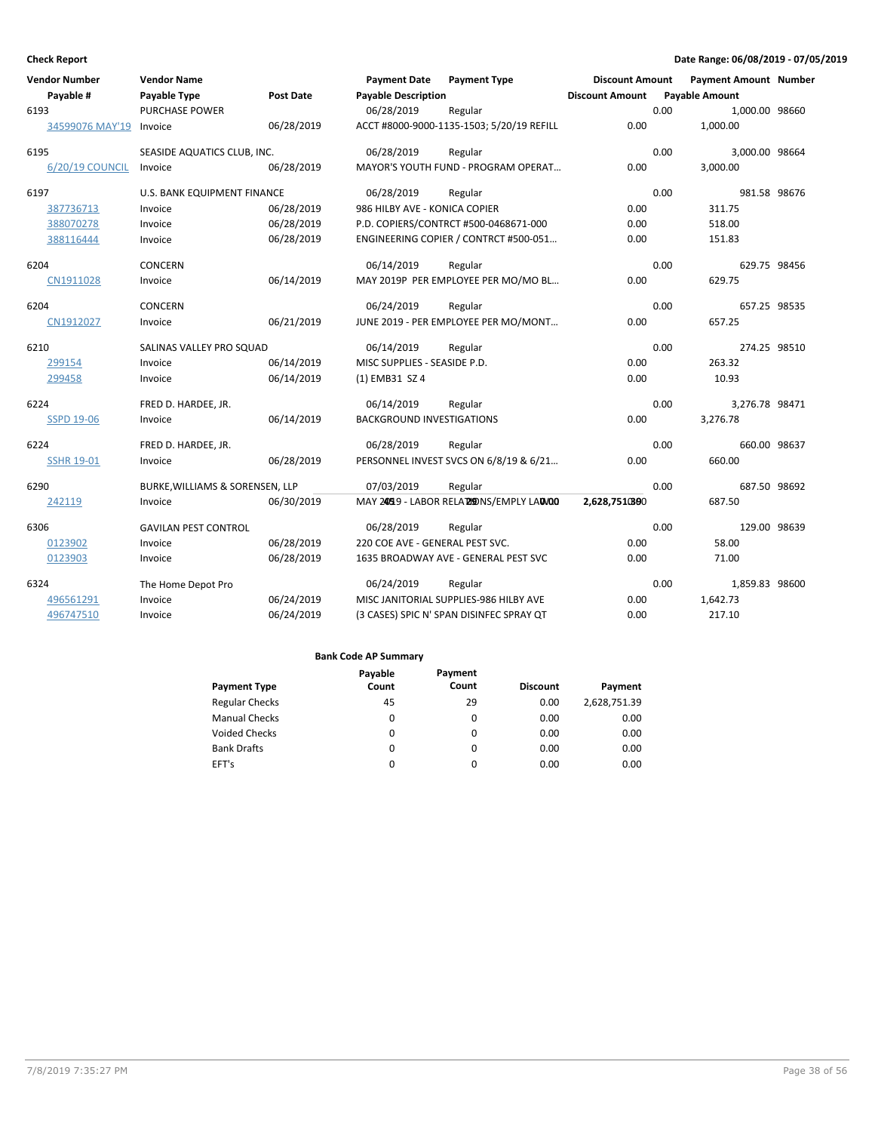| <b>Vendor Number</b> | <b>Vendor Name</b>              |                  | <b>Payment Date</b>              | <b>Payment Type</b>                       | <b>Discount Amount</b> | <b>Payment Amount Number</b> |              |
|----------------------|---------------------------------|------------------|----------------------------------|-------------------------------------------|------------------------|------------------------------|--------------|
| Payable #            | <b>Payable Type</b>             | <b>Post Date</b> | <b>Payable Description</b>       |                                           | <b>Discount Amount</b> | <b>Payable Amount</b>        |              |
| 6193                 | <b>PURCHASE POWER</b>           |                  | 06/28/2019                       | Regular                                   |                        | 0.00<br>1,000.00 98660       |              |
| 34599076 MAY'19      | Invoice                         | 06/28/2019       |                                  | ACCT #8000-9000-1135-1503; 5/20/19 REFILL | 0.00                   | 1,000.00                     |              |
| 6195                 | SEASIDE AQUATICS CLUB, INC.     |                  | 06/28/2019                       | Regular                                   |                        | 0.00<br>3,000.00 98664       |              |
| 6/20/19 COUNCIL      | Invoice                         | 06/28/2019       |                                  | MAYOR'S YOUTH FUND - PROGRAM OPERAT       | 0.00                   | 3,000.00                     |              |
| 6197                 | U.S. BANK EQUIPMENT FINANCE     |                  | 06/28/2019                       | Regular                                   |                        | 0.00                         | 981.58 98676 |
| 387736713            | Invoice                         | 06/28/2019       | 986 HILBY AVE - KONICA COPIER    |                                           | 0.00                   | 311.75                       |              |
| 388070278            | Invoice                         | 06/28/2019       |                                  | P.D. COPIERS/CONTRCT #500-0468671-000     | 0.00                   | 518.00                       |              |
| 388116444            | Invoice                         | 06/28/2019       |                                  | ENGINEERING COPIER / CONTRCT #500-051     | 0.00                   | 151.83                       |              |
| 6204                 | <b>CONCERN</b>                  |                  | 06/14/2019                       | Regular                                   |                        | 0.00                         | 629.75 98456 |
| CN1911028            | Invoice                         | 06/14/2019       |                                  | MAY 2019P PER EMPLOYEE PER MO/MO BL       | 0.00                   | 629.75                       |              |
| 6204                 | CONCERN                         |                  | 06/24/2019                       | Regular                                   |                        | 0.00                         | 657.25 98535 |
| CN1912027            | Invoice                         | 06/21/2019       |                                  | JUNE 2019 - PER EMPLOYEE PER MO/MONT      | 0.00                   | 657.25                       |              |
| 6210                 | SALINAS VALLEY PRO SQUAD        |                  | 06/14/2019                       | Regular                                   |                        | 0.00                         | 274.25 98510 |
| 299154               | Invoice                         | 06/14/2019       | MISC SUPPLIES - SEASIDE P.D.     |                                           | 0.00                   | 263.32                       |              |
| 299458               | Invoice                         | 06/14/2019       | (1) EMB31 SZ 4                   |                                           | 0.00                   | 10.93                        |              |
| 6224                 | FRED D. HARDEE, JR.             |                  | 06/14/2019                       | Regular                                   |                        | 0.00<br>3,276.78 98471       |              |
| <b>SSPD 19-06</b>    | Invoice                         | 06/14/2019       | <b>BACKGROUND INVESTIGATIONS</b> |                                           | 0.00                   | 3,276.78                     |              |
| 6224                 | FRED D. HARDEE, JR.             |                  | 06/28/2019                       | Regular                                   |                        | 0.00                         | 660.00 98637 |
| <b>SSHR 19-01</b>    | Invoice                         | 06/28/2019       |                                  | PERSONNEL INVEST SVCS ON 6/8/19 & 6/21    | 0.00                   | 660.00                       |              |
| 6290                 | BURKE, WILLIAMS & SORENSEN, LLP |                  | 07/03/2019                       | Regular                                   |                        | 0.00                         | 687.50 98692 |
| 242119               | Invoice                         | 06/30/2019       |                                  | MAY 2459 - LABOR RELA 29DNS/EMPLY LAUNOO  | 2,628,7510800          | 687.50                       |              |
| 6306                 | <b>GAVILAN PEST CONTROL</b>     |                  | 06/28/2019                       | Regular                                   |                        | 0.00                         | 129.00 98639 |
| 0123902              | Invoice                         | 06/28/2019       | 220 COE AVE - GENERAL PEST SVC.  |                                           | 0.00                   | 58.00                        |              |
| 0123903              | Invoice                         | 06/28/2019       |                                  | 1635 BROADWAY AVE - GENERAL PEST SVC      | 0.00                   | 71.00                        |              |
| 6324                 | The Home Depot Pro              |                  | 06/24/2019                       | Regular                                   |                        | 0.00<br>1,859.83 98600       |              |
| 496561291            | Invoice                         | 06/24/2019       |                                  | MISC JANITORIAL SUPPLIES-986 HILBY AVE    | 0.00                   | 1,642.73                     |              |
| 496747510            | Invoice                         | 06/24/2019       |                                  | (3 CASES) SPIC N' SPAN DISINFEC SPRAY QT  | 0.00                   | 217.10                       |              |

|                       | Payable | Payment  |                 |              |
|-----------------------|---------|----------|-----------------|--------------|
| <b>Payment Type</b>   | Count   | Count    | <b>Discount</b> | Payment      |
| <b>Regular Checks</b> | 45      | 29       | 0.00            | 2,628,751.39 |
| <b>Manual Checks</b>  | 0       | 0        | 0.00            | 0.00         |
| <b>Voided Checks</b>  | 0       | 0        | 0.00            | 0.00         |
| <b>Bank Drafts</b>    | 0       | $\Omega$ | 0.00            | 0.00         |
| EFT's                 | 0       | 0        | 0.00            | 0.00         |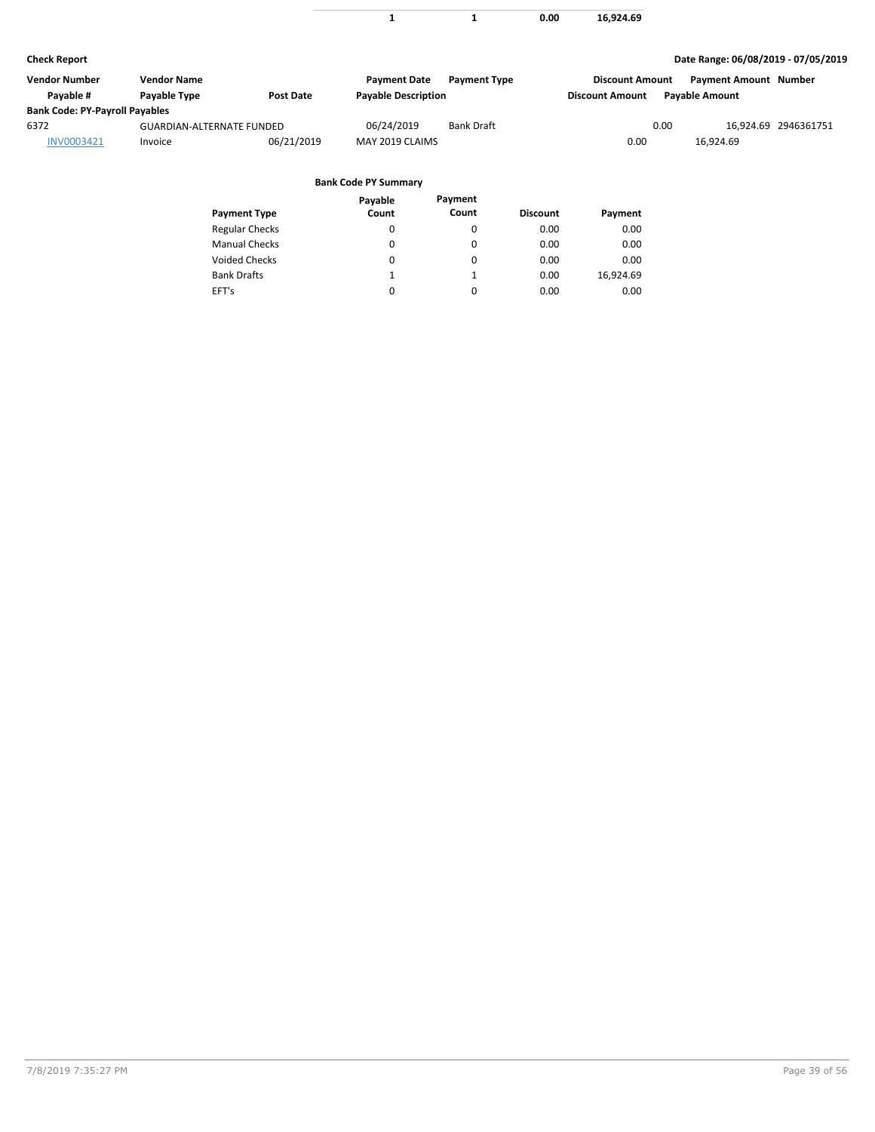|  | 0.00 | 16,924.69 |
|--|------|-----------|

| Vendor Number                         | <b>Vendor Name</b>               |            | <b>Payment Date</b>        | <b>Payment Type</b> | <b>Discount Amount</b> |                | <b>Payment Amount Number</b> |                      |
|---------------------------------------|----------------------------------|------------|----------------------------|---------------------|------------------------|----------------|------------------------------|----------------------|
| Pavable #                             | Payable Type                     | Post Date  | <b>Payable Description</b> |                     | <b>Discount Amount</b> | Pavable Amount |                              |                      |
| <b>Bank Code: PY-Payroll Payables</b> |                                  |            |                            |                     |                        |                |                              |                      |
| 6372                                  | <b>GUARDIAN-ALTERNATE FUNDED</b> |            | 06/24/2019                 | <b>Bank Draft</b>   |                        | 0.00           |                              | 16.924.69 2946361751 |
| INV0003421                            | Invoice                          | 06/21/2019 | MAY 2019 CLAIMS            |                     | 0.00                   |                | 16.924.69                    |                      |

|                       | Payable | Payment  |                 |           |
|-----------------------|---------|----------|-----------------|-----------|
| <b>Payment Type</b>   | Count   | Count    | <b>Discount</b> | Payment   |
| <b>Regular Checks</b> | 0       | 0        | 0.00            | 0.00      |
| <b>Manual Checks</b>  | 0       | $\Omega$ | 0.00            | 0.00      |
| Voided Checks         | 0       | 0        | 0.00            | 0.00      |
| <b>Bank Drafts</b>    | 1       | 1        | 0.00            | 16,924.69 |
| EFT's                 | 0       | 0        | 0.00            | 0.00      |
|                       |         |          |                 |           |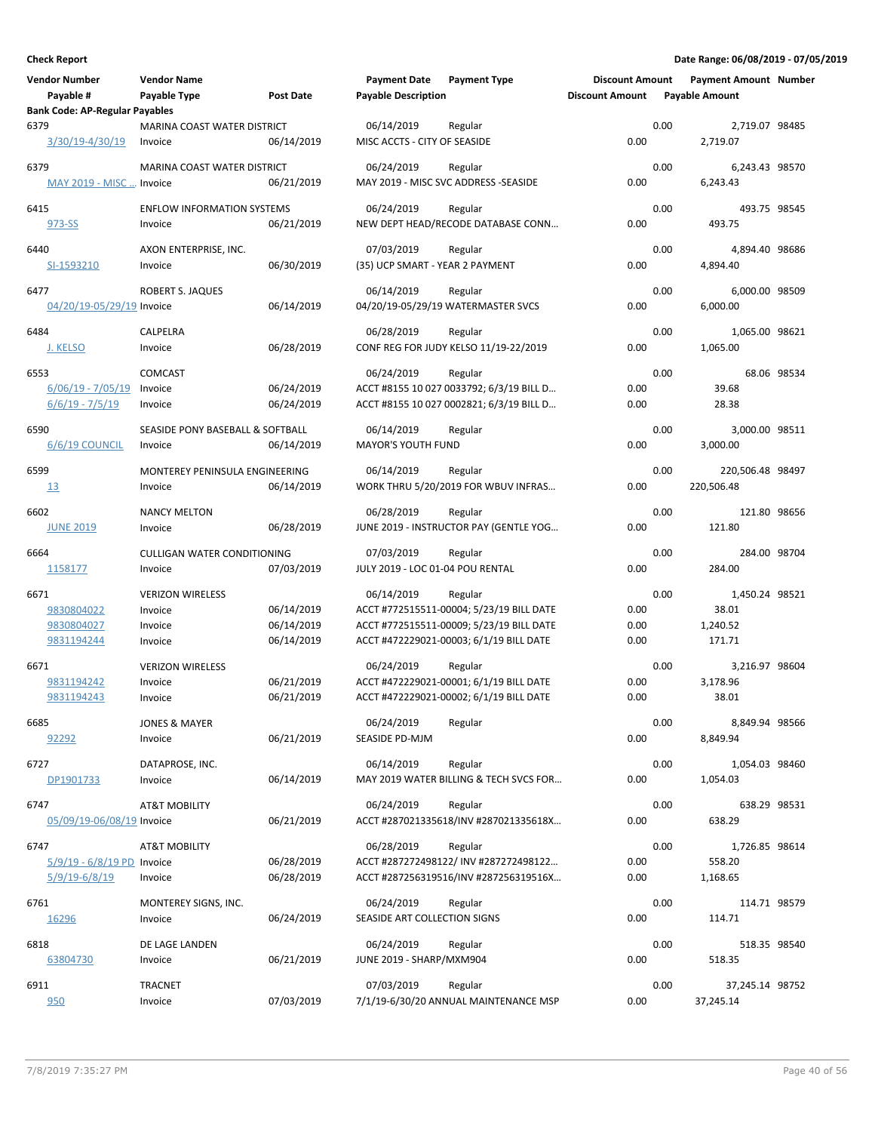| <b>Vendor Number</b>                  | <b>Vendor Name</b>                 |                  | <b>Payment Date</b>              | <b>Payment Type</b>                               | <b>Discount Amount</b> |      | <b>Payment Amount Number</b> |             |
|---------------------------------------|------------------------------------|------------------|----------------------------------|---------------------------------------------------|------------------------|------|------------------------------|-------------|
| Payable #                             | Payable Type                       | <b>Post Date</b> | <b>Payable Description</b>       |                                                   | <b>Discount Amount</b> |      | <b>Payable Amount</b>        |             |
| <b>Bank Code: AP-Regular Payables</b> |                                    |                  |                                  |                                                   |                        |      |                              |             |
| 6379                                  | MARINA COAST WATER DISTRICT        |                  | 06/14/2019                       | Regular                                           |                        | 0.00 | 2,719.07 98485               |             |
| 3/30/19-4/30/19                       | Invoice                            | 06/14/2019       | MISC ACCTS - CITY OF SEASIDE     |                                                   | 0.00                   |      | 2,719.07                     |             |
| 6379                                  | MARINA COAST WATER DISTRICT        |                  | 06/24/2019                       | Regular                                           |                        | 0.00 | 6,243.43 98570               |             |
| MAY 2019 - MISC  Invoice              |                                    | 06/21/2019       |                                  | MAY 2019 - MISC SVC ADDRESS -SEASIDE              | 0.00                   |      | 6,243.43                     |             |
| 6415                                  | <b>ENFLOW INFORMATION SYSTEMS</b>  |                  | 06/24/2019                       | Regular                                           |                        | 0.00 | 493.75 98545                 |             |
| 973-SS                                | Invoice                            | 06/21/2019       |                                  | NEW DEPT HEAD/RECODE DATABASE CONN                | 0.00                   |      | 493.75                       |             |
| 6440                                  | AXON ENTERPRISE, INC.              |                  | 07/03/2019                       | Regular                                           |                        | 0.00 | 4,894.40 98686               |             |
| SI-1593210                            | Invoice                            | 06/30/2019       | (35) UCP SMART - YEAR 2 PAYMENT  |                                                   | 0.00                   |      | 4,894.40                     |             |
| 6477                                  | ROBERT S. JAQUES                   |                  | 06/14/2019                       | Regular                                           |                        | 0.00 | 6,000.00 98509               |             |
| 04/20/19-05/29/19 Invoice             |                                    | 06/14/2019       |                                  | 04/20/19-05/29/19 WATERMASTER SVCS                | 0.00                   |      | 6,000.00                     |             |
|                                       |                                    |                  |                                  |                                                   |                        |      |                              |             |
| 6484                                  | CALPELRA                           |                  | 06/28/2019                       | Regular                                           |                        | 0.00 | 1,065.00 98621               |             |
| J. KELSO                              | Invoice                            | 06/28/2019       |                                  | CONF REG FOR JUDY KELSO 11/19-22/2019             | 0.00                   |      | 1,065.00                     |             |
| 6553                                  | <b>COMCAST</b>                     |                  | 06/24/2019                       | Regular                                           |                        | 0.00 |                              | 68.06 98534 |
| $6/06/19 - 7/05/19$                   | Invoice                            | 06/24/2019       |                                  | ACCT #8155 10 027 0033792; 6/3/19 BILL D          | 0.00                   |      | 39.68                        |             |
| $6/6/19 - 7/5/19$                     | Invoice                            | 06/24/2019       |                                  | ACCT #8155 10 027 0002821; 6/3/19 BILL D          | 0.00                   |      | 28.38                        |             |
| 6590                                  | SEASIDE PONY BASEBALL & SOFTBALL   |                  | 06/14/2019                       | Regular                                           |                        | 0.00 | 3,000.00 98511               |             |
| 6/6/19 COUNCIL                        | Invoice                            | 06/14/2019       | <b>MAYOR'S YOUTH FUND</b>        |                                                   | 0.00                   |      | 3,000.00                     |             |
| 6599                                  |                                    |                  | 06/14/2019                       |                                                   |                        | 0.00 | 220,506.48 98497             |             |
|                                       | MONTEREY PENINSULA ENGINEERING     | 06/14/2019       |                                  | Regular<br>WORK THRU 5/20/2019 FOR WBUV INFRAS    | 0.00                   |      | 220,506.48                   |             |
| <u>13</u>                             | Invoice                            |                  |                                  |                                                   |                        |      |                              |             |
| 6602                                  | <b>NANCY MELTON</b>                |                  | 06/28/2019                       | Regular                                           |                        | 0.00 | 121.80 98656                 |             |
| <b>JUNE 2019</b>                      | Invoice                            | 06/28/2019       |                                  | JUNE 2019 - INSTRUCTOR PAY (GENTLE YOG            | 0.00                   |      | 121.80                       |             |
| 6664                                  | <b>CULLIGAN WATER CONDITIONING</b> |                  | 07/03/2019                       | Regular                                           |                        | 0.00 | 284.00 98704                 |             |
| 1158177                               | Invoice                            | 07/03/2019       | JULY 2019 - LOC 01-04 POU RENTAL |                                                   | 0.00                   |      | 284.00                       |             |
| 6671                                  | <b>VERIZON WIRELESS</b>            |                  | 06/14/2019                       | Regular                                           |                        | 0.00 | 1,450.24 98521               |             |
| 9830804022                            | Invoice                            | 06/14/2019       |                                  | ACCT #772515511-00004; 5/23/19 BILL DATE          | 0.00                   |      | 38.01                        |             |
| 9830804027                            | Invoice                            | 06/14/2019       |                                  | ACCT #772515511-00009; 5/23/19 BILL DATE          | 0.00                   |      | 1,240.52                     |             |
| 9831194244                            | Invoice                            | 06/14/2019       |                                  | ACCT #472229021-00003; 6/1/19 BILL DATE           | 0.00                   |      | 171.71                       |             |
| 6671                                  | <b>VERIZON WIRELESS</b>            |                  | 06/24/2019                       | Regular                                           |                        | 0.00 | 3,216.97 98604               |             |
| 9831194242                            | Invoice                            | 06/21/2019       |                                  | ACCT #472229021-00001; 6/1/19 BILL DATE           | 0.00                   |      | 3,178.96                     |             |
| 9831194243                            | Invoice                            | 06/21/2019       |                                  | ACCT #472229021-00002; 6/1/19 BILL DATE           | 0.00                   |      | 38.01                        |             |
| 6685                                  | JONES & MAYER                      |                  | 06/24/2019                       | Regular                                           |                        | 0.00 | 8,849.94 98566               |             |
| 92292                                 | Invoice                            | 06/21/2019       | SEASIDE PD-MJM                   |                                                   | 0.00                   |      | 8,849.94                     |             |
|                                       |                                    |                  |                                  |                                                   |                        |      |                              |             |
| 6727<br>DP1901733                     | DATAPROSE, INC.<br>Invoice         | 06/14/2019       | 06/14/2019                       | Regular<br>MAY 2019 WATER BILLING & TECH SVCS FOR | 0.00                   | 0.00 | 1,054.03 98460<br>1,054.03   |             |
|                                       |                                    |                  |                                  |                                                   |                        |      |                              |             |
| 6747                                  | <b>AT&amp;T MOBILITY</b>           |                  | 06/24/2019                       | Regular                                           |                        | 0.00 | 638.29 98531                 |             |
| 05/09/19-06/08/19 Invoice             |                                    | 06/21/2019       |                                  | ACCT #287021335618/INV #287021335618X             | 0.00                   |      | 638.29                       |             |
| 6747                                  | <b>AT&amp;T MOBILITY</b>           |                  | 06/28/2019                       | Regular                                           |                        | 0.00 | 1,726.85 98614               |             |
| $5/9/19 - 6/8/19$ PD Invoice          |                                    | 06/28/2019       |                                  | ACCT #287272498122/INV #287272498122              | 0.00                   |      | 558.20                       |             |
| 5/9/19-6/8/19                         | Invoice                            | 06/28/2019       |                                  | ACCT #287256319516/INV #287256319516X             | 0.00                   |      | 1,168.65                     |             |
| 6761                                  |                                    |                  | 06/24/2019                       |                                                   |                        | 0.00 | 114.71 98579                 |             |
| 16296                                 | MONTEREY SIGNS, INC.               | 06/24/2019       | SEASIDE ART COLLECTION SIGNS     | Regular                                           | 0.00                   |      | 114.71                       |             |
|                                       | Invoice                            |                  |                                  |                                                   |                        |      |                              |             |
| 6818                                  | DE LAGE LANDEN                     |                  | 06/24/2019                       | Regular                                           |                        | 0.00 | 518.35 98540                 |             |
| 63804730                              | Invoice                            | 06/21/2019       | JUNE 2019 - SHARP/MXM904         |                                                   | 0.00                   |      | 518.35                       |             |
| 6911                                  | <b>TRACNET</b>                     |                  | 07/03/2019                       | Regular                                           |                        | 0.00 | 37,245.14 98752              |             |
| 950                                   | Invoice                            | 07/03/2019       |                                  | 7/1/19-6/30/20 ANNUAL MAINTENANCE MSP             | 0.00                   |      | 37,245.14                    |             |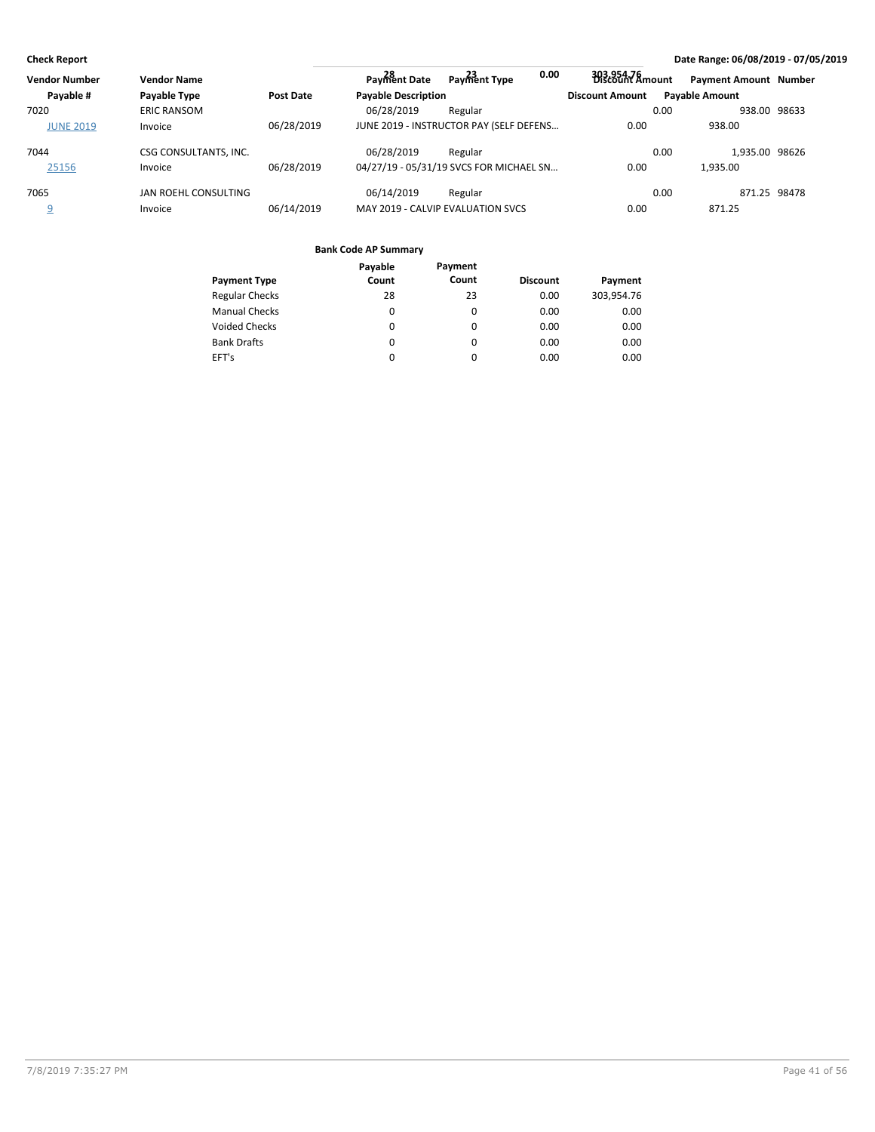| <b>Vendor Number</b> | <b>Vendor Name</b>    |                  | Payment Date               | 0.00<br>Payment Type                    | 303,954,76<br>Discount Amount |      | <b>Payment Amount Number</b> |  |
|----------------------|-----------------------|------------------|----------------------------|-----------------------------------------|-------------------------------|------|------------------------------|--|
| Payable #            | Payable Type          | <b>Post Date</b> | <b>Payable Description</b> |                                         | <b>Discount Amount</b>        |      | <b>Pavable Amount</b>        |  |
| 7020                 | <b>ERIC RANSOM</b>    |                  | 06/28/2019                 | Regular                                 |                               | 0.00 | 938.00 98633                 |  |
| <b>JUNE 2019</b>     | Invoice               | 06/28/2019       |                            | JUNE 2019 - INSTRUCTOR PAY (SELF DEFENS | 0.00                          |      | 938.00                       |  |
| 7044                 | CSG CONSULTANTS, INC. |                  | 06/28/2019                 | Regular                                 |                               | 0.00 | 1.935.00 98626               |  |
| 25156                | Invoice               | 06/28/2019       |                            | 04/27/19 - 05/31/19 SVCS FOR MICHAEL SN | 0.00                          |      | 1.935.00                     |  |
| 7065                 | JAN ROEHL CONSULTING  |                  | 06/14/2019                 | Regular                                 |                               | 0.00 | 871.25 98478                 |  |
|                      | Invoice               | 06/14/2019       |                            | MAY 2019 - CALVIP EVALUATION SVCS       | 0.00                          |      | 871.25                       |  |

|                       | Payable | Payment |                 |            |
|-----------------------|---------|---------|-----------------|------------|
| <b>Payment Type</b>   | Count   | Count   | <b>Discount</b> | Payment    |
| <b>Regular Checks</b> | 28      | 23      | 0.00            | 303,954.76 |
| <b>Manual Checks</b>  | 0       | 0       | 0.00            | 0.00       |
| <b>Voided Checks</b>  | 0       | 0       | 0.00            | 0.00       |
| <b>Bank Drafts</b>    | 0       | 0       | 0.00            | 0.00       |
| EFT's                 | 0       | 0       | 0.00            | 0.00       |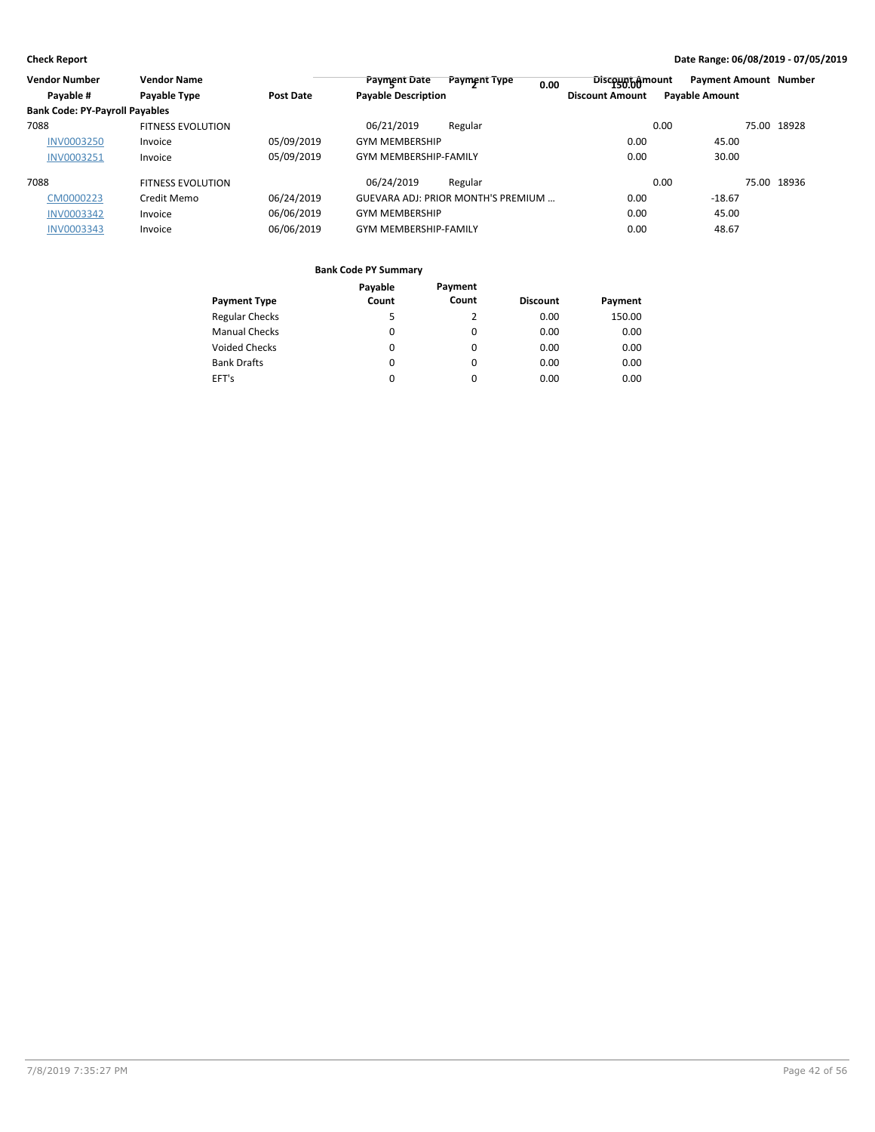| <b>Vendor Number</b>                  | <b>Vendor Name</b>       |                  | <b>Payment Date</b>          | Payment Type<br>0.00                       | Discount bomount       | <b>Payment Amount Number</b> |             |
|---------------------------------------|--------------------------|------------------|------------------------------|--------------------------------------------|------------------------|------------------------------|-------------|
| Payable #                             | Payable Type             | <b>Post Date</b> | <b>Payable Description</b>   |                                            | <b>Discount Amount</b> | <b>Payable Amount</b>        |             |
| <b>Bank Code: PY-Payroll Payables</b> |                          |                  |                              |                                            |                        |                              |             |
| 7088                                  | <b>FITNESS EVOLUTION</b> |                  | 06/21/2019                   | Regular                                    |                        | 0.00                         | 75.00 18928 |
| <b>INV0003250</b>                     | Invoice                  | 05/09/2019       | <b>GYM MEMBERSHIP</b>        |                                            | 0.00                   | 45.00                        |             |
| INV0003251                            | Invoice                  | 05/09/2019       | <b>GYM MEMBERSHIP-FAMILY</b> |                                            | 0.00                   | 30.00                        |             |
| 7088                                  | <b>FITNESS EVOLUTION</b> |                  | 06/24/2019                   | Regular                                    |                        | 0.00                         | 75.00 18936 |
| CM0000223                             | Credit Memo              | 06/24/2019       |                              | <b>GUEVARA ADJ: PRIOR MONTH'S PREMIUM </b> | 0.00                   | $-18.67$                     |             |
| INV0003342                            | Invoice                  | 06/06/2019       | <b>GYM MEMBERSHIP</b>        |                                            | 0.00                   | 45.00                        |             |
| INV0003343                            | Invoice                  | 06/06/2019       | <b>GYM MEMBERSHIP-FAMILY</b> |                                            | 0.00                   | 48.67                        |             |

|                       | Payable  | Payment  |                 |         |
|-----------------------|----------|----------|-----------------|---------|
| <b>Payment Type</b>   | Count    | Count    | <b>Discount</b> | Payment |
| <b>Regular Checks</b> | 5        | 2        | 0.00            | 150.00  |
| <b>Manual Checks</b>  | 0        | 0        | 0.00            | 0.00    |
| <b>Voided Checks</b>  | $\Omega$ | $\Omega$ | 0.00            | 0.00    |
| <b>Bank Drafts</b>    | $\Omega$ | $\Omega$ | 0.00            | 0.00    |
| EFT's                 | 0        | 0        | 0.00            | 0.00    |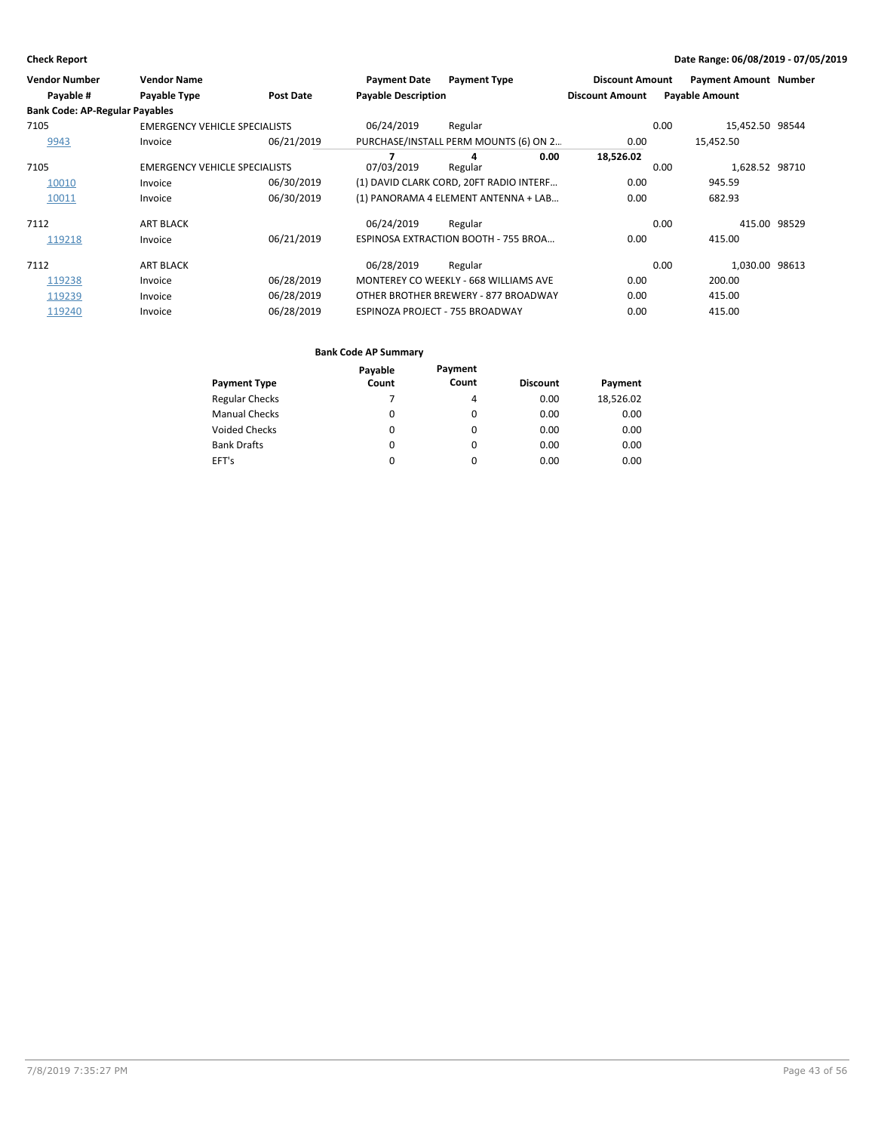| <b>Vendor Number</b>                  | <b>Vendor Name</b>                   |                  | <b>Payment Date</b>        | <b>Payment Type</b>                     |      | <b>Discount Amount</b> |      | <b>Payment Amount Number</b> |       |
|---------------------------------------|--------------------------------------|------------------|----------------------------|-----------------------------------------|------|------------------------|------|------------------------------|-------|
| Payable #                             | <b>Payable Type</b>                  | <b>Post Date</b> | <b>Payable Description</b> |                                         |      | <b>Discount Amount</b> |      | <b>Payable Amount</b>        |       |
| <b>Bank Code: AP-Regular Payables</b> |                                      |                  |                            |                                         |      |                        |      |                              |       |
| 7105                                  | <b>EMERGENCY VEHICLE SPECIALISTS</b> |                  | 06/24/2019                 | Regular                                 |      |                        | 0.00 | 15,452.50 98544              |       |
| 9943                                  | Invoice                              | 06/21/2019       |                            | PURCHASE/INSTALL PERM MOUNTS (6) ON 2   |      | 0.00                   |      | 15,452.50                    |       |
| 7105                                  | <b>EMERGENCY VEHICLE SPECIALISTS</b> |                  | 07/03/2019                 | 4<br>Regular                            | 0.00 | 18,526.02              | 0.00 | 1,628.52 98710               |       |
| 10010                                 | Invoice                              | 06/30/2019       |                            | (1) DAVID CLARK CORD, 20FT RADIO INTERF |      | 0.00                   |      | 945.59                       |       |
| 10011                                 | Invoice                              | 06/30/2019       |                            | (1) PANORAMA 4 ELEMENT ANTENNA + LAB    |      | 0.00                   |      | 682.93                       |       |
| 7112                                  | <b>ART BLACK</b>                     |                  | 06/24/2019                 | Regular                                 |      |                        | 0.00 | 415.00                       | 98529 |
| 119218                                | Invoice                              | 06/21/2019       |                            | ESPINOSA EXTRACTION BOOTH - 755 BROA    |      | 0.00                   |      | 415.00                       |       |
| 7112                                  | <b>ART BLACK</b>                     |                  | 06/28/2019                 | Regular                                 |      |                        | 0.00 | 1,030.00 98613               |       |
| 119238                                | Invoice                              | 06/28/2019       |                            | MONTEREY CO WEEKLY - 668 WILLIAMS AVE   |      | 0.00                   |      | 200.00                       |       |
| 119239                                | Invoice                              | 06/28/2019       |                            | OTHER BROTHER BREWERY - 877 BROADWAY    |      | 0.00                   |      | 415.00                       |       |
| 119240                                | Invoice                              | 06/28/2019       |                            | ESPINOZA PROJECT - 755 BROADWAY         |      | 0.00                   |      | 415.00                       |       |

|                       | Payable | Payment  |                 |           |
|-----------------------|---------|----------|-----------------|-----------|
| <b>Payment Type</b>   | Count   | Count    | <b>Discount</b> | Payment   |
| <b>Regular Checks</b> |         | 4        | 0.00            | 18,526.02 |
| <b>Manual Checks</b>  | 0       | 0        | 0.00            | 0.00      |
| Voided Checks         | 0       | $\Omega$ | 0.00            | 0.00      |
| <b>Bank Drafts</b>    | 0       | 0        | 0.00            | 0.00      |
| EFT's                 |         | 0        | 0.00            | 0.00      |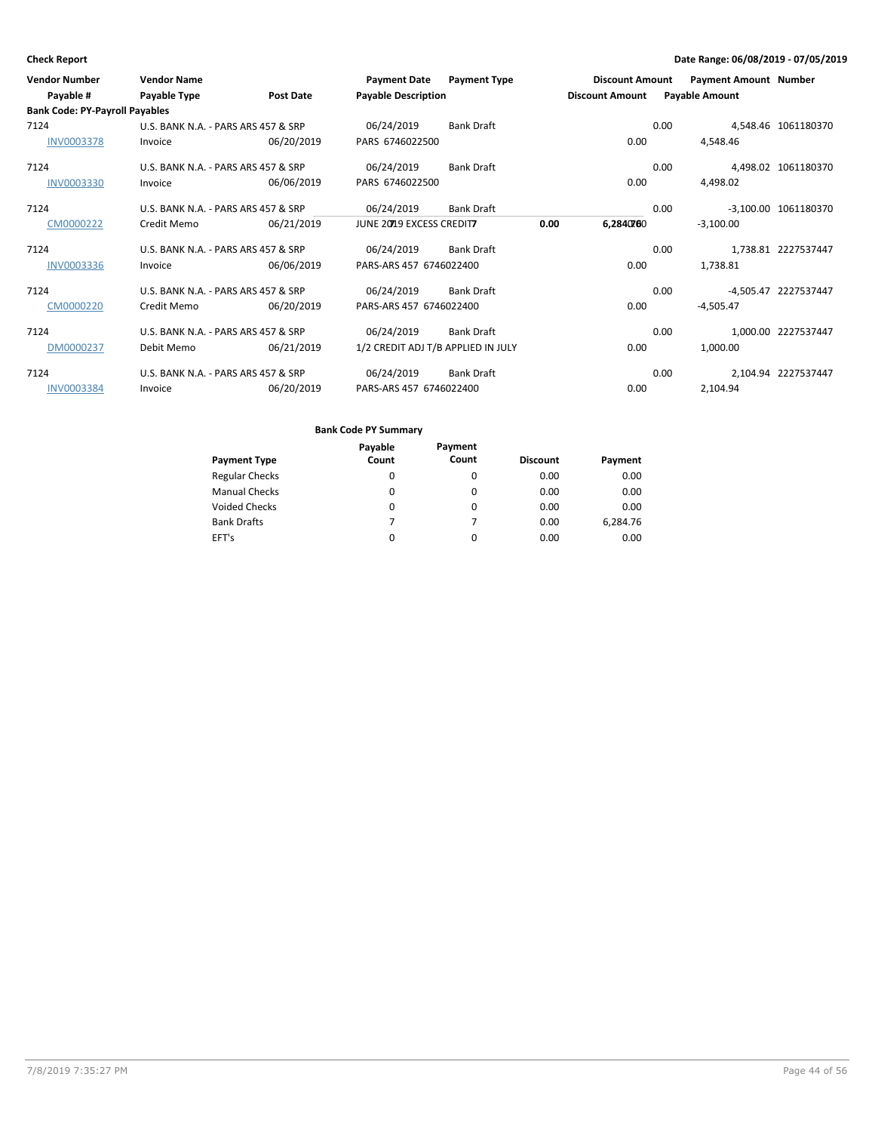| <b>Vendor Number</b>                  | <b>Vendor Name</b>                  |                  | <b>Payment Date</b>                | <b>Payment Type</b> |      | <b>Discount Amount</b> |      | <b>Payment Amount Number</b> |                      |
|---------------------------------------|-------------------------------------|------------------|------------------------------------|---------------------|------|------------------------|------|------------------------------|----------------------|
| Payable #                             | Payable Type                        | <b>Post Date</b> | <b>Payable Description</b>         |                     |      | <b>Discount Amount</b> |      | <b>Payable Amount</b>        |                      |
| <b>Bank Code: PY-Payroll Payables</b> |                                     |                  |                                    |                     |      |                        |      |                              |                      |
| 7124                                  | U.S. BANK N.A. - PARS ARS 457 & SRP |                  | 06/24/2019                         | <b>Bank Draft</b>   |      |                        | 0.00 |                              | 4,548.46 1061180370  |
| <b>INV0003378</b>                     | Invoice                             | 06/20/2019       | PARS 6746022500                    |                     |      | 0.00                   |      | 4,548.46                     |                      |
| 7124                                  | U.S. BANK N.A. - PARS ARS 457 & SRP |                  | 06/24/2019                         | <b>Bank Draft</b>   |      |                        | 0.00 |                              | 4,498.02 1061180370  |
| INV0003330                            | Invoice                             | 06/06/2019       | PARS 6746022500                    |                     |      | 0.00                   |      | 4,498.02                     |                      |
| 7124                                  | U.S. BANK N.A. - PARS ARS 457 & SRP |                  | 06/24/2019                         | <b>Bank Draft</b>   |      |                        | 0.00 |                              | -3,100.00 1061180370 |
| CM0000222                             | Credit Memo                         | 06/21/2019       | JUNE 20219 EXCESS CREDITZ          |                     | 0.00 | 6,2840760              |      | $-3.100.00$                  |                      |
| 7124                                  | U.S. BANK N.A. - PARS ARS 457 & SRP |                  | 06/24/2019                         | <b>Bank Draft</b>   |      |                        | 0.00 |                              | 1,738.81 2227537447  |
| <b>INV0003336</b>                     | Invoice                             | 06/06/2019       | PARS-ARS 457 6746022400            |                     |      | 0.00                   |      | 1.738.81                     |                      |
| 7124                                  | U.S. BANK N.A. - PARS ARS 457 & SRP |                  | 06/24/2019                         | <b>Bank Draft</b>   |      |                        | 0.00 |                              | -4,505.47 2227537447 |
| CM0000220                             | Credit Memo                         | 06/20/2019       | PARS-ARS 457 6746022400            |                     |      | 0.00                   |      | $-4,505.47$                  |                      |
| 7124                                  | U.S. BANK N.A. - PARS ARS 457 & SRP |                  | 06/24/2019                         | <b>Bank Draft</b>   |      |                        | 0.00 |                              | 1,000.00 2227537447  |
| DM0000237                             | Debit Memo                          | 06/21/2019       | 1/2 CREDIT ADJ T/B APPLIED IN JULY |                     |      | 0.00                   |      | 1,000.00                     |                      |
| 7124                                  | U.S. BANK N.A. - PARS ARS 457 & SRP |                  | 06/24/2019                         | <b>Bank Draft</b>   |      |                        | 0.00 |                              | 2,104.94 2227537447  |
| <b>INV0003384</b>                     | Invoice                             | 06/20/2019       | PARS-ARS 457 6746022400            |                     |      | 0.00                   |      | 2,104.94                     |                      |

|                       | Payable | Payment  |                 |          |
|-----------------------|---------|----------|-----------------|----------|
| <b>Payment Type</b>   | Count   | Count    | <b>Discount</b> | Payment  |
| <b>Regular Checks</b> | 0       | 0        | 0.00            | 0.00     |
| <b>Manual Checks</b>  | 0       | 0        | 0.00            | 0.00     |
| Voided Checks         | 0       | 0        | 0.00            | 0.00     |
| <b>Bank Drafts</b>    |         |          | 0.00            | 6,284.76 |
| EFT's                 | 0       | $\Omega$ | 0.00            | 0.00     |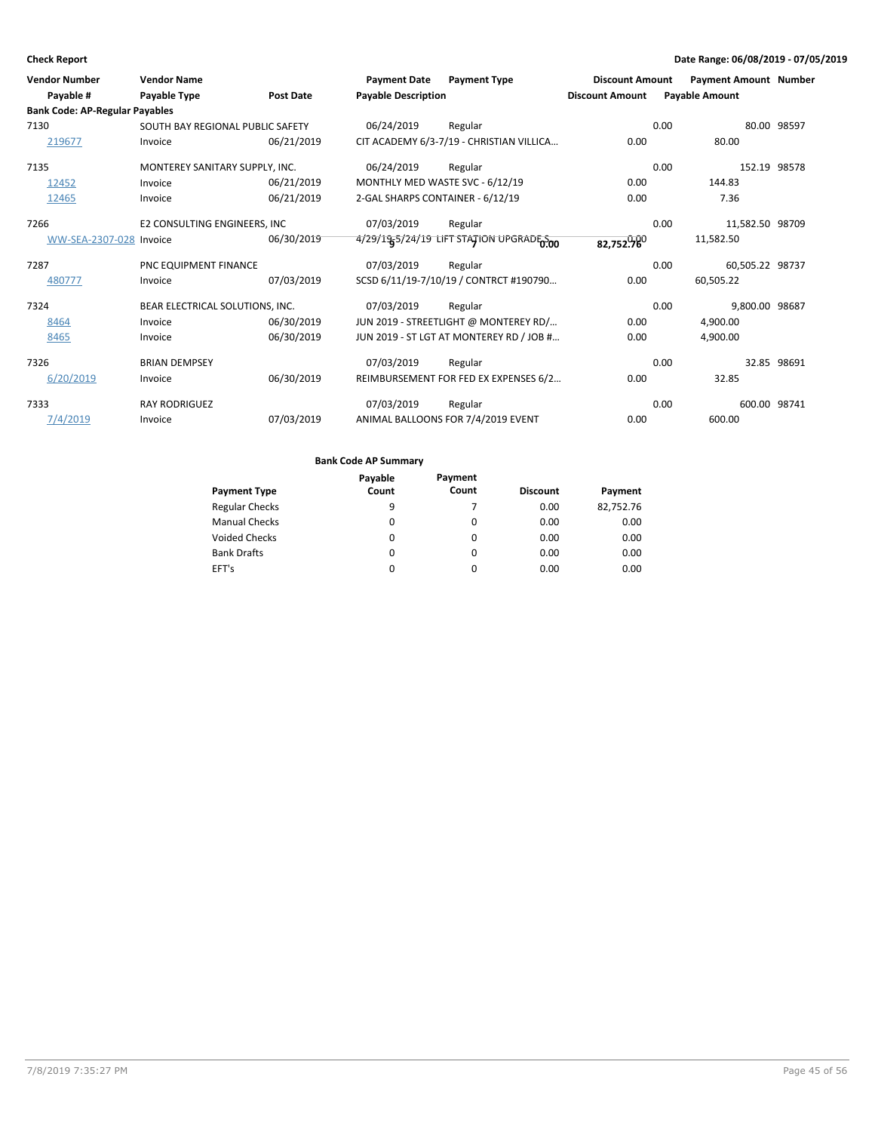| <b>Vendor Number</b>                  | <b>Vendor Name</b>               |                  | <b>Payment Date</b>              | <b>Payment Type</b>                      | <b>Discount Amount</b> |      | <b>Payment Amount Number</b> |             |
|---------------------------------------|----------------------------------|------------------|----------------------------------|------------------------------------------|------------------------|------|------------------------------|-------------|
| Payable #                             | Payable Type                     | <b>Post Date</b> | <b>Payable Description</b>       |                                          | <b>Discount Amount</b> |      | <b>Payable Amount</b>        |             |
| <b>Bank Code: AP-Regular Payables</b> |                                  |                  |                                  |                                          |                        |      |                              |             |
| 7130                                  | SOUTH BAY REGIONAL PUBLIC SAFETY |                  | 06/24/2019                       | Regular                                  |                        | 0.00 |                              | 80.00 98597 |
| 219677                                | Invoice                          | 06/21/2019       |                                  | CIT ACADEMY 6/3-7/19 - CHRISTIAN VILLICA | 0.00                   |      | 80.00                        |             |
| 7135                                  | MONTEREY SANITARY SUPPLY, INC.   |                  | 06/24/2019                       | Regular                                  |                        | 0.00 | 152.19 98578                 |             |
| 12452                                 | Invoice                          | 06/21/2019       |                                  | MONTHLY MED WASTE SVC - 6/12/19          | 0.00                   |      | 144.83                       |             |
| 12465                                 | Invoice                          | 06/21/2019       | 2-GAL SHARPS CONTAINER - 6/12/19 |                                          | 0.00                   |      | 7.36                         |             |
| 7266                                  | E2 CONSULTING ENGINEERS, INC     |                  | 07/03/2019                       | Regular                                  |                        | 0.00 | 11,582.50 98709              |             |
| WW-SEA-2307-028 Invoice               |                                  | 06/30/2019       |                                  | 4/29/19 LIFT STATION UPGRADE 200         | 82,752.760             |      | 11,582.50                    |             |
| 7287                                  | PNC EQUIPMENT FINANCE            |                  | 07/03/2019                       | Regular                                  |                        | 0.00 | 60,505.22 98737              |             |
| 480777                                | Invoice                          | 07/03/2019       |                                  | SCSD 6/11/19-7/10/19 / CONTRCT #190790   | 0.00                   |      | 60,505.22                    |             |
| 7324                                  | BEAR ELECTRICAL SOLUTIONS, INC.  |                  | 07/03/2019                       | Regular                                  |                        | 0.00 | 9.800.00 98687               |             |
| 8464                                  | Invoice                          | 06/30/2019       |                                  | JUN 2019 - STREETLIGHT @ MONTEREY RD/    | 0.00                   |      | 4,900.00                     |             |
| 8465                                  | Invoice                          | 06/30/2019       |                                  | JUN 2019 - ST LGT AT MONTEREY RD / JOB # | 0.00                   |      | 4,900.00                     |             |
| 7326                                  | <b>BRIAN DEMPSEY</b>             |                  | 07/03/2019                       | Regular                                  |                        | 0.00 |                              | 32.85 98691 |
| 6/20/2019                             | Invoice                          | 06/30/2019       |                                  | REIMBURSEMENT FOR FED EX EXPENSES 6/2    | 0.00                   |      | 32.85                        |             |
| 7333                                  | <b>RAY RODRIGUEZ</b>             |                  | 07/03/2019                       | Regular                                  |                        | 0.00 | 600.00 98741                 |             |
| 7/4/2019                              | Invoice                          | 07/03/2019       |                                  | ANIMAL BALLOONS FOR 7/4/2019 EVENT       | 0.00                   |      | 600.00                       |             |

|                       | Payable | Payment  |                 |           |
|-----------------------|---------|----------|-----------------|-----------|
| <b>Payment Type</b>   | Count   | Count    | <b>Discount</b> | Payment   |
| <b>Regular Checks</b> | 9       |          | 0.00            | 82,752.76 |
| <b>Manual Checks</b>  | 0       | 0        | 0.00            | 0.00      |
| <b>Voided Checks</b>  | 0       | 0        | 0.00            | 0.00      |
| <b>Bank Drafts</b>    | 0       | 0        | 0.00            | 0.00      |
| EFT's                 | 0       | $\Omega$ | 0.00            | 0.00      |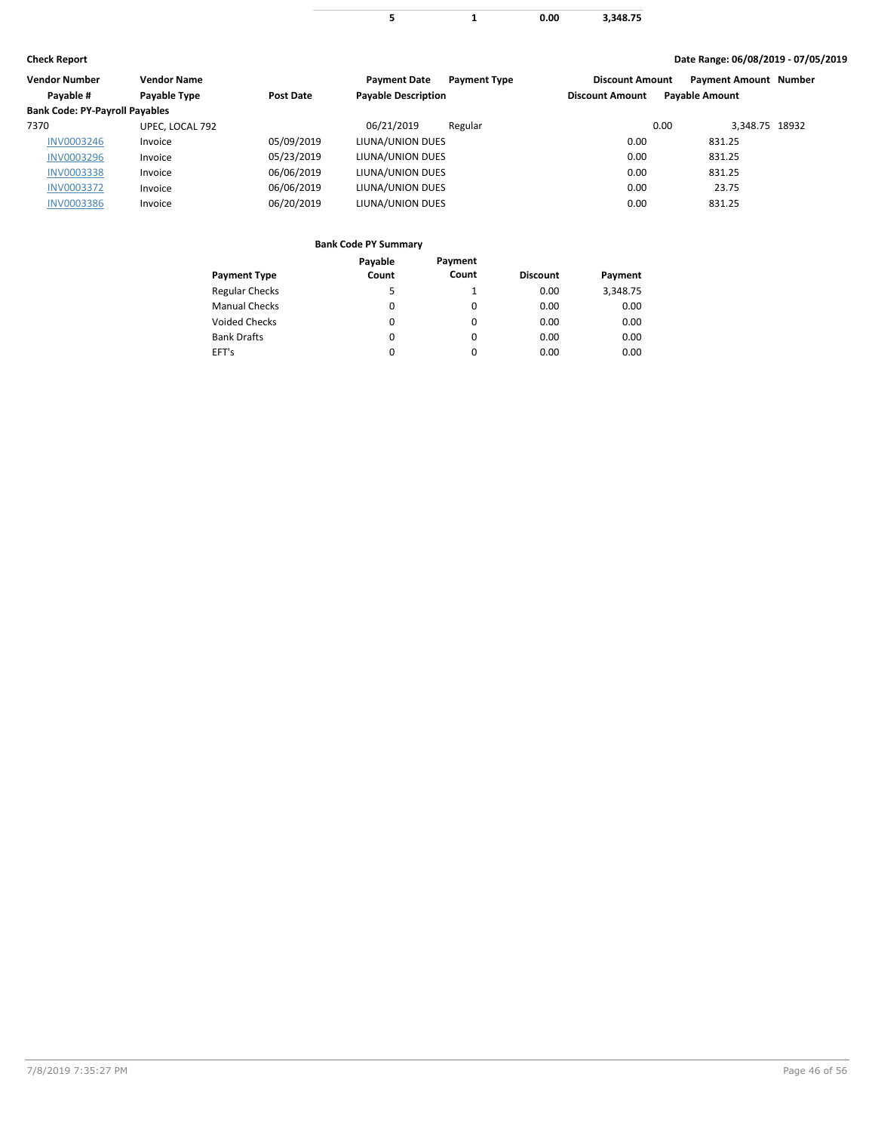**1 0.00 3,348.75 5**

### **Check Report Date Range: 06/08/2019 - 07/05/2019**

| <b>Vendor Number</b>                  | <b>Vendor Name</b> |                  | <b>Payment Date</b><br><b>Payment Type</b> | <b>Discount Amount</b> | <b>Payment Amount Number</b> |  |
|---------------------------------------|--------------------|------------------|--------------------------------------------|------------------------|------------------------------|--|
| Payable #                             | Payable Type       | <b>Post Date</b> | <b>Payable Description</b>                 | <b>Discount Amount</b> | <b>Payable Amount</b>        |  |
| <b>Bank Code: PY-Payroll Payables</b> |                    |                  |                                            |                        |                              |  |
| 7370                                  | UPEC. LOCAL 792    |                  | 06/21/2019<br>Regular                      | 0.00                   | 3,348.75 18932               |  |
| <b>INV0003246</b>                     | Invoice            | 05/09/2019       | LIUNA/UNION DUES                           | 0.00                   | 831.25                       |  |
| <b>INV0003296</b>                     | Invoice            | 05/23/2019       | LIUNA/UNION DUES                           | 0.00                   | 831.25                       |  |
| <b>INV0003338</b>                     | Invoice            | 06/06/2019       | LIUNA/UNION DUES                           | 0.00                   | 831.25                       |  |
| <b>INV0003372</b>                     | Invoice            | 06/06/2019       | LIUNA/UNION DUES                           | 0.00                   | 23.75                        |  |
| <b>INV0003386</b>                     | Invoice            | 06/20/2019       | LIUNA/UNION DUES                           | 0.00                   | 831.25                       |  |
|                                       |                    |                  |                                            |                        |                              |  |

### **Bank Code PY Summary**

 $\overline{\phantom{a}}$ 

|                       | Payable | Payment  |                 |          |
|-----------------------|---------|----------|-----------------|----------|
| <b>Payment Type</b>   | Count   | Count    | <b>Discount</b> | Payment  |
| <b>Regular Checks</b> | 5       |          | 0.00            | 3,348.75 |
| <b>Manual Checks</b>  | 0       | $\Omega$ | 0.00            | 0.00     |
| <b>Voided Checks</b>  | 0       | $\Omega$ | 0.00            | 0.00     |
| <b>Bank Drafts</b>    | 0       | $\Omega$ | 0.00            | 0.00     |
| EFT's                 | 0       | 0        | 0.00            | 0.00     |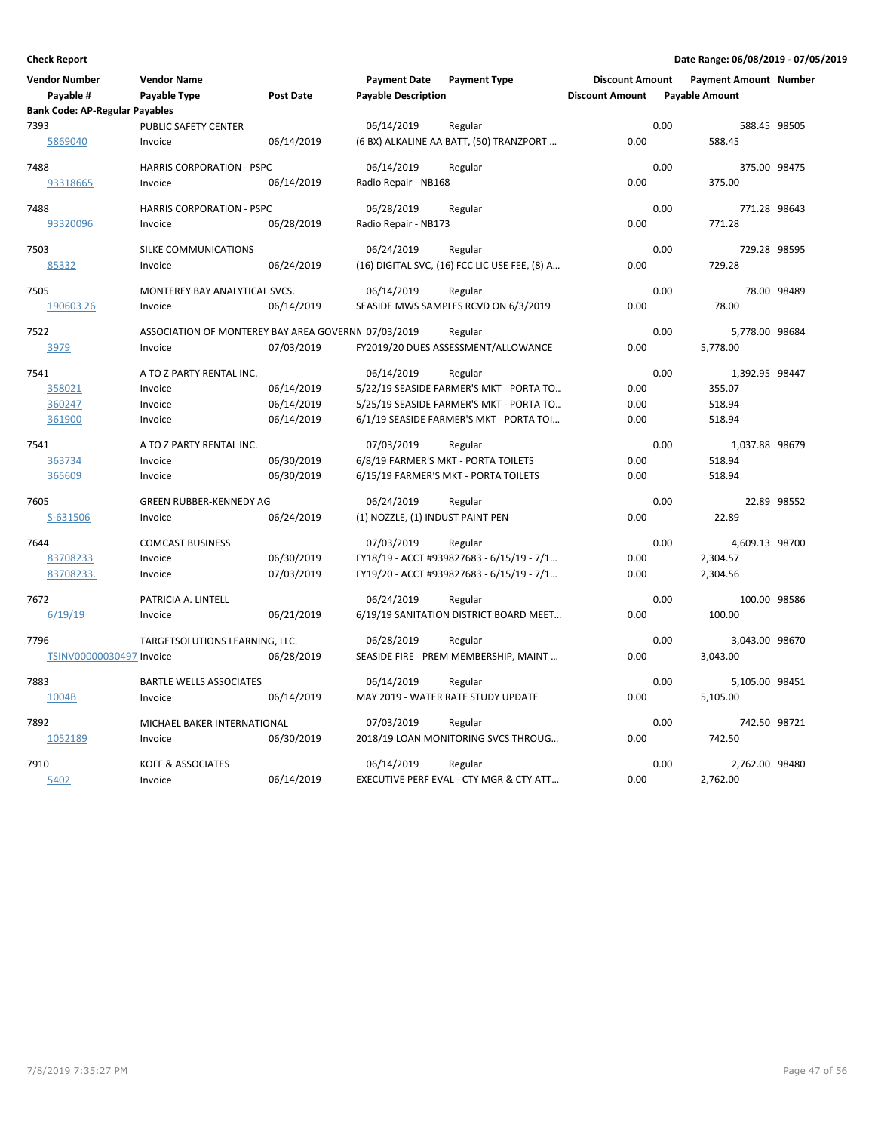| <b>Vendor Number</b><br>Payable #             | <b>Vendor Name</b><br>Payable Type                  | <b>Post Date</b> | <b>Payment Date</b><br><b>Payable Description</b> | <b>Payment Type</b>                           | <b>Discount Amount</b><br><b>Discount Amount</b> |      | <b>Payment Amount Number</b><br><b>Payable Amount</b> |             |
|-----------------------------------------------|-----------------------------------------------------|------------------|---------------------------------------------------|-----------------------------------------------|--------------------------------------------------|------|-------------------------------------------------------|-------------|
| <b>Bank Code: AP-Regular Payables</b><br>7393 | PUBLIC SAFETY CENTER                                |                  | 06/14/2019                                        | Regular                                       |                                                  | 0.00 | 588.45 98505                                          |             |
| 5869040                                       | Invoice                                             | 06/14/2019       |                                                   | (6 BX) ALKALINE AA BATT, (50) TRANZPORT       | 0.00                                             |      | 588.45                                                |             |
| 7488                                          | <b>HARRIS CORPORATION - PSPC</b>                    |                  | 06/14/2019                                        | Regular                                       |                                                  | 0.00 | 375.00 98475                                          |             |
| 93318665                                      | Invoice                                             | 06/14/2019       | Radio Repair - NB168                              |                                               | 0.00                                             |      | 375.00                                                |             |
| 7488                                          | <b>HARRIS CORPORATION - PSPC</b>                    |                  | 06/28/2019                                        | Regular                                       |                                                  | 0.00 | 771.28 98643                                          |             |
| 93320096                                      | Invoice                                             | 06/28/2019       | Radio Repair - NB173                              |                                               | 0.00                                             |      | 771.28                                                |             |
| 7503                                          | <b>SILKE COMMUNICATIONS</b>                         |                  | 06/24/2019                                        | Regular                                       |                                                  | 0.00 | 729.28 98595                                          |             |
| 85332                                         | Invoice                                             | 06/24/2019       |                                                   | (16) DIGITAL SVC, (16) FCC LIC USE FEE, (8) A | 0.00                                             |      | 729.28                                                |             |
| 7505                                          | MONTEREY BAY ANALYTICAL SVCS.                       |                  | 06/14/2019                                        | Regular                                       |                                                  | 0.00 |                                                       | 78.00 98489 |
| 190603 26                                     | Invoice                                             | 06/14/2019       |                                                   | SEASIDE MWS SAMPLES RCVD ON 6/3/2019          | 0.00                                             |      | 78.00                                                 |             |
| 7522                                          | ASSOCIATION OF MONTEREY BAY AREA GOVERNN 07/03/2019 |                  |                                                   | Regular                                       |                                                  | 0.00 | 5,778.00 98684                                        |             |
| 3979                                          | Invoice                                             | 07/03/2019       |                                                   | FY2019/20 DUES ASSESSMENT/ALLOWANCE           | 0.00                                             |      | 5,778.00                                              |             |
| 7541                                          | A TO Z PARTY RENTAL INC.                            |                  | 06/14/2019                                        | Regular                                       |                                                  | 0.00 | 1,392.95 98447                                        |             |
| 358021                                        | Invoice                                             | 06/14/2019       |                                                   | 5/22/19 SEASIDE FARMER'S MKT - PORTA TO       | 0.00                                             |      | 355.07                                                |             |
| 360247                                        | Invoice                                             | 06/14/2019       |                                                   | 5/25/19 SEASIDE FARMER'S MKT - PORTA TO       | 0.00                                             |      | 518.94                                                |             |
| 361900                                        | Invoice                                             | 06/14/2019       |                                                   | 6/1/19 SEASIDE FARMER'S MKT - PORTA TOI       | 0.00                                             |      | 518.94                                                |             |
| 7541                                          | A TO Z PARTY RENTAL INC.                            |                  | 07/03/2019                                        | Regular                                       |                                                  | 0.00 | 1,037.88 98679                                        |             |
| 363734                                        | Invoice                                             | 06/30/2019       |                                                   | 6/8/19 FARMER'S MKT - PORTA TOILETS           | 0.00                                             |      | 518.94                                                |             |
| 365609                                        | Invoice                                             | 06/30/2019       |                                                   | 6/15/19 FARMER'S MKT - PORTA TOILETS          | 0.00                                             |      | 518.94                                                |             |
| 7605                                          | <b>GREEN RUBBER-KENNEDY AG</b>                      |                  | 06/24/2019                                        | Regular                                       |                                                  | 0.00 |                                                       | 22.89 98552 |
| S-631506                                      | Invoice                                             | 06/24/2019       | (1) NOZZLE, (1) INDUST PAINT PEN                  |                                               | 0.00                                             |      | 22.89                                                 |             |
| 7644                                          | <b>COMCAST BUSINESS</b>                             |                  | 07/03/2019                                        | Regular                                       |                                                  | 0.00 | 4,609.13 98700                                        |             |
| 83708233                                      | Invoice                                             | 06/30/2019       |                                                   | FY18/19 - ACCT #939827683 - 6/15/19 - 7/1     | 0.00                                             |      | 2,304.57                                              |             |
| 83708233.                                     | Invoice                                             | 07/03/2019       |                                                   | FY19/20 - ACCT #939827683 - 6/15/19 - 7/1     | 0.00                                             |      | 2,304.56                                              |             |
| 7672                                          | PATRICIA A. LINTELL                                 |                  | 06/24/2019                                        | Regular                                       |                                                  | 0.00 | 100.00 98586                                          |             |
| 6/19/19                                       | Invoice                                             | 06/21/2019       |                                                   | 6/19/19 SANITATION DISTRICT BOARD MEET        | 0.00                                             |      | 100.00                                                |             |
| 7796                                          | TARGETSOLUTIONS LEARNING, LLC.                      |                  | 06/28/2019                                        | Regular                                       |                                                  | 0.00 | 3,043.00 98670                                        |             |
| TSINV00000030497 Invoice                      |                                                     | 06/28/2019       |                                                   | SEASIDE FIRE - PREM MEMBERSHIP, MAINT         | 0.00                                             |      | 3,043.00                                              |             |
| 7883                                          | <b>BARTLE WELLS ASSOCIATES</b>                      |                  | 06/14/2019                                        | Regular                                       |                                                  | 0.00 | 5,105.00 98451                                        |             |
| 1004B                                         | Invoice                                             | 06/14/2019       |                                                   | MAY 2019 - WATER RATE STUDY UPDATE            | 0.00                                             |      | 5,105.00                                              |             |
| 7892                                          | MICHAEL BAKER INTERNATIONAL                         |                  | 07/03/2019                                        | Regular                                       |                                                  | 0.00 | 742.50 98721                                          |             |
| 1052189                                       | Invoice                                             | 06/30/2019       |                                                   | 2018/19 LOAN MONITORING SVCS THROUG           | 0.00                                             |      | 742.50                                                |             |
| 7910                                          | <b>KOFF &amp; ASSOCIATES</b>                        |                  | 06/14/2019                                        | Regular                                       |                                                  | 0.00 | 2,762.00 98480                                        |             |
| 5402                                          | Invoice                                             | 06/14/2019       |                                                   | EXECUTIVE PERF EVAL - CTY MGR & CTY ATT       | 0.00                                             |      | 2,762.00                                              |             |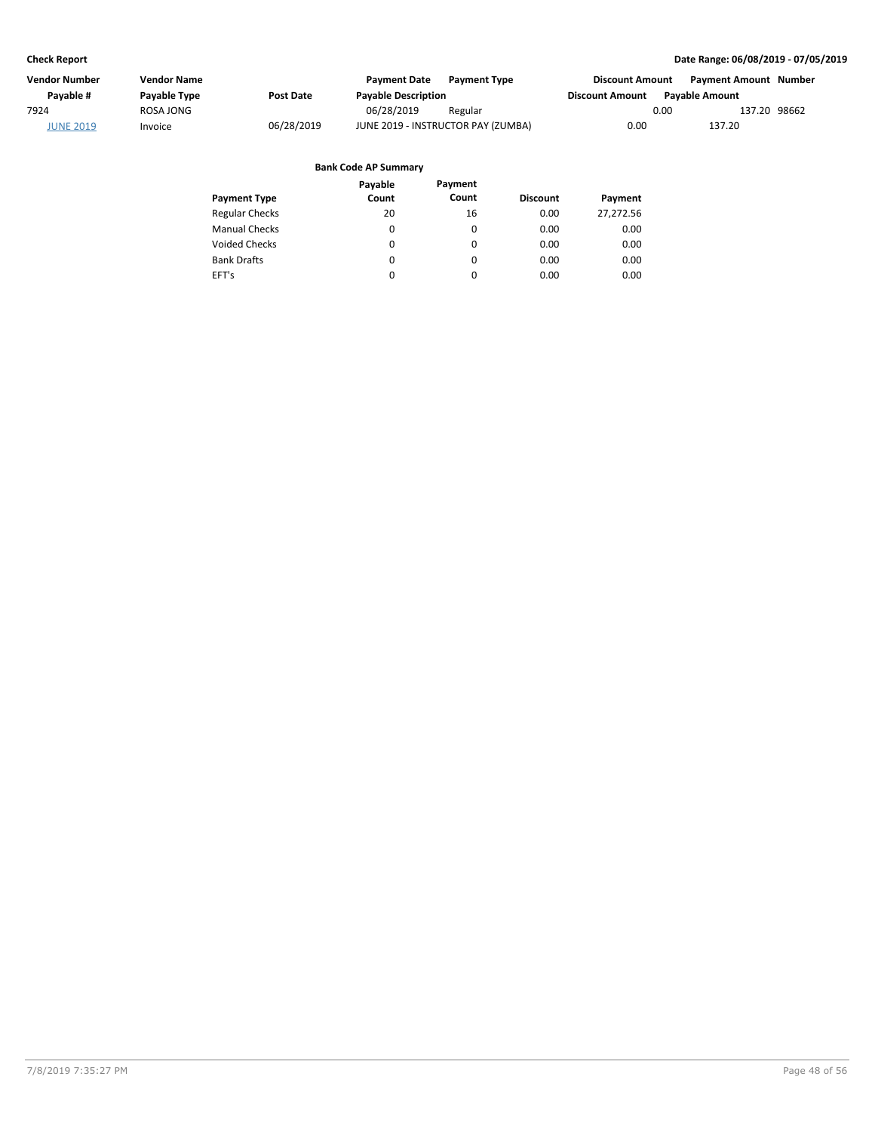| Vendor Number    | Vendor Name  |            | <b>Payment Date</b>                | <b>Payment Type</b> | <b>Discount Amount</b> |                       | <b>Payment Amount Number</b> |  |
|------------------|--------------|------------|------------------------------------|---------------------|------------------------|-----------------------|------------------------------|--|
| Pavable #        | Payable Type | Post Date  | <b>Payable Description</b>         |                     | <b>Discount Amount</b> | <b>Pavable Amount</b> |                              |  |
| 7924             | ROSA JONG    |            | 06/28/2019                         | Regular             |                        | 0.00                  | 137.20 98662                 |  |
| <b>JUNE 2019</b> | Invoice      | 06/28/2019 | JUNE 2019 - INSTRUCTOR PAY (ZUMBA) |                     | 0.00                   |                       | 137.20                       |  |

|                       | Payable | Payment  |                 |           |
|-----------------------|---------|----------|-----------------|-----------|
| <b>Payment Type</b>   | Count   | Count    | <b>Discount</b> | Payment   |
| <b>Regular Checks</b> | 20      | 16       | 0.00            | 27,272.56 |
| <b>Manual Checks</b>  | 0       | 0        | 0.00            | 0.00      |
| <b>Voided Checks</b>  | 0       | 0        | 0.00            | 0.00      |
| <b>Bank Drafts</b>    | 0       | $\Omega$ | 0.00            | 0.00      |
| EFT's                 | 0       | 0        | 0.00            | 0.00      |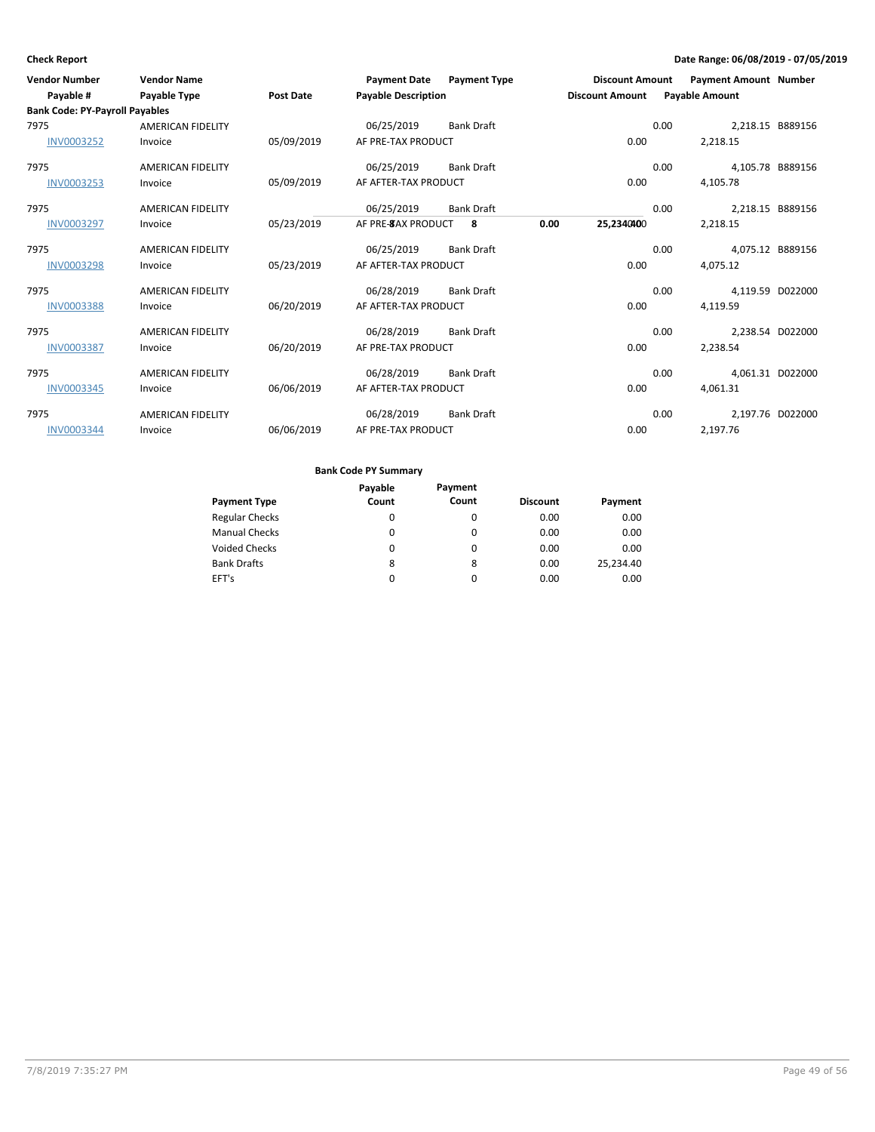| <b>Vendor Number</b><br>Payable #     | <b>Vendor Name</b><br><b>Payable Type</b> | <b>Post Date</b> | <b>Payment Date</b><br><b>Payable Description</b> | <b>Payment Type</b> |      | <b>Discount Amount</b><br><b>Discount Amount</b> |      | <b>Payment Amount Number</b><br><b>Payable Amount</b> |  |
|---------------------------------------|-------------------------------------------|------------------|---------------------------------------------------|---------------------|------|--------------------------------------------------|------|-------------------------------------------------------|--|
| <b>Bank Code: PY-Payroll Payables</b> |                                           |                  |                                                   |                     |      |                                                  |      |                                                       |  |
| 7975                                  | <b>AMERICAN FIDELITY</b>                  |                  | 06/25/2019                                        | <b>Bank Draft</b>   |      |                                                  | 0.00 | 2,218.15 B889156                                      |  |
| <b>INV0003252</b>                     | Invoice                                   | 05/09/2019       | AF PRE-TAX PRODUCT                                |                     |      | 0.00                                             |      | 2,218.15                                              |  |
| 7975                                  | <b>AMERICAN FIDELITY</b>                  |                  | 06/25/2019                                        | <b>Bank Draft</b>   |      |                                                  | 0.00 | 4,105.78 B889156                                      |  |
| <b>INV0003253</b>                     | Invoice                                   | 05/09/2019       | AF AFTER-TAX PRODUCT                              |                     |      | 0.00                                             |      | 4,105.78                                              |  |
| 7975                                  | <b>AMERICAN FIDELITY</b>                  |                  | 06/25/2019                                        | <b>Bank Draft</b>   |      |                                                  | 0.00 | 2,218.15 B889156                                      |  |
| <b>INV0003297</b>                     | Invoice                                   | 05/23/2019       | AF PRE-8AX PRODUCT                                | 8                   | 0.00 | 25,2340400                                       |      | 2,218.15                                              |  |
| 7975                                  | <b>AMERICAN FIDELITY</b>                  |                  | 06/25/2019                                        | <b>Bank Draft</b>   |      |                                                  | 0.00 | 4,075.12 B889156                                      |  |
| <b>INV0003298</b>                     | Invoice                                   | 05/23/2019       | AF AFTER-TAX PRODUCT                              |                     |      | 0.00                                             |      | 4,075.12                                              |  |
| 7975                                  | <b>AMERICAN FIDELITY</b>                  |                  | 06/28/2019                                        | <b>Bank Draft</b>   |      |                                                  | 0.00 | 4,119.59 D022000                                      |  |
| <b>INV0003388</b>                     | Invoice                                   | 06/20/2019       | AF AFTER-TAX PRODUCT                              |                     |      | 0.00                                             |      | 4,119.59                                              |  |
| 7975                                  | <b>AMERICAN FIDELITY</b>                  |                  | 06/28/2019                                        | <b>Bank Draft</b>   |      |                                                  | 0.00 | 2,238.54 D022000                                      |  |
| <b>INV0003387</b>                     | Invoice                                   | 06/20/2019       | AF PRE-TAX PRODUCT                                |                     |      | 0.00                                             |      | 2,238.54                                              |  |
| 7975                                  | <b>AMERICAN FIDELITY</b>                  |                  | 06/28/2019                                        | <b>Bank Draft</b>   |      |                                                  | 0.00 | 4,061.31 D022000                                      |  |
| <b>INV0003345</b>                     | Invoice                                   | 06/06/2019       | AF AFTER-TAX PRODUCT                              |                     |      | 0.00                                             |      | 4,061.31                                              |  |
| 7975                                  | <b>AMERICAN FIDELITY</b>                  |                  | 06/28/2019                                        | <b>Bank Draft</b>   |      |                                                  | 0.00 | 2,197.76 D022000                                      |  |
| <b>INV0003344</b>                     | Invoice                                   | 06/06/2019       | AF PRE-TAX PRODUCT                                |                     |      | 0.00                                             |      | 2,197.76                                              |  |

|                       | Payable | Payment  |                 |           |
|-----------------------|---------|----------|-----------------|-----------|
| <b>Payment Type</b>   | Count   | Count    | <b>Discount</b> | Payment   |
| <b>Regular Checks</b> | 0       | $\Omega$ | 0.00            | 0.00      |
| <b>Manual Checks</b>  | 0       | $\Omega$ | 0.00            | 0.00      |
| <b>Voided Checks</b>  | 0       | $\Omega$ | 0.00            | 0.00      |
| <b>Bank Drafts</b>    | 8       | 8        | 0.00            | 25.234.40 |
| EFT's                 | 0       |          | 0.00            | 0.00      |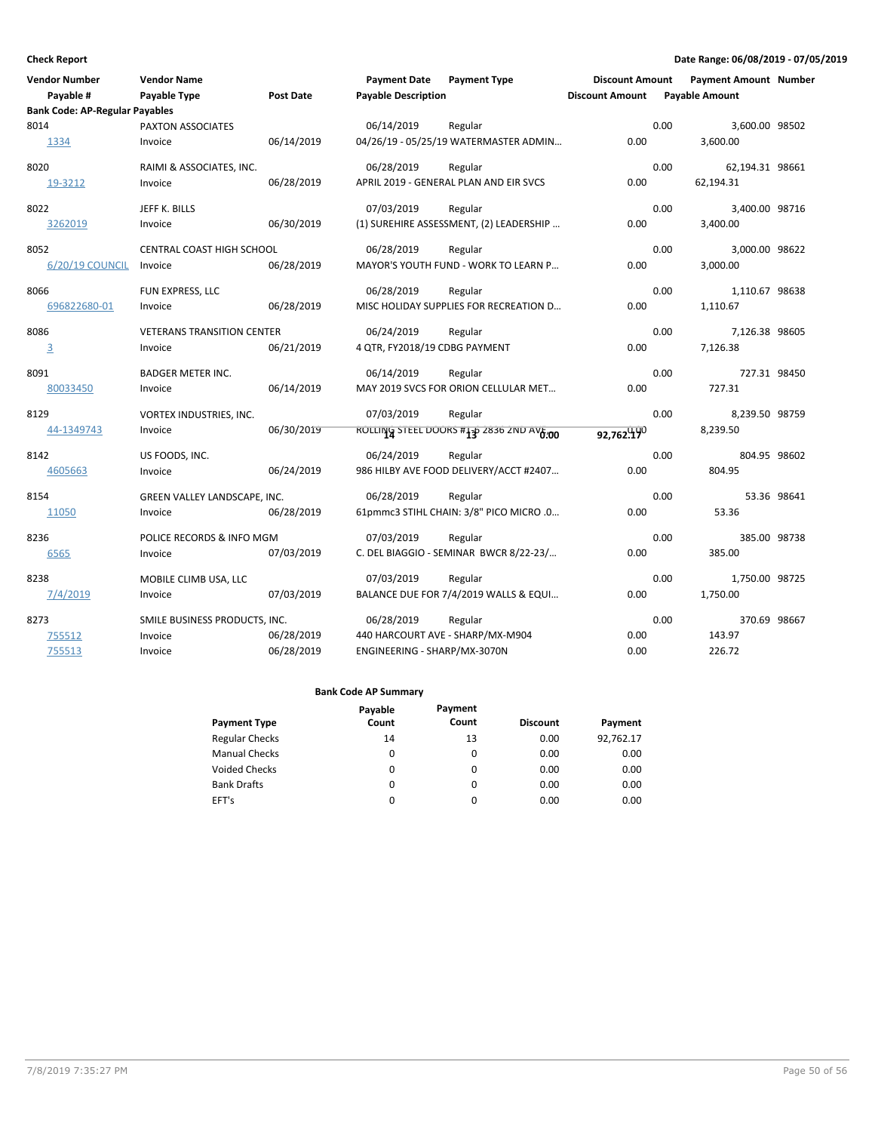| <b>Vendor Number</b><br>Payable #     | <b>Vendor Name</b><br>Payable Type | <b>Post Date</b> | <b>Payment Date</b><br><b>Payable Description</b> | <b>Payment Type</b>                         | <b>Discount Amount</b><br><b>Discount Amount</b> | <b>Payment Amount Number</b><br><b>Payable Amount</b> |              |
|---------------------------------------|------------------------------------|------------------|---------------------------------------------------|---------------------------------------------|--------------------------------------------------|-------------------------------------------------------|--------------|
| <b>Bank Code: AP-Regular Payables</b> |                                    |                  |                                                   |                                             |                                                  |                                                       |              |
| 8014                                  | PAXTON ASSOCIATES                  |                  | 06/14/2019                                        | Regular                                     |                                                  | 0.00<br>3,600.00 98502                                |              |
| 1334                                  | Invoice                            | 06/14/2019       |                                                   | 04/26/19 - 05/25/19 WATERMASTER ADMIN       | 0.00                                             | 3,600.00                                              |              |
| 8020                                  | RAIMI & ASSOCIATES, INC.           |                  | 06/28/2019                                        | Regular                                     |                                                  | 0.00<br>62,194.31 98661                               |              |
| 19-3212                               | Invoice                            | 06/28/2019       |                                                   | APRIL 2019 - GENERAL PLAN AND EIR SVCS      | 0.00                                             | 62,194.31                                             |              |
| 8022                                  | JEFF K. BILLS                      |                  | 07/03/2019                                        | Regular                                     |                                                  | 0.00<br>3,400.00 98716                                |              |
| 3262019                               | Invoice                            | 06/30/2019       |                                                   | (1) SUREHIRE ASSESSMENT, (2) LEADERSHIP     | 0.00                                             | 3,400.00                                              |              |
| 8052                                  | CENTRAL COAST HIGH SCHOOL          |                  | 06/28/2019                                        | Regular                                     |                                                  | 0.00<br>3,000.00 98622                                |              |
| 6/20/19 COUNCIL                       | Invoice                            | 06/28/2019       |                                                   | <b>MAYOR'S YOUTH FUND - WORK TO LEARN P</b> | 0.00                                             | 3,000.00                                              |              |
| 8066                                  | FUN EXPRESS, LLC                   |                  | 06/28/2019                                        | Regular                                     |                                                  | 0.00<br>1,110.67 98638                                |              |
| 696822680-01                          | Invoice                            | 06/28/2019       |                                                   | MISC HOLIDAY SUPPLIES FOR RECREATION D      | 0.00                                             | 1,110.67                                              |              |
| 8086                                  | <b>VETERANS TRANSITION CENTER</b>  |                  | 06/24/2019                                        | Regular                                     |                                                  | 0.00<br>7,126.38 98605                                |              |
| $\overline{3}$                        | Invoice                            | 06/21/2019       | 4 QTR, FY2018/19 CDBG PAYMENT                     |                                             | 0.00                                             | 7,126.38                                              |              |
| 8091                                  | <b>BADGER METER INC.</b>           |                  | 06/14/2019                                        | Regular                                     |                                                  | 0.00                                                  | 727.31 98450 |
| 80033450                              | Invoice                            | 06/14/2019       |                                                   | MAY 2019 SVCS FOR ORION CELLULAR MET        | 0.00                                             | 727.31                                                |              |
| 8129                                  | VORTEX INDUSTRIES, INC.            |                  | 07/03/2019                                        | Regular                                     |                                                  | 0.00<br>8,239.50 98759                                |              |
| 44-1349743                            | Invoice                            | 06/30/2019       |                                                   | ROLLING STEEL DOORS #130 2836 2ND AV6.00    | 92,762.190                                       | 8,239.50                                              |              |
| 8142                                  | US FOODS, INC.                     |                  | 06/24/2019                                        | Regular                                     |                                                  | 0.00                                                  | 804.95 98602 |
| 4605663                               | Invoice                            | 06/24/2019       |                                                   | 986 HILBY AVE FOOD DELIVERY/ACCT #2407      | 0.00                                             | 804.95                                                |              |
| 8154                                  | GREEN VALLEY LANDSCAPE, INC.       |                  | 06/28/2019                                        | Regular                                     |                                                  | 0.00                                                  | 53.36 98641  |
| 11050                                 | Invoice                            | 06/28/2019       |                                                   | 61pmmc3 STIHL CHAIN: 3/8" PICO MICRO .0     | 0.00                                             | 53.36                                                 |              |
| 8236                                  | POLICE RECORDS & INFO MGM          |                  | 07/03/2019                                        | Regular                                     |                                                  | 0.00                                                  | 385.00 98738 |
| 6565                                  | Invoice                            | 07/03/2019       |                                                   | C. DEL BIAGGIO - SEMINAR BWCR 8/22-23/      | 0.00                                             | 385.00                                                |              |
| 8238                                  | MOBILE CLIMB USA, LLC              |                  | 07/03/2019                                        | Regular                                     |                                                  | 0.00<br>1,750.00 98725                                |              |
| 7/4/2019                              | Invoice                            | 07/03/2019       |                                                   | BALANCE DUE FOR 7/4/2019 WALLS & EQUI       | 0.00                                             | 1.750.00                                              |              |
| 8273                                  | SMILE BUSINESS PRODUCTS, INC.      |                  | 06/28/2019                                        | Regular                                     |                                                  | 0.00                                                  | 370.69 98667 |
| 755512                                | Invoice                            | 06/28/2019       |                                                   | 440 HARCOURT AVE - SHARP/MX-M904            | 0.00                                             | 143.97                                                |              |
| 755513                                | Invoice                            | 06/28/2019       | ENGINEERING - SHARP/MX-3070N                      |                                             | 0.00                                             | 226.72                                                |              |

|                       | Payable | Payment  |                 |           |
|-----------------------|---------|----------|-----------------|-----------|
| <b>Payment Type</b>   | Count   | Count    | <b>Discount</b> | Payment   |
| <b>Regular Checks</b> | 14      | 13       | 0.00            | 92,762.17 |
| <b>Manual Checks</b>  | 0       | 0        | 0.00            | 0.00      |
| <b>Voided Checks</b>  | 0       | 0        | 0.00            | 0.00      |
| <b>Bank Drafts</b>    | 0       | $\Omega$ | 0.00            | 0.00      |
| EFT's                 | 0       | 0        | 0.00            | 0.00      |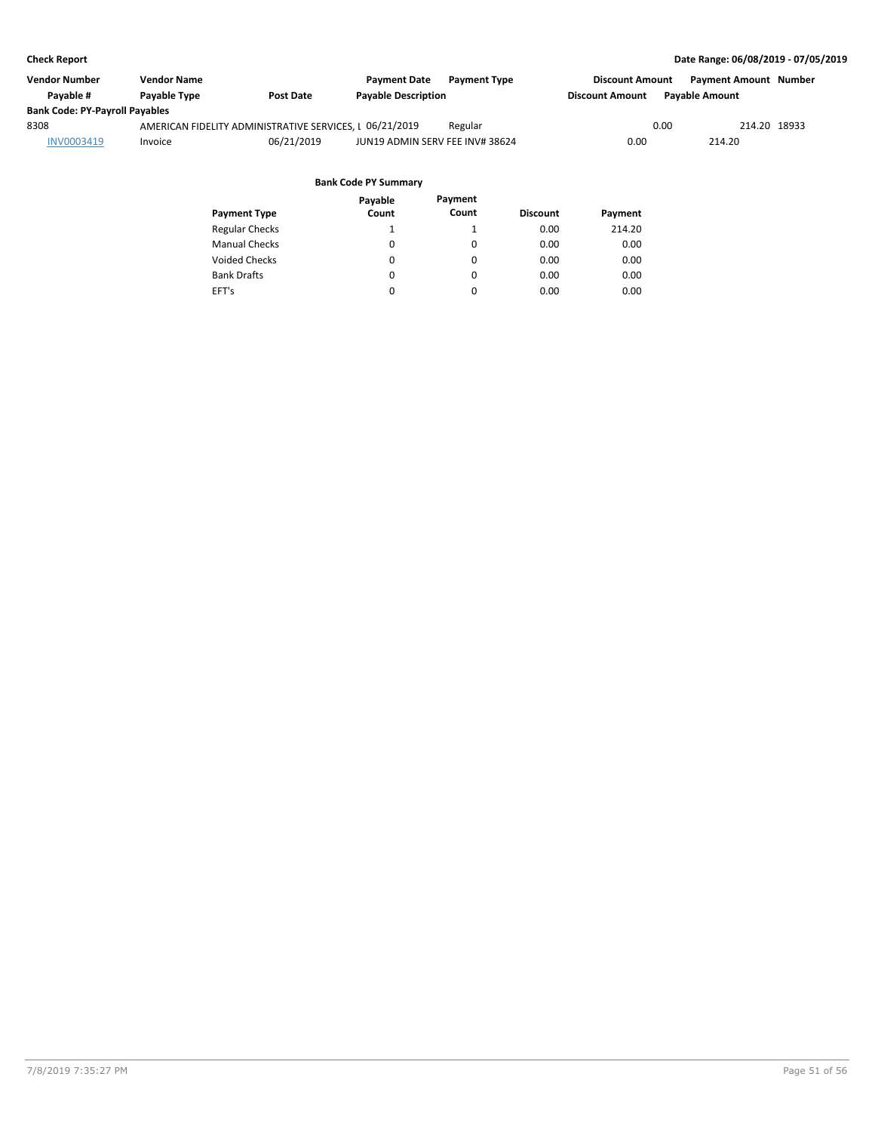| Vendor Number                         | <b>Vendor Name</b> |                                                         | <b>Payment Date</b><br><b>Payment Type</b> | <b>Discount Amount</b> | <b>Payment Amount Number</b> |  |
|---------------------------------------|--------------------|---------------------------------------------------------|--------------------------------------------|------------------------|------------------------------|--|
| Pavable #                             | Payable Type       | <b>Post Date</b>                                        | <b>Payable Description</b>                 | <b>Discount Amount</b> | <b>Payable Amount</b>        |  |
| <b>Bank Code: PY-Payroll Payables</b> |                    |                                                         |                                            |                        |                              |  |
| 8308                                  |                    | AMERICAN FIDELITY ADMINISTRATIVE SERVICES, I 06/21/2019 | Regular                                    | 0.00                   | 214.20 18933                 |  |
| INV0003419                            | Invoice            | 06/21/2019                                              | JUN19 ADMIN SERV FEE INV# 38624            | 0.00                   | 214.20                       |  |
|                                       |                    |                                                         |                                            |                        |                              |  |

|                       | Payable | Payment |                 |         |
|-----------------------|---------|---------|-----------------|---------|
| <b>Payment Type</b>   | Count   | Count   | <b>Discount</b> | Payment |
| <b>Regular Checks</b> | 1       |         | 0.00            | 214.20  |
| <b>Manual Checks</b>  | 0       | 0       | 0.00            | 0.00    |
| <b>Voided Checks</b>  | 0       | 0       | 0.00            | 0.00    |
| <b>Bank Drafts</b>    | 0       | 0       | 0.00            | 0.00    |
| EFT's                 | 0       | 0       | 0.00            | 0.00    |
|                       |         |         |                 |         |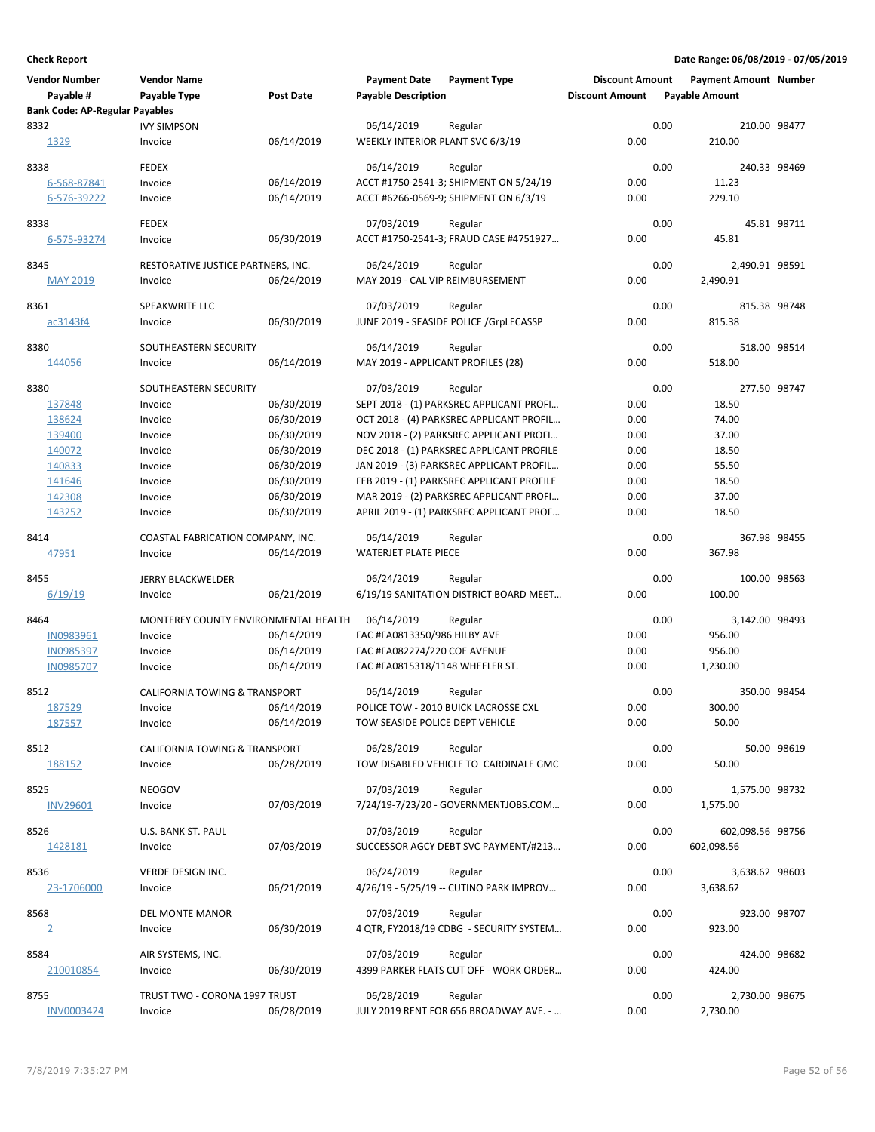| <b>Vendor Number</b><br>Payable #     | <b>Vendor Name</b><br><b>Payable Type</b> | <b>Post Date</b>         | <b>Payment Date</b><br><b>Payable Description</b> | <b>Payment Type</b>                             | <b>Discount Amount</b><br><b>Discount Amount</b> |      | <b>Payment Amount Number</b><br><b>Payable Amount</b> |             |
|---------------------------------------|-------------------------------------------|--------------------------|---------------------------------------------------|-------------------------------------------------|--------------------------------------------------|------|-------------------------------------------------------|-------------|
| <b>Bank Code: AP-Regular Payables</b> |                                           |                          |                                                   |                                                 |                                                  |      |                                                       |             |
| 8332                                  | <b>IVY SIMPSON</b>                        |                          | 06/14/2019                                        | Regular                                         |                                                  | 0.00 | 210.00 98477                                          |             |
| 1329                                  | Invoice                                   | 06/14/2019               | WEEKLY INTERIOR PLANT SVC 6/3/19                  |                                                 | 0.00                                             |      | 210.00                                                |             |
| 8338                                  | <b>FEDEX</b>                              |                          | 06/14/2019                                        | Regular                                         |                                                  | 0.00 | 240.33 98469                                          |             |
| 6-568-87841                           | Invoice                                   | 06/14/2019               |                                                   | ACCT #1750-2541-3; SHIPMENT ON 5/24/19          | 0.00                                             |      | 11.23                                                 |             |
| 6-576-39222                           | Invoice                                   | 06/14/2019               |                                                   | ACCT #6266-0569-9; SHIPMENT ON 6/3/19           | 0.00                                             |      | 229.10                                                |             |
|                                       |                                           |                          |                                                   |                                                 |                                                  |      |                                                       |             |
| 8338                                  | <b>FEDEX</b>                              |                          | 07/03/2019                                        | Regular                                         |                                                  | 0.00 |                                                       | 45.81 98711 |
| 6-575-93274                           | Invoice                                   | 06/30/2019               |                                                   | ACCT #1750-2541-3; FRAUD CASE #4751927          | 0.00                                             |      | 45.81                                                 |             |
|                                       |                                           |                          |                                                   |                                                 |                                                  |      |                                                       |             |
| 8345                                  | RESTORATIVE JUSTICE PARTNERS, INC.        |                          | 06/24/2019                                        | Regular                                         |                                                  | 0.00 | 2,490.91 98591                                        |             |
| <b>MAY 2019</b>                       | Invoice                                   | 06/24/2019               | MAY 2019 - CAL VIP REIMBURSEMENT                  |                                                 | 0.00                                             |      | 2,490.91                                              |             |
| 8361                                  | SPEAKWRITE LLC                            |                          | 07/03/2019                                        | Regular                                         |                                                  | 0.00 | 815.38 98748                                          |             |
| ac3143f4                              | Invoice                                   | 06/30/2019               |                                                   | JUNE 2019 - SEASIDE POLICE / GrpLECASSP         | 0.00                                             |      | 815.38                                                |             |
|                                       |                                           |                          |                                                   |                                                 |                                                  |      |                                                       |             |
| 8380                                  | SOUTHEASTERN SECURITY                     |                          | 06/14/2019                                        | Regular                                         |                                                  | 0.00 | 518.00 98514                                          |             |
| 144056                                | Invoice                                   | 06/14/2019               | MAY 2019 - APPLICANT PROFILES (28)                |                                                 | 0.00                                             |      | 518.00                                                |             |
|                                       |                                           |                          |                                                   |                                                 |                                                  |      |                                                       |             |
| 8380                                  | SOUTHEASTERN SECURITY                     |                          | 07/03/2019                                        | Regular                                         |                                                  | 0.00 | 277.50 98747                                          |             |
| 137848                                | Invoice                                   | 06/30/2019               |                                                   | SEPT 2018 - (1) PARKSREC APPLICANT PROFI        | 0.00                                             |      | 18.50                                                 |             |
| 138624                                | Invoice                                   | 06/30/2019               |                                                   | OCT 2018 - (4) PARKSREC APPLICANT PROFIL        | 0.00                                             |      | 74.00                                                 |             |
| 139400                                | Invoice                                   | 06/30/2019               |                                                   | NOV 2018 - (2) PARKSREC APPLICANT PROFI         | 0.00                                             |      | 37.00                                                 |             |
| 140072                                | Invoice                                   | 06/30/2019               |                                                   | DEC 2018 - (1) PARKSREC APPLICANT PROFILE       | 0.00                                             |      | 18.50                                                 |             |
| 140833                                | Invoice                                   | 06/30/2019               |                                                   | JAN 2019 - (3) PARKSREC APPLICANT PROFIL        | 0.00                                             |      | 55.50                                                 |             |
| 141646                                | Invoice                                   | 06/30/2019               |                                                   | FEB 2019 - (1) PARKSREC APPLICANT PROFILE       | 0.00                                             |      | 18.50                                                 |             |
| 142308                                | Invoice                                   | 06/30/2019               |                                                   | MAR 2019 - (2) PARKSREC APPLICANT PROFI         | 0.00                                             |      | 37.00                                                 |             |
| 143252                                | Invoice                                   | 06/30/2019               |                                                   | APRIL 2019 - (1) PARKSREC APPLICANT PROF        | 0.00                                             |      | 18.50                                                 |             |
| 8414                                  | COASTAL FABRICATION COMPANY, INC.         |                          | 06/14/2019                                        | Regular                                         |                                                  | 0.00 | 367.98 98455                                          |             |
| 47951                                 | Invoice                                   | 06/14/2019               | <b>WATERJET PLATE PIECE</b>                       |                                                 | 0.00                                             |      | 367.98                                                |             |
|                                       |                                           |                          |                                                   |                                                 |                                                  |      |                                                       |             |
| 8455                                  | <b>JERRY BLACKWELDER</b>                  |                          | 06/24/2019                                        | Regular                                         |                                                  | 0.00 | 100.00 98563                                          |             |
| 6/19/19                               | Invoice                                   | 06/21/2019               |                                                   | 6/19/19 SANITATION DISTRICT BOARD MEET          | 0.00                                             |      | 100.00                                                |             |
|                                       |                                           |                          |                                                   |                                                 |                                                  |      |                                                       |             |
| 8464                                  | MONTEREY COUNTY ENVIRONMENTAL HEALTH      |                          | 06/14/2019                                        | Regular                                         |                                                  | 0.00 | 3,142.00 98493                                        |             |
| IN0983961                             | Invoice                                   | 06/14/2019<br>06/14/2019 | FAC #FA0813350/986 HILBY AVE                      |                                                 | 0.00                                             |      | 956.00                                                |             |
| IN0985397<br><b>IN0985707</b>         | Invoice                                   |                          | FAC #FA082274/220 COE AVENUE                      |                                                 | 0.00<br>0.00                                     |      | 956.00                                                |             |
|                                       | Invoice                                   | 06/14/2019               | FAC #FA0815318/1148 WHEELER ST.                   |                                                 |                                                  |      | 1,230.00                                              |             |
| 8512                                  | <b>CALIFORNIA TOWING &amp; TRANSPORT</b>  |                          | 06/14/2019                                        | Regular                                         |                                                  | 0.00 | 350.00 98454                                          |             |
| 187529                                | Invoice                                   | 06/14/2019               |                                                   | POLICE TOW - 2010 BUICK LACROSSE CXL            | 0.00                                             |      | 300.00                                                |             |
| 187557                                | Invoice                                   | 06/14/2019               | TOW SEASIDE POLICE DEPT VEHICLE                   |                                                 | 0.00                                             |      | 50.00                                                 |             |
|                                       |                                           |                          |                                                   |                                                 |                                                  |      |                                                       |             |
| 8512                                  | CALIFORNIA TOWING & TRANSPORT             |                          | 06/28/2019                                        | Regular                                         |                                                  | 0.00 |                                                       | 50.00 98619 |
| 188152                                | Invoice                                   | 06/28/2019               |                                                   | TOW DISABLED VEHICLE TO CARDINALE GMC           | 0.00                                             |      | 50.00                                                 |             |
| 8525                                  | NEOGOV                                    |                          | 07/03/2019                                        |                                                 |                                                  | 0.00 | 1,575.00 98732                                        |             |
| <b>INV29601</b>                       |                                           | 07/03/2019               |                                                   | Regular<br>7/24/19-7/23/20 - GOVERNMENTJOBS.COM | 0.00                                             |      | 1,575.00                                              |             |
|                                       | Invoice                                   |                          |                                                   |                                                 |                                                  |      |                                                       |             |
| 8526                                  | U.S. BANK ST. PAUL                        |                          | 07/03/2019                                        | Regular                                         |                                                  | 0.00 | 602,098.56 98756                                      |             |
| 1428181                               | Invoice                                   | 07/03/2019               |                                                   | SUCCESSOR AGCY DEBT SVC PAYMENT/#213            | 0.00                                             |      | 602,098.56                                            |             |
|                                       |                                           |                          |                                                   |                                                 |                                                  |      |                                                       |             |
| 8536                                  | VERDE DESIGN INC.                         |                          | 06/24/2019                                        | Regular                                         |                                                  | 0.00 | 3,638.62 98603                                        |             |
| 23-1706000                            | Invoice                                   | 06/21/2019               |                                                   | 4/26/19 - 5/25/19 -- CUTINO PARK IMPROV         | 0.00                                             |      | 3,638.62                                              |             |
| 8568                                  | DEL MONTE MANOR                           |                          | 07/03/2019                                        | Regular                                         |                                                  | 0.00 | 923.00 98707                                          |             |
|                                       | Invoice                                   | 06/30/2019               |                                                   | 4 QTR, FY2018/19 CDBG - SECURITY SYSTEM         | 0.00                                             |      | 923.00                                                |             |
| $\overline{2}$                        |                                           |                          |                                                   |                                                 |                                                  |      |                                                       |             |
| 8584                                  | AIR SYSTEMS, INC.                         |                          | 07/03/2019                                        | Regular                                         |                                                  | 0.00 | 424.00 98682                                          |             |
| 210010854                             | Invoice                                   | 06/30/2019               |                                                   | 4399 PARKER FLATS CUT OFF - WORK ORDER          | 0.00                                             |      | 424.00                                                |             |
|                                       |                                           |                          |                                                   |                                                 |                                                  |      |                                                       |             |
| 8755                                  | TRUST TWO - CORONA 1997 TRUST             |                          | 06/28/2019                                        | Regular                                         |                                                  | 0.00 | 2,730.00 98675                                        |             |
| INV0003424                            | Invoice                                   | 06/28/2019               |                                                   | JULY 2019 RENT FOR 656 BROADWAY AVE. -          | 0.00                                             |      | 2,730.00                                              |             |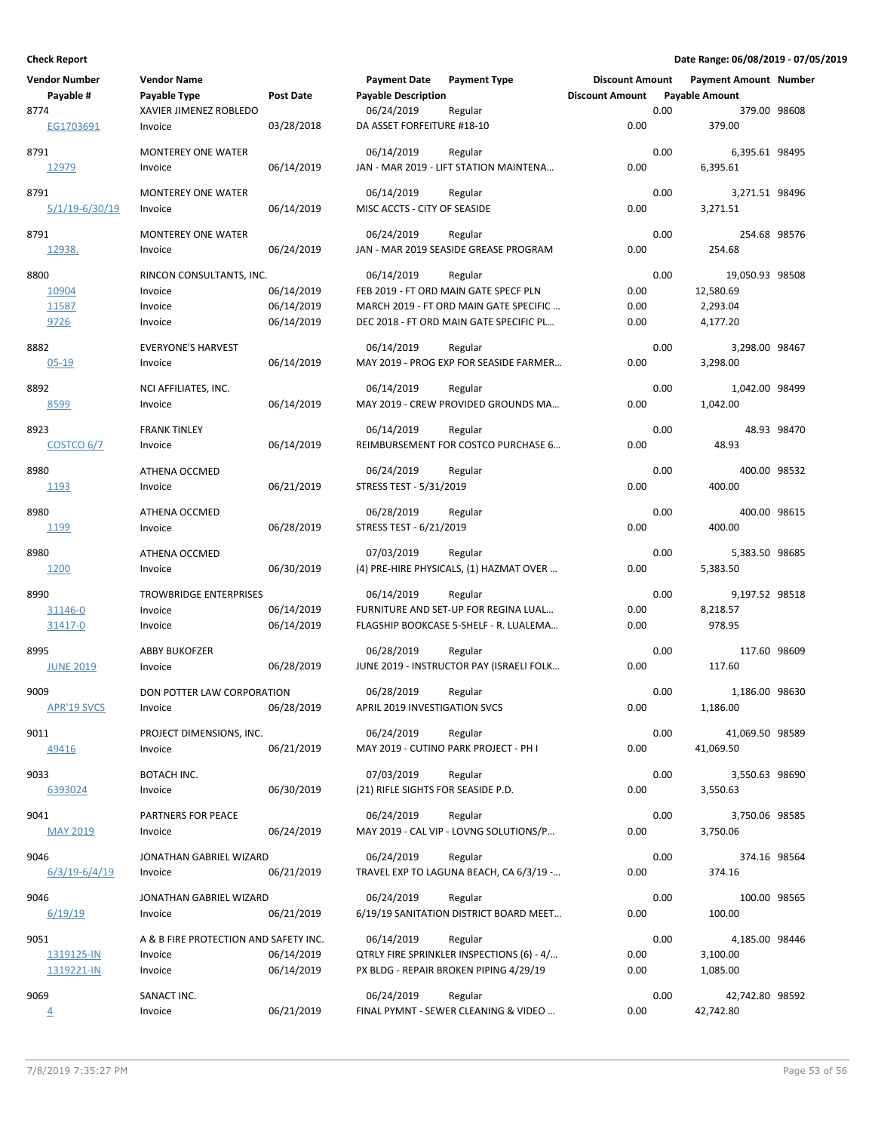| <b>Vendor Number</b>  | <b>Vendor Name</b>                    |                          | <b>Payment Date</b>                | <b>Payment Type</b>                                                               | <b>Discount Amount</b> |      | <b>Payment Amount Number</b> |             |
|-----------------------|---------------------------------------|--------------------------|------------------------------------|-----------------------------------------------------------------------------------|------------------------|------|------------------------------|-------------|
| Payable #             | Payable Type                          | Post Date                | <b>Payable Description</b>         |                                                                                   | <b>Discount Amount</b> |      | <b>Payable Amount</b>        |             |
| 8774                  | XAVIER JIMENEZ ROBLEDO                |                          | 06/24/2019                         | Regular                                                                           |                        | 0.00 | 379.00 98608                 |             |
| EG1703691             | Invoice                               | 03/28/2018               | DA ASSET FORFEITURE #18-10         |                                                                                   | 0.00                   |      | 379.00                       |             |
| 8791                  | <b>MONTEREY ONE WATER</b>             |                          | 06/14/2019                         | Regular                                                                           |                        | 0.00 | 6,395.61 98495               |             |
| 12979                 | Invoice                               | 06/14/2019               |                                    | JAN - MAR 2019 - LIFT STATION MAINTENA                                            | 0.00                   |      | 6,395.61                     |             |
|                       |                                       |                          |                                    |                                                                                   |                        |      |                              |             |
| 8791                  | <b>MONTEREY ONE WATER</b>             |                          | 06/14/2019                         | Regular                                                                           |                        | 0.00 | 3,271.51 98496               |             |
| <u>5/1/19-6/30/19</u> | Invoice                               | 06/14/2019               | MISC ACCTS - CITY OF SEASIDE       |                                                                                   | 0.00                   |      | 3,271.51                     |             |
| 8791                  | <b>MONTEREY ONE WATER</b>             |                          | 06/24/2019                         | Regular                                                                           |                        | 0.00 | 254.68 98576                 |             |
| 12938.                | Invoice                               | 06/24/2019               |                                    | JAN - MAR 2019 SEASIDE GREASE PROGRAM                                             | 0.00                   |      | 254.68                       |             |
|                       |                                       |                          |                                    |                                                                                   |                        |      |                              |             |
| 8800                  | RINCON CONSULTANTS, INC.              |                          | 06/14/2019                         | Regular                                                                           |                        | 0.00 | 19,050.93 98508              |             |
| 10904                 | Invoice                               | 06/14/2019               |                                    | FEB 2019 - FT ORD MAIN GATE SPECF PLN                                             | 0.00                   |      | 12,580.69                    |             |
| 11587<br>9726         | Invoice<br>Invoice                    | 06/14/2019<br>06/14/2019 |                                    | MARCH 2019 - FT ORD MAIN GATE SPECIFIC<br>DEC 2018 - FT ORD MAIN GATE SPECIFIC PL | 0.00<br>0.00           |      | 2,293.04<br>4,177.20         |             |
|                       |                                       |                          |                                    |                                                                                   |                        |      |                              |             |
| 8882                  | <b>EVERYONE'S HARVEST</b>             |                          | 06/14/2019                         | Regular                                                                           |                        | 0.00 | 3,298.00 98467               |             |
| $05 - 19$             | Invoice                               | 06/14/2019               |                                    | MAY 2019 - PROG EXP FOR SEASIDE FARMER                                            | 0.00                   |      | 3,298.00                     |             |
| 8892                  | NCI AFFILIATES, INC.                  |                          | 06/14/2019                         | Regular                                                                           |                        | 0.00 | 1,042.00 98499               |             |
| 8599                  | Invoice                               | 06/14/2019               |                                    | MAY 2019 - CREW PROVIDED GROUNDS MA                                               | 0.00                   |      | 1,042.00                     |             |
|                       |                                       |                          |                                    |                                                                                   |                        |      |                              |             |
| 8923                  | <b>FRANK TINLEY</b>                   |                          | 06/14/2019                         | Regular                                                                           |                        | 0.00 |                              | 48.93 98470 |
| <b>COSTCO 6/7</b>     | Invoice                               | 06/14/2019               |                                    | REIMBURSEMENT FOR COSTCO PURCHASE 6                                               | 0.00                   |      | 48.93                        |             |
| 8980                  | ATHENA OCCMED                         |                          | 06/24/2019                         | Regular                                                                           |                        | 0.00 | 400.00 98532                 |             |
| 1193                  | Invoice                               | 06/21/2019               | STRESS TEST - 5/31/2019            |                                                                                   | 0.00                   |      | 400.00                       |             |
|                       |                                       |                          |                                    |                                                                                   |                        |      |                              |             |
| 8980                  | ATHENA OCCMED                         |                          | 06/28/2019                         | Regular                                                                           | 0.00                   | 0.00 | 400.00 98615                 |             |
| 1199                  | Invoice                               | 06/28/2019               | STRESS TEST - 6/21/2019            |                                                                                   |                        |      | 400.00                       |             |
| 8980                  | ATHENA OCCMED                         |                          | 07/03/2019                         | Regular                                                                           |                        | 0.00 | 5,383.50 98685               |             |
| 1200                  | Invoice                               | 06/30/2019               |                                    | (4) PRE-HIRE PHYSICALS, (1) HAZMAT OVER                                           | 0.00                   |      | 5,383.50                     |             |
| 8990                  | <b>TROWBRIDGE ENTERPRISES</b>         |                          | 06/14/2019                         | Regular                                                                           |                        | 0.00 | 9,197.52 98518               |             |
| 31146-0               | Invoice                               | 06/14/2019               |                                    | FURNITURE AND SET-UP FOR REGINA LUAL                                              | 0.00                   |      | 8,218.57                     |             |
| 31417-0               | Invoice                               | 06/14/2019               |                                    | FLAGSHIP BOOKCASE 5-SHELF - R. LUALEMA                                            | 0.00                   |      | 978.95                       |             |
|                       |                                       |                          |                                    |                                                                                   |                        |      |                              |             |
| 8995                  | <b>ABBY BUKOFZER</b>                  |                          | 06/28/2019                         | Regular                                                                           |                        | 0.00 | 117.60 98609                 |             |
| <b>JUNE 2019</b>      | Invoice                               | 06/28/2019               |                                    | JUNE 2019 - INSTRUCTOR PAY (ISRAELI FOLK                                          | 0.00                   |      | 117.60                       |             |
| 9009                  | DON POTTER LAW CORPORATION            |                          | 06/28/2019                         | Regular                                                                           |                        | 0.00 | 1,186.00 98630               |             |
| <b>APR'19 SVCS</b>    | Invoice                               | 06/28/2019               | APRIL 2019 INVESTIGATION SVCS      |                                                                                   | 0.00                   |      | 1,186.00                     |             |
| 9011                  | PROJECT DIMENSIONS, INC.              |                          | 06/24/2019                         | Regular                                                                           |                        | 0.00 | 41,069.50 98589              |             |
| 49416                 | Invoice                               | 06/21/2019               |                                    | MAY 2019 - CUTINO PARK PROJECT - PH I                                             | 0.00                   |      | 41,069.50                    |             |
|                       |                                       |                          |                                    |                                                                                   |                        |      |                              |             |
| 9033                  | BOTACH INC.                           |                          | 07/03/2019                         | Regular                                                                           |                        | 0.00 | 3,550.63 98690               |             |
| 6393024               | Invoice                               | 06/30/2019               | (21) RIFLE SIGHTS FOR SEASIDE P.D. |                                                                                   | 0.00                   |      | 3,550.63                     |             |
| 9041                  | PARTNERS FOR PEACE                    |                          | 06/24/2019                         | Regular                                                                           |                        | 0.00 | 3,750.06 98585               |             |
| <b>MAY 2019</b>       | Invoice                               | 06/24/2019               |                                    | MAY 2019 - CAL VIP - LOVNG SOLUTIONS/P                                            | 0.00                   |      | 3,750.06                     |             |
|                       |                                       |                          |                                    |                                                                                   |                        |      |                              |             |
| 9046                  | JONATHAN GABRIEL WIZARD               |                          | 06/24/2019                         | Regular                                                                           |                        | 0.00 | 374.16 98564                 |             |
| $6/3/19-6/4/19$       | Invoice                               | 06/21/2019               |                                    | TRAVEL EXP TO LAGUNA BEACH, CA 6/3/19 -                                           | 0.00                   |      | 374.16                       |             |
| 9046                  | JONATHAN GABRIEL WIZARD               |                          | 06/24/2019                         | Regular                                                                           |                        | 0.00 | 100.00 98565                 |             |
| 6/19/19               | Invoice                               | 06/21/2019               |                                    | 6/19/19 SANITATION DISTRICT BOARD MEET                                            | 0.00                   |      | 100.00                       |             |
| 9051                  | A & B FIRE PROTECTION AND SAFETY INC. |                          | 06/14/2019                         | Regular                                                                           |                        | 0.00 | 4,185.00 98446               |             |
| 1319125-IN            | Invoice                               | 06/14/2019               |                                    | QTRLY FIRE SPRINKLER INSPECTIONS (6) - 4/                                         | 0.00                   |      | 3,100.00                     |             |
| 1319221-IN            | Invoice                               | 06/14/2019               |                                    | PX BLDG - REPAIR BROKEN PIPING 4/29/19                                            | 0.00                   |      | 1,085.00                     |             |
|                       |                                       |                          |                                    |                                                                                   |                        |      |                              |             |
| 9069                  | SANACT INC.                           |                          | 06/24/2019                         | Regular                                                                           |                        | 0.00 | 42,742.80 98592              |             |
| $\overline{4}$        | Invoice                               | 06/21/2019               |                                    | FINAL PYMNT - SEWER CLEANING & VIDEO                                              | 0.00                   |      | 42,742.80                    |             |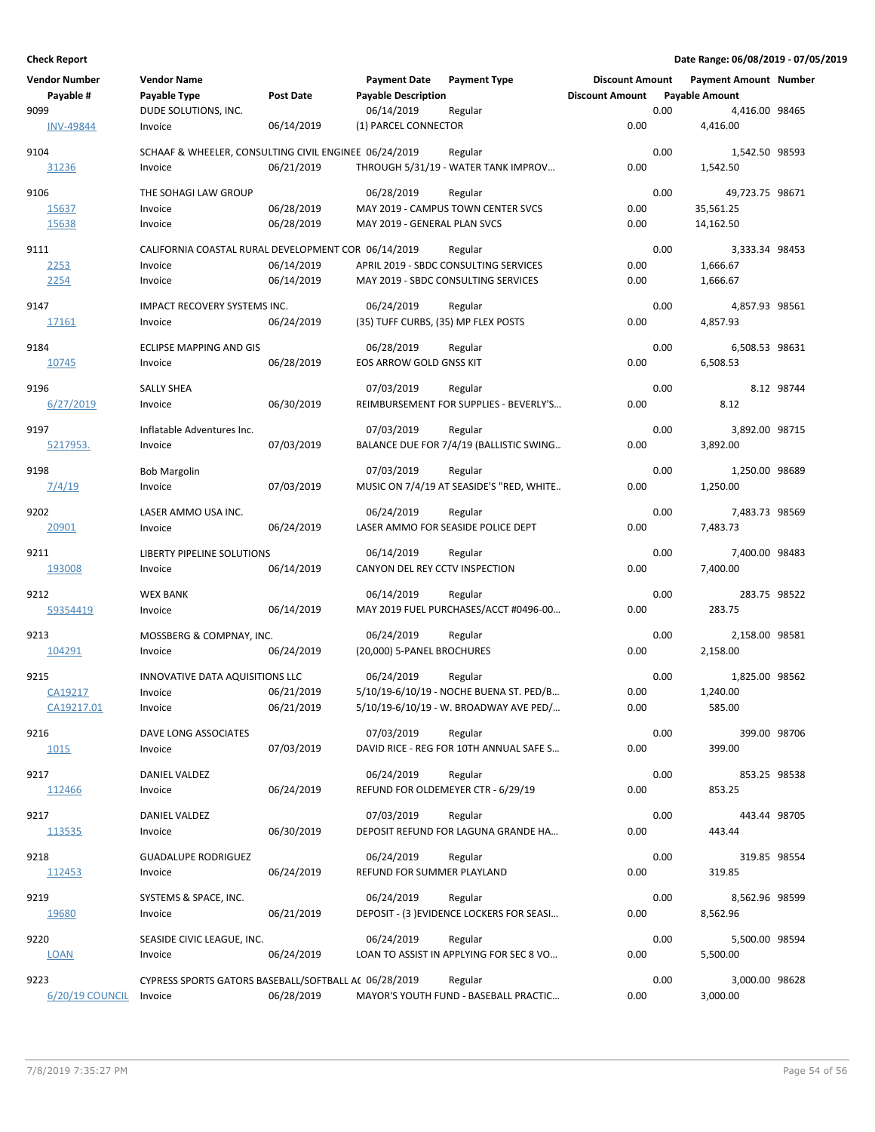| <b>Vendor Number</b><br>Payable # | <b>Vendor Name</b><br>Payable Type                                        | <b>Post Date</b>         | <b>Payment Date</b><br><b>Payable Description</b> | <b>Payment Type</b>                                                                          | <b>Discount Amount</b><br><b>Discount Amount</b> |      | <b>Payment Amount Number</b><br><b>Payable Amount</b> |            |
|-----------------------------------|---------------------------------------------------------------------------|--------------------------|---------------------------------------------------|----------------------------------------------------------------------------------------------|--------------------------------------------------|------|-------------------------------------------------------|------------|
| 9099<br><b>INV-49844</b>          | DUDE SOLUTIONS, INC.<br>Invoice                                           | 06/14/2019               | 06/14/2019<br>(1) PARCEL CONNECTOR                | Regular                                                                                      | 0.00                                             | 0.00 | 4,416.00 98465<br>4,416.00                            |            |
| 9104<br>31236                     | SCHAAF & WHEELER, CONSULTING CIVIL ENGINEE 06/24/2019<br>Invoice          | 06/21/2019               |                                                   | Regular<br>THROUGH 5/31/19 - WATER TANK IMPROV                                               | 0.00                                             | 0.00 | 1,542.50 98593<br>1,542.50                            |            |
| 9106<br>15637<br>15638            | THE SOHAGI LAW GROUP<br>Invoice<br>Invoice                                | 06/28/2019<br>06/28/2019 | 06/28/2019<br>MAY 2019 - GENERAL PLAN SVCS        | Regular<br>MAY 2019 - CAMPUS TOWN CENTER SVCS                                                | 0.00<br>0.00                                     | 0.00 | 49,723.75 98671<br>35,561.25<br>14,162.50             |            |
| 9111<br>2253<br>2254              | CALIFORNIA COASTAL RURAL DEVELOPMENT COR 06/14/2019<br>Invoice<br>Invoice | 06/14/2019<br>06/14/2019 |                                                   | Regular<br>APRIL 2019 - SBDC CONSULTING SERVICES<br>MAY 2019 - SBDC CONSULTING SERVICES      | 0.00<br>0.00                                     | 0.00 | 3,333.34 98453<br>1,666.67<br>1,666.67                |            |
| 9147<br>17161                     | <b>IMPACT RECOVERY SYSTEMS INC.</b><br>Invoice                            | 06/24/2019               | 06/24/2019<br>(35) TUFF CURBS, (35) MP FLEX POSTS | Regular                                                                                      | 0.00                                             | 0.00 | 4,857.93 98561<br>4,857.93                            |            |
| 9184<br>10745                     | ECLIPSE MAPPING AND GIS<br>Invoice                                        | 06/28/2019               | 06/28/2019<br>EOS ARROW GOLD GNSS KIT             | Regular                                                                                      | 0.00                                             | 0.00 | 6,508.53 98631<br>6,508.53                            |            |
| 9196<br>6/27/2019                 | SALLY SHEA<br>Invoice                                                     | 06/30/2019               | 07/03/2019                                        | Regular<br>REIMBURSEMENT FOR SUPPLIES - BEVERLY'S                                            | 0.00                                             | 0.00 | 8.12                                                  | 8.12 98744 |
| 9197<br>5217953.                  | Inflatable Adventures Inc.<br>Invoice                                     | 07/03/2019               | 07/03/2019                                        | Regular<br>BALANCE DUE FOR 7/4/19 (BALLISTIC SWING                                           | 0.00                                             | 0.00 | 3,892.00 98715<br>3,892.00                            |            |
| 9198<br>7/4/19                    | <b>Bob Margolin</b><br>Invoice                                            | 07/03/2019               | 07/03/2019                                        | Regular<br>MUSIC ON 7/4/19 AT SEASIDE'S "RED, WHITE                                          | 0.00                                             | 0.00 | 1,250.00 98689<br>1,250.00                            |            |
| 9202<br>20901                     | LASER AMMO USA INC.<br>Invoice                                            | 06/24/2019               | 06/24/2019                                        | Regular<br>LASER AMMO FOR SEASIDE POLICE DEPT                                                | 0.00                                             | 0.00 | 7,483.73 98569<br>7,483.73                            |            |
| 9211<br>193008                    | LIBERTY PIPELINE SOLUTIONS<br>Invoice                                     | 06/14/2019               | 06/14/2019<br>CANYON DEL REY CCTV INSPECTION      | Regular                                                                                      | 0.00                                             | 0.00 | 7,400.00 98483<br>7,400.00                            |            |
| 9212<br>59354419                  | <b>WEX BANK</b><br>Invoice                                                | 06/14/2019               | 06/14/2019                                        | Regular<br>MAY 2019 FUEL PURCHASES/ACCT #0496-00                                             | 0.00                                             | 0.00 | 283.75 98522<br>283.75                                |            |
| 9213<br>104291                    | MOSSBERG & COMPNAY, INC.<br>Invoice                                       | 06/24/2019               | 06/24/2019<br>(20,000) 5-PANEL BROCHURES          | Regular                                                                                      | 0.00                                             | 0.00 | 2,158.00 98581<br>2,158.00                            |            |
| 9215<br>CA19217<br>CA19217.01     | INNOVATIVE DATA AQUISITIONS LLC<br>Invoice<br>Invoice                     | 06/21/2019<br>06/21/2019 | 06/24/2019                                        | Regular<br>5/10/19-6/10/19 - NOCHE BUENA ST. PED/B<br>5/10/19-6/10/19 - W. BROADWAY AVE PED/ | 0.00<br>0.00                                     | 0.00 | 1,825.00 98562<br>1.240.00<br>585.00                  |            |
| 9216<br>1015                      | DAVE LONG ASSOCIATES<br>Invoice                                           | 07/03/2019               | 07/03/2019                                        | Regular<br>DAVID RICE - REG FOR 10TH ANNUAL SAFE S                                           | 0.00                                             | 0.00 | 399.00 98706<br>399.00                                |            |
| 9217<br>112466                    | DANIEL VALDEZ<br>Invoice                                                  | 06/24/2019               | 06/24/2019                                        | Regular<br>REFUND FOR OLDEMEYER CTR - 6/29/19                                                | 0.00                                             | 0.00 | 853.25 98538<br>853.25                                |            |
| 9217<br>113535                    | DANIEL VALDEZ<br>Invoice                                                  | 06/30/2019               | 07/03/2019                                        | Regular<br>DEPOSIT REFUND FOR LAGUNA GRANDE HA                                               | 0.00                                             | 0.00 | 443.44 98705<br>443.44                                |            |
| 9218<br>112453                    | <b>GUADALUPE RODRIGUEZ</b><br>Invoice                                     | 06/24/2019               | 06/24/2019<br>REFUND FOR SUMMER PLAYLAND          | Regular                                                                                      | 0.00                                             | 0.00 | 319.85 98554<br>319.85                                |            |
| 9219<br>19680                     | SYSTEMS & SPACE, INC.<br>Invoice                                          | 06/21/2019               | 06/24/2019                                        | Regular<br>DEPOSIT - (3) EVIDENCE LOCKERS FOR SEASI                                          | 0.00                                             | 0.00 | 8,562.96 98599<br>8,562.96                            |            |
| 9220<br><b>LOAN</b>               | SEASIDE CIVIC LEAGUE, INC.<br>Invoice                                     | 06/24/2019               | 06/24/2019                                        | Regular<br>LOAN TO ASSIST IN APPLYING FOR SEC 8 VO                                           | 0.00                                             | 0.00 | 5,500.00 98594<br>5,500.00                            |            |
| 9223<br>6/20/19 COUNCIL Invoice   | CYPRESS SPORTS GATORS BASEBALL/SOFTBALL AC 06/28/2019                     | 06/28/2019               |                                                   | Regular<br>MAYOR'S YOUTH FUND - BASEBALL PRACTIC                                             | 0.00                                             | 0.00 | 3,000.00 98628<br>3,000.00                            |            |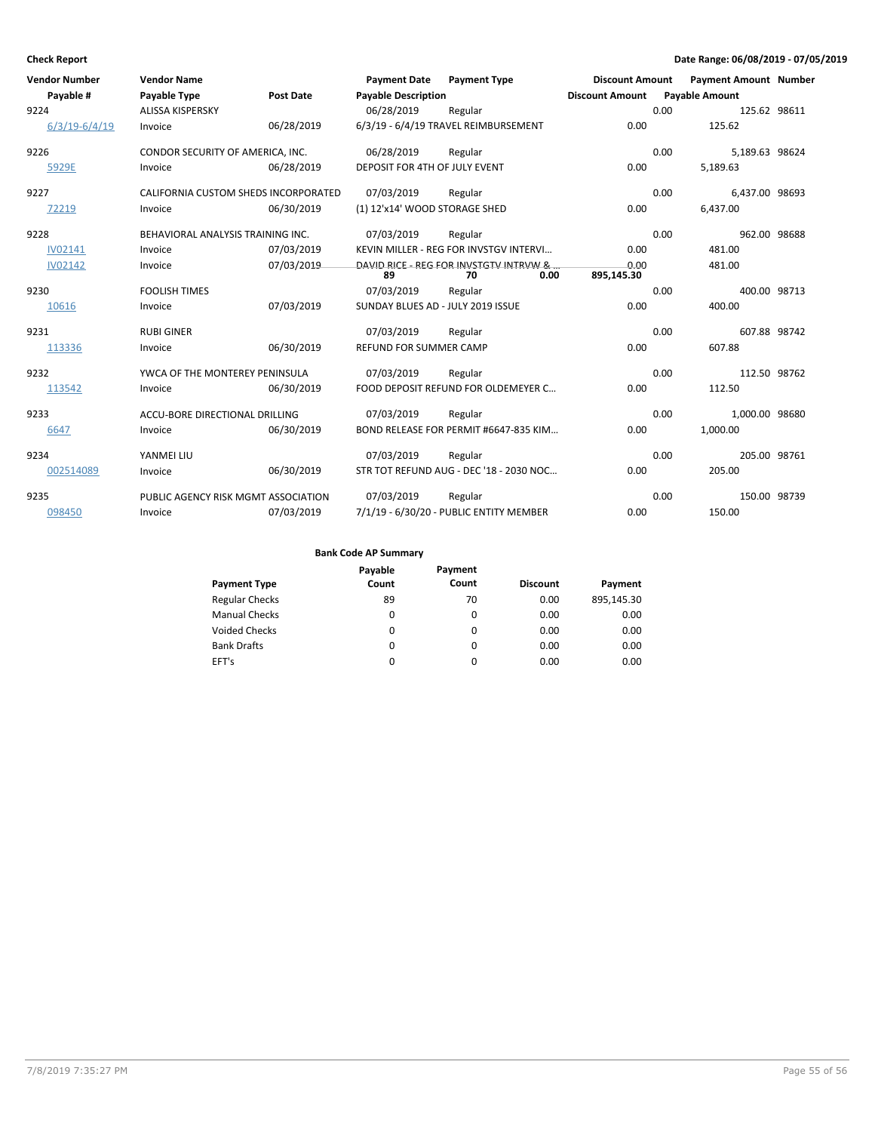| <b>Vendor Number</b> | <b>Vendor Name</b>                   |                  | <b>Payment Date</b>               | <b>Payment Type</b>                                  | <b>Discount Amount</b> |      | <b>Payment Amount Number</b> |  |
|----------------------|--------------------------------------|------------------|-----------------------------------|------------------------------------------------------|------------------------|------|------------------------------|--|
| Payable #            | Payable Type                         | <b>Post Date</b> | <b>Payable Description</b>        |                                                      | <b>Discount Amount</b> |      | <b>Payable Amount</b>        |  |
| 9224                 | <b>ALISSA KISPERSKY</b>              |                  | 06/28/2019                        | Regular                                              |                        | 0.00 | 125.62 98611                 |  |
| $6/3/19 - 6/4/19$    | Invoice                              | 06/28/2019       |                                   | 6/3/19 - 6/4/19 TRAVEL REIMBURSEMENT                 | 0.00                   |      | 125.62                       |  |
| 9226                 | CONDOR SECURITY OF AMERICA, INC.     |                  | 06/28/2019                        | Regular                                              |                        | 0.00 | 5,189.63 98624               |  |
| 5929E                | Invoice                              | 06/28/2019       | DEPOSIT FOR 4TH OF JULY EVENT     |                                                      | 0.00                   |      | 5,189.63                     |  |
| 9227                 | CALIFORNIA CUSTOM SHEDS INCORPORATED |                  | 07/03/2019                        | Regular                                              |                        | 0.00 | 6,437.00 98693               |  |
| 72219                | Invoice                              | 06/30/2019       | (1) 12'x14' WOOD STORAGE SHED     |                                                      | 0.00                   |      | 6,437.00                     |  |
| 9228                 | BEHAVIORAL ANALYSIS TRAINING INC.    |                  | 07/03/2019                        | Regular                                              |                        | 0.00 | 962.00 98688                 |  |
| <b>IV02141</b>       | Invoice                              | 07/03/2019       |                                   | KEVIN MILLER - REG FOR INVSTGV INTERVI               | 0.00                   |      | 481.00                       |  |
| <b>IV02142</b>       | Invoice                              | 07/03/2019       | 89                                | DAVID RICE - REG FOR INVSTGTV INTRVW &<br>70<br>0.00 | 0.00<br>895,145.30     |      | 481.00                       |  |
| 9230                 | <b>FOOLISH TIMES</b>                 |                  | 07/03/2019                        | Regular                                              |                        | 0.00 | 400.00 98713                 |  |
| 10616                | Invoice                              | 07/03/2019       | SUNDAY BLUES AD - JULY 2019 ISSUE |                                                      | 0.00                   |      | 400.00                       |  |
| 9231                 | <b>RUBI GINER</b>                    |                  | 07/03/2019                        | Regular                                              |                        | 0.00 | 607.88 98742                 |  |
| 113336               | Invoice                              | 06/30/2019       | <b>REFUND FOR SUMMER CAMP</b>     |                                                      | 0.00                   |      | 607.88                       |  |
| 9232                 | YWCA OF THE MONTEREY PENINSULA       |                  | 07/03/2019                        | Regular                                              |                        | 0.00 | 112.50 98762                 |  |
| 113542               | Invoice                              | 06/30/2019       |                                   | FOOD DEPOSIT REFUND FOR OLDEMEYER C                  | 0.00                   |      | 112.50                       |  |
| 9233                 | ACCU-BORE DIRECTIONAL DRILLING       |                  | 07/03/2019                        | Regular                                              |                        | 0.00 | 1,000.00 98680               |  |
| 6647                 | Invoice                              | 06/30/2019       |                                   | BOND RELEASE FOR PERMIT #6647-835 KIM                | 0.00                   |      | 1,000.00                     |  |
| 9234                 | YANMEI LIU                           |                  | 07/03/2019                        | Regular                                              |                        | 0.00 | 205.00 98761                 |  |
| 002514089            | Invoice                              | 06/30/2019       |                                   | STR TOT REFUND AUG - DEC '18 - 2030 NOC              | 0.00                   |      | 205.00                       |  |
| 9235                 | PUBLIC AGENCY RISK MGMT ASSOCIATION  |                  | 07/03/2019                        | Regular                                              |                        | 0.00 | 150.00 98739                 |  |
| 098450               | Invoice                              | 07/03/2019       |                                   | 7/1/19 - 6/30/20 - PUBLIC ENTITY MEMBER              | 0.00                   |      | 150.00                       |  |

| <b>Payment Type</b>   | Payable<br>Count | Payment<br>Count | <b>Discount</b> | Payment    |
|-----------------------|------------------|------------------|-----------------|------------|
|                       |                  |                  |                 |            |
| <b>Regular Checks</b> | 89               | 70               | 0.00            | 895,145.30 |
| <b>Manual Checks</b>  | 0                | $\Omega$         | 0.00            | 0.00       |
| Voided Checks         | 0                | 0                | 0.00            | 0.00       |
| <b>Bank Drafts</b>    | 0                | $\Omega$         | 0.00            | 0.00       |
| EFT's                 | 0                | 0                | 0.00            | 0.00       |